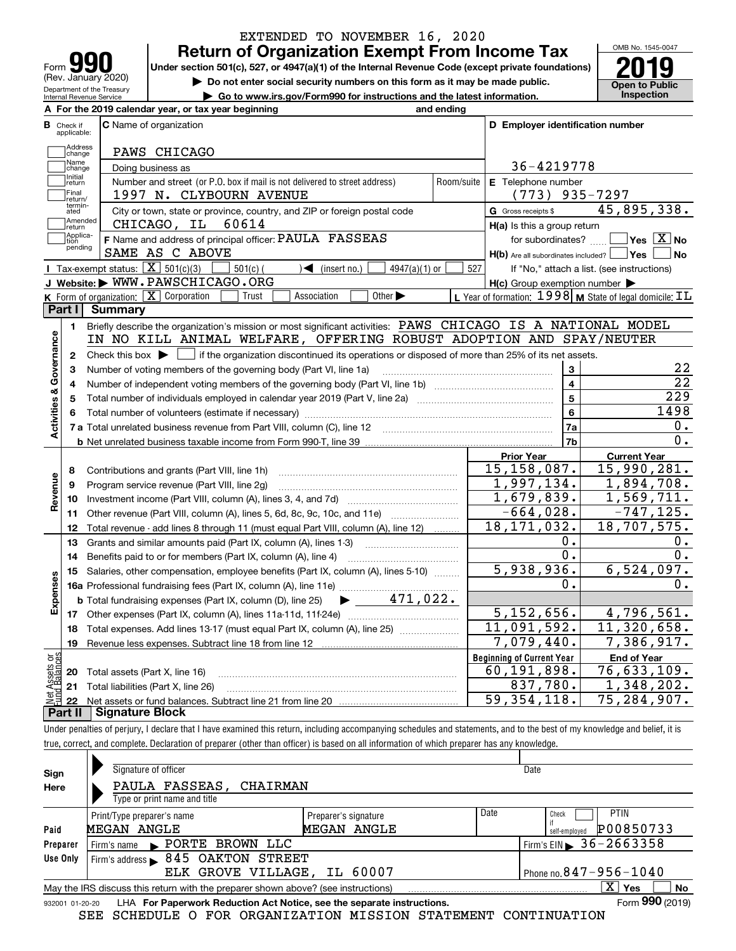| ľО<br>Form                                             |
|--------------------------------------------------------|
| (Rev. January 2020)                                    |
| Department of the Treasury<br>Internal Revenue Service |

## **Return of Organization Exempt From Income Tax** EXTENDED TO NOVEMBER 16, 2020

Under section 501(c), 527, or 4947(a)(1) of the Internal Revenue Code (except private foundations) **2019** 

**| Do not enter social security numbers on this form as it may be made public.**

**| Go to www.irs.gov/Form990 for instructions and the latest information. Inspection**

OMB No. 1545-0047 **Open to Public** 

|                                |                         | A For the 2019 calendar year, or tax year beginning                                                                                                                        | and ending     |                                                     |                                                                    |
|--------------------------------|-------------------------|----------------------------------------------------------------------------------------------------------------------------------------------------------------------------|----------------|-----------------------------------------------------|--------------------------------------------------------------------|
| в                              | Check if<br>applicable: | C Name of organization                                                                                                                                                     |                | D Employer identification number                    |                                                                    |
|                                | Address<br>change       | PAWS CHICAGO                                                                                                                                                               |                |                                                     |                                                                    |
|                                | Name<br>change          | Doing business as                                                                                                                                                          |                | 36-4219778                                          |                                                                    |
|                                | Initial<br>return       | Number and street (or P.O. box if mail is not delivered to street address)                                                                                                 | Room/suite     | E Telephone number                                  |                                                                    |
|                                | Final<br>return/        | 1997 N. CLYBOURN AVENUE                                                                                                                                                    |                | $(773)$ 935-7297                                    |                                                                    |
|                                | termin-<br>ated         | City or town, state or province, country, and ZIP or foreign postal code                                                                                                   |                | G Gross receipts \$                                 | 45,895,338.                                                        |
|                                | Amended<br>return       | CHICAGO, IL<br>60614                                                                                                                                                       |                | H(a) Is this a group return                         |                                                                    |
|                                | Applica-<br>tion        | F Name and address of principal officer: PAULA FASSEAS                                                                                                                     |                |                                                     | for subordinates? $\Box$ Yes $\boxed{X}$ No                        |
|                                | pending                 | SAME AS C ABOVE                                                                                                                                                            |                | $H(b)$ Are all subordinates included? $\Box$ Yes    | $\blacksquare$ No                                                  |
|                                |                         | Tax-exempt status: $\boxed{\mathbf{X}}$ 501(c)(3)<br>$501(c)$ (<br>$4947(a)(1)$ or<br>$\sqrt{\bullet}$ (insert no.)                                                        | 527            |                                                     | If "No," attach a list. (see instructions)                         |
|                                |                         | J Website: WWW.PAWSCHICAGO.ORG                                                                                                                                             |                | $H(c)$ Group exemption number $\blacktriangleright$ |                                                                    |
|                                |                         | K Form of organization: X Corporation<br>Association<br>Trust<br>Other $\blacktriangleright$                                                                               |                |                                                     | L Year of formation: $1998$ M State of legal domicile: $\text{IL}$ |
|                                | Part I                  | <b>Summary</b>                                                                                                                                                             |                |                                                     |                                                                    |
|                                | 1.                      | Briefly describe the organization's mission or most significant activities: PAWS CHICAGO IS A NATIONAL MODEL                                                               |                |                                                     |                                                                    |
|                                |                         | IN NO KILL ANIMAL WELFARE, OFFERING ROBUST ADOPTION AND SPAY/NEUTER                                                                                                        |                |                                                     |                                                                    |
| Activities & Governance        | 2                       | Check this box $\blacktriangleright$ $\Box$ if the organization discontinued its operations or disposed of more than 25% of its net assets.                                |                |                                                     |                                                                    |
|                                | З                       | Number of voting members of the governing body (Part VI, line 1a)                                                                                                          |                |                                                     | 22                                                                 |
|                                | 4                       |                                                                                                                                                                            |                | $\overline{4}$                                      | $\overline{22}$                                                    |
|                                | 5                       | Total number of individuals employed in calendar year 2019 (Part V, line 2a) manufacture controller to the State                                                           | $5\phantom{a}$ | 229                                                 |                                                                    |
|                                |                         |                                                                                                                                                                            | 6              | 1498                                                |                                                                    |
|                                |                         |                                                                                                                                                                            |                | 7a                                                  | 0.                                                                 |
|                                |                         |                                                                                                                                                                            |                | 7b                                                  | 0.                                                                 |
|                                |                         |                                                                                                                                                                            |                | <b>Prior Year</b>                                   | <b>Current Year</b>                                                |
|                                | 8                       |                                                                                                                                                                            |                | 15, 158, 087.                                       | 15,990,281.                                                        |
| Revenue                        | 9                       | Program service revenue (Part VIII, line 2g)                                                                                                                               |                | 1,997,134.                                          | 1,894,708.                                                         |
|                                | 10                      |                                                                                                                                                                            |                | 1,679,839.                                          | 1,569,711.                                                         |
|                                | 11                      | Other revenue (Part VIII, column (A), lines 5, 6d, 8c, 9c, 10c, and 11e)                                                                                                   |                | $-664,028.$                                         | $-747, 125.$                                                       |
|                                | 12                      | Total revenue - add lines 8 through 11 (must equal Part VIII, column (A), line 12)                                                                                         |                | 18, 171, 032.                                       | 18,707,575.                                                        |
|                                | 13                      | Grants and similar amounts paid (Part IX, column (A), lines 1-3) <i>manual community container</i>                                                                         |                | 0.                                                  | υ.                                                                 |
|                                | 14                      | Benefits paid to or for members (Part IX, column (A), line 4)                                                                                                              |                | $\overline{0}$ .                                    | 0.                                                                 |
|                                | 15                      | Salaries, other compensation, employee benefits (Part IX, column (A), lines 5-10)                                                                                          |                | 5,938,936.                                          | 6,524,097.                                                         |
| Expenses                       |                         |                                                                                                                                                                            |                | 0.                                                  | 0.                                                                 |
|                                |                         |                                                                                                                                                                            |                |                                                     |                                                                    |
|                                |                         |                                                                                                                                                                            |                | 5,152,656.                                          | 4,796,561.                                                         |
|                                |                         | 18 Total expenses. Add lines 13-17 (must equal Part IX, column (A), line 25)                                                                                               |                | 11,091,592.                                         | 11,320,658.                                                        |
|                                | 19                      | Revenue less expenses. Subtract line 18 from line 12                                                                                                                       |                | 7,079,440.                                          | 7,386,917.                                                         |
|                                |                         |                                                                                                                                                                            |                | <b>Beginning of Current Year</b>                    | <b>End of Year</b>                                                 |
|                                | 20                      | Total assets (Part X, line 16)                                                                                                                                             |                | 60,191,898.                                         | 76,633,109.                                                        |
| Net Assets or<br>Eund Balances | 21                      | Total liabilities (Part X, line 26)                                                                                                                                        |                | 837,780.                                            | 1,348,202.                                                         |
|                                | 22                      |                                                                                                                                                                            |                | 59, 354, 118.                                       | 75,284,907.                                                        |
|                                | Part II                 | <b>Signature Block</b>                                                                                                                                                     |                |                                                     |                                                                    |
|                                |                         | Under penalties of perjury, I declare that I have examined this return, including accompanying schedules and statements, and to the best of my knowledge and belief, it is |                |                                                     |                                                                    |

true, correct, and complete. Declaration of preparer (other than officer) is based on all information of which preparer has any knowledge.

| Sign                                                        | Signature of officer                                                                                           |                      |      | Date                       |  |  |  |  |  |  |
|-------------------------------------------------------------|----------------------------------------------------------------------------------------------------------------|----------------------|------|----------------------------|--|--|--|--|--|--|
| Here                                                        | PAULA FASSEAS,<br>CHAIRMAN                                                                                     |                      |      |                            |  |  |  |  |  |  |
|                                                             | Type or print name and title                                                                                   |                      |      |                            |  |  |  |  |  |  |
|                                                             | Print/Type preparer's name                                                                                     | Preparer's signature | Date | <b>PTIN</b><br>Check       |  |  |  |  |  |  |
| Paid                                                        | <b>MEGAN ANGLE</b>                                                                                             | <b>MEGAN ANGLE</b>   |      | P00850733<br>self-emploved |  |  |  |  |  |  |
| Preparer                                                    | Firm's name PORTE BROWN LLC                                                                                    |                      |      | Firm's EIN 36 - 2663358    |  |  |  |  |  |  |
| Use Only                                                    | 845 OAKTON STREET<br>Firm's address                                                                            |                      |      |                            |  |  |  |  |  |  |
| Phone no. $847 - 956 - 1040$<br>ELK GROVE VILLAGE, IL 60007 |                                                                                                                |                      |      |                            |  |  |  |  |  |  |
|                                                             | $\mathbf{x}$<br>No<br>Yes<br>May the IRS discuss this return with the preparer shown above? (see instructions) |                      |      |                            |  |  |  |  |  |  |
|                                                             | Form 990 (2019)<br>LHA For Paperwork Reduction Act Notice, see the separate instructions.<br>932001 01-20-20   |                      |      |                            |  |  |  |  |  |  |

SEE SCHEDULE O FOR ORGANIZATION MISSION STATEMENT CONTINUATION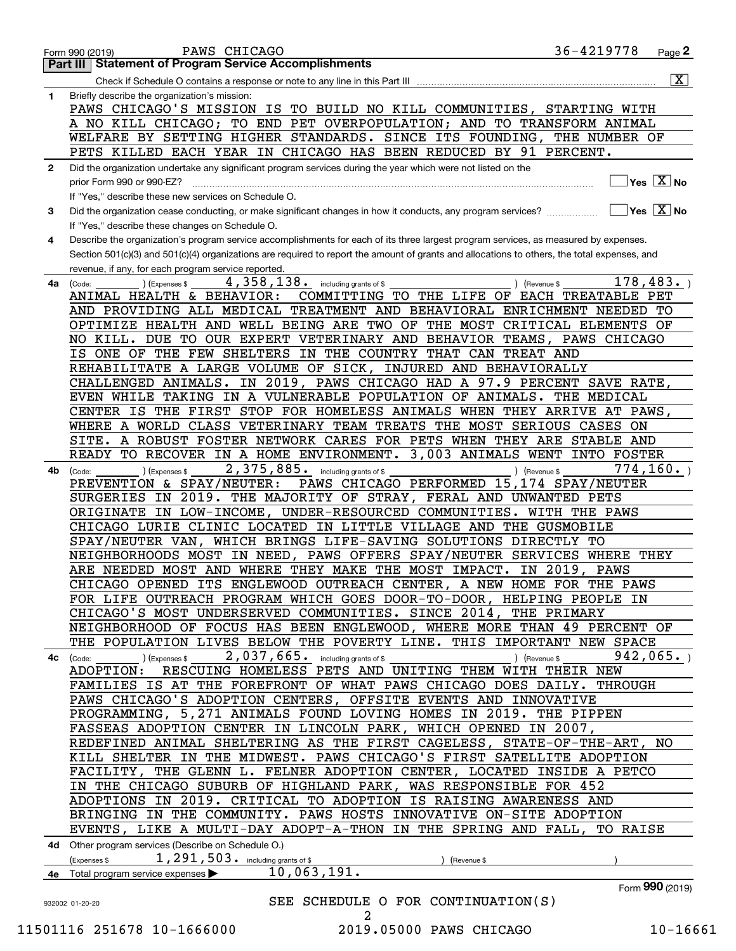|              | 36-4219778<br>PAWS CHICAGO<br>$_{\text{Page}}$ 2<br>Form 990 (2019)                                                                                             |  |
|--------------|-----------------------------------------------------------------------------------------------------------------------------------------------------------------|--|
| Part III     | <b>Statement of Program Service Accomplishments</b>                                                                                                             |  |
|              | $\boxed{\text{X}}$                                                                                                                                              |  |
| 1            | Briefly describe the organization's mission:                                                                                                                    |  |
|              | PAWS CHICAGO'S MISSION IS TO BUILD NO KILL COMMUNITIES, STARTING WITH                                                                                           |  |
|              | A NO KILL CHICAGO; TO END PET OVERPOPULATION; AND TO TRANSFORM ANIMAL                                                                                           |  |
|              | WELFARE BY SETTING HIGHER STANDARDS. SINCE ITS FOUNDING, THE NUMBER OF                                                                                          |  |
|              | PETS KILLED EACH YEAR IN CHICAGO HAS BEEN REDUCED BY 91 PERCENT.                                                                                                |  |
|              |                                                                                                                                                                 |  |
| $\mathbf{2}$ | Did the organization undertake any significant program services during the year which were not listed on the<br>$\overline{\ }$ Yes $\overline{\phantom{X}}$ No |  |
|              | prior Form 990 or 990-EZ?                                                                                                                                       |  |
|              | If "Yes," describe these new services on Schedule O.<br>$\Box$ Yes $\Box$ No                                                                                    |  |
| 3            | Did the organization cease conducting, or make significant changes in how it conducts, any program services?                                                    |  |
|              | If "Yes," describe these changes on Schedule O.                                                                                                                 |  |
| 4            | Describe the organization's program service accomplishments for each of its three largest program services, as measured by expenses.                            |  |
|              | Section 501(c)(3) and 501(c)(4) organizations are required to report the amount of grants and allocations to others, the total expenses, and                    |  |
|              | revenue, if any, for each program service reported.                                                                                                             |  |
| 4a           | 178,483.<br>$4,358,138$ . including grants of \$<br>(Expenses \$<br>) (Revenue \$<br>(Code:                                                                     |  |
|              | COMMITTING TO THE LIFE OF EACH TREATABLE PET<br>ANIMAL HEALTH & BEHAVIOR:                                                                                       |  |
|              | AND PROVIDING ALL MEDICAL TREATMENT AND BEHAVIORAL ENRICHMENT NEEDED TO                                                                                         |  |
|              | OPTIMIZE HEALTH AND WELL BEING ARE TWO OF THE MOST CRITICAL ELEMENTS OF                                                                                         |  |
|              | NO KILL. DUE TO OUR EXPERT VETERINARY AND BEHAVIOR TEAMS, PAWS CHICAGO                                                                                          |  |
|              | IS ONE OF THE FEW SHELTERS IN THE COUNTRY THAT CAN TREAT AND                                                                                                    |  |
|              | REHABILITATE A LARGE VOLUME OF SICK, INJURED AND BEHAVIORALLY                                                                                                   |  |
|              | CHALLENGED ANIMALS. IN 2019, PAWS CHICAGO HAD A 97.9 PERCENT SAVE RATE,                                                                                         |  |
|              | EVEN WHILE TAKING IN A VULNERABLE POPULATION OF ANIMALS. THE MEDICAL                                                                                            |  |
|              | CENTER IS THE FIRST STOP FOR HOMELESS ANIMALS WHEN THEY ARRIVE AT PAWS,                                                                                         |  |
|              | WHERE A WORLD CLASS VETERINARY TEAM TREATS THE MOST SERIOUS CASES ON                                                                                            |  |
|              | SITE. A ROBUST FOSTER NETWORK CARES FOR PETS WHEN THEY ARE STABLE AND                                                                                           |  |
|              | READY TO RECOVER IN A HOME ENVIRONMENT. 3,003 ANIMALS WENT INTO FOSTER                                                                                          |  |
|              | 774, 160.<br>2,375,885. including grants of \$                                                                                                                  |  |
| 4b           | (Expenses \$<br>) (Revenue \$<br>(Code:<br>PAWS CHICAGO PERFORMED 15,174 SPAY/NEUTER<br>PREVENTION & SPAY/NEUTER:                                               |  |
|              |                                                                                                                                                                 |  |
|              | SURGERIES IN 2019. THE MAJORITY OF STRAY, FERAL AND UNWANTED PETS                                                                                               |  |
|              | ORIGINATE IN LOW-INCOME, UNDER-RESOURCED COMMUNITIES. WITH THE PAWS                                                                                             |  |
|              | CHICAGO LURIE CLINIC LOCATED IN LITTLE VILLAGE AND THE GUSMOBILE                                                                                                |  |
|              | SPAY/NEUTER VAN, WHICH BRINGS LIFE-SAVING SOLUTIONS DIRECTLY TO                                                                                                 |  |
|              | NEIGHBORHOODS MOST IN NEED, PAWS OFFERS SPAY/NEUTER SERVICES WHERE THEY                                                                                         |  |
|              | ARE NEEDED MOST AND WHERE THEY MAKE THE MOST IMPACT. IN 2019,<br>PAWS                                                                                           |  |
|              | CHICAGO OPENED ITS ENGLEWOOD OUTREACH CENTER, A NEW HOME FOR THE PAWS                                                                                           |  |
|              | FOR LIFE OUTREACH PROGRAM WHICH GOES DOOR-TO-DOOR, HELPING PEOPLE IN                                                                                            |  |
|              | CHICAGO'S MOST UNDERSERVED COMMUNITIES. SINCE 2014, THE PRIMARY                                                                                                 |  |
|              | NEIGHBORHOOD OF FOCUS HAS BEEN ENGLEWOOD, WHERE MORE THAN 49 PERCENT OF                                                                                         |  |
|              | THE POPULATION LIVES BELOW THE POVERTY LINE. THIS IMPORTANT NEW SPACE                                                                                           |  |
|              | $2,037,665$ and including grants of \$<br>942,065.<br>) (Expenses \$<br>) (Revenue \$<br>4c (Code:                                                              |  |
|              | RESCUING HOMELESS PETS AND UNITING THEM WITH THEIR NEW<br>ADOPTION:                                                                                             |  |
|              | FAMILIES IS AT THE FOREFRONT OF WHAT PAWS CHICAGO DOES DAILY. THROUGH                                                                                           |  |
|              | PAWS CHICAGO'S ADOPTION CENTERS, OFFSITE EVENTS AND INNOVATIVE                                                                                                  |  |
|              | PROGRAMMING, 5,271 ANIMALS FOUND LOVING HOMES IN 2019. THE PIPPEN                                                                                               |  |
|              | FASSEAS ADOPTION CENTER IN LINCOLN PARK, WHICH OPENED IN 2007,                                                                                                  |  |
|              | REDEFINED ANIMAL SHELTERING AS THE FIRST CAGELESS, STATE-OF-THE-ART, NO                                                                                         |  |
|              | KILL SHELTER IN THE MIDWEST. PAWS CHICAGO'S FIRST SATELLITE ADOPTION                                                                                            |  |
|              | FACILITY, THE GLENN L. FELNER ADOPTION CENTER, LOCATED INSIDE A PETCO                                                                                           |  |
|              | IN THE CHICAGO SUBURB OF HIGHLAND PARK, WAS RESPONSIBLE FOR 452                                                                                                 |  |
|              | ADOPTIONS IN 2019. CRITICAL TO ADOPTION IS RAISING AWARENESS AND                                                                                                |  |
|              | BRINGING IN THE COMMUNITY. PAWS HOSTS INNOVATIVE ON-SITE ADOPTION                                                                                               |  |
|              | EVENTS, LIKE A MULTI-DAY ADOPT-A-THON IN THE SPRING AND FALL, TO RAISE                                                                                          |  |
|              |                                                                                                                                                                 |  |
|              | 4d Other program services (Describe on Schedule O.)                                                                                                             |  |
|              | $1, 291, 503$ . including grants of \$<br>(Expenses \$<br>(Revenue \$                                                                                           |  |
|              | 10,063,191.<br>4e Total program service expenses                                                                                                                |  |
|              | Form 990 (2019)                                                                                                                                                 |  |
|              | SEE SCHEDULE O FOR CONTINUATION(S)<br>932002 01-20-20                                                                                                           |  |

2<br>2019.05000 PAWS CHICAGO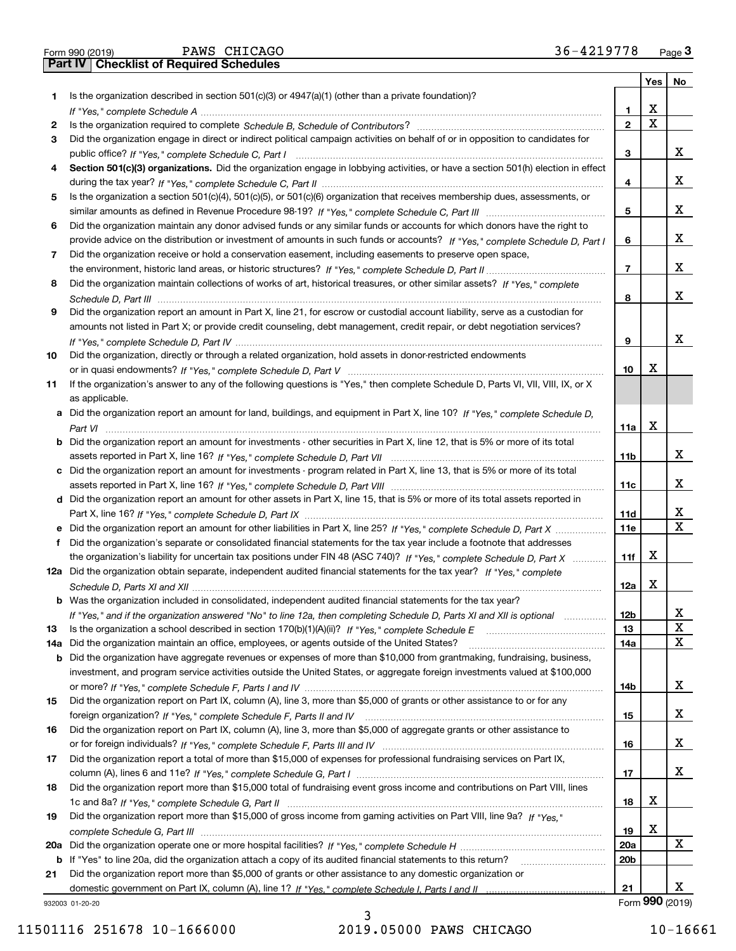|  | Form 990 (2019) |
|--|-----------------|

Form 990 (2019) Page **3Part IV Checklist of Required Schedules** PAWS CHICAGO 36-4219778

|    |                                                                                                                                       |                 | Yes         | No              |
|----|---------------------------------------------------------------------------------------------------------------------------------------|-----------------|-------------|-----------------|
| 1. | Is the organization described in section $501(c)(3)$ or $4947(a)(1)$ (other than a private foundation)?                               |                 |             |                 |
|    |                                                                                                                                       | 1               | х           |                 |
| 2  |                                                                                                                                       | $\mathbf{2}$    | $\mathbf X$ |                 |
| 3  | Did the organization engage in direct or indirect political campaign activities on behalf of or in opposition to candidates for       |                 |             |                 |
|    |                                                                                                                                       | 3               |             | x               |
| 4  | Section 501(c)(3) organizations. Did the organization engage in lobbying activities, or have a section 501(h) election in effect      |                 |             |                 |
|    |                                                                                                                                       | 4               |             | х               |
| 5  | Is the organization a section 501(c)(4), 501(c)(5), or 501(c)(6) organization that receives membership dues, assessments, or          |                 |             |                 |
|    |                                                                                                                                       | 5               |             | x               |
| 6  | Did the organization maintain any donor advised funds or any similar funds or accounts for which donors have the right to             |                 |             |                 |
|    | provide advice on the distribution or investment of amounts in such funds or accounts? If "Yes," complete Schedule D, Part I          | 6               |             | x               |
| 7  | Did the organization receive or hold a conservation easement, including easements to preserve open space,                             |                 |             |                 |
|    |                                                                                                                                       | 7               |             | x               |
| 8  | Did the organization maintain collections of works of art, historical treasures, or other similar assets? If "Yes," complete          |                 |             |                 |
|    |                                                                                                                                       | 8               |             | x               |
| 9  | Did the organization report an amount in Part X, line 21, for escrow or custodial account liability, serve as a custodian for         |                 |             |                 |
|    | amounts not listed in Part X; or provide credit counseling, debt management, credit repair, or debt negotiation services?             |                 |             | x               |
|    |                                                                                                                                       | 9               |             |                 |
| 10 | Did the organization, directly or through a related organization, hold assets in donor-restricted endowments                          |                 | х           |                 |
|    |                                                                                                                                       | 10              |             |                 |
| 11 | If the organization's answer to any of the following questions is "Yes," then complete Schedule D, Parts VI, VII, VIII, IX, or X      |                 |             |                 |
|    | as applicable.                                                                                                                        |                 |             |                 |
|    | a Did the organization report an amount for land, buildings, and equipment in Part X, line 10? If "Yes," complete Schedule D,         |                 | Х           |                 |
|    | <b>b</b> Did the organization report an amount for investments - other securities in Part X, line 12, that is 5% or more of its total | 11a             |             |                 |
|    |                                                                                                                                       | 11b             |             | х               |
|    | c Did the organization report an amount for investments - program related in Part X, line 13, that is 5% or more of its total         |                 |             |                 |
|    |                                                                                                                                       | 11c             |             | x               |
|    | d Did the organization report an amount for other assets in Part X, line 15, that is 5% or more of its total assets reported in       |                 |             |                 |
|    |                                                                                                                                       | 11d             |             | х               |
|    |                                                                                                                                       | <b>11e</b>      |             | X               |
| f  | Did the organization's separate or consolidated financial statements for the tax year include a footnote that addresses               |                 |             |                 |
|    | the organization's liability for uncertain tax positions under FIN 48 (ASC 740)? If "Yes," complete Schedule D, Part X                | 11f             | х           |                 |
|    | 12a Did the organization obtain separate, independent audited financial statements for the tax year? If "Yes," complete               |                 |             |                 |
|    |                                                                                                                                       | 12a             | Х           |                 |
|    | <b>b</b> Was the organization included in consolidated, independent audited financial statements for the tax year?                    |                 |             |                 |
|    | If "Yes," and if the organization answered "No" to line 12a, then completing Schedule D, Parts XI and XII is optional                 | 12 <sub>b</sub> |             | х               |
| 13 |                                                                                                                                       | 13              |             | $\mathbf X$     |
|    | 14a Did the organization maintain an office, employees, or agents outside of the United States?                                       | 14a             |             | x               |
|    | <b>b</b> Did the organization have aggregate revenues or expenses of more than \$10,000 from grantmaking, fundraising, business,      |                 |             |                 |
|    | investment, and program service activities outside the United States, or aggregate foreign investments valued at \$100,000            |                 |             |                 |
|    |                                                                                                                                       | 14b             |             | x               |
| 15 | Did the organization report on Part IX, column (A), line 3, more than \$5,000 of grants or other assistance to or for any             |                 |             |                 |
|    |                                                                                                                                       | 15              |             | х               |
| 16 | Did the organization report on Part IX, column (A), line 3, more than \$5,000 of aggregate grants or other assistance to              |                 |             |                 |
|    |                                                                                                                                       | 16              |             | X               |
| 17 | Did the organization report a total of more than \$15,000 of expenses for professional fundraising services on Part IX,               |                 |             |                 |
|    |                                                                                                                                       | 17              |             | х               |
| 18 | Did the organization report more than \$15,000 total of fundraising event gross income and contributions on Part VIII, lines          |                 |             |                 |
|    |                                                                                                                                       | 18              | х           |                 |
| 19 | Did the organization report more than \$15,000 of gross income from gaming activities on Part VIII, line 9a? If "Yes."                |                 |             |                 |
|    |                                                                                                                                       | 19              | х           |                 |
|    |                                                                                                                                       | 20a             |             | х               |
|    | b If "Yes" to line 20a, did the organization attach a copy of its audited financial statements to this return?                        | 20 <sub>b</sub> |             |                 |
| 21 | Did the organization report more than \$5,000 of grants or other assistance to any domestic organization or                           |                 |             |                 |
|    |                                                                                                                                       | 21              |             | х               |
|    | 932003 01-20-20                                                                                                                       |                 |             | Form 990 (2019) |

932003 01-20-20

3 11501116 251678 10-1666000 2019.05000 PAWS CHICAGO 10-16661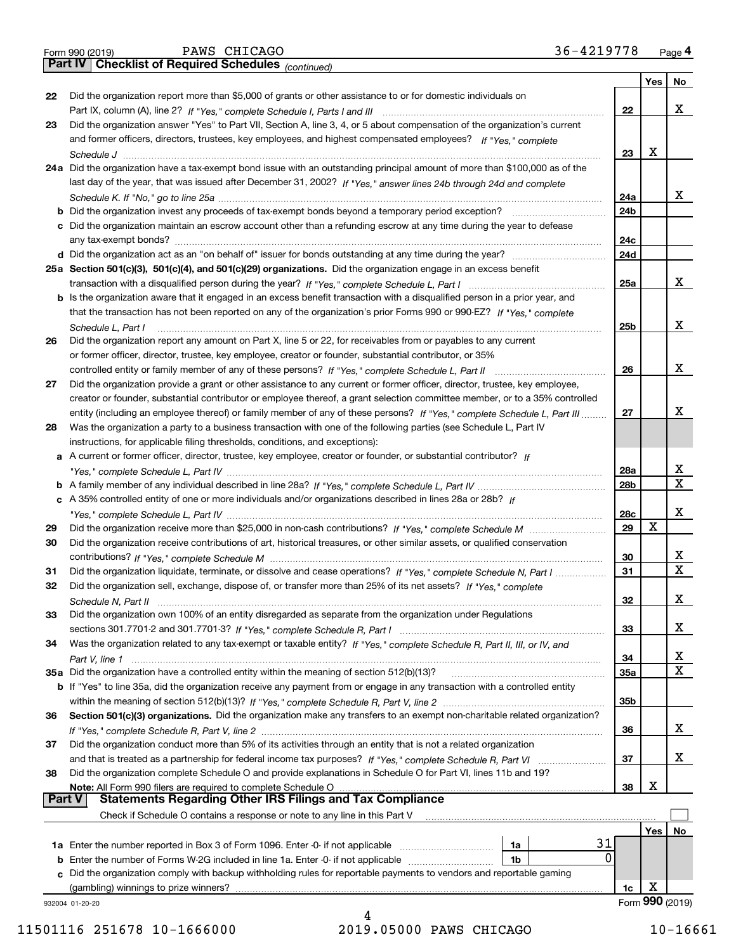|  | Form 990 (2019) |  |
|--|-----------------|--|
|  |                 |  |

*(continued)*

|               |                                                                                                                                                                                                    |                 | Yes | No              |
|---------------|----------------------------------------------------------------------------------------------------------------------------------------------------------------------------------------------------|-----------------|-----|-----------------|
| 22            | Did the organization report more than \$5,000 of grants or other assistance to or for domestic individuals on                                                                                      |                 |     |                 |
|               |                                                                                                                                                                                                    | 22              |     | х               |
| 23            | Did the organization answer "Yes" to Part VII, Section A, line 3, 4, or 5 about compensation of the organization's current                                                                         |                 |     |                 |
|               | and former officers, directors, trustees, key employees, and highest compensated employees? If "Yes," complete                                                                                     |                 |     |                 |
|               |                                                                                                                                                                                                    | 23              | X   |                 |
|               | 24a Did the organization have a tax-exempt bond issue with an outstanding principal amount of more than \$100,000 as of the                                                                        |                 |     |                 |
|               | last day of the year, that was issued after December 31, 2002? If "Yes," answer lines 24b through 24d and complete                                                                                 |                 |     |                 |
|               |                                                                                                                                                                                                    | 24a             |     | х               |
|               | b Did the organization invest any proceeds of tax-exempt bonds beyond a temporary period exception?                                                                                                | 24b             |     |                 |
|               | c Did the organization maintain an escrow account other than a refunding escrow at any time during the year to defease                                                                             |                 |     |                 |
|               |                                                                                                                                                                                                    | 24c             |     |                 |
|               |                                                                                                                                                                                                    | 24d             |     |                 |
|               | 25a Section 501(c)(3), 501(c)(4), and 501(c)(29) organizations. Did the organization engage in an excess benefit                                                                                   |                 |     |                 |
|               |                                                                                                                                                                                                    | 25a             |     | х               |
|               | b Is the organization aware that it engaged in an excess benefit transaction with a disqualified person in a prior year, and                                                                       |                 |     |                 |
|               | that the transaction has not been reported on any of the organization's prior Forms 990 or 990-EZ? If "Yes," complete                                                                              |                 |     |                 |
|               | Schedule L, Part I                                                                                                                                                                                 | 25 <sub>b</sub> |     | х               |
| 26            | Did the organization report any amount on Part X, line 5 or 22, for receivables from or payables to any current                                                                                    |                 |     |                 |
|               | or former officer, director, trustee, key employee, creator or founder, substantial contributor, or 35%                                                                                            |                 |     | х               |
|               |                                                                                                                                                                                                    | 26              |     |                 |
| 27            | Did the organization provide a grant or other assistance to any current or former officer, director, trustee, key employee,                                                                        |                 |     |                 |
|               | creator or founder, substantial contributor or employee thereof, a grant selection committee member, or to a 35% controlled                                                                        |                 |     | x               |
|               | entity (including an employee thereof) or family member of any of these persons? If "Yes," complete Schedule L, Part III                                                                           | 27              |     |                 |
| 28            | Was the organization a party to a business transaction with one of the following parties (see Schedule L, Part IV                                                                                  |                 |     |                 |
|               | instructions, for applicable filing thresholds, conditions, and exceptions):<br>a A current or former officer, director, trustee, key employee, creator or founder, or substantial contributor? If |                 |     |                 |
|               |                                                                                                                                                                                                    | 28a             |     | х               |
|               |                                                                                                                                                                                                    | 28b             |     | $\mathbf x$     |
|               | c A 35% controlled entity of one or more individuals and/or organizations described in lines 28a or 28b? If                                                                                        |                 |     |                 |
|               |                                                                                                                                                                                                    | 28c             |     | х               |
| 29            |                                                                                                                                                                                                    | 29              | X   |                 |
| 30            | Did the organization receive contributions of art, historical treasures, or other similar assets, or qualified conservation                                                                        |                 |     |                 |
|               |                                                                                                                                                                                                    | 30              |     | х               |
| 31            | Did the organization liquidate, terminate, or dissolve and cease operations? If "Yes," complete Schedule N, Part I                                                                                 | 31              |     | $\mathbf X$     |
| 32            | Did the organization sell, exchange, dispose of, or transfer more than 25% of its net assets? If "Yes," complete                                                                                   |                 |     |                 |
|               |                                                                                                                                                                                                    | 32              |     | х               |
| 33            | Did the organization own 100% of an entity disregarded as separate from the organization under Regulations                                                                                         |                 |     |                 |
|               |                                                                                                                                                                                                    | 33              |     | х               |
| 34            | Was the organization related to any tax-exempt or taxable entity? If "Yes," complete Schedule R, Part II, III, or IV, and                                                                          |                 |     |                 |
|               |                                                                                                                                                                                                    | 34              |     | х               |
|               | 35a Did the organization have a controlled entity within the meaning of section 512(b)(13)?                                                                                                        | <b>35a</b>      |     | X               |
|               | <b>b</b> If "Yes" to line 35a, did the organization receive any payment from or engage in any transaction with a controlled entity                                                                 |                 |     |                 |
|               |                                                                                                                                                                                                    | 35b             |     |                 |
| 36            | Section 501(c)(3) organizations. Did the organization make any transfers to an exempt non-charitable related organization?                                                                         |                 |     |                 |
|               |                                                                                                                                                                                                    | 36              |     | x               |
| 37            | Did the organization conduct more than 5% of its activities through an entity that is not a related organization                                                                                   |                 |     |                 |
|               | and that is treated as a partnership for federal income tax purposes? If "Yes," complete Schedule R, Part VI                                                                                       | 37              |     | x               |
| 38            | Did the organization complete Schedule O and provide explanations in Schedule O for Part VI, lines 11b and 19?                                                                                     |                 |     |                 |
|               | Note: All Form 990 filers are required to complete Schedule O                                                                                                                                      | 38              | х   |                 |
| <b>Part V</b> | <b>Statements Regarding Other IRS Filings and Tax Compliance</b>                                                                                                                                   |                 |     |                 |
|               | Check if Schedule O contains a response or note to any line in this Part V                                                                                                                         |                 |     |                 |
|               |                                                                                                                                                                                                    |                 | Yes | No              |
|               | 31<br>1a Enter the number reported in Box 3 of Form 1096. Enter -0- if not applicable<br>1a                                                                                                        |                 |     |                 |
|               | 0<br>1b                                                                                                                                                                                            |                 |     |                 |
|               | c Did the organization comply with backup withholding rules for reportable payments to vendors and reportable gaming                                                                               |                 |     |                 |
|               |                                                                                                                                                                                                    | 1c              | X   |                 |
|               | 932004 01-20-20                                                                                                                                                                                    |                 |     | Form 990 (2019) |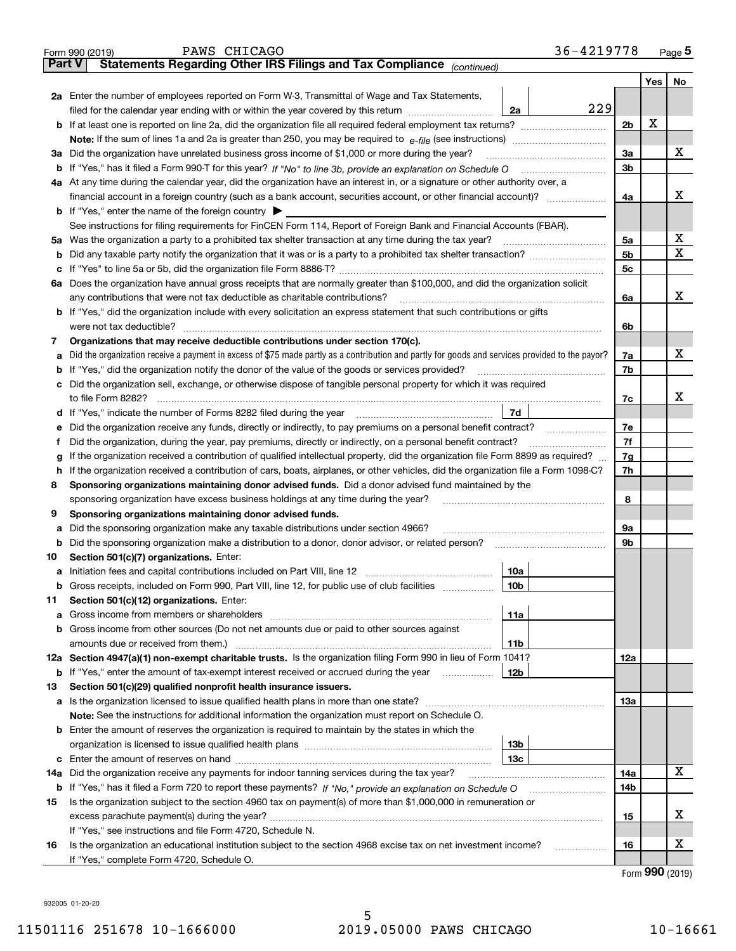| <b>Part V</b><br>Yes   No<br>2a Enter the number of employees reported on Form W-3, Transmittal of Wage and Tax Statements,<br>229<br>filed for the calendar year ending with or within the year covered by this return <i>manumumumum</i><br>2a<br>х<br>2 <sub>b</sub><br>3a<br>Did the organization have unrelated business gross income of \$1,000 or more during the year?<br>За<br>3 <sub>b</sub><br>4a At any time during the calendar year, did the organization have an interest in, or a signature or other authority over, a<br>4a<br><b>b</b> If "Yes," enter the name of the foreign country $\blacktriangleright$<br>See instructions for filing requirements for FinCEN Form 114, Report of Foreign Bank and Financial Accounts (FBAR).<br>5a<br>5b<br>b<br>5c<br>6a Does the organization have annual gross receipts that are normally greater than \$100,000, and did the organization solicit<br>any contributions that were not tax deductible as charitable contributions?<br>6a<br><b>b</b> If "Yes," did the organization include with every solicitation an express statement that such contributions or gifts<br>were not tax deductible?<br>6b<br>Organizations that may receive deductible contributions under section 170(c).<br>7<br>х<br>Did the organization receive a payment in excess of \$75 made partly as a contribution and partly for goods and services provided to the payor?<br>7a<br>a<br><b>b</b> If "Yes," did the organization notify the donor of the value of the goods or services provided?<br>7b<br>c Did the organization sell, exchange, or otherwise dispose of tangible personal property for which it was required<br>x<br>7c<br>7d<br>d If "Yes," indicate the number of Forms 8282 filed during the year [11] [11] The S, The Indicate the number of Forms 8282 filed during the year<br>7e<br>Did the organization receive any funds, directly or indirectly, to pay premiums on a personal benefit contract?<br>е<br>7f<br>Did the organization, during the year, pay premiums, directly or indirectly, on a personal benefit contract?<br>f<br>If the organization received a contribution of qualified intellectual property, did the organization file Form 8899 as required?<br>7g<br>g<br>If the organization received a contribution of cars, boats, airplanes, or other vehicles, did the organization file a Form 1098-C?<br>7h<br>h.<br>Sponsoring organizations maintaining donor advised funds. Did a donor advised fund maintained by the<br>8<br>8<br>sponsoring organization have excess business holdings at any time during the year?<br>Sponsoring organizations maintaining donor advised funds.<br>9<br>Did the sponsoring organization make any taxable distributions under section 4966?<br>9а<br>а<br>9b<br><b>b</b> Did the sponsoring organization make a distribution to a donor, donor advisor, or related person?<br>Section 501(c)(7) organizations. Enter:<br>10<br>10a<br> 10b <br>Gross receipts, included on Form 990, Part VIII, line 12, for public use of club facilities<br>Section 501(c)(12) organizations. Enter:<br>11<br>11a<br>b Gross income from other sources (Do not net amounts due or paid to other sources against<br>11b<br>12a Section 4947(a)(1) non-exempt charitable trusts. Is the organization filing Form 990 in lieu of Form 1041?<br>12a<br>12b<br><b>b</b> If "Yes," enter the amount of tax-exempt interest received or accrued during the year <i>manument</i><br>Section 501(c)(29) qualified nonprofit health insurance issuers.<br>13<br><b>a</b> Is the organization licensed to issue qualified health plans in more than one state?<br>13а<br>Note: See the instructions for additional information the organization must report on Schedule O.<br><b>b</b> Enter the amount of reserves the organization is required to maintain by the states in which the<br>13b<br>13с<br>Did the organization receive any payments for indoor tanning services during the tax year?<br>14a<br>14a<br><b>b</b> If "Yes," has it filed a Form 720 to report these payments? If "No," provide an explanation on Schedule O<br>14b<br>Is the organization subject to the section 4960 tax on payment(s) of more than \$1,000,000 in remuneration or<br>15<br>15<br>If "Yes," see instructions and file Form 4720, Schedule N.<br>Is the organization an educational institution subject to the section 4968 excise tax on net investment income?<br>16<br>16<br>If "Yes," complete Form 4720, Schedule O. | 36-4219778<br>PAWS CHICAGO<br>Form 990 (2019)                         |  | Page <sub>5</sub> |
|--------------------------------------------------------------------------------------------------------------------------------------------------------------------------------------------------------------------------------------------------------------------------------------------------------------------------------------------------------------------------------------------------------------------------------------------------------------------------------------------------------------------------------------------------------------------------------------------------------------------------------------------------------------------------------------------------------------------------------------------------------------------------------------------------------------------------------------------------------------------------------------------------------------------------------------------------------------------------------------------------------------------------------------------------------------------------------------------------------------------------------------------------------------------------------------------------------------------------------------------------------------------------------------------------------------------------------------------------------------------------------------------------------------------------------------------------------------------------------------------------------------------------------------------------------------------------------------------------------------------------------------------------------------------------------------------------------------------------------------------------------------------------------------------------------------------------------------------------------------------------------------------------------------------------------------------------------------------------------------------------------------------------------------------------------------------------------------------------------------------------------------------------------------------------------------------------------------------------------------------------------------------------------------------------------------------------------------------------------------------------------------------------------------------------------------------------------------------------------------------------------------------------------------------------------------------------------------------------------------------------------------------------------------------------------------------------------------------------------------------------------------------------------------------------------------------------------------------------------------------------------------------------------------------------------------------------------------------------------------------------------------------------------------------------------------------------------------------------------------------------------------------------------------------------------------------------------------------------------------------------------------------------------------------------------------------------------------------------------------------------------------------------------------------------------------------------------------------------------------------------------------------------------------------------------------------------------------------------------------------------------------------------------------------------------------------------------------------------------------------------------------------------------------------------------------------------------------------------------------------------------------------------------------------------------------------------------------------------------------------------------------------------------------------------------------------------------------------------------------------------------------------------------------------------------------------------------------------------------------------------------------------------------------------------------------------------------------------------------------------------------------------------------------------------------------------------------------------------------------------------------------------------|-----------------------------------------------------------------------|--|-------------------|
|                                                                                                                                                                                                                                                                                                                                                                                                                                                                                                                                                                                                                                                                                                                                                                                                                                                                                                                                                                                                                                                                                                                                                                                                                                                                                                                                                                                                                                                                                                                                                                                                                                                                                                                                                                                                                                                                                                                                                                                                                                                                                                                                                                                                                                                                                                                                                                                                                                                                                                                                                                                                                                                                                                                                                                                                                                                                                                                                                                                                                                                                                                                                                                                                                                                                                                                                                                                                                                                                                                                                                                                                                                                                                                                                                                                                                                                                                                                                                                                                                                                                                                                                                                                                                                                                                                                                                                                                                                                                                                                          | Statements Regarding Other IRS Filings and Tax Compliance (continued) |  |                   |
|                                                                                                                                                                                                                                                                                                                                                                                                                                                                                                                                                                                                                                                                                                                                                                                                                                                                                                                                                                                                                                                                                                                                                                                                                                                                                                                                                                                                                                                                                                                                                                                                                                                                                                                                                                                                                                                                                                                                                                                                                                                                                                                                                                                                                                                                                                                                                                                                                                                                                                                                                                                                                                                                                                                                                                                                                                                                                                                                                                                                                                                                                                                                                                                                                                                                                                                                                                                                                                                                                                                                                                                                                                                                                                                                                                                                                                                                                                                                                                                                                                                                                                                                                                                                                                                                                                                                                                                                                                                                                                                          |                                                                       |  |                   |
|                                                                                                                                                                                                                                                                                                                                                                                                                                                                                                                                                                                                                                                                                                                                                                                                                                                                                                                                                                                                                                                                                                                                                                                                                                                                                                                                                                                                                                                                                                                                                                                                                                                                                                                                                                                                                                                                                                                                                                                                                                                                                                                                                                                                                                                                                                                                                                                                                                                                                                                                                                                                                                                                                                                                                                                                                                                                                                                                                                                                                                                                                                                                                                                                                                                                                                                                                                                                                                                                                                                                                                                                                                                                                                                                                                                                                                                                                                                                                                                                                                                                                                                                                                                                                                                                                                                                                                                                                                                                                                                          |                                                                       |  |                   |
|                                                                                                                                                                                                                                                                                                                                                                                                                                                                                                                                                                                                                                                                                                                                                                                                                                                                                                                                                                                                                                                                                                                                                                                                                                                                                                                                                                                                                                                                                                                                                                                                                                                                                                                                                                                                                                                                                                                                                                                                                                                                                                                                                                                                                                                                                                                                                                                                                                                                                                                                                                                                                                                                                                                                                                                                                                                                                                                                                                                                                                                                                                                                                                                                                                                                                                                                                                                                                                                                                                                                                                                                                                                                                                                                                                                                                                                                                                                                                                                                                                                                                                                                                                                                                                                                                                                                                                                                                                                                                                                          |                                                                       |  |                   |
|                                                                                                                                                                                                                                                                                                                                                                                                                                                                                                                                                                                                                                                                                                                                                                                                                                                                                                                                                                                                                                                                                                                                                                                                                                                                                                                                                                                                                                                                                                                                                                                                                                                                                                                                                                                                                                                                                                                                                                                                                                                                                                                                                                                                                                                                                                                                                                                                                                                                                                                                                                                                                                                                                                                                                                                                                                                                                                                                                                                                                                                                                                                                                                                                                                                                                                                                                                                                                                                                                                                                                                                                                                                                                                                                                                                                                                                                                                                                                                                                                                                                                                                                                                                                                                                                                                                                                                                                                                                                                                                          |                                                                       |  |                   |
|                                                                                                                                                                                                                                                                                                                                                                                                                                                                                                                                                                                                                                                                                                                                                                                                                                                                                                                                                                                                                                                                                                                                                                                                                                                                                                                                                                                                                                                                                                                                                                                                                                                                                                                                                                                                                                                                                                                                                                                                                                                                                                                                                                                                                                                                                                                                                                                                                                                                                                                                                                                                                                                                                                                                                                                                                                                                                                                                                                                                                                                                                                                                                                                                                                                                                                                                                                                                                                                                                                                                                                                                                                                                                                                                                                                                                                                                                                                                                                                                                                                                                                                                                                                                                                                                                                                                                                                                                                                                                                                          |                                                                       |  |                   |
|                                                                                                                                                                                                                                                                                                                                                                                                                                                                                                                                                                                                                                                                                                                                                                                                                                                                                                                                                                                                                                                                                                                                                                                                                                                                                                                                                                                                                                                                                                                                                                                                                                                                                                                                                                                                                                                                                                                                                                                                                                                                                                                                                                                                                                                                                                                                                                                                                                                                                                                                                                                                                                                                                                                                                                                                                                                                                                                                                                                                                                                                                                                                                                                                                                                                                                                                                                                                                                                                                                                                                                                                                                                                                                                                                                                                                                                                                                                                                                                                                                                                                                                                                                                                                                                                                                                                                                                                                                                                                                                          |                                                                       |  | x                 |
|                                                                                                                                                                                                                                                                                                                                                                                                                                                                                                                                                                                                                                                                                                                                                                                                                                                                                                                                                                                                                                                                                                                                                                                                                                                                                                                                                                                                                                                                                                                                                                                                                                                                                                                                                                                                                                                                                                                                                                                                                                                                                                                                                                                                                                                                                                                                                                                                                                                                                                                                                                                                                                                                                                                                                                                                                                                                                                                                                                                                                                                                                                                                                                                                                                                                                                                                                                                                                                                                                                                                                                                                                                                                                                                                                                                                                                                                                                                                                                                                                                                                                                                                                                                                                                                                                                                                                                                                                                                                                                                          |                                                                       |  |                   |
|                                                                                                                                                                                                                                                                                                                                                                                                                                                                                                                                                                                                                                                                                                                                                                                                                                                                                                                                                                                                                                                                                                                                                                                                                                                                                                                                                                                                                                                                                                                                                                                                                                                                                                                                                                                                                                                                                                                                                                                                                                                                                                                                                                                                                                                                                                                                                                                                                                                                                                                                                                                                                                                                                                                                                                                                                                                                                                                                                                                                                                                                                                                                                                                                                                                                                                                                                                                                                                                                                                                                                                                                                                                                                                                                                                                                                                                                                                                                                                                                                                                                                                                                                                                                                                                                                                                                                                                                                                                                                                                          |                                                                       |  |                   |
|                                                                                                                                                                                                                                                                                                                                                                                                                                                                                                                                                                                                                                                                                                                                                                                                                                                                                                                                                                                                                                                                                                                                                                                                                                                                                                                                                                                                                                                                                                                                                                                                                                                                                                                                                                                                                                                                                                                                                                                                                                                                                                                                                                                                                                                                                                                                                                                                                                                                                                                                                                                                                                                                                                                                                                                                                                                                                                                                                                                                                                                                                                                                                                                                                                                                                                                                                                                                                                                                                                                                                                                                                                                                                                                                                                                                                                                                                                                                                                                                                                                                                                                                                                                                                                                                                                                                                                                                                                                                                                                          |                                                                       |  | х                 |
|                                                                                                                                                                                                                                                                                                                                                                                                                                                                                                                                                                                                                                                                                                                                                                                                                                                                                                                                                                                                                                                                                                                                                                                                                                                                                                                                                                                                                                                                                                                                                                                                                                                                                                                                                                                                                                                                                                                                                                                                                                                                                                                                                                                                                                                                                                                                                                                                                                                                                                                                                                                                                                                                                                                                                                                                                                                                                                                                                                                                                                                                                                                                                                                                                                                                                                                                                                                                                                                                                                                                                                                                                                                                                                                                                                                                                                                                                                                                                                                                                                                                                                                                                                                                                                                                                                                                                                                                                                                                                                                          |                                                                       |  |                   |
|                                                                                                                                                                                                                                                                                                                                                                                                                                                                                                                                                                                                                                                                                                                                                                                                                                                                                                                                                                                                                                                                                                                                                                                                                                                                                                                                                                                                                                                                                                                                                                                                                                                                                                                                                                                                                                                                                                                                                                                                                                                                                                                                                                                                                                                                                                                                                                                                                                                                                                                                                                                                                                                                                                                                                                                                                                                                                                                                                                                                                                                                                                                                                                                                                                                                                                                                                                                                                                                                                                                                                                                                                                                                                                                                                                                                                                                                                                                                                                                                                                                                                                                                                                                                                                                                                                                                                                                                                                                                                                                          |                                                                       |  |                   |
|                                                                                                                                                                                                                                                                                                                                                                                                                                                                                                                                                                                                                                                                                                                                                                                                                                                                                                                                                                                                                                                                                                                                                                                                                                                                                                                                                                                                                                                                                                                                                                                                                                                                                                                                                                                                                                                                                                                                                                                                                                                                                                                                                                                                                                                                                                                                                                                                                                                                                                                                                                                                                                                                                                                                                                                                                                                                                                                                                                                                                                                                                                                                                                                                                                                                                                                                                                                                                                                                                                                                                                                                                                                                                                                                                                                                                                                                                                                                                                                                                                                                                                                                                                                                                                                                                                                                                                                                                                                                                                                          |                                                                       |  | x                 |
|                                                                                                                                                                                                                                                                                                                                                                                                                                                                                                                                                                                                                                                                                                                                                                                                                                                                                                                                                                                                                                                                                                                                                                                                                                                                                                                                                                                                                                                                                                                                                                                                                                                                                                                                                                                                                                                                                                                                                                                                                                                                                                                                                                                                                                                                                                                                                                                                                                                                                                                                                                                                                                                                                                                                                                                                                                                                                                                                                                                                                                                                                                                                                                                                                                                                                                                                                                                                                                                                                                                                                                                                                                                                                                                                                                                                                                                                                                                                                                                                                                                                                                                                                                                                                                                                                                                                                                                                                                                                                                                          |                                                                       |  | х                 |
|                                                                                                                                                                                                                                                                                                                                                                                                                                                                                                                                                                                                                                                                                                                                                                                                                                                                                                                                                                                                                                                                                                                                                                                                                                                                                                                                                                                                                                                                                                                                                                                                                                                                                                                                                                                                                                                                                                                                                                                                                                                                                                                                                                                                                                                                                                                                                                                                                                                                                                                                                                                                                                                                                                                                                                                                                                                                                                                                                                                                                                                                                                                                                                                                                                                                                                                                                                                                                                                                                                                                                                                                                                                                                                                                                                                                                                                                                                                                                                                                                                                                                                                                                                                                                                                                                                                                                                                                                                                                                                                          |                                                                       |  |                   |
|                                                                                                                                                                                                                                                                                                                                                                                                                                                                                                                                                                                                                                                                                                                                                                                                                                                                                                                                                                                                                                                                                                                                                                                                                                                                                                                                                                                                                                                                                                                                                                                                                                                                                                                                                                                                                                                                                                                                                                                                                                                                                                                                                                                                                                                                                                                                                                                                                                                                                                                                                                                                                                                                                                                                                                                                                                                                                                                                                                                                                                                                                                                                                                                                                                                                                                                                                                                                                                                                                                                                                                                                                                                                                                                                                                                                                                                                                                                                                                                                                                                                                                                                                                                                                                                                                                                                                                                                                                                                                                                          |                                                                       |  |                   |
|                                                                                                                                                                                                                                                                                                                                                                                                                                                                                                                                                                                                                                                                                                                                                                                                                                                                                                                                                                                                                                                                                                                                                                                                                                                                                                                                                                                                                                                                                                                                                                                                                                                                                                                                                                                                                                                                                                                                                                                                                                                                                                                                                                                                                                                                                                                                                                                                                                                                                                                                                                                                                                                                                                                                                                                                                                                                                                                                                                                                                                                                                                                                                                                                                                                                                                                                                                                                                                                                                                                                                                                                                                                                                                                                                                                                                                                                                                                                                                                                                                                                                                                                                                                                                                                                                                                                                                                                                                                                                                                          |                                                                       |  | x                 |
|                                                                                                                                                                                                                                                                                                                                                                                                                                                                                                                                                                                                                                                                                                                                                                                                                                                                                                                                                                                                                                                                                                                                                                                                                                                                                                                                                                                                                                                                                                                                                                                                                                                                                                                                                                                                                                                                                                                                                                                                                                                                                                                                                                                                                                                                                                                                                                                                                                                                                                                                                                                                                                                                                                                                                                                                                                                                                                                                                                                                                                                                                                                                                                                                                                                                                                                                                                                                                                                                                                                                                                                                                                                                                                                                                                                                                                                                                                                                                                                                                                                                                                                                                                                                                                                                                                                                                                                                                                                                                                                          |                                                                       |  |                   |
|                                                                                                                                                                                                                                                                                                                                                                                                                                                                                                                                                                                                                                                                                                                                                                                                                                                                                                                                                                                                                                                                                                                                                                                                                                                                                                                                                                                                                                                                                                                                                                                                                                                                                                                                                                                                                                                                                                                                                                                                                                                                                                                                                                                                                                                                                                                                                                                                                                                                                                                                                                                                                                                                                                                                                                                                                                                                                                                                                                                                                                                                                                                                                                                                                                                                                                                                                                                                                                                                                                                                                                                                                                                                                                                                                                                                                                                                                                                                                                                                                                                                                                                                                                                                                                                                                                                                                                                                                                                                                                                          |                                                                       |  |                   |
|                                                                                                                                                                                                                                                                                                                                                                                                                                                                                                                                                                                                                                                                                                                                                                                                                                                                                                                                                                                                                                                                                                                                                                                                                                                                                                                                                                                                                                                                                                                                                                                                                                                                                                                                                                                                                                                                                                                                                                                                                                                                                                                                                                                                                                                                                                                                                                                                                                                                                                                                                                                                                                                                                                                                                                                                                                                                                                                                                                                                                                                                                                                                                                                                                                                                                                                                                                                                                                                                                                                                                                                                                                                                                                                                                                                                                                                                                                                                                                                                                                                                                                                                                                                                                                                                                                                                                                                                                                                                                                                          |                                                                       |  |                   |
|                                                                                                                                                                                                                                                                                                                                                                                                                                                                                                                                                                                                                                                                                                                                                                                                                                                                                                                                                                                                                                                                                                                                                                                                                                                                                                                                                                                                                                                                                                                                                                                                                                                                                                                                                                                                                                                                                                                                                                                                                                                                                                                                                                                                                                                                                                                                                                                                                                                                                                                                                                                                                                                                                                                                                                                                                                                                                                                                                                                                                                                                                                                                                                                                                                                                                                                                                                                                                                                                                                                                                                                                                                                                                                                                                                                                                                                                                                                                                                                                                                                                                                                                                                                                                                                                                                                                                                                                                                                                                                                          |                                                                       |  |                   |
|                                                                                                                                                                                                                                                                                                                                                                                                                                                                                                                                                                                                                                                                                                                                                                                                                                                                                                                                                                                                                                                                                                                                                                                                                                                                                                                                                                                                                                                                                                                                                                                                                                                                                                                                                                                                                                                                                                                                                                                                                                                                                                                                                                                                                                                                                                                                                                                                                                                                                                                                                                                                                                                                                                                                                                                                                                                                                                                                                                                                                                                                                                                                                                                                                                                                                                                                                                                                                                                                                                                                                                                                                                                                                                                                                                                                                                                                                                                                                                                                                                                                                                                                                                                                                                                                                                                                                                                                                                                                                                                          |                                                                       |  |                   |
|                                                                                                                                                                                                                                                                                                                                                                                                                                                                                                                                                                                                                                                                                                                                                                                                                                                                                                                                                                                                                                                                                                                                                                                                                                                                                                                                                                                                                                                                                                                                                                                                                                                                                                                                                                                                                                                                                                                                                                                                                                                                                                                                                                                                                                                                                                                                                                                                                                                                                                                                                                                                                                                                                                                                                                                                                                                                                                                                                                                                                                                                                                                                                                                                                                                                                                                                                                                                                                                                                                                                                                                                                                                                                                                                                                                                                                                                                                                                                                                                                                                                                                                                                                                                                                                                                                                                                                                                                                                                                                                          |                                                                       |  |                   |
|                                                                                                                                                                                                                                                                                                                                                                                                                                                                                                                                                                                                                                                                                                                                                                                                                                                                                                                                                                                                                                                                                                                                                                                                                                                                                                                                                                                                                                                                                                                                                                                                                                                                                                                                                                                                                                                                                                                                                                                                                                                                                                                                                                                                                                                                                                                                                                                                                                                                                                                                                                                                                                                                                                                                                                                                                                                                                                                                                                                                                                                                                                                                                                                                                                                                                                                                                                                                                                                                                                                                                                                                                                                                                                                                                                                                                                                                                                                                                                                                                                                                                                                                                                                                                                                                                                                                                                                                                                                                                                                          |                                                                       |  |                   |
|                                                                                                                                                                                                                                                                                                                                                                                                                                                                                                                                                                                                                                                                                                                                                                                                                                                                                                                                                                                                                                                                                                                                                                                                                                                                                                                                                                                                                                                                                                                                                                                                                                                                                                                                                                                                                                                                                                                                                                                                                                                                                                                                                                                                                                                                                                                                                                                                                                                                                                                                                                                                                                                                                                                                                                                                                                                                                                                                                                                                                                                                                                                                                                                                                                                                                                                                                                                                                                                                                                                                                                                                                                                                                                                                                                                                                                                                                                                                                                                                                                                                                                                                                                                                                                                                                                                                                                                                                                                                                                                          |                                                                       |  |                   |
|                                                                                                                                                                                                                                                                                                                                                                                                                                                                                                                                                                                                                                                                                                                                                                                                                                                                                                                                                                                                                                                                                                                                                                                                                                                                                                                                                                                                                                                                                                                                                                                                                                                                                                                                                                                                                                                                                                                                                                                                                                                                                                                                                                                                                                                                                                                                                                                                                                                                                                                                                                                                                                                                                                                                                                                                                                                                                                                                                                                                                                                                                                                                                                                                                                                                                                                                                                                                                                                                                                                                                                                                                                                                                                                                                                                                                                                                                                                                                                                                                                                                                                                                                                                                                                                                                                                                                                                                                                                                                                                          |                                                                       |  |                   |
|                                                                                                                                                                                                                                                                                                                                                                                                                                                                                                                                                                                                                                                                                                                                                                                                                                                                                                                                                                                                                                                                                                                                                                                                                                                                                                                                                                                                                                                                                                                                                                                                                                                                                                                                                                                                                                                                                                                                                                                                                                                                                                                                                                                                                                                                                                                                                                                                                                                                                                                                                                                                                                                                                                                                                                                                                                                                                                                                                                                                                                                                                                                                                                                                                                                                                                                                                                                                                                                                                                                                                                                                                                                                                                                                                                                                                                                                                                                                                                                                                                                                                                                                                                                                                                                                                                                                                                                                                                                                                                                          |                                                                       |  |                   |
|                                                                                                                                                                                                                                                                                                                                                                                                                                                                                                                                                                                                                                                                                                                                                                                                                                                                                                                                                                                                                                                                                                                                                                                                                                                                                                                                                                                                                                                                                                                                                                                                                                                                                                                                                                                                                                                                                                                                                                                                                                                                                                                                                                                                                                                                                                                                                                                                                                                                                                                                                                                                                                                                                                                                                                                                                                                                                                                                                                                                                                                                                                                                                                                                                                                                                                                                                                                                                                                                                                                                                                                                                                                                                                                                                                                                                                                                                                                                                                                                                                                                                                                                                                                                                                                                                                                                                                                                                                                                                                                          |                                                                       |  |                   |
|                                                                                                                                                                                                                                                                                                                                                                                                                                                                                                                                                                                                                                                                                                                                                                                                                                                                                                                                                                                                                                                                                                                                                                                                                                                                                                                                                                                                                                                                                                                                                                                                                                                                                                                                                                                                                                                                                                                                                                                                                                                                                                                                                                                                                                                                                                                                                                                                                                                                                                                                                                                                                                                                                                                                                                                                                                                                                                                                                                                                                                                                                                                                                                                                                                                                                                                                                                                                                                                                                                                                                                                                                                                                                                                                                                                                                                                                                                                                                                                                                                                                                                                                                                                                                                                                                                                                                                                                                                                                                                                          |                                                                       |  |                   |
|                                                                                                                                                                                                                                                                                                                                                                                                                                                                                                                                                                                                                                                                                                                                                                                                                                                                                                                                                                                                                                                                                                                                                                                                                                                                                                                                                                                                                                                                                                                                                                                                                                                                                                                                                                                                                                                                                                                                                                                                                                                                                                                                                                                                                                                                                                                                                                                                                                                                                                                                                                                                                                                                                                                                                                                                                                                                                                                                                                                                                                                                                                                                                                                                                                                                                                                                                                                                                                                                                                                                                                                                                                                                                                                                                                                                                                                                                                                                                                                                                                                                                                                                                                                                                                                                                                                                                                                                                                                                                                                          |                                                                       |  |                   |
|                                                                                                                                                                                                                                                                                                                                                                                                                                                                                                                                                                                                                                                                                                                                                                                                                                                                                                                                                                                                                                                                                                                                                                                                                                                                                                                                                                                                                                                                                                                                                                                                                                                                                                                                                                                                                                                                                                                                                                                                                                                                                                                                                                                                                                                                                                                                                                                                                                                                                                                                                                                                                                                                                                                                                                                                                                                                                                                                                                                                                                                                                                                                                                                                                                                                                                                                                                                                                                                                                                                                                                                                                                                                                                                                                                                                                                                                                                                                                                                                                                                                                                                                                                                                                                                                                                                                                                                                                                                                                                                          |                                                                       |  |                   |
|                                                                                                                                                                                                                                                                                                                                                                                                                                                                                                                                                                                                                                                                                                                                                                                                                                                                                                                                                                                                                                                                                                                                                                                                                                                                                                                                                                                                                                                                                                                                                                                                                                                                                                                                                                                                                                                                                                                                                                                                                                                                                                                                                                                                                                                                                                                                                                                                                                                                                                                                                                                                                                                                                                                                                                                                                                                                                                                                                                                                                                                                                                                                                                                                                                                                                                                                                                                                                                                                                                                                                                                                                                                                                                                                                                                                                                                                                                                                                                                                                                                                                                                                                                                                                                                                                                                                                                                                                                                                                                                          |                                                                       |  |                   |
|                                                                                                                                                                                                                                                                                                                                                                                                                                                                                                                                                                                                                                                                                                                                                                                                                                                                                                                                                                                                                                                                                                                                                                                                                                                                                                                                                                                                                                                                                                                                                                                                                                                                                                                                                                                                                                                                                                                                                                                                                                                                                                                                                                                                                                                                                                                                                                                                                                                                                                                                                                                                                                                                                                                                                                                                                                                                                                                                                                                                                                                                                                                                                                                                                                                                                                                                                                                                                                                                                                                                                                                                                                                                                                                                                                                                                                                                                                                                                                                                                                                                                                                                                                                                                                                                                                                                                                                                                                                                                                                          |                                                                       |  |                   |
|                                                                                                                                                                                                                                                                                                                                                                                                                                                                                                                                                                                                                                                                                                                                                                                                                                                                                                                                                                                                                                                                                                                                                                                                                                                                                                                                                                                                                                                                                                                                                                                                                                                                                                                                                                                                                                                                                                                                                                                                                                                                                                                                                                                                                                                                                                                                                                                                                                                                                                                                                                                                                                                                                                                                                                                                                                                                                                                                                                                                                                                                                                                                                                                                                                                                                                                                                                                                                                                                                                                                                                                                                                                                                                                                                                                                                                                                                                                                                                                                                                                                                                                                                                                                                                                                                                                                                                                                                                                                                                                          |                                                                       |  |                   |
|                                                                                                                                                                                                                                                                                                                                                                                                                                                                                                                                                                                                                                                                                                                                                                                                                                                                                                                                                                                                                                                                                                                                                                                                                                                                                                                                                                                                                                                                                                                                                                                                                                                                                                                                                                                                                                                                                                                                                                                                                                                                                                                                                                                                                                                                                                                                                                                                                                                                                                                                                                                                                                                                                                                                                                                                                                                                                                                                                                                                                                                                                                                                                                                                                                                                                                                                                                                                                                                                                                                                                                                                                                                                                                                                                                                                                                                                                                                                                                                                                                                                                                                                                                                                                                                                                                                                                                                                                                                                                                                          |                                                                       |  |                   |
|                                                                                                                                                                                                                                                                                                                                                                                                                                                                                                                                                                                                                                                                                                                                                                                                                                                                                                                                                                                                                                                                                                                                                                                                                                                                                                                                                                                                                                                                                                                                                                                                                                                                                                                                                                                                                                                                                                                                                                                                                                                                                                                                                                                                                                                                                                                                                                                                                                                                                                                                                                                                                                                                                                                                                                                                                                                                                                                                                                                                                                                                                                                                                                                                                                                                                                                                                                                                                                                                                                                                                                                                                                                                                                                                                                                                                                                                                                                                                                                                                                                                                                                                                                                                                                                                                                                                                                                                                                                                                                                          |                                                                       |  |                   |
|                                                                                                                                                                                                                                                                                                                                                                                                                                                                                                                                                                                                                                                                                                                                                                                                                                                                                                                                                                                                                                                                                                                                                                                                                                                                                                                                                                                                                                                                                                                                                                                                                                                                                                                                                                                                                                                                                                                                                                                                                                                                                                                                                                                                                                                                                                                                                                                                                                                                                                                                                                                                                                                                                                                                                                                                                                                                                                                                                                                                                                                                                                                                                                                                                                                                                                                                                                                                                                                                                                                                                                                                                                                                                                                                                                                                                                                                                                                                                                                                                                                                                                                                                                                                                                                                                                                                                                                                                                                                                                                          |                                                                       |  |                   |
|                                                                                                                                                                                                                                                                                                                                                                                                                                                                                                                                                                                                                                                                                                                                                                                                                                                                                                                                                                                                                                                                                                                                                                                                                                                                                                                                                                                                                                                                                                                                                                                                                                                                                                                                                                                                                                                                                                                                                                                                                                                                                                                                                                                                                                                                                                                                                                                                                                                                                                                                                                                                                                                                                                                                                                                                                                                                                                                                                                                                                                                                                                                                                                                                                                                                                                                                                                                                                                                                                                                                                                                                                                                                                                                                                                                                                                                                                                                                                                                                                                                                                                                                                                                                                                                                                                                                                                                                                                                                                                                          |                                                                       |  |                   |
|                                                                                                                                                                                                                                                                                                                                                                                                                                                                                                                                                                                                                                                                                                                                                                                                                                                                                                                                                                                                                                                                                                                                                                                                                                                                                                                                                                                                                                                                                                                                                                                                                                                                                                                                                                                                                                                                                                                                                                                                                                                                                                                                                                                                                                                                                                                                                                                                                                                                                                                                                                                                                                                                                                                                                                                                                                                                                                                                                                                                                                                                                                                                                                                                                                                                                                                                                                                                                                                                                                                                                                                                                                                                                                                                                                                                                                                                                                                                                                                                                                                                                                                                                                                                                                                                                                                                                                                                                                                                                                                          |                                                                       |  |                   |
|                                                                                                                                                                                                                                                                                                                                                                                                                                                                                                                                                                                                                                                                                                                                                                                                                                                                                                                                                                                                                                                                                                                                                                                                                                                                                                                                                                                                                                                                                                                                                                                                                                                                                                                                                                                                                                                                                                                                                                                                                                                                                                                                                                                                                                                                                                                                                                                                                                                                                                                                                                                                                                                                                                                                                                                                                                                                                                                                                                                                                                                                                                                                                                                                                                                                                                                                                                                                                                                                                                                                                                                                                                                                                                                                                                                                                                                                                                                                                                                                                                                                                                                                                                                                                                                                                                                                                                                                                                                                                                                          |                                                                       |  |                   |
|                                                                                                                                                                                                                                                                                                                                                                                                                                                                                                                                                                                                                                                                                                                                                                                                                                                                                                                                                                                                                                                                                                                                                                                                                                                                                                                                                                                                                                                                                                                                                                                                                                                                                                                                                                                                                                                                                                                                                                                                                                                                                                                                                                                                                                                                                                                                                                                                                                                                                                                                                                                                                                                                                                                                                                                                                                                                                                                                                                                                                                                                                                                                                                                                                                                                                                                                                                                                                                                                                                                                                                                                                                                                                                                                                                                                                                                                                                                                                                                                                                                                                                                                                                                                                                                                                                                                                                                                                                                                                                                          |                                                                       |  |                   |
|                                                                                                                                                                                                                                                                                                                                                                                                                                                                                                                                                                                                                                                                                                                                                                                                                                                                                                                                                                                                                                                                                                                                                                                                                                                                                                                                                                                                                                                                                                                                                                                                                                                                                                                                                                                                                                                                                                                                                                                                                                                                                                                                                                                                                                                                                                                                                                                                                                                                                                                                                                                                                                                                                                                                                                                                                                                                                                                                                                                                                                                                                                                                                                                                                                                                                                                                                                                                                                                                                                                                                                                                                                                                                                                                                                                                                                                                                                                                                                                                                                                                                                                                                                                                                                                                                                                                                                                                                                                                                                                          |                                                                       |  |                   |
|                                                                                                                                                                                                                                                                                                                                                                                                                                                                                                                                                                                                                                                                                                                                                                                                                                                                                                                                                                                                                                                                                                                                                                                                                                                                                                                                                                                                                                                                                                                                                                                                                                                                                                                                                                                                                                                                                                                                                                                                                                                                                                                                                                                                                                                                                                                                                                                                                                                                                                                                                                                                                                                                                                                                                                                                                                                                                                                                                                                                                                                                                                                                                                                                                                                                                                                                                                                                                                                                                                                                                                                                                                                                                                                                                                                                                                                                                                                                                                                                                                                                                                                                                                                                                                                                                                                                                                                                                                                                                                                          |                                                                       |  |                   |
|                                                                                                                                                                                                                                                                                                                                                                                                                                                                                                                                                                                                                                                                                                                                                                                                                                                                                                                                                                                                                                                                                                                                                                                                                                                                                                                                                                                                                                                                                                                                                                                                                                                                                                                                                                                                                                                                                                                                                                                                                                                                                                                                                                                                                                                                                                                                                                                                                                                                                                                                                                                                                                                                                                                                                                                                                                                                                                                                                                                                                                                                                                                                                                                                                                                                                                                                                                                                                                                                                                                                                                                                                                                                                                                                                                                                                                                                                                                                                                                                                                                                                                                                                                                                                                                                                                                                                                                                                                                                                                                          |                                                                       |  |                   |
|                                                                                                                                                                                                                                                                                                                                                                                                                                                                                                                                                                                                                                                                                                                                                                                                                                                                                                                                                                                                                                                                                                                                                                                                                                                                                                                                                                                                                                                                                                                                                                                                                                                                                                                                                                                                                                                                                                                                                                                                                                                                                                                                                                                                                                                                                                                                                                                                                                                                                                                                                                                                                                                                                                                                                                                                                                                                                                                                                                                                                                                                                                                                                                                                                                                                                                                                                                                                                                                                                                                                                                                                                                                                                                                                                                                                                                                                                                                                                                                                                                                                                                                                                                                                                                                                                                                                                                                                                                                                                                                          |                                                                       |  |                   |
|                                                                                                                                                                                                                                                                                                                                                                                                                                                                                                                                                                                                                                                                                                                                                                                                                                                                                                                                                                                                                                                                                                                                                                                                                                                                                                                                                                                                                                                                                                                                                                                                                                                                                                                                                                                                                                                                                                                                                                                                                                                                                                                                                                                                                                                                                                                                                                                                                                                                                                                                                                                                                                                                                                                                                                                                                                                                                                                                                                                                                                                                                                                                                                                                                                                                                                                                                                                                                                                                                                                                                                                                                                                                                                                                                                                                                                                                                                                                                                                                                                                                                                                                                                                                                                                                                                                                                                                                                                                                                                                          |                                                                       |  |                   |
|                                                                                                                                                                                                                                                                                                                                                                                                                                                                                                                                                                                                                                                                                                                                                                                                                                                                                                                                                                                                                                                                                                                                                                                                                                                                                                                                                                                                                                                                                                                                                                                                                                                                                                                                                                                                                                                                                                                                                                                                                                                                                                                                                                                                                                                                                                                                                                                                                                                                                                                                                                                                                                                                                                                                                                                                                                                                                                                                                                                                                                                                                                                                                                                                                                                                                                                                                                                                                                                                                                                                                                                                                                                                                                                                                                                                                                                                                                                                                                                                                                                                                                                                                                                                                                                                                                                                                                                                                                                                                                                          |                                                                       |  |                   |
|                                                                                                                                                                                                                                                                                                                                                                                                                                                                                                                                                                                                                                                                                                                                                                                                                                                                                                                                                                                                                                                                                                                                                                                                                                                                                                                                                                                                                                                                                                                                                                                                                                                                                                                                                                                                                                                                                                                                                                                                                                                                                                                                                                                                                                                                                                                                                                                                                                                                                                                                                                                                                                                                                                                                                                                                                                                                                                                                                                                                                                                                                                                                                                                                                                                                                                                                                                                                                                                                                                                                                                                                                                                                                                                                                                                                                                                                                                                                                                                                                                                                                                                                                                                                                                                                                                                                                                                                                                                                                                                          |                                                                       |  |                   |
|                                                                                                                                                                                                                                                                                                                                                                                                                                                                                                                                                                                                                                                                                                                                                                                                                                                                                                                                                                                                                                                                                                                                                                                                                                                                                                                                                                                                                                                                                                                                                                                                                                                                                                                                                                                                                                                                                                                                                                                                                                                                                                                                                                                                                                                                                                                                                                                                                                                                                                                                                                                                                                                                                                                                                                                                                                                                                                                                                                                                                                                                                                                                                                                                                                                                                                                                                                                                                                                                                                                                                                                                                                                                                                                                                                                                                                                                                                                                                                                                                                                                                                                                                                                                                                                                                                                                                                                                                                                                                                                          |                                                                       |  | x                 |
|                                                                                                                                                                                                                                                                                                                                                                                                                                                                                                                                                                                                                                                                                                                                                                                                                                                                                                                                                                                                                                                                                                                                                                                                                                                                                                                                                                                                                                                                                                                                                                                                                                                                                                                                                                                                                                                                                                                                                                                                                                                                                                                                                                                                                                                                                                                                                                                                                                                                                                                                                                                                                                                                                                                                                                                                                                                                                                                                                                                                                                                                                                                                                                                                                                                                                                                                                                                                                                                                                                                                                                                                                                                                                                                                                                                                                                                                                                                                                                                                                                                                                                                                                                                                                                                                                                                                                                                                                                                                                                                          |                                                                       |  |                   |
|                                                                                                                                                                                                                                                                                                                                                                                                                                                                                                                                                                                                                                                                                                                                                                                                                                                                                                                                                                                                                                                                                                                                                                                                                                                                                                                                                                                                                                                                                                                                                                                                                                                                                                                                                                                                                                                                                                                                                                                                                                                                                                                                                                                                                                                                                                                                                                                                                                                                                                                                                                                                                                                                                                                                                                                                                                                                                                                                                                                                                                                                                                                                                                                                                                                                                                                                                                                                                                                                                                                                                                                                                                                                                                                                                                                                                                                                                                                                                                                                                                                                                                                                                                                                                                                                                                                                                                                                                                                                                                                          |                                                                       |  |                   |
|                                                                                                                                                                                                                                                                                                                                                                                                                                                                                                                                                                                                                                                                                                                                                                                                                                                                                                                                                                                                                                                                                                                                                                                                                                                                                                                                                                                                                                                                                                                                                                                                                                                                                                                                                                                                                                                                                                                                                                                                                                                                                                                                                                                                                                                                                                                                                                                                                                                                                                                                                                                                                                                                                                                                                                                                                                                                                                                                                                                                                                                                                                                                                                                                                                                                                                                                                                                                                                                                                                                                                                                                                                                                                                                                                                                                                                                                                                                                                                                                                                                                                                                                                                                                                                                                                                                                                                                                                                                                                                                          |                                                                       |  | X                 |
|                                                                                                                                                                                                                                                                                                                                                                                                                                                                                                                                                                                                                                                                                                                                                                                                                                                                                                                                                                                                                                                                                                                                                                                                                                                                                                                                                                                                                                                                                                                                                                                                                                                                                                                                                                                                                                                                                                                                                                                                                                                                                                                                                                                                                                                                                                                                                                                                                                                                                                                                                                                                                                                                                                                                                                                                                                                                                                                                                                                                                                                                                                                                                                                                                                                                                                                                                                                                                                                                                                                                                                                                                                                                                                                                                                                                                                                                                                                                                                                                                                                                                                                                                                                                                                                                                                                                                                                                                                                                                                                          |                                                                       |  |                   |
|                                                                                                                                                                                                                                                                                                                                                                                                                                                                                                                                                                                                                                                                                                                                                                                                                                                                                                                                                                                                                                                                                                                                                                                                                                                                                                                                                                                                                                                                                                                                                                                                                                                                                                                                                                                                                                                                                                                                                                                                                                                                                                                                                                                                                                                                                                                                                                                                                                                                                                                                                                                                                                                                                                                                                                                                                                                                                                                                                                                                                                                                                                                                                                                                                                                                                                                                                                                                                                                                                                                                                                                                                                                                                                                                                                                                                                                                                                                                                                                                                                                                                                                                                                                                                                                                                                                                                                                                                                                                                                                          |                                                                       |  | X                 |
|                                                                                                                                                                                                                                                                                                                                                                                                                                                                                                                                                                                                                                                                                                                                                                                                                                                                                                                                                                                                                                                                                                                                                                                                                                                                                                                                                                                                                                                                                                                                                                                                                                                                                                                                                                                                                                                                                                                                                                                                                                                                                                                                                                                                                                                                                                                                                                                                                                                                                                                                                                                                                                                                                                                                                                                                                                                                                                                                                                                                                                                                                                                                                                                                                                                                                                                                                                                                                                                                                                                                                                                                                                                                                                                                                                                                                                                                                                                                                                                                                                                                                                                                                                                                                                                                                                                                                                                                                                                                                                                          |                                                                       |  |                   |

932005 01-20-20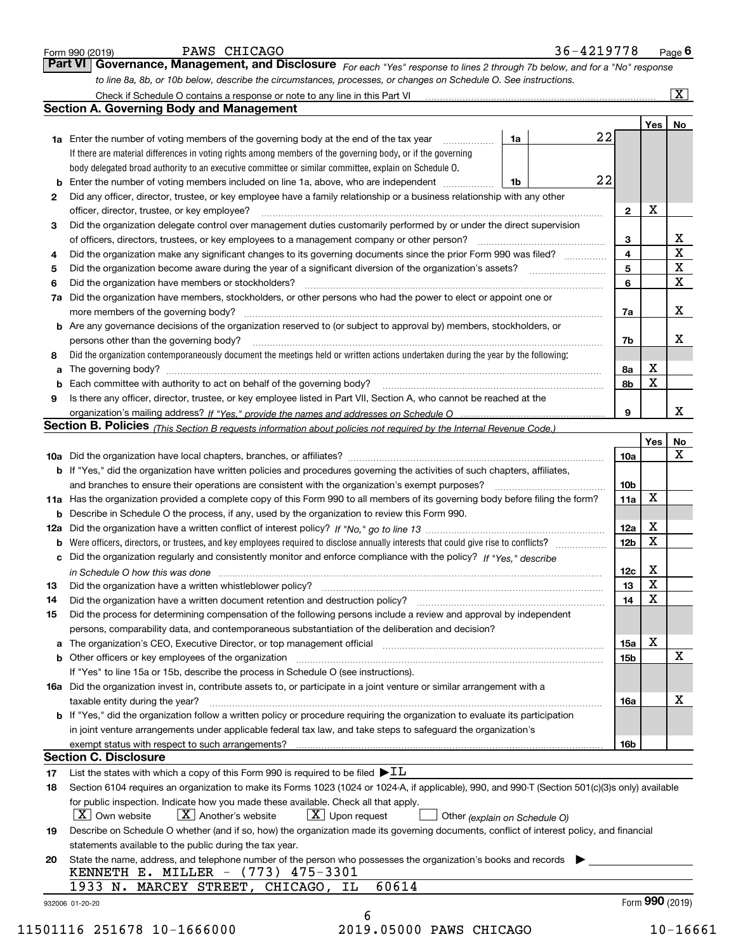|     |                                                                                                                                                                                                                                                  | to line 8a, 8b, or 10b below, describe the circumstances, processes, or changes on Schedule O. See instructions. |                 |                 | $\overline{\mathbf{x}}$ |
|-----|--------------------------------------------------------------------------------------------------------------------------------------------------------------------------------------------------------------------------------------------------|------------------------------------------------------------------------------------------------------------------|-----------------|-----------------|-------------------------|
|     | <b>Section A. Governing Body and Management</b>                                                                                                                                                                                                  |                                                                                                                  |                 |                 |                         |
|     |                                                                                                                                                                                                                                                  |                                                                                                                  |                 | Yes   No        |                         |
|     | 1a<br><b>1a</b> Enter the number of voting members of the governing body at the end of the tax year                                                                                                                                              | 22                                                                                                               |                 |                 |                         |
|     | If there are material differences in voting rights among members of the governing body, or if the governing                                                                                                                                      |                                                                                                                  |                 |                 |                         |
|     | body delegated broad authority to an executive committee or similar committee, explain on Schedule O.                                                                                                                                            |                                                                                                                  |                 |                 |                         |
|     | Enter the number of voting members included on line 1a, above, who are independent<br>1b                                                                                                                                                         | 22                                                                                                               |                 |                 |                         |
| 2   | Did any officer, director, trustee, or key employee have a family relationship or a business relationship with any other                                                                                                                         |                                                                                                                  |                 |                 |                         |
|     | officer, director, trustee, or key employee?                                                                                                                                                                                                     |                                                                                                                  | $\mathbf{2}$    | X               |                         |
| з   | Did the organization delegate control over management duties customarily performed by or under the direct supervision                                                                                                                            |                                                                                                                  |                 |                 |                         |
|     | of officers, directors, trustees, or key employees to a management company or other person?                                                                                                                                                      |                                                                                                                  | 3               |                 | $\overline{\mathbf{X}}$ |
| 4   | Did the organization make any significant changes to its governing documents since the prior Form 990 was filed?                                                                                                                                 |                                                                                                                  | 4               |                 | $\overline{\mathtt{x}}$ |
| 5   |                                                                                                                                                                                                                                                  |                                                                                                                  | 5               |                 | $\mathbf X$             |
| 6   | Did the organization have members or stockholders?                                                                                                                                                                                               |                                                                                                                  | 6               |                 | $\mathbf X$             |
| 7a  | Did the organization have members, stockholders, or other persons who had the power to elect or appoint one or                                                                                                                                   |                                                                                                                  |                 |                 |                         |
|     |                                                                                                                                                                                                                                                  |                                                                                                                  | 7a              |                 | X                       |
|     | <b>b</b> Are any governance decisions of the organization reserved to (or subject to approval by) members, stockholders, or                                                                                                                      |                                                                                                                  |                 |                 |                         |
|     | persons other than the governing body?                                                                                                                                                                                                           |                                                                                                                  | 7b              |                 | х                       |
| 8   | Did the organization contemporaneously document the meetings held or written actions undertaken during the year by the following:                                                                                                                |                                                                                                                  |                 |                 |                         |
| a   |                                                                                                                                                                                                                                                  |                                                                                                                  | 8а              | Х               |                         |
| b   |                                                                                                                                                                                                                                                  |                                                                                                                  | 8b              | X               |                         |
| 9   | Is there any officer, director, trustee, or key employee listed in Part VII, Section A, who cannot be reached at the                                                                                                                             |                                                                                                                  |                 |                 |                         |
|     |                                                                                                                                                                                                                                                  |                                                                                                                  | 9               |                 | x                       |
|     | Section B. Policies (This Section B requests information about policies not required by the Internal Revenue Code.)                                                                                                                              |                                                                                                                  |                 |                 |                         |
|     |                                                                                                                                                                                                                                                  |                                                                                                                  |                 | Yes             | No                      |
|     |                                                                                                                                                                                                                                                  |                                                                                                                  | 10a             |                 | X                       |
|     | b If "Yes," did the organization have written policies and procedures governing the activities of such chapters, affiliates,                                                                                                                     |                                                                                                                  |                 |                 |                         |
|     | and branches to ensure their operations are consistent with the organization's exempt purposes?                                                                                                                                                  |                                                                                                                  | 10 <sub>b</sub> |                 |                         |
|     | 11a Has the organization provided a complete copy of this Form 990 to all members of its governing body before filing the form?                                                                                                                  |                                                                                                                  | 11a             | х               |                         |
|     | <b>b</b> Describe in Schedule O the process, if any, used by the organization to review this Form 990.                                                                                                                                           |                                                                                                                  |                 |                 |                         |
| 12a |                                                                                                                                                                                                                                                  |                                                                                                                  | 12a             | x               |                         |
| b   | Were officers, directors, or trustees, and key employees required to disclose annually interests that could give rise to conflicts?                                                                                                              |                                                                                                                  | 12 <sub>b</sub> | x               |                         |
| с   | Did the organization regularly and consistently monitor and enforce compliance with the policy? If "Yes," describe                                                                                                                               |                                                                                                                  |                 |                 |                         |
|     |                                                                                                                                                                                                                                                  |                                                                                                                  | 12c             | x               |                         |
|     |                                                                                                                                                                                                                                                  |                                                                                                                  | 13              | $\mathbf X$     |                         |
| 14  | Did the organization have a written document retention and destruction policy? [11] manufaction policy?                                                                                                                                          |                                                                                                                  | 14              | X               |                         |
| 15  | Did the process for determining compensation of the following persons include a review and approval by independent                                                                                                                               |                                                                                                                  |                 |                 |                         |
|     | persons, comparability data, and contemporaneous substantiation of the deliberation and decision?                                                                                                                                                |                                                                                                                  |                 |                 |                         |
|     |                                                                                                                                                                                                                                                  |                                                                                                                  |                 | x               |                         |
|     |                                                                                                                                                                                                                                                  |                                                                                                                  | 15a             |                 |                         |
|     | a The organization's CEO, Executive Director, or top management official [111] [11] manument material manument                                                                                                                                   |                                                                                                                  | 15 <sub>b</sub> |                 | X                       |
|     | If "Yes" to line 15a or 15b, describe the process in Schedule O (see instructions).                                                                                                                                                              |                                                                                                                  |                 |                 |                         |
|     | 16a Did the organization invest in, contribute assets to, or participate in a joint venture or similar arrangement with a                                                                                                                        |                                                                                                                  |                 |                 |                         |
|     | taxable entity during the year?                                                                                                                                                                                                                  |                                                                                                                  | 16a             |                 | х                       |
|     |                                                                                                                                                                                                                                                  |                                                                                                                  |                 |                 |                         |
|     | b If "Yes," did the organization follow a written policy or procedure requiring the organization to evaluate its participation<br>in joint venture arrangements under applicable federal tax law, and take steps to safequard the organization's |                                                                                                                  |                 |                 |                         |
|     |                                                                                                                                                                                                                                                  |                                                                                                                  | 16b             |                 |                         |
|     | <b>Section C. Disclosure</b>                                                                                                                                                                                                                     |                                                                                                                  |                 |                 |                         |
| 17  | List the states with which a copy of this Form 990 is required to be filed $\blacktriangleright$ IL                                                                                                                                              |                                                                                                                  |                 |                 |                         |
| 18  | Section 6104 requires an organization to make its Forms 1023 (1024 or 1024-A, if applicable), 990, and 990-T (Section 501(c)(3)s only) available                                                                                                 |                                                                                                                  |                 |                 |                         |
|     | for public inspection. Indicate how you made these available. Check all that apply.                                                                                                                                                              |                                                                                                                  |                 |                 |                         |
|     | $ X $ Own website<br>$X$ Another's website<br>$\lfloor x \rfloor$ Upon request<br>Other (explain on Schedule O)                                                                                                                                  |                                                                                                                  |                 |                 |                         |
| 19  | Describe on Schedule O whether (and if so, how) the organization made its governing documents, conflict of interest policy, and financial                                                                                                        |                                                                                                                  |                 |                 |                         |
|     | statements available to the public during the tax year.                                                                                                                                                                                          |                                                                                                                  |                 |                 |                         |
|     | State the name, address, and telephone number of the person who possesses the organization's books and records                                                                                                                                   |                                                                                                                  |                 |                 |                         |
|     | KENNETH E. MILLER - (773) 475-3301                                                                                                                                                                                                               |                                                                                                                  |                 |                 |                         |
| 20  | 60614<br>1933 N. MARCEY STREET, CHICAGO, IL                                                                                                                                                                                                      |                                                                                                                  |                 | Form 990 (2019) |                         |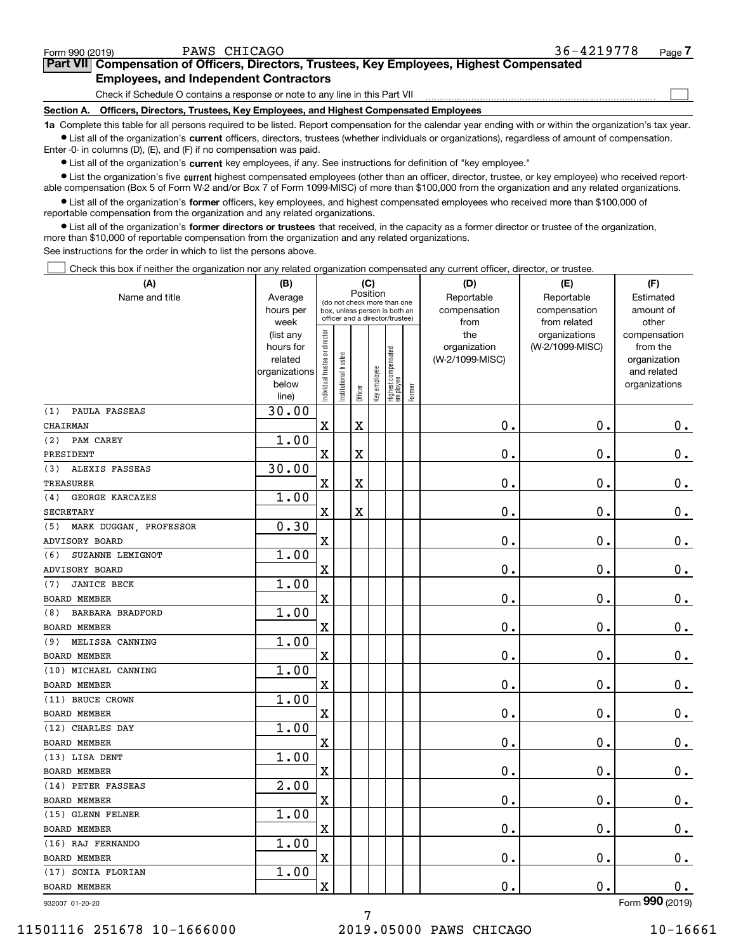$\mathcal{L}^{\text{max}}$ 

# **7Part VII Compensation of Officers, Directors, Trustees, Key Employees, Highest Compensated Employees, and Independent Contractors**

Check if Schedule O contains a response or note to any line in this Part VII

**Section A. Officers, Directors, Trustees, Key Employees, and Highest Compensated Employees**

**1a**  Complete this table for all persons required to be listed. Report compensation for the calendar year ending with or within the organization's tax year. **•** List all of the organization's current officers, directors, trustees (whether individuals or organizations), regardless of amount of compensation.

Enter -0- in columns (D), (E), and (F) if no compensation was paid.

 $\bullet$  List all of the organization's  $\,$ current key employees, if any. See instructions for definition of "key employee."

**•** List the organization's five current highest compensated employees (other than an officer, director, trustee, or key employee) who received reportable compensation (Box 5 of Form W-2 and/or Box 7 of Form 1099-MISC) of more than \$100,000 from the organization and any related organizations.

**•** List all of the organization's former officers, key employees, and highest compensated employees who received more than \$100,000 of reportable compensation from the organization and any related organizations.

**former directors or trustees**  ¥ List all of the organization's that received, in the capacity as a former director or trustee of the organization, more than \$10,000 of reportable compensation from the organization and any related organizations.

See instructions for the order in which to list the persons above.

Check this box if neither the organization nor any related organization compensated any current officer, director, or trustee.  $\mathcal{L}^{\text{max}}$ 

| (A)                           | (B)                      |                                |                       |                                                                                                 | (C)          |                                  |        | (D)             | (E)             | (F)                         |           |
|-------------------------------|--------------------------|--------------------------------|-----------------------|-------------------------------------------------------------------------------------------------|--------------|----------------------------------|--------|-----------------|-----------------|-----------------------------|-----------|
| Name and title                | Average                  |                                |                       | Position                                                                                        |              |                                  |        | Reportable      | Reportable      | Estimated                   |           |
|                               | hours per                |                                |                       | (do not check more than one<br>box, unless person is both an<br>officer and a director/trustee) |              |                                  |        |                 | compensation    | compensation                | amount of |
|                               | week                     |                                |                       |                                                                                                 |              |                                  |        | from            | from related    | other                       |           |
|                               | (list any                |                                |                       |                                                                                                 |              |                                  |        | the             | organizations   | compensation                |           |
|                               | hours for                |                                |                       |                                                                                                 |              |                                  |        | organization    | (W-2/1099-MISC) | from the                    |           |
|                               | related<br>organizations |                                |                       |                                                                                                 |              |                                  |        | (W-2/1099-MISC) |                 | organization<br>and related |           |
|                               | below                    |                                |                       |                                                                                                 |              |                                  |        |                 |                 | organizations               |           |
|                               | line)                    | Individual trustee or director | Institutional trustee | Officer                                                                                         | Key employee | Highest compensated<br> employee | Former |                 |                 |                             |           |
| PAULA FASSEAS<br>(1)          | 30.00                    |                                |                       |                                                                                                 |              |                                  |        |                 |                 |                             |           |
| CHAIRMAN                      |                          | X                              |                       | X                                                                                               |              |                                  |        | 0.              | $\mathbf 0$ .   | 0.                          |           |
| PAM CAREY<br>(2)              | 1.00                     |                                |                       |                                                                                                 |              |                                  |        |                 |                 |                             |           |
| PRESIDENT                     |                          | X                              |                       | X                                                                                               |              |                                  |        | 0.              | $\mathbf 0$ .   | $\mathbf 0$ .               |           |
| (3)<br>ALEXIS FASSEAS         | 30.00                    |                                |                       |                                                                                                 |              |                                  |        |                 |                 |                             |           |
| TREASURER                     |                          | X                              |                       | X                                                                                               |              |                                  |        | 0.              | $\mathbf 0$ .   | $\mathbf 0$ .               |           |
| <b>GEORGE KARCAZES</b><br>(4) | 1.00                     |                                |                       |                                                                                                 |              |                                  |        |                 |                 |                             |           |
| <b>SECRETARY</b>              |                          | X                              |                       | X                                                                                               |              |                                  |        | 0.              | $\mathbf 0$ .   | $\mathbf 0$ .               |           |
| MARK DUGGAN, PROFESSOR<br>(5) | 0.30                     |                                |                       |                                                                                                 |              |                                  |        |                 |                 |                             |           |
| ADVISORY BOARD                |                          | X                              |                       |                                                                                                 |              |                                  |        | 0.              | $\mathbf 0$ .   | $\mathbf 0$ .               |           |
| SUZANNE LEMIGNOT<br>(6)       | 1.00                     |                                |                       |                                                                                                 |              |                                  |        |                 |                 |                             |           |
| ADVISORY BOARD                |                          | X                              |                       |                                                                                                 |              |                                  |        | 0.              | $\mathbf 0$ .   | $\mathbf 0$ .               |           |
| <b>JANICE BECK</b><br>(7)     | 1.00                     |                                |                       |                                                                                                 |              |                                  |        |                 |                 |                             |           |
| <b>BOARD MEMBER</b>           |                          | X                              |                       |                                                                                                 |              |                                  |        | 0.              | $\mathbf 0$ .   | $\mathbf 0$ .               |           |
| BARBARA BRADFORD<br>(8)       | 1.00                     |                                |                       |                                                                                                 |              |                                  |        |                 |                 |                             |           |
| <b>BOARD MEMBER</b>           |                          | X                              |                       |                                                                                                 |              |                                  |        | 0.              | $\mathbf 0$ .   | $\mathbf 0$ .               |           |
| MELISSA CANNING<br>(9)        | 1.00                     |                                |                       |                                                                                                 |              |                                  |        |                 |                 |                             |           |
| BOARD MEMBER                  |                          | X                              |                       |                                                                                                 |              |                                  |        | 0.              | 0.              | $\mathbf 0$ .               |           |
| (10) MICHAEL CANNING          | 1.00                     |                                |                       |                                                                                                 |              |                                  |        |                 |                 |                             |           |
| <b>BOARD MEMBER</b>           |                          | X                              |                       |                                                                                                 |              |                                  |        | 0.              | 0.              | $\mathbf 0$ .               |           |
| (11) BRUCE CROWN              | 1.00                     |                                |                       |                                                                                                 |              |                                  |        |                 |                 |                             |           |
| <b>BOARD MEMBER</b>           |                          | X                              |                       |                                                                                                 |              |                                  |        | 0.              | 0.              | $\mathbf 0$ .               |           |
| (12) CHARLES DAY              | 1.00                     |                                |                       |                                                                                                 |              |                                  |        |                 |                 |                             |           |
| <b>BOARD MEMBER</b>           |                          | X                              |                       |                                                                                                 |              |                                  |        | 0.              | 0.              | 0.                          |           |
| (13) LISA DENT                | 1.00                     |                                |                       |                                                                                                 |              |                                  |        |                 |                 |                             |           |
| BOARD MEMBER                  |                          | X                              |                       |                                                                                                 |              |                                  |        | 0.              | 0.              | 0.                          |           |
| (14) PETER FASSEAS            | 2.00                     |                                |                       |                                                                                                 |              |                                  |        |                 |                 |                             |           |
| BOARD MEMBER                  |                          | X                              |                       |                                                                                                 |              |                                  |        | 0.              | 0.              | 0.                          |           |
| (15) GLENN FELNER             | 1.00                     |                                |                       |                                                                                                 |              |                                  |        |                 |                 |                             |           |
| BOARD MEMBER                  |                          | X                              |                       |                                                                                                 |              |                                  |        | $\mathbf 0$ .   | $\mathbf 0$ .   | 0.                          |           |
| (16) RAJ FERNANDO             | 1.00                     |                                |                       |                                                                                                 |              |                                  |        |                 |                 |                             |           |
| BOARD MEMBER                  |                          | x                              |                       |                                                                                                 |              |                                  |        | 0.              | $\mathbf 0$ .   | $0_{\cdot}$                 |           |
| (17) SONIA FLORIAN            | 1.00                     |                                |                       |                                                                                                 |              |                                  |        |                 |                 |                             |           |
| BOARD MEMBER                  |                          | x                              |                       |                                                                                                 |              |                                  |        | 0.              | $\mathbf 0$ .   | 0.                          |           |
| 932007 01-20-20               |                          |                                |                       |                                                                                                 |              |                                  |        |                 |                 | Form 990 (2019)             |           |

932007 01-20-20

11501116 251678 10-1666000 2019.05000 PAWS CHICAGO 10-16661

7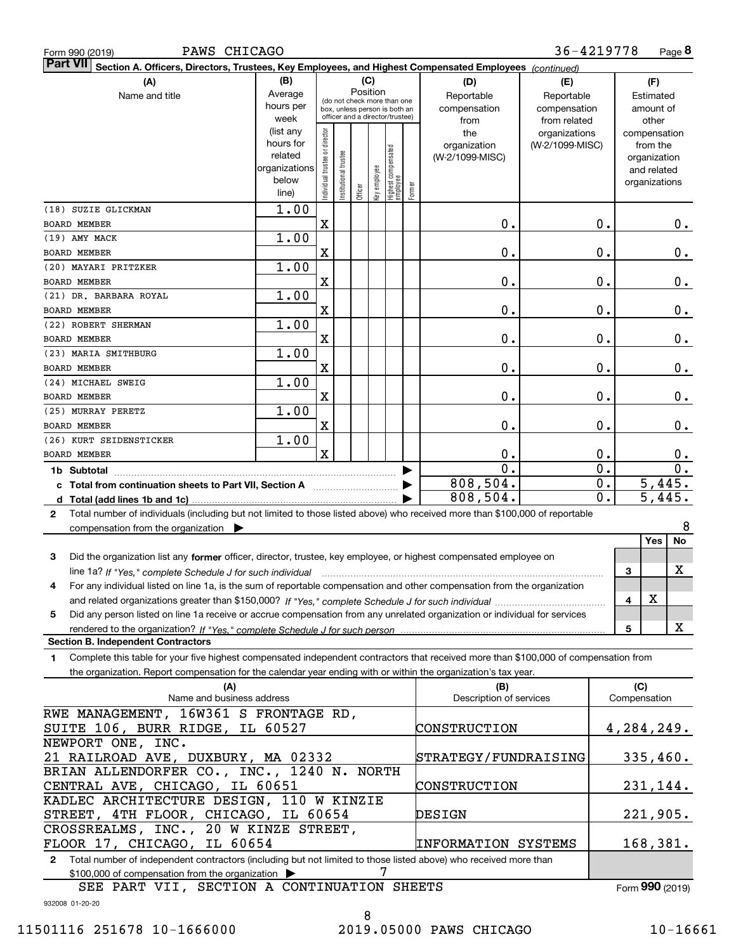| PAWS CHICAGO<br>Form 990 (2019)                                                                                                              |               |                                |                       |                                                              |              |                                         |        |                         | 36-4219778      |               |          |                      | Page 8     |
|----------------------------------------------------------------------------------------------------------------------------------------------|---------------|--------------------------------|-----------------------|--------------------------------------------------------------|--------------|-----------------------------------------|--------|-------------------------|-----------------|---------------|----------|----------------------|------------|
| <b>Part VII</b><br>Section A. Officers, Directors, Trustees, Key Employees, and Highest Compensated Employees (continued)                    |               |                                |                       |                                                              |              |                                         |        |                         |                 |               |          |                      |            |
| (A)                                                                                                                                          | (B)           |                                |                       | (C)                                                          |              |                                         |        | (D)                     | (E)             |               |          | (F)                  |            |
| Name and title                                                                                                                               | Average       |                                |                       | Position                                                     |              |                                         |        | Reportable              | Reportable      |               |          | Estimated            |            |
|                                                                                                                                              | hours per     |                                |                       | (do not check more than one<br>box, unless person is both an |              |                                         |        | compensation            | compensation    |               |          | amount of            |            |
|                                                                                                                                              | week          |                                |                       | officer and a director/trustee)                              |              |                                         |        | from                    | from related    |               |          | other                |            |
|                                                                                                                                              | (list any     |                                |                       |                                                              |              |                                         |        | the                     | organizations   |               |          | compensation         |            |
|                                                                                                                                              | hours for     |                                |                       |                                                              |              |                                         |        | organization            | (W-2/1099-MISC) |               |          | from the             |            |
|                                                                                                                                              | related       |                                |                       |                                                              |              |                                         |        | (W-2/1099-MISC)         |                 |               |          | organization         |            |
|                                                                                                                                              | organizations |                                |                       |                                                              |              |                                         |        |                         |                 |               |          | and related          |            |
|                                                                                                                                              | below         |                                |                       |                                                              |              |                                         |        |                         |                 |               |          | organizations        |            |
|                                                                                                                                              | line)         | Individual trustee or director | Institutional trustee | Officer                                                      | Key employee | <br>  Highest compensated<br>  employee | Former |                         |                 |               |          |                      |            |
| (18) SUZIE GLICKMAN                                                                                                                          | 1.00          |                                |                       |                                                              |              |                                         |        |                         |                 |               |          |                      |            |
| <b>BOARD MEMBER</b>                                                                                                                          |               | X                              |                       |                                                              |              |                                         |        | 0.                      |                 | $\mathbf 0$ . |          |                      | $0$ .      |
| (19) AMY MACK                                                                                                                                | 1.00          |                                |                       |                                                              |              |                                         |        |                         |                 |               |          |                      |            |
|                                                                                                                                              |               |                                |                       |                                                              |              |                                         |        |                         |                 |               |          |                      |            |
| <b>BOARD MEMBER</b>                                                                                                                          |               | X                              |                       |                                                              |              |                                         |        | 0.                      |                 | $\mathbf 0$ . |          |                      | 0.         |
| (20) MAYARI PRITZKER                                                                                                                         | 1.00          |                                |                       |                                                              |              |                                         |        |                         |                 |               |          |                      |            |
| <b>BOARD MEMBER</b>                                                                                                                          |               | X                              |                       |                                                              |              |                                         |        | 0.                      |                 | $\mathbf 0$ . |          |                      | 0.         |
| (21) DR. BARBARA ROYAL                                                                                                                       | 1.00          |                                |                       |                                                              |              |                                         |        |                         |                 |               |          |                      |            |
| <b>BOARD MEMBER</b>                                                                                                                          |               | X                              |                       |                                                              |              |                                         |        | 0.                      |                 | $\mathbf 0$ . |          |                      | 0.         |
| (22) ROBERT SHERMAN                                                                                                                          | 1.00          |                                |                       |                                                              |              |                                         |        |                         |                 |               |          |                      |            |
| <b>BOARD MEMBER</b>                                                                                                                          |               | X                              |                       |                                                              |              |                                         |        | 0.                      |                 | $\mathbf 0$ . |          |                      | 0.         |
| (23) MARIA SMITHBURG                                                                                                                         | 1.00          |                                |                       |                                                              |              |                                         |        |                         |                 |               |          |                      |            |
|                                                                                                                                              |               |                                |                       |                                                              |              |                                         |        |                         |                 |               |          |                      |            |
| BOARD MEMBER                                                                                                                                 |               | X                              |                       |                                                              |              |                                         |        | 0.                      |                 | $\mathbf 0$ . |          |                      | 0.         |
| (24) MICHAEL SWEIG                                                                                                                           | 1.00          |                                |                       |                                                              |              |                                         |        |                         |                 |               |          |                      |            |
| <b>BOARD MEMBER</b>                                                                                                                          |               | X                              |                       |                                                              |              |                                         |        | 0.                      |                 | $\mathbf 0$ . |          |                      | 0.         |
| (25) MURRAY PERETZ                                                                                                                           | 1.00          |                                |                       |                                                              |              |                                         |        |                         |                 |               |          |                      |            |
| <b>BOARD MEMBER</b>                                                                                                                          |               | X                              |                       |                                                              |              |                                         |        | 0.                      |                 | $\mathbf 0$ . |          |                      | 0.         |
| (26) KURT SEIDENSTICKER                                                                                                                      | 1.00          |                                |                       |                                                              |              |                                         |        |                         |                 |               |          |                      |            |
| <b>BOARD MEMBER</b>                                                                                                                          |               | X                              |                       |                                                              |              |                                         |        | 0.                      |                 | 0.            |          |                      | 0.         |
|                                                                                                                                              |               |                                |                       |                                                              |              |                                         |        | $\overline{0}$ .        |                 | 0.            |          |                      | 0.         |
| 1b Subtotal                                                                                                                                  |               |                                |                       |                                                              |              |                                         |        | 808,504.                |                 |               |          |                      | 5,445.     |
| c Total from continuation sheets to Part VII, Section A manufactured by                                                                      |               |                                |                       |                                                              |              |                                         |        |                         |                 | 0.            |          |                      |            |
|                                                                                                                                              |               |                                |                       |                                                              |              |                                         |        | 808,504.                |                 | 0.            |          | $\overline{5,445}$ . |            |
| Total number of individuals (including but not limited to those listed above) who received more than \$100,000 of reportable<br>$\mathbf{2}$ |               |                                |                       |                                                              |              |                                         |        |                         |                 |               |          |                      |            |
| compensation from the organization $\blacktriangleright$                                                                                     |               |                                |                       |                                                              |              |                                         |        |                         |                 |               |          |                      | 8          |
|                                                                                                                                              |               |                                |                       |                                                              |              |                                         |        |                         |                 |               |          | Yes                  | No         |
| Did the organization list any former officer, director, trustee, key employee, or highest compensated employee on<br>3                       |               |                                |                       |                                                              |              |                                         |        |                         |                 |               |          |                      |            |
| line 1a? If "Yes," complete Schedule J for such individual manufactured contained and the Ves," complete Schedule J for such individual      |               |                                |                       |                                                              |              |                                         |        |                         |                 |               | 3        |                      | X          |
| For any individual listed on line 1a, is the sum of reportable compensation and other compensation from the organization                     |               |                                |                       |                                                              |              |                                         |        |                         |                 |               |          |                      |            |
|                                                                                                                                              |               |                                |                       |                                                              |              |                                         |        |                         |                 |               |          | X                    |            |
|                                                                                                                                              |               |                                |                       |                                                              |              |                                         |        |                         |                 |               | 4        |                      |            |
| Did any person listed on line 1a receive or accrue compensation from any unrelated organization or individual for services<br>5              |               |                                |                       |                                                              |              |                                         |        |                         |                 |               |          |                      |            |
| rendered to the organization? If "Yes." complete Schedule J for such person                                                                  |               |                                |                       |                                                              |              |                                         |        |                         |                 |               | 5        |                      | X          |
| <b>Section B. Independent Contractors</b>                                                                                                    |               |                                |                       |                                                              |              |                                         |        |                         |                 |               |          |                      |            |
| Complete this table for your five highest compensated independent contractors that received more than \$100,000 of compensation from<br>1    |               |                                |                       |                                                              |              |                                         |        |                         |                 |               |          |                      |            |
| the organization. Report compensation for the calendar year ending with or within the organization's tax year.                               |               |                                |                       |                                                              |              |                                         |        |                         |                 |               |          |                      |            |
| (A)                                                                                                                                          |               |                                |                       |                                                              |              |                                         |        | (B)                     |                 |               | (C)      |                      |            |
| Name and business address                                                                                                                    |               |                                |                       |                                                              |              |                                         |        | Description of services |                 |               |          | Compensation         |            |
| RWE MANAGEMENT, 16W361 S FRONTAGE RD,                                                                                                        |               |                                |                       |                                                              |              |                                         |        |                         |                 |               |          |                      |            |
| SUITE 106, BURR RIDGE, IL 60527                                                                                                              |               |                                |                       |                                                              |              |                                         |        | CONSTRUCTION            |                 |               |          |                      | 4,284,249. |
| NEWPORT ONE, INC.                                                                                                                            |               |                                |                       |                                                              |              |                                         |        |                         |                 |               |          |                      |            |
|                                                                                                                                              |               |                                |                       |                                                              |              |                                         |        |                         |                 |               |          |                      |            |
| 21 RAILROAD AVE, DUXBURY, MA 02332                                                                                                           |               |                                |                       |                                                              |              | STRATEGY/FUNDRAISING                    |        |                         |                 |               | 335,460. |                      |            |
| BRIAN ALLENDORFER CO., INC., 1240 N. NORTH                                                                                                   |               |                                |                       |                                                              |              |                                         |        |                         |                 |               |          |                      |            |
| CENTRAL AVE, CHICAGO, IL 60651                                                                                                               |               |                                |                       |                                                              |              | CONSTRUCTION                            |        |                         |                 | 231,144.      |          |                      |            |
| KADLEC ARCHITECTURE DESIGN, 110 W KINZIE                                                                                                     |               |                                |                       |                                                              |              |                                         |        |                         |                 |               |          |                      |            |
| STREET, 4TH FLOOR, CHICAGO, IL 60654<br>DESIGN                                                                                               |               |                                |                       |                                                              |              |                                         |        |                         |                 | 221,905.      |          |                      |            |
| CROSSREALMS, INC., 20 W KINZE STREET,                                                                                                        |               |                                |                       |                                                              |              |                                         |        |                         |                 |               |          |                      |            |
| FLOOR 17, CHICAGO, IL 60654<br><b>INFORMATION SYSTEMS</b>                                                                                    |               |                                |                       |                                                              |              |                                         |        | 168,381.                |                 |               |          |                      |            |
| Total number of independent contractors (including but not limited to those listed above) who received more than                             |               |                                |                       |                                                              |              |                                         |        |                         |                 |               |          |                      |            |
| 2                                                                                                                                            |               |                                |                       |                                                              |              |                                         |        |                         |                 |               |          |                      |            |
| \$100,000 of compensation from the organization                                                                                              |               |                                |                       |                                                              | 7            |                                         |        |                         |                 |               |          |                      |            |

SEE PART VII, SECTION A CONTINUATION SHEETS

Form (2019) **990**

932008 01-20-20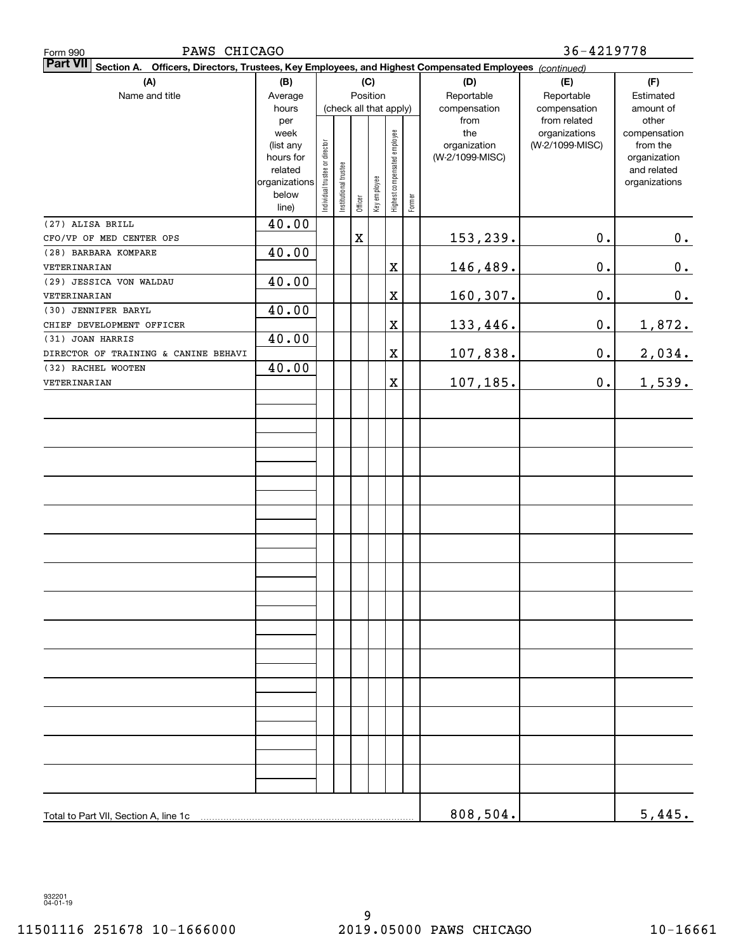| PAWS CHICAGO<br>Form 990                                                                                        |                   |                                |                        |             |              |                              |        | 36-4219778      |                                  |                          |  |  |  |
|-----------------------------------------------------------------------------------------------------------------|-------------------|--------------------------------|------------------------|-------------|--------------|------------------------------|--------|-----------------|----------------------------------|--------------------------|--|--|--|
| Part VII Section A. Officers, Directors, Trustees, Key Employees, and Highest Compensated Employees (continued) |                   |                                |                        |             |              |                              |        |                 |                                  |                          |  |  |  |
| (A)                                                                                                             | (B)               |                                |                        |             | (C)          |                              |        | (D)             | (E)                              | (F)                      |  |  |  |
| Name and title                                                                                                  | Average           |                                |                        | Position    |              |                              |        | Reportable      | Reportable                       | Estimated                |  |  |  |
|                                                                                                                 | hours             |                                | (check all that apply) |             |              |                              |        | compensation    | compensation                     | amount of                |  |  |  |
|                                                                                                                 | per               |                                |                        |             |              |                              |        | from<br>the     | from related                     | other                    |  |  |  |
|                                                                                                                 | week<br>(list any |                                |                        |             |              |                              |        | organization    | organizations<br>(W-2/1099-MISC) | compensation<br>from the |  |  |  |
|                                                                                                                 | hours for         |                                |                        |             |              |                              |        | (W-2/1099-MISC) |                                  | organization             |  |  |  |
|                                                                                                                 | related           |                                |                        |             |              |                              |        |                 |                                  | and related              |  |  |  |
|                                                                                                                 | organizations     | Individual trustee or director | Institutional trustee  |             | Key employee | Highest compensated employee |        |                 |                                  | organizations            |  |  |  |
|                                                                                                                 | below             |                                |                        | Officer     |              |                              | Former |                 |                                  |                          |  |  |  |
|                                                                                                                 | line)             |                                |                        |             |              |                              |        |                 |                                  |                          |  |  |  |
| (27) ALISA BRILL<br>CFO/VP OF MED CENTER OPS                                                                    | 40.00             |                                |                        | $\mathbf X$ |              |                              |        |                 | 0.                               |                          |  |  |  |
| (28) BARBARA KOMPARE                                                                                            | 40.00             |                                |                        |             |              |                              |        | <u>153,239.</u> |                                  | 0.                       |  |  |  |
| VETERINARIAN                                                                                                    |                   |                                |                        |             |              | $\mathbf X$                  |        | <u>146,489.</u> | 0.                               | $0_{.}$                  |  |  |  |
| (29) JESSICA VON WALDAU                                                                                         | 40.00             |                                |                        |             |              |                              |        |                 |                                  |                          |  |  |  |
| VETERINARIAN                                                                                                    |                   |                                |                        |             |              | $\mathbf X$                  |        | <u>160,307.</u> | 0.                               | 0.                       |  |  |  |
| (30) JENNIFER BARYL                                                                                             | 40.00             |                                |                        |             |              |                              |        |                 |                                  |                          |  |  |  |
| CHIEF DEVELOPMENT OFFICER                                                                                       |                   |                                |                        |             |              | $\mathbf X$                  |        | <u>133,446.</u> | 0.                               | <u>1,872.</u>            |  |  |  |
| (31) JOAN HARRIS                                                                                                | 40.00             |                                |                        |             |              |                              |        |                 |                                  |                          |  |  |  |
| DIRECTOR OF TRAINING & CANINE BEHAVI                                                                            |                   |                                |                        |             |              | $\mathbf X$                  |        | 107,838.        | 0.                               | 2,034.                   |  |  |  |
| (32) RACHEL WOOTEN                                                                                              | 40.00             |                                |                        |             |              |                              |        |                 |                                  |                          |  |  |  |
| VETERINARIAN                                                                                                    |                   |                                |                        |             |              | $\mathbf X$                  |        | <u>107,185.</u> | 0.                               | 1,539.                   |  |  |  |
|                                                                                                                 |                   |                                |                        |             |              |                              |        |                 |                                  |                          |  |  |  |
|                                                                                                                 |                   |                                |                        |             |              |                              |        |                 |                                  |                          |  |  |  |
|                                                                                                                 |                   |                                |                        |             |              |                              |        |                 |                                  |                          |  |  |  |
|                                                                                                                 |                   |                                |                        |             |              |                              |        |                 |                                  |                          |  |  |  |
|                                                                                                                 |                   |                                |                        |             |              |                              |        |                 |                                  |                          |  |  |  |
|                                                                                                                 |                   |                                |                        |             |              |                              |        |                 |                                  |                          |  |  |  |
|                                                                                                                 |                   |                                |                        |             |              |                              |        |                 |                                  |                          |  |  |  |
|                                                                                                                 |                   |                                |                        |             |              |                              |        |                 |                                  |                          |  |  |  |
|                                                                                                                 |                   |                                |                        |             |              |                              |        |                 |                                  |                          |  |  |  |
|                                                                                                                 |                   |                                |                        |             |              |                              |        |                 |                                  |                          |  |  |  |
|                                                                                                                 |                   |                                |                        |             |              |                              |        |                 |                                  |                          |  |  |  |
|                                                                                                                 |                   |                                |                        |             |              |                              |        |                 |                                  |                          |  |  |  |
|                                                                                                                 |                   |                                |                        |             |              |                              |        |                 |                                  |                          |  |  |  |
|                                                                                                                 |                   |                                |                        |             |              |                              |        |                 |                                  |                          |  |  |  |
|                                                                                                                 |                   |                                |                        |             |              |                              |        |                 |                                  |                          |  |  |  |
|                                                                                                                 |                   |                                |                        |             |              |                              |        |                 |                                  |                          |  |  |  |
|                                                                                                                 |                   |                                |                        |             |              |                              |        |                 |                                  |                          |  |  |  |
|                                                                                                                 |                   |                                |                        |             |              |                              |        |                 |                                  |                          |  |  |  |
|                                                                                                                 |                   |                                |                        |             |              |                              |        |                 |                                  |                          |  |  |  |
|                                                                                                                 |                   |                                |                        |             |              |                              |        |                 |                                  |                          |  |  |  |
|                                                                                                                 |                   |                                |                        |             |              |                              |        |                 |                                  |                          |  |  |  |
|                                                                                                                 |                   |                                |                        |             |              |                              |        |                 |                                  |                          |  |  |  |
|                                                                                                                 |                   |                                |                        |             |              |                              |        |                 |                                  |                          |  |  |  |
|                                                                                                                 |                   |                                |                        |             |              |                              |        |                 |                                  |                          |  |  |  |
|                                                                                                                 |                   |                                |                        |             |              |                              |        |                 |                                  |                          |  |  |  |
|                                                                                                                 |                   |                                |                        |             |              |                              |        |                 |                                  |                          |  |  |  |
|                                                                                                                 |                   |                                |                        |             |              |                              |        |                 |                                  |                          |  |  |  |
| Total to Part VII, Section A, line 1c                                                                           |                   |                                |                        |             |              |                              |        | 808,504.        |                                  | 5,445.                   |  |  |  |

932201 04-01-19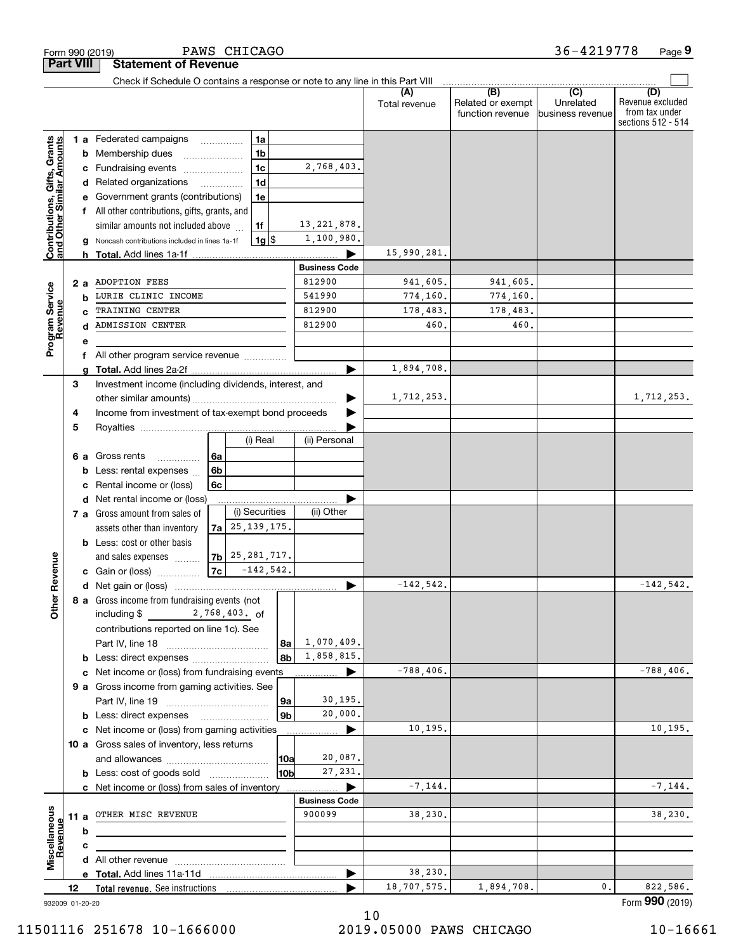| <b>Part VIII</b>                                          |    |     | <b>Statement of Revenue</b><br>Check if Schedule O contains a response or note to any line in this Part VIII |    |                                            |                |                      |                      |                                              |                                                 |                                                                 |
|-----------------------------------------------------------|----|-----|--------------------------------------------------------------------------------------------------------------|----|--------------------------------------------|----------------|----------------------|----------------------|----------------------------------------------|-------------------------------------------------|-----------------------------------------------------------------|
|                                                           |    |     |                                                                                                              |    |                                            |                |                      | (A)<br>Total revenue | (B)<br>Related or exempt<br>function revenue | $\overline{C}$<br>Unrelated<br>business revenue | (D)<br>Revenue excluded<br>from tax under<br>sections 512 - 514 |
|                                                           |    |     | 1 a Federated campaigns                                                                                      |    | 1a                                         |                |                      |                      |                                              |                                                 |                                                                 |
|                                                           |    |     | <b>b</b> Membership dues                                                                                     |    | 1 <sub>b</sub>                             |                |                      |                      |                                              |                                                 |                                                                 |
|                                                           |    |     | c Fundraising events                                                                                         |    | 1 <sub>c</sub>                             |                | 2,768,403.           |                      |                                              |                                                 |                                                                 |
| Contributions, Gifts, Grants<br>and Other Similar Amounts |    |     | d Related organizations                                                                                      |    | 1 <sub>d</sub><br>$\overline{\phantom{a}}$ |                |                      |                      |                                              |                                                 |                                                                 |
|                                                           |    |     | e Government grants (contributions)                                                                          |    | 1e                                         |                |                      |                      |                                              |                                                 |                                                                 |
|                                                           |    |     | f All other contributions, gifts, grants, and                                                                |    |                                            |                |                      |                      |                                              |                                                 |                                                                 |
|                                                           |    |     | similar amounts not included above                                                                           |    | 1f                                         |                | 13, 221, 878.        |                      |                                              |                                                 |                                                                 |
|                                                           |    |     | Noncash contributions included in lines 1a-1f                                                                |    | $1g$ $\frac{1}{3}$                         |                | 1,100,980.           |                      |                                              |                                                 |                                                                 |
|                                                           |    |     |                                                                                                              |    |                                            |                |                      | 15,990,281.          |                                              |                                                 |                                                                 |
|                                                           |    |     |                                                                                                              |    |                                            |                | <b>Business Code</b> |                      |                                              |                                                 |                                                                 |
|                                                           |    | 2 a | <b>ADOPTION FEES</b>                                                                                         |    |                                            |                | 812900               | 941,605.             | 941,605.                                     |                                                 |                                                                 |
|                                                           |    | b   | LURIE CLINIC INCOME                                                                                          |    |                                            |                | 541990               | 774,160.             | 774,160.                                     |                                                 |                                                                 |
|                                                           |    |     | TRAINING CENTER                                                                                              |    |                                            |                | 812900               | 178,483.             | 178,483.                                     |                                                 |                                                                 |
| Program Service<br>Revenue                                |    | d   | ADMISSION CENTER                                                                                             |    |                                            |                | 812900               | 460                  | 460.                                         |                                                 |                                                                 |
|                                                           |    | е   |                                                                                                              |    |                                            |                |                      |                      |                                              |                                                 |                                                                 |
|                                                           |    | f   | All other program service revenue                                                                            |    |                                            |                |                      |                      |                                              |                                                 |                                                                 |
|                                                           |    |     |                                                                                                              |    |                                            |                |                      | 1,894,708.           |                                              |                                                 |                                                                 |
|                                                           | 3  |     | Investment income (including dividends, interest, and                                                        |    |                                            |                |                      |                      |                                              |                                                 |                                                                 |
|                                                           |    |     |                                                                                                              |    |                                            |                |                      | 1,712,253.           |                                              |                                                 | 1,712,253.                                                      |
|                                                           | 4  |     | Income from investment of tax-exempt bond proceeds                                                           |    |                                            |                |                      |                      |                                              |                                                 |                                                                 |
|                                                           | 5  |     |                                                                                                              |    |                                            |                |                      |                      |                                              |                                                 |                                                                 |
|                                                           |    |     |                                                                                                              |    | (i) Real                                   |                | (ii) Personal        |                      |                                              |                                                 |                                                                 |
|                                                           |    | 6а  | Gross rents<br>.                                                                                             | 6a |                                            |                |                      |                      |                                              |                                                 |                                                                 |
|                                                           |    |     | <b>b</b> Less: rental expenses                                                                               | 6b |                                            |                |                      |                      |                                              |                                                 |                                                                 |
|                                                           |    | c   | Rental income or (loss)                                                                                      | 6с |                                            |                |                      |                      |                                              |                                                 |                                                                 |
|                                                           |    |     | d Net rental income or (loss)                                                                                |    |                                            |                |                      |                      |                                              |                                                 |                                                                 |
|                                                           |    |     | 7 a Gross amount from sales of                                                                               |    | (i) Securities                             |                | (ii) Other           |                      |                                              |                                                 |                                                                 |
|                                                           |    |     | assets other than inventory                                                                                  |    | $7a$ 25, 139, 175.                         |                |                      |                      |                                              |                                                 |                                                                 |
|                                                           |    |     | <b>b</b> Less: cost or other basis                                                                           |    |                                            |                |                      |                      |                                              |                                                 |                                                                 |
|                                                           |    |     | and sales expenses                                                                                           |    | $ 7b $ 25, 281, 717.                       |                |                      |                      |                                              |                                                 |                                                                 |
|                                                           |    |     | <b>c</b> Gain or (loss) $\ldots$                                                                             |    | $ 7c $ -142,542.                           |                |                      |                      |                                              |                                                 |                                                                 |
|                                                           |    |     |                                                                                                              |    |                                            |                |                      | $-142,542.$          |                                              |                                                 | $-142,542.$                                                     |
| <b>Othe</b>                                               |    |     | 8 a Gross income from fundraising events (not                                                                |    |                                            |                |                      |                      |                                              |                                                 |                                                                 |
|                                                           |    |     | 2,768,403. of<br>including $$$                                                                               |    |                                            |                |                      |                      |                                              |                                                 |                                                                 |
|                                                           |    |     | contributions reported on line 1c). See                                                                      |    |                                            |                |                      |                      |                                              |                                                 |                                                                 |
|                                                           |    |     |                                                                                                              |    |                                            |                | $ 8a $ 1,070,409.    |                      |                                              |                                                 |                                                                 |
|                                                           |    |     | <b>b</b> Less: direct expenses                                                                               |    |                                            | 8b             | 1,858,815.           |                      |                                              |                                                 |                                                                 |
|                                                           |    |     | c Net income or (loss) from fundraising events                                                               |    |                                            |                | ▶                    | $-788,406.$          |                                              |                                                 | $-788,406.$                                                     |
|                                                           |    |     | 9 a Gross income from gaming activities. See                                                                 |    |                                            |                | 30,195.              |                      |                                              |                                                 |                                                                 |
|                                                           |    |     |                                                                                                              |    |                                            | 9a             | 20,000.              |                      |                                              |                                                 |                                                                 |
|                                                           |    |     | <b>b</b> Less: direct expenses                                                                               |    |                                            | 9 <sub>b</sub> |                      | 10,195.              |                                              |                                                 | 10, 195.                                                        |
|                                                           |    |     | c Net income or (loss) from gaming activities                                                                |    |                                            |                | ▶<br>.               |                      |                                              |                                                 |                                                                 |
|                                                           |    |     | 10 a Gross sales of inventory, less returns                                                                  |    |                                            |                | 20,087.              |                      |                                              |                                                 |                                                                 |
|                                                           |    |     |                                                                                                              |    |                                            | 10a<br>l10bl   | 27,231.              |                      |                                              |                                                 |                                                                 |
|                                                           |    |     | <b>b</b> Less: cost of goods sold                                                                            |    |                                            |                |                      | $-7, 144.$           |                                              |                                                 | $-7, 144.$                                                      |
|                                                           |    |     | c Net income or (loss) from sales of inventory                                                               |    |                                            |                | <b>Business Code</b> |                      |                                              |                                                 |                                                                 |
|                                                           |    |     | 11 a OTHER MISC REVENUE                                                                                      |    |                                            |                | 900099               | 38,230.              |                                              |                                                 | 38,230.                                                         |
|                                                           |    |     |                                                                                                              |    |                                            |                |                      |                      |                                              |                                                 |                                                                 |
|                                                           |    | b   |                                                                                                              |    |                                            |                |                      |                      |                                              |                                                 |                                                                 |
| Revenue                                                   |    | c   |                                                                                                              |    |                                            |                |                      |                      |                                              |                                                 |                                                                 |
|                                                           |    |     |                                                                                                              |    |                                            |                | ▶                    | 38,230.              |                                              |                                                 |                                                                 |
|                                                           | 12 |     |                                                                                                              |    |                                            |                |                      | 18,707,575.          | 1,894,708.                                   | 0.                                              | 822,586.                                                        |
|                                                           |    |     |                                                                                                              |    |                                            |                |                      |                      |                                              |                                                 | Form 990 (2019)                                                 |
| 932009 01-20-20                                           |    |     |                                                                                                              |    |                                            |                |                      |                      |                                              |                                                 |                                                                 |

PAWS CHICAGO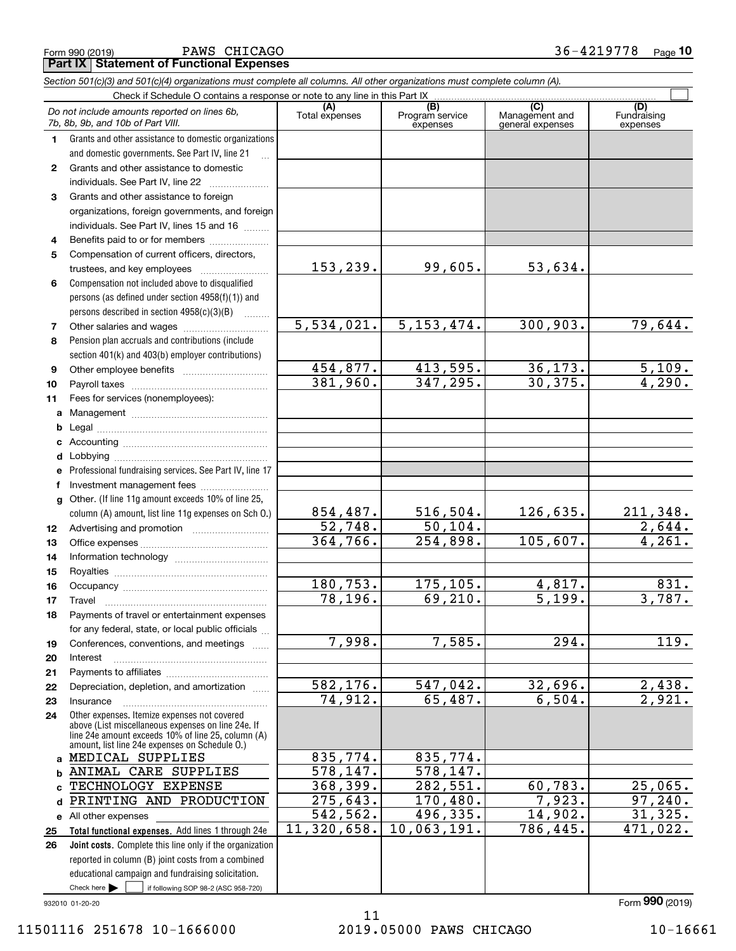Form 990 (2019) Page **Part IX Statement of Functional Expenses** PAWS CHICAGO 36-4219778

*Section 501(c)(3) and 501(c)(4) organizations must complete all columns. All other organizations must complete column (A).*

|              | Do not include amounts reported on lines 6b,<br>7b, 8b, 9b, and 10b of Part VIII.                                                                        | (A)<br>Total expenses | (B)<br>Program service<br>expenses | $\overline{C}$<br>Management and<br>general expenses | (D)<br>Fundraising<br>expenses |
|--------------|----------------------------------------------------------------------------------------------------------------------------------------------------------|-----------------------|------------------------------------|------------------------------------------------------|--------------------------------|
| 1.           | Grants and other assistance to domestic organizations                                                                                                    |                       |                                    |                                                      |                                |
|              | and domestic governments. See Part IV, line 21                                                                                                           |                       |                                    |                                                      |                                |
| $\mathbf{2}$ | Grants and other assistance to domestic                                                                                                                  |                       |                                    |                                                      |                                |
|              | individuals. See Part IV, line 22                                                                                                                        |                       |                                    |                                                      |                                |
| 3            | Grants and other assistance to foreign                                                                                                                   |                       |                                    |                                                      |                                |
|              | organizations, foreign governments, and foreign                                                                                                          |                       |                                    |                                                      |                                |
|              | individuals. See Part IV, lines 15 and 16                                                                                                                |                       |                                    |                                                      |                                |
| 4            | Benefits paid to or for members                                                                                                                          |                       |                                    |                                                      |                                |
| 5            | Compensation of current officers, directors,                                                                                                             |                       |                                    |                                                      |                                |
|              | trustees, and key employees                                                                                                                              | 153,239.              | 99,605.                            | 53,634.                                              |                                |
| 6            | Compensation not included above to disqualified                                                                                                          |                       |                                    |                                                      |                                |
|              | persons (as defined under section 4958(f)(1)) and                                                                                                        |                       |                                    |                                                      |                                |
|              | persons described in section 4958(c)(3)(B)                                                                                                               |                       |                                    |                                                      |                                |
| 7            |                                                                                                                                                          | 5,534,021.            | 5, 153, 474.                       | 300, 903.                                            | 79,644.                        |
| 8            | Pension plan accruals and contributions (include                                                                                                         |                       |                                    |                                                      |                                |
|              | section 401(k) and 403(b) employer contributions)                                                                                                        |                       |                                    |                                                      |                                |
| 9            |                                                                                                                                                          | 454,877.              | 413,595.                           | 36, 173.                                             | 5,109.                         |
| 10           |                                                                                                                                                          | 381,960.              | 347, 295.                          | 30, 375.                                             | 4,290.                         |
| 11           | Fees for services (nonemployees):                                                                                                                        |                       |                                    |                                                      |                                |
| a            |                                                                                                                                                          |                       |                                    |                                                      |                                |
| b            |                                                                                                                                                          |                       |                                    |                                                      |                                |
| c            |                                                                                                                                                          |                       |                                    |                                                      |                                |
| d            |                                                                                                                                                          |                       |                                    |                                                      |                                |
| e            | Professional fundraising services. See Part IV, line 17                                                                                                  |                       |                                    |                                                      |                                |
| f            | Investment management fees                                                                                                                               |                       |                                    |                                                      |                                |
| $\mathbf{q}$ | Other. (If line 11g amount exceeds 10% of line 25,<br>column (A) amount, list line 11g expenses on Sch 0.)                                               | 854,487.              | 516, 504.                          | 126,635.                                             |                                |
|              |                                                                                                                                                          | 52,748.               | 50, 104.                           |                                                      | $\frac{211,348.}{2,644.}$      |
| 12<br>13     |                                                                                                                                                          | 364,766.              | 254,898.                           | 105,607.                                             | 4,261.                         |
| 14           |                                                                                                                                                          |                       |                                    |                                                      |                                |
| 15           |                                                                                                                                                          |                       |                                    |                                                      |                                |
| 16           |                                                                                                                                                          | 180,753.              | 175,105.                           | 4,817.                                               | 831.                           |
| 17           | Travel                                                                                                                                                   | 78,196.               | 69, 210.                           | $\overline{5,199}$ .                                 | 3,787.                         |
| 18           | Payments of travel or entertainment expenses                                                                                                             |                       |                                    |                                                      |                                |
|              | for any federal, state, or local public officials                                                                                                        |                       |                                    |                                                      |                                |
| 19           | Conferences, conventions, and meetings                                                                                                                   | 7,998.                | 7,585.                             | $\overline{294}$ .                                   | 119.                           |
| 20           | Interest                                                                                                                                                 |                       |                                    |                                                      |                                |
| 21           |                                                                                                                                                          |                       |                                    |                                                      |                                |
| 22           | Depreciation, depletion, and amortization                                                                                                                | 582, 176.             | 547,042.                           | 32,696.                                              | 2,438.                         |
| 23           | Insurance                                                                                                                                                | 74,912.               | 65,487.                            | 6,504.                                               | 2,921.                         |
| 24           | Other expenses. Itemize expenses not covered<br>above (List miscellaneous expenses on line 24e. If<br>line 24e amount exceeds 10% of line 25, column (A) |                       |                                    |                                                      |                                |
|              | amount, list line 24e expenses on Schedule O.)<br>a MEDICAL SUPPLIES                                                                                     | 835,774.              | 835,774.                           |                                                      |                                |
|              |                                                                                                                                                          | 578, 147.             | 578, 147.                          |                                                      |                                |
| b            | ANIMAL CARE SUPPLIES<br>TECHNOLOGY EXPENSE                                                                                                               | 368,399.              | 282,551.                           | 60,783.                                              | 25,065.                        |
| c.           | PRINTING AND PRODUCTION                                                                                                                                  | 275,643.              | 170,480.                           | 7,923.                                               | 97, 240.                       |
| d            |                                                                                                                                                          | 542,562.              | 496,335.                           | 14,902.                                              | 31, 325.                       |
| 25           | e All other expenses<br>Total functional expenses. Add lines 1 through 24e                                                                               | 11,320,658.           | 10,063,191.                        | 786,445.                                             | 471,022.                       |
| 26           | Joint costs. Complete this line only if the organization                                                                                                 |                       |                                    |                                                      |                                |
|              | reported in column (B) joint costs from a combined                                                                                                       |                       |                                    |                                                      |                                |
|              | educational campaign and fundraising solicitation.                                                                                                       |                       |                                    |                                                      |                                |
|              | Check here $\blacktriangleright$<br>if following SOP 98-2 (ASC 958-720)                                                                                  |                       |                                    |                                                      |                                |

932010 01-20-20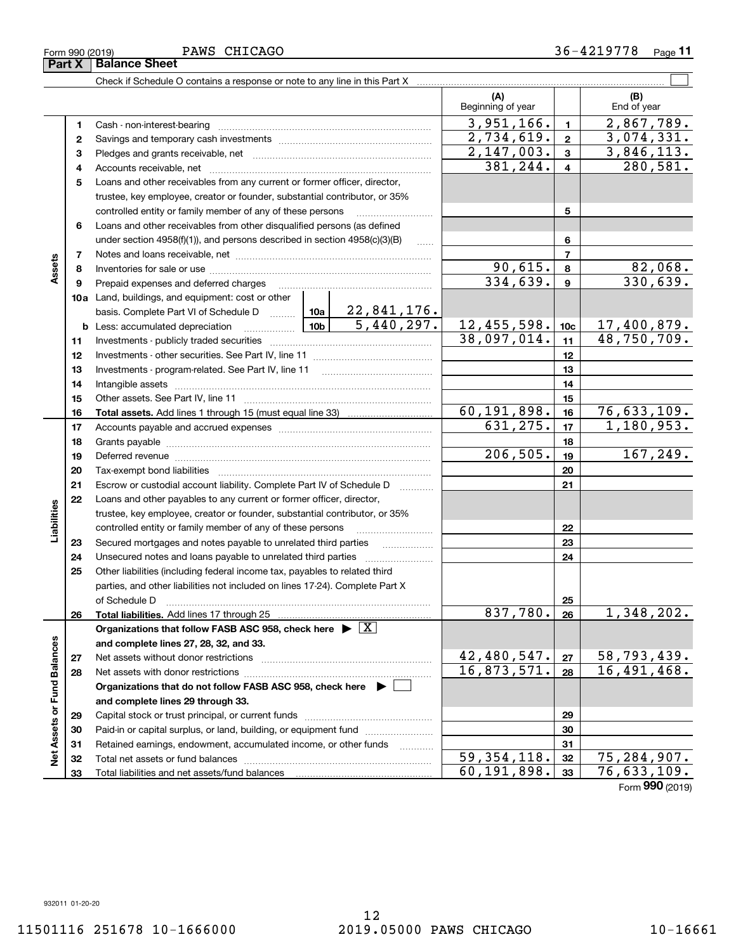|                             | Part X | <b>Balance Sheet</b>                                                                                                                                                                                                          |                           |                 |                    |
|-----------------------------|--------|-------------------------------------------------------------------------------------------------------------------------------------------------------------------------------------------------------------------------------|---------------------------|-----------------|--------------------|
|                             |        |                                                                                                                                                                                                                               |                           |                 |                    |
|                             |        |                                                                                                                                                                                                                               | (A)<br>Beginning of year  |                 | (B)<br>End of year |
|                             | 1      |                                                                                                                                                                                                                               | 3,951,166.                | $\mathbf{1}$    | 2,867,789.         |
|                             | 2      |                                                                                                                                                                                                                               | 2,734,619.                | $\mathbf{2}$    | 3,074,331.         |
|                             | з      |                                                                                                                                                                                                                               | 2,147,003.                | 3               | 3,846,113.         |
|                             | 4      |                                                                                                                                                                                                                               | 381,244.                  | $\overline{4}$  | 280,581.           |
|                             | 5      | Loans and other receivables from any current or former officer, director,                                                                                                                                                     |                           |                 |                    |
|                             |        | trustee, key employee, creator or founder, substantial contributor, or 35%                                                                                                                                                    |                           |                 |                    |
|                             |        | controlled entity or family member of any of these persons                                                                                                                                                                    |                           | 5               |                    |
|                             | 6      | Loans and other receivables from other disqualified persons (as defined                                                                                                                                                       |                           |                 |                    |
|                             |        | under section $4958(f)(1)$ , and persons described in section $4958(c)(3)(B)$                                                                                                                                                 |                           | 6               |                    |
|                             | 7      |                                                                                                                                                                                                                               |                           | $\overline{7}$  |                    |
| Assets                      | 8      |                                                                                                                                                                                                                               | 90, 615.                  | 8               | 82,068.            |
|                             | 9      | Prepaid expenses and deferred charges                                                                                                                                                                                         | 334,639.                  | 9               | 330,639.           |
|                             |        | <b>10a</b> Land, buildings, and equipment: cost or other                                                                                                                                                                      |                           |                 |                    |
|                             |        | basis. Complete Part VI of Schedule D    10a   22,841,176.                                                                                                                                                                    |                           |                 |                    |
|                             |        | $\frac{10b}{5,440,297}.$<br><b>b</b> Less: accumulated depreciation                                                                                                                                                           | 12,455,598.               | 10 <sub>c</sub> | <u>17,400,879.</u> |
|                             | 11     |                                                                                                                                                                                                                               | 38,097,014.               | 11              | 48,750,709.        |
|                             | 12     |                                                                                                                                                                                                                               |                           | 12              |                    |
|                             | 13     |                                                                                                                                                                                                                               |                           | 13              |                    |
|                             | 14     |                                                                                                                                                                                                                               |                           | 14              |                    |
|                             | 15     |                                                                                                                                                                                                                               |                           | 15              |                    |
|                             | 16     |                                                                                                                                                                                                                               | 60,191,898.               | 16              | 76,633,109.        |
|                             | 17     |                                                                                                                                                                                                                               | 631, 275.                 | 17              | 1, 180, 953.       |
|                             | 18     |                                                                                                                                                                                                                               | 206, 505.                 | 18              | 167,249.           |
|                             | 19     | Deferred revenue manual contracts and contracts are all the manual contracts and contracts are all the contracts of the contracts of the contracts of the contracts of the contracts of the contracts of the contracts of the |                           | 19              |                    |
|                             | 20     |                                                                                                                                                                                                                               |                           | 20              |                    |
|                             | 21     | Escrow or custodial account liability. Complete Part IV of Schedule D<br>$\cdots$                                                                                                                                             |                           | 21              |                    |
|                             | 22     | Loans and other payables to any current or former officer, director,                                                                                                                                                          |                           |                 |                    |
| Liabilities                 |        | trustee, key employee, creator or founder, substantial contributor, or 35%<br>controlled entity or family member of any of these persons                                                                                      |                           | 22              |                    |
|                             | 23     | Secured mortgages and notes payable to unrelated third parties                                                                                                                                                                |                           | 23              |                    |
|                             | 24     | Unsecured notes and loans payable to unrelated third parties                                                                                                                                                                  |                           | 24              |                    |
|                             | 25     | Other liabilities (including federal income tax, payables to related third                                                                                                                                                    |                           |                 |                    |
|                             |        | parties, and other liabilities not included on lines 17-24). Complete Part X                                                                                                                                                  |                           |                 |                    |
|                             |        | of Schedule D                                                                                                                                                                                                                 |                           | 25              |                    |
|                             | 26     | Total liabilities. Add lines 17 through 25                                                                                                                                                                                    | 837,780.                  | 26              | 1,348,202.         |
|                             |        | Organizations that follow FASB ASC 958, check here $\blacktriangleright \boxed{X}$                                                                                                                                            |                           |                 |                    |
|                             |        | and complete lines 27, 28, 32, and 33.                                                                                                                                                                                        |                           |                 |                    |
|                             | 27     |                                                                                                                                                                                                                               | 42,480,547.               | 27              | 58, 793, 439.      |
|                             | 28     | Net assets with donor restrictions                                                                                                                                                                                            | 16,873,571.               | 28              | 16,491,468.        |
|                             |        | Organizations that do not follow FASB ASC 958, check here $\blacktriangleright$                                                                                                                                               |                           |                 |                    |
|                             |        | and complete lines 29 through 33.                                                                                                                                                                                             |                           |                 |                    |
|                             | 29     |                                                                                                                                                                                                                               |                           | 29              |                    |
|                             | 30     | Paid-in or capital surplus, or land, building, or equipment fund                                                                                                                                                              |                           | 30              |                    |
| Net Assets or Fund Balances | 31     | Retained earnings, endowment, accumulated income, or other funds<br>.                                                                                                                                                         |                           | 31              |                    |
|                             | 32     |                                                                                                                                                                                                                               | $\overline{59,354,118}$ . | 32              | 75, 284, 907.      |
|                             | 33     |                                                                                                                                                                                                                               | 60,191,898.               | 33              | 76,633,109.        |

Form (2019) **990**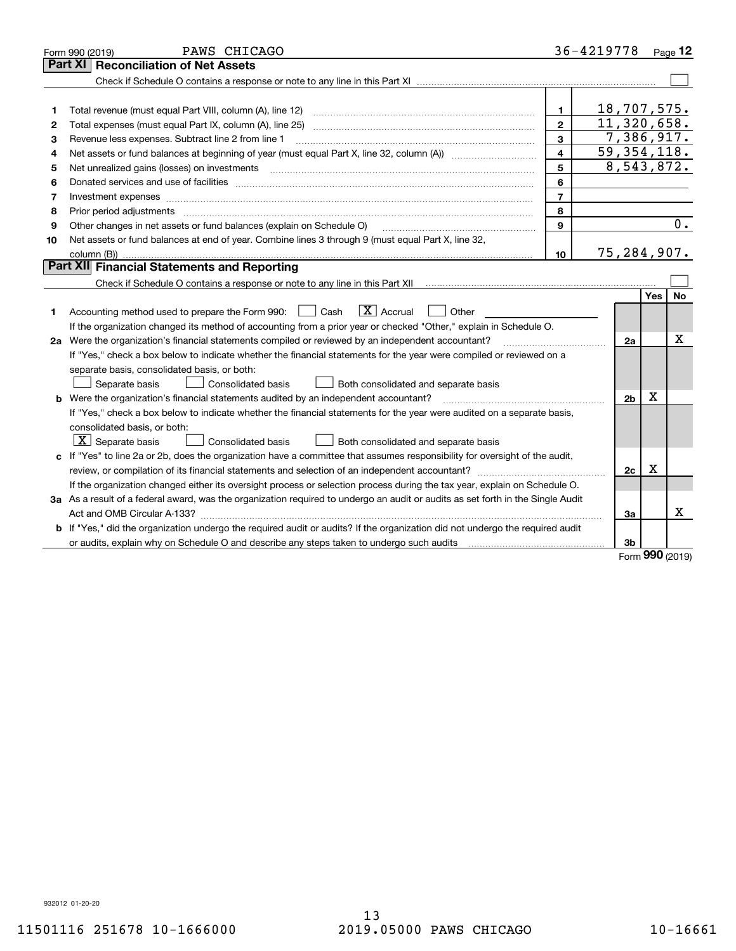|    | PAWS CHICAGO<br>Form 990 (2019)                                                                                                 |                | 36-4219778                |            | Page 12 |
|----|---------------------------------------------------------------------------------------------------------------------------------|----------------|---------------------------|------------|---------|
|    | Part XI<br><b>Reconciliation of Net Assets</b>                                                                                  |                |                           |            |         |
|    |                                                                                                                                 |                |                           |            |         |
|    |                                                                                                                                 |                |                           |            |         |
| 1  | Total revenue (must equal Part VIII, column (A), line 12)                                                                       | 1              | 18,707,575.               |            |         |
| 2  | Total expenses (must equal Part IX, column (A), line 25)                                                                        | $\mathbf{2}$   | $\overline{11,320,658}$ . |            |         |
| з  | Revenue less expenses. Subtract line 2 from line 1                                                                              | 3              | 7,386,917.                |            |         |
| 4  |                                                                                                                                 | 4              | $\overline{59,354,118.}$  |            |         |
| 5  |                                                                                                                                 | 5              | 8,543,872.                |            |         |
| 6  |                                                                                                                                 | 6              |                           |            |         |
| 7  | Investment expenses www.communication.com/www.communication.com/www.communication.com/www.com                                   | $\overline{7}$ |                           |            |         |
| 8  | Prior period adjustments                                                                                                        | 8              |                           |            |         |
| 9  | Other changes in net assets or fund balances (explain on Schedule O)                                                            | 9              |                           |            | 0.      |
| 10 | Net assets or fund balances at end of year. Combine lines 3 through 9 (must equal Part X, line 32,                              |                |                           |            |         |
|    |                                                                                                                                 | 10             | 75,284,907.               |            |         |
|    | Part XII Financial Statements and Reporting                                                                                     |                |                           |            |         |
|    |                                                                                                                                 |                |                           |            |         |
|    |                                                                                                                                 |                |                           | <b>Yes</b> | No      |
| 1  | $\boxed{\mathbf{X}}$ Accrual<br>Accounting method used to prepare the Form 990: <u>[</u> Cash<br>Other                          |                |                           |            |         |
|    | If the organization changed its method of accounting from a prior year or checked "Other," explain in Schedule O.               |                |                           |            |         |
|    | 2a Were the organization's financial statements compiled or reviewed by an independent accountant?                              |                | 2a                        |            | х       |
|    | If "Yes," check a box below to indicate whether the financial statements for the year were compiled or reviewed on a            |                |                           |            |         |
|    | separate basis, consolidated basis, or both:                                                                                    |                |                           |            |         |
|    | Both consolidated and separate basis<br>Separate basis<br>Consolidated basis                                                    |                |                           |            |         |
|    | <b>b</b> Were the organization's financial statements audited by an independent accountant?                                     |                | 2 <sub>b</sub>            | х          |         |
|    | If "Yes," check a box below to indicate whether the financial statements for the year were audited on a separate basis,         |                |                           |            |         |
|    | consolidated basis, or both:                                                                                                    |                |                           |            |         |
|    | $\vert$ X $\vert$ Separate basis<br>Consolidated basis<br>Both consolidated and separate basis                                  |                |                           |            |         |
|    | c If "Yes" to line 2a or 2b, does the organization have a committee that assumes responsibility for oversight of the audit,     |                |                           |            |         |
|    |                                                                                                                                 |                | 2c                        | х          |         |
|    | If the organization changed either its oversight process or selection process during the tax year, explain on Schedule O.       |                |                           |            |         |
|    | 3a As a result of a federal award, was the organization required to undergo an audit or audits as set forth in the Single Audit |                |                           |            |         |
|    |                                                                                                                                 |                | За                        |            | X       |
|    | b If "Yes," did the organization undergo the required audit or audits? If the organization did not undergo the required audit   |                |                           |            |         |
|    |                                                                                                                                 |                | 3b                        | nnn.       |         |

Form (2019) **990**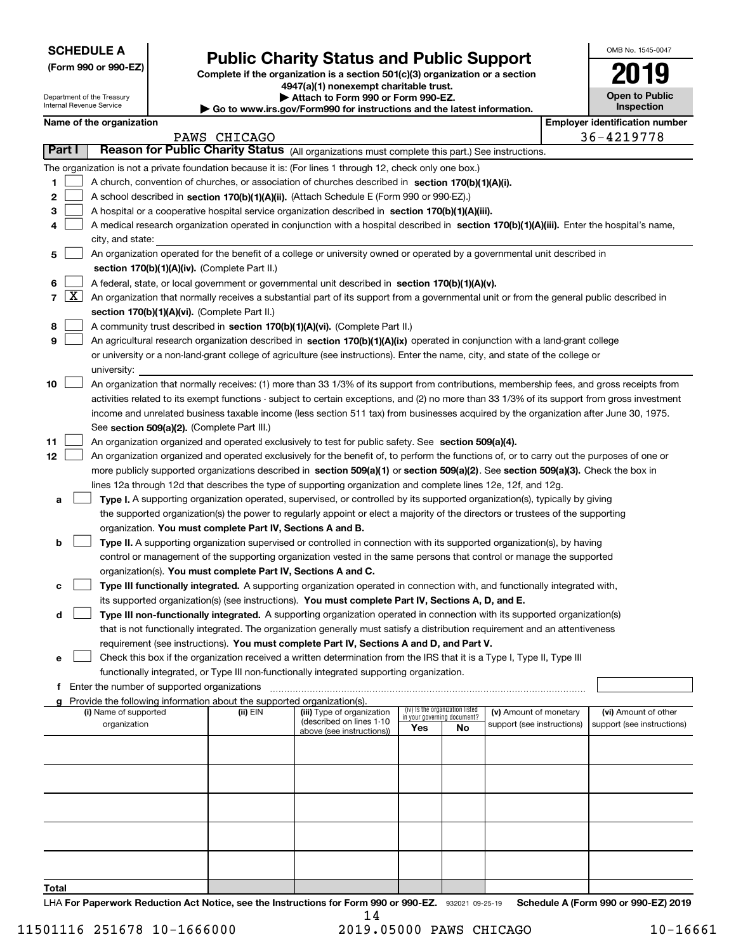| <b>SCHEDULE A</b> |  |
|-------------------|--|
|-------------------|--|

**(Form 990 or 990-EZ)**

# **Public Charity Status and Public Support**

**Complete if the organization is a section 501(c)(3) organization or a section 4947(a)(1) nonexempt charitable trust. | Attach to Form 990 or Form 990-EZ.** 

| ⋅ Go to www.irs.gov/Form990 for instructions and the latest information. |  |
|--------------------------------------------------------------------------|--|
|--------------------------------------------------------------------------|--|

| OMB No. 1545-0047     |
|-----------------------|
| 2019                  |
| <b>Open to Public</b> |

|        |                     | Department of the Treasury<br>Internal Revenue Service |                                             |                                                                        | ▶ Attach to Form 990 or Form 990-EZ.<br>Go to www.irs.gov/Form990 for instructions and the latest information.                                |     |                                                                |                            | <b>Open to Public</b><br><b>Inspection</b> |
|--------|---------------------|--------------------------------------------------------|---------------------------------------------|------------------------------------------------------------------------|-----------------------------------------------------------------------------------------------------------------------------------------------|-----|----------------------------------------------------------------|----------------------------|--------------------------------------------|
|        |                     | Name of the organization                               |                                             |                                                                        |                                                                                                                                               |     |                                                                |                            | <b>Employer identification number</b>      |
|        |                     |                                                        |                                             | PAWS CHICAGO                                                           |                                                                                                                                               |     |                                                                |                            | 36-4219778                                 |
| Part I |                     |                                                        |                                             |                                                                        | Reason for Public Charity Status (All organizations must complete this part.) See instructions.                                               |     |                                                                |                            |                                            |
|        |                     |                                                        |                                             |                                                                        | The organization is not a private foundation because it is: (For lines 1 through 12, check only one box.)                                     |     |                                                                |                            |                                            |
| 1      |                     |                                                        |                                             |                                                                        | A church, convention of churches, or association of churches described in section 170(b)(1)(A)(i).                                            |     |                                                                |                            |                                            |
| 2      |                     |                                                        |                                             |                                                                        | A school described in section 170(b)(1)(A)(ii). (Attach Schedule E (Form 990 or 990-EZ).)                                                     |     |                                                                |                            |                                            |
| з      |                     |                                                        |                                             |                                                                        |                                                                                                                                               |     |                                                                |                            |                                            |
|        |                     |                                                        |                                             |                                                                        | A hospital or a cooperative hospital service organization described in section 170(b)(1)(A)(iii).                                             |     |                                                                |                            |                                            |
| 4      |                     |                                                        |                                             |                                                                        | A medical research organization operated in conjunction with a hospital described in section 170(b)(1)(A)(iii). Enter the hospital's name,    |     |                                                                |                            |                                            |
|        |                     | city, and state:                                       |                                             |                                                                        | An organization operated for the benefit of a college or university owned or operated by a governmental unit described in                     |     |                                                                |                            |                                            |
| 5      |                     |                                                        |                                             | section 170(b)(1)(A)(iv). (Complete Part II.)                          |                                                                                                                                               |     |                                                                |                            |                                            |
| 6      |                     |                                                        |                                             |                                                                        | A federal, state, or local government or governmental unit described in section 170(b)(1)(A)(v).                                              |     |                                                                |                            |                                            |
|        | $\lfloor x \rfloor$ |                                                        |                                             |                                                                        |                                                                                                                                               |     |                                                                |                            |                                            |
| 7      |                     |                                                        |                                             |                                                                        | An organization that normally receives a substantial part of its support from a governmental unit or from the general public described in     |     |                                                                |                            |                                            |
|        |                     |                                                        |                                             | section 170(b)(1)(A)(vi). (Complete Part II.)                          |                                                                                                                                               |     |                                                                |                            |                                            |
| 8      |                     |                                                        |                                             |                                                                        | A community trust described in section 170(b)(1)(A)(vi). (Complete Part II.)                                                                  |     |                                                                |                            |                                            |
| 9      |                     |                                                        |                                             |                                                                        | An agricultural research organization described in section 170(b)(1)(A)(ix) operated in conjunction with a land-grant college                 |     |                                                                |                            |                                            |
|        |                     |                                                        |                                             |                                                                        | or university or a non-land-grant college of agriculture (see instructions). Enter the name, city, and state of the college or                |     |                                                                |                            |                                            |
| 10     |                     | university:                                            |                                             |                                                                        | An organization that normally receives: (1) more than 33 1/3% of its support from contributions, membership fees, and gross receipts from     |     |                                                                |                            |                                            |
|        |                     |                                                        |                                             |                                                                        | activities related to its exempt functions - subject to certain exceptions, and (2) no more than 33 1/3% of its support from gross investment |     |                                                                |                            |                                            |
|        |                     |                                                        |                                             |                                                                        | income and unrelated business taxable income (less section 511 tax) from businesses acquired by the organization after June 30, 1975.         |     |                                                                |                            |                                            |
|        |                     |                                                        |                                             | See section 509(a)(2). (Complete Part III.)                            |                                                                                                                                               |     |                                                                |                            |                                            |
| 11     |                     |                                                        |                                             |                                                                        | An organization organized and operated exclusively to test for public safety. See section 509(a)(4).                                          |     |                                                                |                            |                                            |
| 12     |                     |                                                        |                                             |                                                                        | An organization organized and operated exclusively for the benefit of, to perform the functions of, or to carry out the purposes of one or    |     |                                                                |                            |                                            |
|        |                     |                                                        |                                             |                                                                        | more publicly supported organizations described in section 509(a)(1) or section 509(a)(2). See section 509(a)(3). Check the box in            |     |                                                                |                            |                                            |
|        |                     |                                                        |                                             |                                                                        | lines 12a through 12d that describes the type of supporting organization and complete lines 12e, 12f, and 12g.                                |     |                                                                |                            |                                            |
| а      |                     |                                                        |                                             |                                                                        | Type I. A supporting organization operated, supervised, or controlled by its supported organization(s), typically by giving                   |     |                                                                |                            |                                            |
|        |                     |                                                        |                                             |                                                                        | the supported organization(s) the power to regularly appoint or elect a majority of the directors or trustees of the supporting               |     |                                                                |                            |                                            |
|        |                     |                                                        |                                             | organization. You must complete Part IV, Sections A and B.             |                                                                                                                                               |     |                                                                |                            |                                            |
| b      |                     |                                                        |                                             |                                                                        | Type II. A supporting organization supervised or controlled in connection with its supported organization(s), by having                       |     |                                                                |                            |                                            |
|        |                     |                                                        |                                             |                                                                        | control or management of the supporting organization vested in the same persons that control or manage the supported                          |     |                                                                |                            |                                            |
|        |                     |                                                        |                                             | organization(s). You must complete Part IV, Sections A and C.          |                                                                                                                                               |     |                                                                |                            |                                            |
| с      |                     |                                                        |                                             |                                                                        | Type III functionally integrated. A supporting organization operated in connection with, and functionally integrated with,                    |     |                                                                |                            |                                            |
|        |                     |                                                        |                                             |                                                                        | its supported organization(s) (see instructions). You must complete Part IV, Sections A, D, and E.                                            |     |                                                                |                            |                                            |
| d      |                     |                                                        |                                             |                                                                        | Type III non-functionally integrated. A supporting organization operated in connection with its supported organization(s)                     |     |                                                                |                            |                                            |
|        |                     |                                                        |                                             |                                                                        | that is not functionally integrated. The organization generally must satisfy a distribution requirement and an attentiveness                  |     |                                                                |                            |                                            |
|        |                     |                                                        |                                             |                                                                        | requirement (see instructions). You must complete Part IV, Sections A and D, and Part V.                                                      |     |                                                                |                            |                                            |
| е      |                     |                                                        |                                             |                                                                        | Check this box if the organization received a written determination from the IRS that it is a Type I, Type II, Type III                       |     |                                                                |                            |                                            |
|        |                     |                                                        |                                             |                                                                        | functionally integrated, or Type III non-functionally integrated supporting organization.                                                     |     |                                                                |                            |                                            |
| f.     |                     |                                                        | Enter the number of supported organizations |                                                                        |                                                                                                                                               |     |                                                                |                            |                                            |
|        |                     |                                                        |                                             | Provide the following information about the supported organization(s). |                                                                                                                                               |     |                                                                |                            |                                            |
|        |                     | (i) Name of supported                                  |                                             | (ii) EIN                                                               | (iii) Type of organization                                                                                                                    |     | (iv) Is the organization listed<br>in your governing document? | (v) Amount of monetary     | (vi) Amount of other                       |
|        |                     | organization                                           |                                             |                                                                        | (described on lines 1-10<br>above (see instructions))                                                                                         | Yes | No                                                             | support (see instructions) | support (see instructions)                 |
|        |                     |                                                        |                                             |                                                                        |                                                                                                                                               |     |                                                                |                            |                                            |
|        |                     |                                                        |                                             |                                                                        |                                                                                                                                               |     |                                                                |                            |                                            |
|        |                     |                                                        |                                             |                                                                        |                                                                                                                                               |     |                                                                |                            |                                            |
|        |                     |                                                        |                                             |                                                                        |                                                                                                                                               |     |                                                                |                            |                                            |
|        |                     |                                                        |                                             |                                                                        |                                                                                                                                               |     |                                                                |                            |                                            |
|        |                     |                                                        |                                             |                                                                        |                                                                                                                                               |     |                                                                |                            |                                            |
|        |                     |                                                        |                                             |                                                                        |                                                                                                                                               |     |                                                                |                            |                                            |
|        |                     |                                                        |                                             |                                                                        |                                                                                                                                               |     |                                                                |                            |                                            |
|        |                     |                                                        |                                             |                                                                        |                                                                                                                                               |     |                                                                |                            |                                            |
|        |                     |                                                        |                                             |                                                                        |                                                                                                                                               |     |                                                                |                            |                                            |

LHA For Paperwork Reduction Act Notice, see the Instructions for Form 990 or 990-EZ. 932021 09-25-19 Schedule A (Form 990 or 990-EZ) 2019 14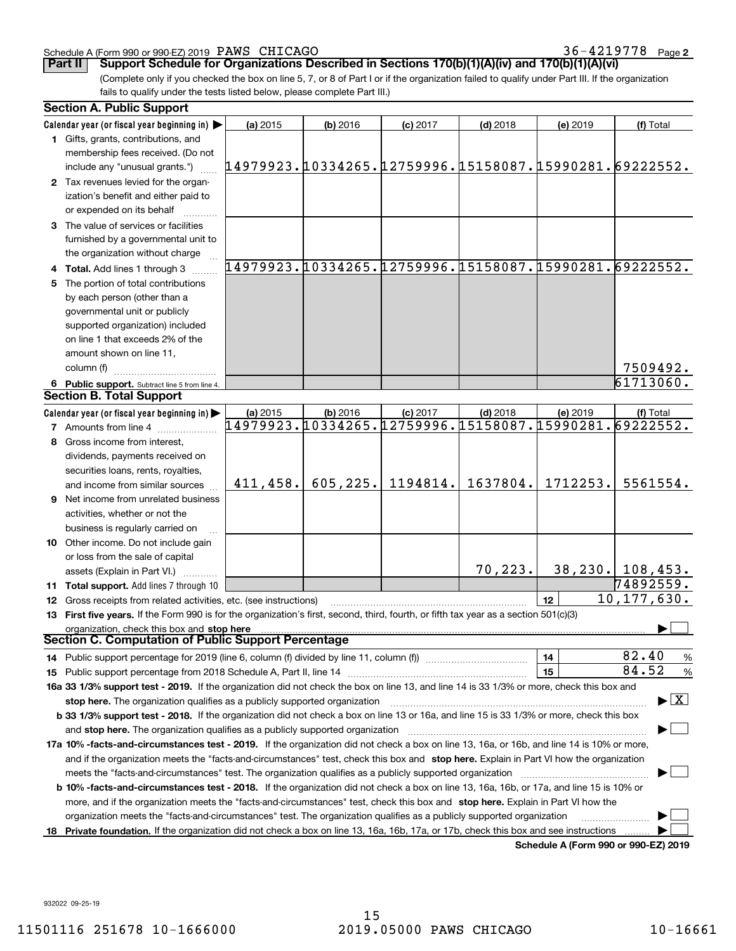#### Schedule A (Form 990 or 990-EZ) 2019 Page PAWS CHICAGO 36-4219778

36-4219778 Page 2

(Complete only if you checked the box on line 5, 7, or 8 of Part I or if the organization failed to qualify under Part III. If the organization fails to qualify under the tests listed below, please complete Part III.) **Part II Support Schedule for Organizations Described in Sections 170(b)(1)(A)(iv) and 170(b)(1)(A)(vi)**

| Calendar year (or fiscal year beginning in)<br>(a) 2015<br>(b) 2016<br>$(c)$ 2017<br>$(d)$ 2018<br>(e) 2019<br>(f) Total<br>1 Gifts, grants, contributions, and<br>membership fees received. (Do not<br>14979923.10334265.12759996.15158087.15990281.69222552.<br>include any "unusual grants.")<br>2 Tax revenues levied for the organ-<br>ization's benefit and either paid to<br>or expended on its behalf<br>3 The value of services or facilities<br>furnished by a governmental unit to<br>the organization without charge<br>14979923.10334265.12759996.15158087.15990281.69222552.<br>4 Total. Add lines 1 through 3<br>The portion of total contributions<br>by each person (other than a<br>governmental unit or publicly<br>supported organization) included<br>on line 1 that exceeds 2% of the<br>amount shown on line 11,<br>7509492.<br>column (f)<br>61713060.<br>6 Public support. Subtract line 5 from line 4.<br><b>Section B. Total Support</b><br>Calendar year (or fiscal year beginning in)<br>(a) 2015<br>(b) 2016<br>$(c)$ 2017<br>$(d)$ 2018<br>(e) 2019<br>(f) Total<br>14979923.10334265.12759996.15158087.15990281.69222552.<br><b>7</b> Amounts from line 4<br>Gross income from interest,<br>8<br>dividends, payments received on<br>securities loans, rents, royalties,<br>605, 225.<br>1194814.<br>1637804.<br>1712253.<br>5561554.<br>411,458.<br>and income from similar sources<br>Net income from unrelated business<br>9<br>activities, whether or not the<br>business is regularly carried on<br><b>10</b> Other income. Do not include gain<br>or loss from the sale of capital<br>70,223.<br>$38, 230.$   108,453.<br>assets (Explain in Part VI.)<br>74892559.<br>11 Total support. Add lines 7 through 10<br>10, 177, 630.<br>12<br>12 Gross receipts from related activities, etc. (see instructions)<br>13 First five years. If the Form 990 is for the organization's first, second, third, fourth, or fifth tax year as a section 501(c)(3)<br>organization, check this box and stop here<br><b>Section C. Computation of Public Support Percentage</b><br>82.40<br>14<br>$\frac{9}{6}$<br>14 Public support percentage for 2019 (line 6, column (f) divided by line 11, column (f) <i>mummumumum</i><br>84.52<br>15<br>$\frac{9}{6}$<br>16a 33 1/3% support test - 2019. If the organization did not check the box on line 13, and line 14 is 33 1/3% or more, check this box and<br>$\blacktriangleright$ $\boxed{\text{X}}$<br>stop here. The organization qualifies as a publicly supported organization<br>b 33 1/3% support test - 2018. If the organization did not check a box on line 13 or 16a, and line 15 is 33 1/3% or more, check this box<br>and stop here. The organization qualifies as a publicly supported organization<br>17a 10% -facts-and-circumstances test - 2019. If the organization did not check a box on line 13, 16a, or 16b, and line 14 is 10% or more,<br>and if the organization meets the "facts-and-circumstances" test, check this box and stop here. Explain in Part VI how the organization<br>meets the "facts-and-circumstances" test. The organization qualifies as a publicly supported organization<br><b>b 10% -facts-and-circumstances test - 2018.</b> If the organization did not check a box on line 13, 16a, 16b, or 17a, and line 15 is 10% or<br>more, and if the organization meets the "facts-and-circumstances" test, check this box and stop here. Explain in Part VI how the<br>organization meets the "facts-and-circumstances" test. The organization qualifies as a publicly supported organization<br>18 Private foundation. If the organization did not check a box on line 13, 16a, 16b, 17a, or 17b, check this box and see instructions | <b>Section A. Public Support</b> |  |  |  |
|----------------------------------------------------------------------------------------------------------------------------------------------------------------------------------------------------------------------------------------------------------------------------------------------------------------------------------------------------------------------------------------------------------------------------------------------------------------------------------------------------------------------------------------------------------------------------------------------------------------------------------------------------------------------------------------------------------------------------------------------------------------------------------------------------------------------------------------------------------------------------------------------------------------------------------------------------------------------------------------------------------------------------------------------------------------------------------------------------------------------------------------------------------------------------------------------------------------------------------------------------------------------------------------------------------------------------------------------------------------------------------------------------------------------------------------------------------------------------------------------------------------------------------------------------------------------------------------------------------------------------------------------------------------------------------------------------------------------------------------------------------------------------------------------------------------------------------------------------------------------------------------------------------------------------------------------------------------------------------------------------------------------------------------------------------------------------------------------------------------------------------------------------------------------------------------------------------------------------------------------------------------------------------------------------------------------------------------------------------------------------------------------------------------------------------------------------------------------------------------------------------------------------------------------------------------------------------------------------------------------------------------------------------------------------------------------------------------------------------------------------------------------------------------------------------------------------------------------------------------------------------------------------------------------------------------------------------------------------------------------------------------------------------------------------------------------------------------------------------------------------------------------------------------------------------------------------------------------------------------------------------------------------------------------------------------------------------------------------------------------------------------------------------------------------------------------------------------------------------------------------------------------------------------------------------------------------------------------------------------------------------------------------------------------------------------------------------------------------------------------------------|----------------------------------|--|--|--|
|                                                                                                                                                                                                                                                                                                                                                                                                                                                                                                                                                                                                                                                                                                                                                                                                                                                                                                                                                                                                                                                                                                                                                                                                                                                                                                                                                                                                                                                                                                                                                                                                                                                                                                                                                                                                                                                                                                                                                                                                                                                                                                                                                                                                                                                                                                                                                                                                                                                                                                                                                                                                                                                                                                                                                                                                                                                                                                                                                                                                                                                                                                                                                                                                                                                                                                                                                                                                                                                                                                                                                                                                                                                                                                                                                          |                                  |  |  |  |
|                                                                                                                                                                                                                                                                                                                                                                                                                                                                                                                                                                                                                                                                                                                                                                                                                                                                                                                                                                                                                                                                                                                                                                                                                                                                                                                                                                                                                                                                                                                                                                                                                                                                                                                                                                                                                                                                                                                                                                                                                                                                                                                                                                                                                                                                                                                                                                                                                                                                                                                                                                                                                                                                                                                                                                                                                                                                                                                                                                                                                                                                                                                                                                                                                                                                                                                                                                                                                                                                                                                                                                                                                                                                                                                                                          |                                  |  |  |  |
|                                                                                                                                                                                                                                                                                                                                                                                                                                                                                                                                                                                                                                                                                                                                                                                                                                                                                                                                                                                                                                                                                                                                                                                                                                                                                                                                                                                                                                                                                                                                                                                                                                                                                                                                                                                                                                                                                                                                                                                                                                                                                                                                                                                                                                                                                                                                                                                                                                                                                                                                                                                                                                                                                                                                                                                                                                                                                                                                                                                                                                                                                                                                                                                                                                                                                                                                                                                                                                                                                                                                                                                                                                                                                                                                                          |                                  |  |  |  |
|                                                                                                                                                                                                                                                                                                                                                                                                                                                                                                                                                                                                                                                                                                                                                                                                                                                                                                                                                                                                                                                                                                                                                                                                                                                                                                                                                                                                                                                                                                                                                                                                                                                                                                                                                                                                                                                                                                                                                                                                                                                                                                                                                                                                                                                                                                                                                                                                                                                                                                                                                                                                                                                                                                                                                                                                                                                                                                                                                                                                                                                                                                                                                                                                                                                                                                                                                                                                                                                                                                                                                                                                                                                                                                                                                          |                                  |  |  |  |
|                                                                                                                                                                                                                                                                                                                                                                                                                                                                                                                                                                                                                                                                                                                                                                                                                                                                                                                                                                                                                                                                                                                                                                                                                                                                                                                                                                                                                                                                                                                                                                                                                                                                                                                                                                                                                                                                                                                                                                                                                                                                                                                                                                                                                                                                                                                                                                                                                                                                                                                                                                                                                                                                                                                                                                                                                                                                                                                                                                                                                                                                                                                                                                                                                                                                                                                                                                                                                                                                                                                                                                                                                                                                                                                                                          |                                  |  |  |  |
|                                                                                                                                                                                                                                                                                                                                                                                                                                                                                                                                                                                                                                                                                                                                                                                                                                                                                                                                                                                                                                                                                                                                                                                                                                                                                                                                                                                                                                                                                                                                                                                                                                                                                                                                                                                                                                                                                                                                                                                                                                                                                                                                                                                                                                                                                                                                                                                                                                                                                                                                                                                                                                                                                                                                                                                                                                                                                                                                                                                                                                                                                                                                                                                                                                                                                                                                                                                                                                                                                                                                                                                                                                                                                                                                                          |                                  |  |  |  |
|                                                                                                                                                                                                                                                                                                                                                                                                                                                                                                                                                                                                                                                                                                                                                                                                                                                                                                                                                                                                                                                                                                                                                                                                                                                                                                                                                                                                                                                                                                                                                                                                                                                                                                                                                                                                                                                                                                                                                                                                                                                                                                                                                                                                                                                                                                                                                                                                                                                                                                                                                                                                                                                                                                                                                                                                                                                                                                                                                                                                                                                                                                                                                                                                                                                                                                                                                                                                                                                                                                                                                                                                                                                                                                                                                          |                                  |  |  |  |
|                                                                                                                                                                                                                                                                                                                                                                                                                                                                                                                                                                                                                                                                                                                                                                                                                                                                                                                                                                                                                                                                                                                                                                                                                                                                                                                                                                                                                                                                                                                                                                                                                                                                                                                                                                                                                                                                                                                                                                                                                                                                                                                                                                                                                                                                                                                                                                                                                                                                                                                                                                                                                                                                                                                                                                                                                                                                                                                                                                                                                                                                                                                                                                                                                                                                                                                                                                                                                                                                                                                                                                                                                                                                                                                                                          |                                  |  |  |  |
|                                                                                                                                                                                                                                                                                                                                                                                                                                                                                                                                                                                                                                                                                                                                                                                                                                                                                                                                                                                                                                                                                                                                                                                                                                                                                                                                                                                                                                                                                                                                                                                                                                                                                                                                                                                                                                                                                                                                                                                                                                                                                                                                                                                                                                                                                                                                                                                                                                                                                                                                                                                                                                                                                                                                                                                                                                                                                                                                                                                                                                                                                                                                                                                                                                                                                                                                                                                                                                                                                                                                                                                                                                                                                                                                                          |                                  |  |  |  |
|                                                                                                                                                                                                                                                                                                                                                                                                                                                                                                                                                                                                                                                                                                                                                                                                                                                                                                                                                                                                                                                                                                                                                                                                                                                                                                                                                                                                                                                                                                                                                                                                                                                                                                                                                                                                                                                                                                                                                                                                                                                                                                                                                                                                                                                                                                                                                                                                                                                                                                                                                                                                                                                                                                                                                                                                                                                                                                                                                                                                                                                                                                                                                                                                                                                                                                                                                                                                                                                                                                                                                                                                                                                                                                                                                          |                                  |  |  |  |
|                                                                                                                                                                                                                                                                                                                                                                                                                                                                                                                                                                                                                                                                                                                                                                                                                                                                                                                                                                                                                                                                                                                                                                                                                                                                                                                                                                                                                                                                                                                                                                                                                                                                                                                                                                                                                                                                                                                                                                                                                                                                                                                                                                                                                                                                                                                                                                                                                                                                                                                                                                                                                                                                                                                                                                                                                                                                                                                                                                                                                                                                                                                                                                                                                                                                                                                                                                                                                                                                                                                                                                                                                                                                                                                                                          |                                  |  |  |  |
|                                                                                                                                                                                                                                                                                                                                                                                                                                                                                                                                                                                                                                                                                                                                                                                                                                                                                                                                                                                                                                                                                                                                                                                                                                                                                                                                                                                                                                                                                                                                                                                                                                                                                                                                                                                                                                                                                                                                                                                                                                                                                                                                                                                                                                                                                                                                                                                                                                                                                                                                                                                                                                                                                                                                                                                                                                                                                                                                                                                                                                                                                                                                                                                                                                                                                                                                                                                                                                                                                                                                                                                                                                                                                                                                                          |                                  |  |  |  |
|                                                                                                                                                                                                                                                                                                                                                                                                                                                                                                                                                                                                                                                                                                                                                                                                                                                                                                                                                                                                                                                                                                                                                                                                                                                                                                                                                                                                                                                                                                                                                                                                                                                                                                                                                                                                                                                                                                                                                                                                                                                                                                                                                                                                                                                                                                                                                                                                                                                                                                                                                                                                                                                                                                                                                                                                                                                                                                                                                                                                                                                                                                                                                                                                                                                                                                                                                                                                                                                                                                                                                                                                                                                                                                                                                          |                                  |  |  |  |
|                                                                                                                                                                                                                                                                                                                                                                                                                                                                                                                                                                                                                                                                                                                                                                                                                                                                                                                                                                                                                                                                                                                                                                                                                                                                                                                                                                                                                                                                                                                                                                                                                                                                                                                                                                                                                                                                                                                                                                                                                                                                                                                                                                                                                                                                                                                                                                                                                                                                                                                                                                                                                                                                                                                                                                                                                                                                                                                                                                                                                                                                                                                                                                                                                                                                                                                                                                                                                                                                                                                                                                                                                                                                                                                                                          |                                  |  |  |  |
|                                                                                                                                                                                                                                                                                                                                                                                                                                                                                                                                                                                                                                                                                                                                                                                                                                                                                                                                                                                                                                                                                                                                                                                                                                                                                                                                                                                                                                                                                                                                                                                                                                                                                                                                                                                                                                                                                                                                                                                                                                                                                                                                                                                                                                                                                                                                                                                                                                                                                                                                                                                                                                                                                                                                                                                                                                                                                                                                                                                                                                                                                                                                                                                                                                                                                                                                                                                                                                                                                                                                                                                                                                                                                                                                                          |                                  |  |  |  |
|                                                                                                                                                                                                                                                                                                                                                                                                                                                                                                                                                                                                                                                                                                                                                                                                                                                                                                                                                                                                                                                                                                                                                                                                                                                                                                                                                                                                                                                                                                                                                                                                                                                                                                                                                                                                                                                                                                                                                                                                                                                                                                                                                                                                                                                                                                                                                                                                                                                                                                                                                                                                                                                                                                                                                                                                                                                                                                                                                                                                                                                                                                                                                                                                                                                                                                                                                                                                                                                                                                                                                                                                                                                                                                                                                          |                                  |  |  |  |
|                                                                                                                                                                                                                                                                                                                                                                                                                                                                                                                                                                                                                                                                                                                                                                                                                                                                                                                                                                                                                                                                                                                                                                                                                                                                                                                                                                                                                                                                                                                                                                                                                                                                                                                                                                                                                                                                                                                                                                                                                                                                                                                                                                                                                                                                                                                                                                                                                                                                                                                                                                                                                                                                                                                                                                                                                                                                                                                                                                                                                                                                                                                                                                                                                                                                                                                                                                                                                                                                                                                                                                                                                                                                                                                                                          |                                  |  |  |  |
|                                                                                                                                                                                                                                                                                                                                                                                                                                                                                                                                                                                                                                                                                                                                                                                                                                                                                                                                                                                                                                                                                                                                                                                                                                                                                                                                                                                                                                                                                                                                                                                                                                                                                                                                                                                                                                                                                                                                                                                                                                                                                                                                                                                                                                                                                                                                                                                                                                                                                                                                                                                                                                                                                                                                                                                                                                                                                                                                                                                                                                                                                                                                                                                                                                                                                                                                                                                                                                                                                                                                                                                                                                                                                                                                                          |                                  |  |  |  |
|                                                                                                                                                                                                                                                                                                                                                                                                                                                                                                                                                                                                                                                                                                                                                                                                                                                                                                                                                                                                                                                                                                                                                                                                                                                                                                                                                                                                                                                                                                                                                                                                                                                                                                                                                                                                                                                                                                                                                                                                                                                                                                                                                                                                                                                                                                                                                                                                                                                                                                                                                                                                                                                                                                                                                                                                                                                                                                                                                                                                                                                                                                                                                                                                                                                                                                                                                                                                                                                                                                                                                                                                                                                                                                                                                          |                                  |  |  |  |
|                                                                                                                                                                                                                                                                                                                                                                                                                                                                                                                                                                                                                                                                                                                                                                                                                                                                                                                                                                                                                                                                                                                                                                                                                                                                                                                                                                                                                                                                                                                                                                                                                                                                                                                                                                                                                                                                                                                                                                                                                                                                                                                                                                                                                                                                                                                                                                                                                                                                                                                                                                                                                                                                                                                                                                                                                                                                                                                                                                                                                                                                                                                                                                                                                                                                                                                                                                                                                                                                                                                                                                                                                                                                                                                                                          |                                  |  |  |  |
|                                                                                                                                                                                                                                                                                                                                                                                                                                                                                                                                                                                                                                                                                                                                                                                                                                                                                                                                                                                                                                                                                                                                                                                                                                                                                                                                                                                                                                                                                                                                                                                                                                                                                                                                                                                                                                                                                                                                                                                                                                                                                                                                                                                                                                                                                                                                                                                                                                                                                                                                                                                                                                                                                                                                                                                                                                                                                                                                                                                                                                                                                                                                                                                                                                                                                                                                                                                                                                                                                                                                                                                                                                                                                                                                                          |                                  |  |  |  |
|                                                                                                                                                                                                                                                                                                                                                                                                                                                                                                                                                                                                                                                                                                                                                                                                                                                                                                                                                                                                                                                                                                                                                                                                                                                                                                                                                                                                                                                                                                                                                                                                                                                                                                                                                                                                                                                                                                                                                                                                                                                                                                                                                                                                                                                                                                                                                                                                                                                                                                                                                                                                                                                                                                                                                                                                                                                                                                                                                                                                                                                                                                                                                                                                                                                                                                                                                                                                                                                                                                                                                                                                                                                                                                                                                          |                                  |  |  |  |
|                                                                                                                                                                                                                                                                                                                                                                                                                                                                                                                                                                                                                                                                                                                                                                                                                                                                                                                                                                                                                                                                                                                                                                                                                                                                                                                                                                                                                                                                                                                                                                                                                                                                                                                                                                                                                                                                                                                                                                                                                                                                                                                                                                                                                                                                                                                                                                                                                                                                                                                                                                                                                                                                                                                                                                                                                                                                                                                                                                                                                                                                                                                                                                                                                                                                                                                                                                                                                                                                                                                                                                                                                                                                                                                                                          |                                  |  |  |  |
|                                                                                                                                                                                                                                                                                                                                                                                                                                                                                                                                                                                                                                                                                                                                                                                                                                                                                                                                                                                                                                                                                                                                                                                                                                                                                                                                                                                                                                                                                                                                                                                                                                                                                                                                                                                                                                                                                                                                                                                                                                                                                                                                                                                                                                                                                                                                                                                                                                                                                                                                                                                                                                                                                                                                                                                                                                                                                                                                                                                                                                                                                                                                                                                                                                                                                                                                                                                                                                                                                                                                                                                                                                                                                                                                                          |                                  |  |  |  |
|                                                                                                                                                                                                                                                                                                                                                                                                                                                                                                                                                                                                                                                                                                                                                                                                                                                                                                                                                                                                                                                                                                                                                                                                                                                                                                                                                                                                                                                                                                                                                                                                                                                                                                                                                                                                                                                                                                                                                                                                                                                                                                                                                                                                                                                                                                                                                                                                                                                                                                                                                                                                                                                                                                                                                                                                                                                                                                                                                                                                                                                                                                                                                                                                                                                                                                                                                                                                                                                                                                                                                                                                                                                                                                                                                          |                                  |  |  |  |
|                                                                                                                                                                                                                                                                                                                                                                                                                                                                                                                                                                                                                                                                                                                                                                                                                                                                                                                                                                                                                                                                                                                                                                                                                                                                                                                                                                                                                                                                                                                                                                                                                                                                                                                                                                                                                                                                                                                                                                                                                                                                                                                                                                                                                                                                                                                                                                                                                                                                                                                                                                                                                                                                                                                                                                                                                                                                                                                                                                                                                                                                                                                                                                                                                                                                                                                                                                                                                                                                                                                                                                                                                                                                                                                                                          |                                  |  |  |  |
|                                                                                                                                                                                                                                                                                                                                                                                                                                                                                                                                                                                                                                                                                                                                                                                                                                                                                                                                                                                                                                                                                                                                                                                                                                                                                                                                                                                                                                                                                                                                                                                                                                                                                                                                                                                                                                                                                                                                                                                                                                                                                                                                                                                                                                                                                                                                                                                                                                                                                                                                                                                                                                                                                                                                                                                                                                                                                                                                                                                                                                                                                                                                                                                                                                                                                                                                                                                                                                                                                                                                                                                                                                                                                                                                                          |                                  |  |  |  |
|                                                                                                                                                                                                                                                                                                                                                                                                                                                                                                                                                                                                                                                                                                                                                                                                                                                                                                                                                                                                                                                                                                                                                                                                                                                                                                                                                                                                                                                                                                                                                                                                                                                                                                                                                                                                                                                                                                                                                                                                                                                                                                                                                                                                                                                                                                                                                                                                                                                                                                                                                                                                                                                                                                                                                                                                                                                                                                                                                                                                                                                                                                                                                                                                                                                                                                                                                                                                                                                                                                                                                                                                                                                                                                                                                          |                                  |  |  |  |
|                                                                                                                                                                                                                                                                                                                                                                                                                                                                                                                                                                                                                                                                                                                                                                                                                                                                                                                                                                                                                                                                                                                                                                                                                                                                                                                                                                                                                                                                                                                                                                                                                                                                                                                                                                                                                                                                                                                                                                                                                                                                                                                                                                                                                                                                                                                                                                                                                                                                                                                                                                                                                                                                                                                                                                                                                                                                                                                                                                                                                                                                                                                                                                                                                                                                                                                                                                                                                                                                                                                                                                                                                                                                                                                                                          |                                  |  |  |  |
|                                                                                                                                                                                                                                                                                                                                                                                                                                                                                                                                                                                                                                                                                                                                                                                                                                                                                                                                                                                                                                                                                                                                                                                                                                                                                                                                                                                                                                                                                                                                                                                                                                                                                                                                                                                                                                                                                                                                                                                                                                                                                                                                                                                                                                                                                                                                                                                                                                                                                                                                                                                                                                                                                                                                                                                                                                                                                                                                                                                                                                                                                                                                                                                                                                                                                                                                                                                                                                                                                                                                                                                                                                                                                                                                                          |                                  |  |  |  |
|                                                                                                                                                                                                                                                                                                                                                                                                                                                                                                                                                                                                                                                                                                                                                                                                                                                                                                                                                                                                                                                                                                                                                                                                                                                                                                                                                                                                                                                                                                                                                                                                                                                                                                                                                                                                                                                                                                                                                                                                                                                                                                                                                                                                                                                                                                                                                                                                                                                                                                                                                                                                                                                                                                                                                                                                                                                                                                                                                                                                                                                                                                                                                                                                                                                                                                                                                                                                                                                                                                                                                                                                                                                                                                                                                          |                                  |  |  |  |
|                                                                                                                                                                                                                                                                                                                                                                                                                                                                                                                                                                                                                                                                                                                                                                                                                                                                                                                                                                                                                                                                                                                                                                                                                                                                                                                                                                                                                                                                                                                                                                                                                                                                                                                                                                                                                                                                                                                                                                                                                                                                                                                                                                                                                                                                                                                                                                                                                                                                                                                                                                                                                                                                                                                                                                                                                                                                                                                                                                                                                                                                                                                                                                                                                                                                                                                                                                                                                                                                                                                                                                                                                                                                                                                                                          |                                  |  |  |  |
|                                                                                                                                                                                                                                                                                                                                                                                                                                                                                                                                                                                                                                                                                                                                                                                                                                                                                                                                                                                                                                                                                                                                                                                                                                                                                                                                                                                                                                                                                                                                                                                                                                                                                                                                                                                                                                                                                                                                                                                                                                                                                                                                                                                                                                                                                                                                                                                                                                                                                                                                                                                                                                                                                                                                                                                                                                                                                                                                                                                                                                                                                                                                                                                                                                                                                                                                                                                                                                                                                                                                                                                                                                                                                                                                                          |                                  |  |  |  |
|                                                                                                                                                                                                                                                                                                                                                                                                                                                                                                                                                                                                                                                                                                                                                                                                                                                                                                                                                                                                                                                                                                                                                                                                                                                                                                                                                                                                                                                                                                                                                                                                                                                                                                                                                                                                                                                                                                                                                                                                                                                                                                                                                                                                                                                                                                                                                                                                                                                                                                                                                                                                                                                                                                                                                                                                                                                                                                                                                                                                                                                                                                                                                                                                                                                                                                                                                                                                                                                                                                                                                                                                                                                                                                                                                          |                                  |  |  |  |
|                                                                                                                                                                                                                                                                                                                                                                                                                                                                                                                                                                                                                                                                                                                                                                                                                                                                                                                                                                                                                                                                                                                                                                                                                                                                                                                                                                                                                                                                                                                                                                                                                                                                                                                                                                                                                                                                                                                                                                                                                                                                                                                                                                                                                                                                                                                                                                                                                                                                                                                                                                                                                                                                                                                                                                                                                                                                                                                                                                                                                                                                                                                                                                                                                                                                                                                                                                                                                                                                                                                                                                                                                                                                                                                                                          |                                  |  |  |  |
|                                                                                                                                                                                                                                                                                                                                                                                                                                                                                                                                                                                                                                                                                                                                                                                                                                                                                                                                                                                                                                                                                                                                                                                                                                                                                                                                                                                                                                                                                                                                                                                                                                                                                                                                                                                                                                                                                                                                                                                                                                                                                                                                                                                                                                                                                                                                                                                                                                                                                                                                                                                                                                                                                                                                                                                                                                                                                                                                                                                                                                                                                                                                                                                                                                                                                                                                                                                                                                                                                                                                                                                                                                                                                                                                                          |                                  |  |  |  |
|                                                                                                                                                                                                                                                                                                                                                                                                                                                                                                                                                                                                                                                                                                                                                                                                                                                                                                                                                                                                                                                                                                                                                                                                                                                                                                                                                                                                                                                                                                                                                                                                                                                                                                                                                                                                                                                                                                                                                                                                                                                                                                                                                                                                                                                                                                                                                                                                                                                                                                                                                                                                                                                                                                                                                                                                                                                                                                                                                                                                                                                                                                                                                                                                                                                                                                                                                                                                                                                                                                                                                                                                                                                                                                                                                          |                                  |  |  |  |
|                                                                                                                                                                                                                                                                                                                                                                                                                                                                                                                                                                                                                                                                                                                                                                                                                                                                                                                                                                                                                                                                                                                                                                                                                                                                                                                                                                                                                                                                                                                                                                                                                                                                                                                                                                                                                                                                                                                                                                                                                                                                                                                                                                                                                                                                                                                                                                                                                                                                                                                                                                                                                                                                                                                                                                                                                                                                                                                                                                                                                                                                                                                                                                                                                                                                                                                                                                                                                                                                                                                                                                                                                                                                                                                                                          |                                  |  |  |  |
|                                                                                                                                                                                                                                                                                                                                                                                                                                                                                                                                                                                                                                                                                                                                                                                                                                                                                                                                                                                                                                                                                                                                                                                                                                                                                                                                                                                                                                                                                                                                                                                                                                                                                                                                                                                                                                                                                                                                                                                                                                                                                                                                                                                                                                                                                                                                                                                                                                                                                                                                                                                                                                                                                                                                                                                                                                                                                                                                                                                                                                                                                                                                                                                                                                                                                                                                                                                                                                                                                                                                                                                                                                                                                                                                                          |                                  |  |  |  |
|                                                                                                                                                                                                                                                                                                                                                                                                                                                                                                                                                                                                                                                                                                                                                                                                                                                                                                                                                                                                                                                                                                                                                                                                                                                                                                                                                                                                                                                                                                                                                                                                                                                                                                                                                                                                                                                                                                                                                                                                                                                                                                                                                                                                                                                                                                                                                                                                                                                                                                                                                                                                                                                                                                                                                                                                                                                                                                                                                                                                                                                                                                                                                                                                                                                                                                                                                                                                                                                                                                                                                                                                                                                                                                                                                          |                                  |  |  |  |
|                                                                                                                                                                                                                                                                                                                                                                                                                                                                                                                                                                                                                                                                                                                                                                                                                                                                                                                                                                                                                                                                                                                                                                                                                                                                                                                                                                                                                                                                                                                                                                                                                                                                                                                                                                                                                                                                                                                                                                                                                                                                                                                                                                                                                                                                                                                                                                                                                                                                                                                                                                                                                                                                                                                                                                                                                                                                                                                                                                                                                                                                                                                                                                                                                                                                                                                                                                                                                                                                                                                                                                                                                                                                                                                                                          |                                  |  |  |  |
|                                                                                                                                                                                                                                                                                                                                                                                                                                                                                                                                                                                                                                                                                                                                                                                                                                                                                                                                                                                                                                                                                                                                                                                                                                                                                                                                                                                                                                                                                                                                                                                                                                                                                                                                                                                                                                                                                                                                                                                                                                                                                                                                                                                                                                                                                                                                                                                                                                                                                                                                                                                                                                                                                                                                                                                                                                                                                                                                                                                                                                                                                                                                                                                                                                                                                                                                                                                                                                                                                                                                                                                                                                                                                                                                                          |                                  |  |  |  |
|                                                                                                                                                                                                                                                                                                                                                                                                                                                                                                                                                                                                                                                                                                                                                                                                                                                                                                                                                                                                                                                                                                                                                                                                                                                                                                                                                                                                                                                                                                                                                                                                                                                                                                                                                                                                                                                                                                                                                                                                                                                                                                                                                                                                                                                                                                                                                                                                                                                                                                                                                                                                                                                                                                                                                                                                                                                                                                                                                                                                                                                                                                                                                                                                                                                                                                                                                                                                                                                                                                                                                                                                                                                                                                                                                          |                                  |  |  |  |
|                                                                                                                                                                                                                                                                                                                                                                                                                                                                                                                                                                                                                                                                                                                                                                                                                                                                                                                                                                                                                                                                                                                                                                                                                                                                                                                                                                                                                                                                                                                                                                                                                                                                                                                                                                                                                                                                                                                                                                                                                                                                                                                                                                                                                                                                                                                                                                                                                                                                                                                                                                                                                                                                                                                                                                                                                                                                                                                                                                                                                                                                                                                                                                                                                                                                                                                                                                                                                                                                                                                                                                                                                                                                                                                                                          |                                  |  |  |  |
|                                                                                                                                                                                                                                                                                                                                                                                                                                                                                                                                                                                                                                                                                                                                                                                                                                                                                                                                                                                                                                                                                                                                                                                                                                                                                                                                                                                                                                                                                                                                                                                                                                                                                                                                                                                                                                                                                                                                                                                                                                                                                                                                                                                                                                                                                                                                                                                                                                                                                                                                                                                                                                                                                                                                                                                                                                                                                                                                                                                                                                                                                                                                                                                                                                                                                                                                                                                                                                                                                                                                                                                                                                                                                                                                                          |                                  |  |  |  |
|                                                                                                                                                                                                                                                                                                                                                                                                                                                                                                                                                                                                                                                                                                                                                                                                                                                                                                                                                                                                                                                                                                                                                                                                                                                                                                                                                                                                                                                                                                                                                                                                                                                                                                                                                                                                                                                                                                                                                                                                                                                                                                                                                                                                                                                                                                                                                                                                                                                                                                                                                                                                                                                                                                                                                                                                                                                                                                                                                                                                                                                                                                                                                                                                                                                                                                                                                                                                                                                                                                                                                                                                                                                                                                                                                          |                                  |  |  |  |
|                                                                                                                                                                                                                                                                                                                                                                                                                                                                                                                                                                                                                                                                                                                                                                                                                                                                                                                                                                                                                                                                                                                                                                                                                                                                                                                                                                                                                                                                                                                                                                                                                                                                                                                                                                                                                                                                                                                                                                                                                                                                                                                                                                                                                                                                                                                                                                                                                                                                                                                                                                                                                                                                                                                                                                                                                                                                                                                                                                                                                                                                                                                                                                                                                                                                                                                                                                                                                                                                                                                                                                                                                                                                                                                                                          |                                  |  |  |  |
|                                                                                                                                                                                                                                                                                                                                                                                                                                                                                                                                                                                                                                                                                                                                                                                                                                                                                                                                                                                                                                                                                                                                                                                                                                                                                                                                                                                                                                                                                                                                                                                                                                                                                                                                                                                                                                                                                                                                                                                                                                                                                                                                                                                                                                                                                                                                                                                                                                                                                                                                                                                                                                                                                                                                                                                                                                                                                                                                                                                                                                                                                                                                                                                                                                                                                                                                                                                                                                                                                                                                                                                                                                                                                                                                                          |                                  |  |  |  |
|                                                                                                                                                                                                                                                                                                                                                                                                                                                                                                                                                                                                                                                                                                                                                                                                                                                                                                                                                                                                                                                                                                                                                                                                                                                                                                                                                                                                                                                                                                                                                                                                                                                                                                                                                                                                                                                                                                                                                                                                                                                                                                                                                                                                                                                                                                                                                                                                                                                                                                                                                                                                                                                                                                                                                                                                                                                                                                                                                                                                                                                                                                                                                                                                                                                                                                                                                                                                                                                                                                                                                                                                                                                                                                                                                          |                                  |  |  |  |
|                                                                                                                                                                                                                                                                                                                                                                                                                                                                                                                                                                                                                                                                                                                                                                                                                                                                                                                                                                                                                                                                                                                                                                                                                                                                                                                                                                                                                                                                                                                                                                                                                                                                                                                                                                                                                                                                                                                                                                                                                                                                                                                                                                                                                                                                                                                                                                                                                                                                                                                                                                                                                                                                                                                                                                                                                                                                                                                                                                                                                                                                                                                                                                                                                                                                                                                                                                                                                                                                                                                                                                                                                                                                                                                                                          |                                  |  |  |  |
|                                                                                                                                                                                                                                                                                                                                                                                                                                                                                                                                                                                                                                                                                                                                                                                                                                                                                                                                                                                                                                                                                                                                                                                                                                                                                                                                                                                                                                                                                                                                                                                                                                                                                                                                                                                                                                                                                                                                                                                                                                                                                                                                                                                                                                                                                                                                                                                                                                                                                                                                                                                                                                                                                                                                                                                                                                                                                                                                                                                                                                                                                                                                                                                                                                                                                                                                                                                                                                                                                                                                                                                                                                                                                                                                                          |                                  |  |  |  |
| 000 F7004                                                                                                                                                                                                                                                                                                                                                                                                                                                                                                                                                                                                                                                                                                                                                                                                                                                                                                                                                                                                                                                                                                                                                                                                                                                                                                                                                                                                                                                                                                                                                                                                                                                                                                                                                                                                                                                                                                                                                                                                                                                                                                                                                                                                                                                                                                                                                                                                                                                                                                                                                                                                                                                                                                                                                                                                                                                                                                                                                                                                                                                                                                                                                                                                                                                                                                                                                                                                                                                                                                                                                                                                                                                                                                                                                |                                  |  |  |  |

**Schedule A (Form 990 or 990-EZ) 2019**

932022 09-25-19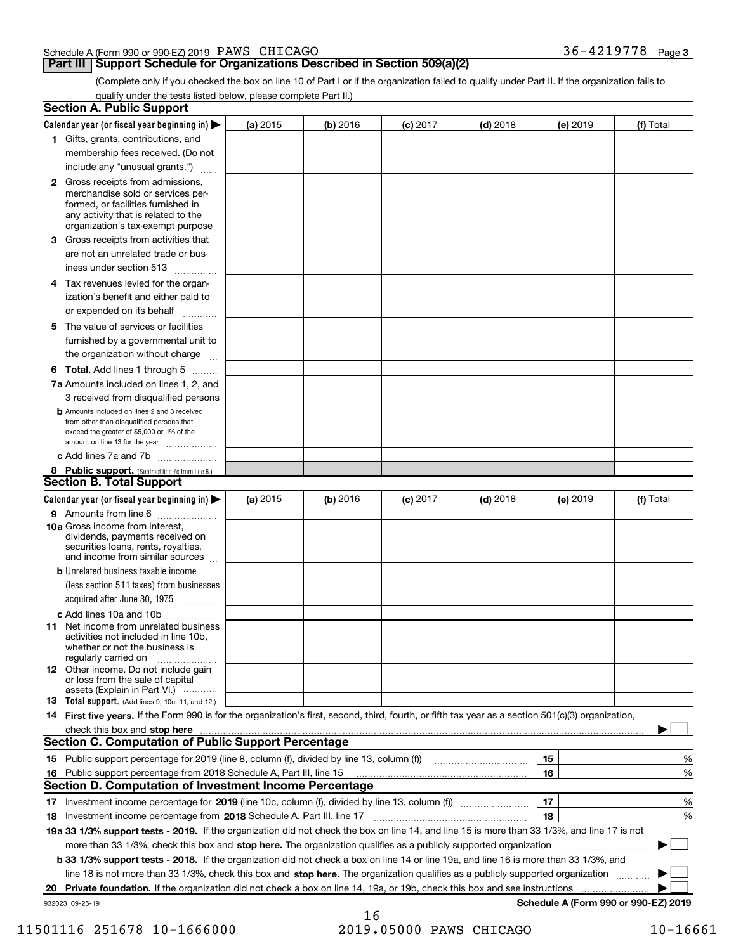#### Schedule A (Form 990 or 990-EZ) 2019 Page PAWS CHICAGO 36-4219778

#### **Part III Support Schedule for Organizations Described in Section 509(a)(2)**

(Complete only if you checked the box on line 10 of Part I or if the organization failed to qualify under Part II. If the organization fails to qualify under the tests listed below, please complete Part II.)

|     | <b>Section A. Public Support</b>                                                                                                                                                                                               |            |          |                 |            |          |                                      |
|-----|--------------------------------------------------------------------------------------------------------------------------------------------------------------------------------------------------------------------------------|------------|----------|-----------------|------------|----------|--------------------------------------|
|     | Calendar year (or fiscal year beginning in) $\blacktriangleright$                                                                                                                                                              | (a) 2015   | (b) 2016 | <b>(c)</b> 2017 | $(d)$ 2018 | (e) 2019 | (f) Total                            |
|     | 1 Gifts, grants, contributions, and                                                                                                                                                                                            |            |          |                 |            |          |                                      |
|     | membership fees received. (Do not                                                                                                                                                                                              |            |          |                 |            |          |                                      |
|     | include any "unusual grants.")                                                                                                                                                                                                 |            |          |                 |            |          |                                      |
|     | <b>2</b> Gross receipts from admissions,<br>merchandise sold or services per-<br>formed, or facilities furnished in<br>any activity that is related to the<br>organization's tax-exempt purpose                                |            |          |                 |            |          |                                      |
|     | 3 Gross receipts from activities that<br>are not an unrelated trade or bus-                                                                                                                                                    |            |          |                 |            |          |                                      |
|     | iness under section 513                                                                                                                                                                                                        |            |          |                 |            |          |                                      |
|     | 4 Tax revenues levied for the organ-<br>ization's benefit and either paid to                                                                                                                                                   |            |          |                 |            |          |                                      |
|     | or expended on its behalf<br>.                                                                                                                                                                                                 |            |          |                 |            |          |                                      |
|     | 5 The value of services or facilities<br>furnished by a governmental unit to<br>the organization without charge                                                                                                                |            |          |                 |            |          |                                      |
|     | <b>6 Total.</b> Add lines 1 through 5                                                                                                                                                                                          |            |          |                 |            |          |                                      |
|     | 7a Amounts included on lines 1, 2, and<br>3 received from disqualified persons                                                                                                                                                 |            |          |                 |            |          |                                      |
|     | <b>b</b> Amounts included on lines 2 and 3 received<br>from other than disqualified persons that<br>exceed the greater of \$5,000 or 1% of the<br>amount on line 13 for the year                                               |            |          |                 |            |          |                                      |
|     | c Add lines 7a and 7b                                                                                                                                                                                                          |            |          |                 |            |          |                                      |
|     | 8 Public support. (Subtract line 7c from line 6.)<br><b>Section B. Total Support</b>                                                                                                                                           |            |          |                 |            |          |                                      |
|     | Calendar year (or fiscal year beginning in)                                                                                                                                                                                    | (a) $2015$ | (b) 2016 | <b>(c)</b> 2017 | $(d)$ 2018 | (e) 2019 | (f) Total                            |
|     | 9 Amounts from line 6                                                                                                                                                                                                          |            |          |                 |            |          |                                      |
|     | 10a Gross income from interest,<br>dividends, payments received on<br>securities loans, rents, royalties,<br>and income from similar sources                                                                                   |            |          |                 |            |          |                                      |
|     | <b>b</b> Unrelated business taxable income<br>(less section 511 taxes) from businesses<br>acquired after June 30, 1975 [10001]                                                                                                 |            |          |                 |            |          |                                      |
|     | c Add lines 10a and 10b                                                                                                                                                                                                        |            |          |                 |            |          |                                      |
|     | 11 Net income from unrelated business<br>activities not included in line 10b,<br>whether or not the business is<br>regularly carried on                                                                                        |            |          |                 |            |          |                                      |
|     | <b>12</b> Other income. Do not include gain<br>or loss from the sale of capital<br>assets (Explain in Part VI.)                                                                                                                |            |          |                 |            |          |                                      |
|     | 13 Total support. (Add lines 9, 10c, 11, and 12.)                                                                                                                                                                              |            |          |                 |            |          |                                      |
|     | 14 First five years. If the Form 990 is for the organization's first, second, third, fourth, or fifth tax year as a section 501(c)(3) organization,                                                                            |            |          |                 |            |          |                                      |
|     | check this box and stop here communication and content to the state of the state of the state of the state of the state of the state of the state of the state of the state of the state of the state of the state of the stat |            |          |                 |            |          |                                      |
|     | <b>Section C. Computation of Public Support Percentage</b>                                                                                                                                                                     |            |          |                 |            |          |                                      |
|     |                                                                                                                                                                                                                                |            |          |                 |            | 15       | %                                    |
| 16. | Public support percentage from 2018 Schedule A, Part III, line 15                                                                                                                                                              |            |          |                 |            | 16       | %                                    |
|     | <b>Section D. Computation of Investment Income Percentage</b>                                                                                                                                                                  |            |          |                 |            |          |                                      |
|     | 17 Investment income percentage for 2019 (line 10c, column (f), divided by line 13, column (f))                                                                                                                                |            |          |                 |            | 17       | %                                    |
|     | 18 Investment income percentage from 2018 Schedule A, Part III, line 17                                                                                                                                                        |            |          |                 |            | 18       | %                                    |
|     | 19a 33 1/3% support tests - 2019. If the organization did not check the box on line 14, and line 15 is more than 33 1/3%, and line 17 is not                                                                                   |            |          |                 |            |          |                                      |
|     | more than 33 1/3%, check this box and stop here. The organization qualifies as a publicly supported organization                                                                                                               |            |          |                 |            |          | $\sim$ 1                             |
|     | b 33 1/3% support tests - 2018. If the organization did not check a box on line 14 or line 19a, and line 16 is more than 33 1/3%, and                                                                                          |            |          |                 |            |          |                                      |
|     | line 18 is not more than 33 1/3%, check this box and stop here. The organization qualifies as a publicly supported organization                                                                                                |            |          |                 |            |          |                                      |
| 20  | Private foundation. If the organization did not check a box on line 14, 19a, or 19b, check this box and see instructions                                                                                                       |            |          |                 |            |          | Schedule A (Form 990 or 990-EZ) 2019 |
|     | 932023 09-25-19                                                                                                                                                                                                                |            | 16       |                 |            |          |                                      |

 <sup>11501116 251678 10-1666000 2019.05000</sup> PAWS CHICAGO 10-16661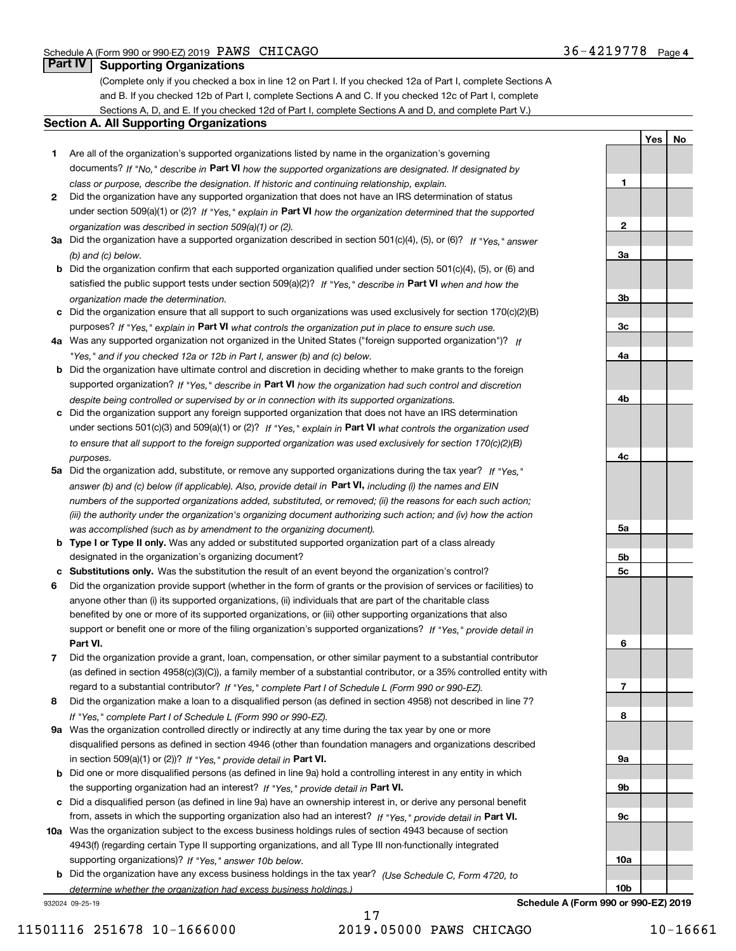**1**

**YesNo**

### **Part IV Supporting Organizations**

(Complete only if you checked a box in line 12 on Part I. If you checked 12a of Part I, complete Sections A and B. If you checked 12b of Part I, complete Sections A and C. If you checked 12c of Part I, complete Sections A, D, and E. If you checked 12d of Part I, complete Sections A and D, and complete Part V.)

#### **Section A. All Supporting Organizations**

- **1** Are all of the organization's supported organizations listed by name in the organization's governing documents? If "No," describe in **Part VI** how the supported organizations are designated. If designated by *class or purpose, describe the designation. If historic and continuing relationship, explain.*
- **2** Did the organization have any supported organization that does not have an IRS determination of status under section 509(a)(1) or (2)? If "Yes," explain in Part VI how the organization determined that the supported *organization was described in section 509(a)(1) or (2).*
- **3a** Did the organization have a supported organization described in section 501(c)(4), (5), or (6)? If "Yes," answer *(b) and (c) below.*
- **b** Did the organization confirm that each supported organization qualified under section 501(c)(4), (5), or (6) and satisfied the public support tests under section 509(a)(2)? If "Yes," describe in **Part VI** when and how the *organization made the determination.*
- **c**Did the organization ensure that all support to such organizations was used exclusively for section 170(c)(2)(B) purposes? If "Yes," explain in **Part VI** what controls the organization put in place to ensure such use.
- **4a***If* Was any supported organization not organized in the United States ("foreign supported organization")? *"Yes," and if you checked 12a or 12b in Part I, answer (b) and (c) below.*
- **b** Did the organization have ultimate control and discretion in deciding whether to make grants to the foreign supported organization? If "Yes," describe in **Part VI** how the organization had such control and discretion *despite being controlled or supervised by or in connection with its supported organizations.*
- **c** Did the organization support any foreign supported organization that does not have an IRS determination under sections 501(c)(3) and 509(a)(1) or (2)? If "Yes," explain in **Part VI** what controls the organization used *to ensure that all support to the foreign supported organization was used exclusively for section 170(c)(2)(B) purposes.*
- **5a** Did the organization add, substitute, or remove any supported organizations during the tax year? If "Yes," answer (b) and (c) below (if applicable). Also, provide detail in **Part VI,** including (i) the names and EIN *numbers of the supported organizations added, substituted, or removed; (ii) the reasons for each such action; (iii) the authority under the organization's organizing document authorizing such action; and (iv) how the action was accomplished (such as by amendment to the organizing document).*
- **b** Type I or Type II only. Was any added or substituted supported organization part of a class already designated in the organization's organizing document?
- **cSubstitutions only.**  Was the substitution the result of an event beyond the organization's control?
- **6** Did the organization provide support (whether in the form of grants or the provision of services or facilities) to **Part VI.** *If "Yes," provide detail in* support or benefit one or more of the filing organization's supported organizations? anyone other than (i) its supported organizations, (ii) individuals that are part of the charitable class benefited by one or more of its supported organizations, or (iii) other supporting organizations that also
- **7**Did the organization provide a grant, loan, compensation, or other similar payment to a substantial contributor *If "Yes," complete Part I of Schedule L (Form 990 or 990-EZ).* regard to a substantial contributor? (as defined in section 4958(c)(3)(C)), a family member of a substantial contributor, or a 35% controlled entity with
- **8** Did the organization make a loan to a disqualified person (as defined in section 4958) not described in line 7? *If "Yes," complete Part I of Schedule L (Form 990 or 990-EZ).*
- **9a** Was the organization controlled directly or indirectly at any time during the tax year by one or more in section 509(a)(1) or (2))? If "Yes," *provide detail in* <code>Part VI.</code> disqualified persons as defined in section 4946 (other than foundation managers and organizations described
- **b** Did one or more disqualified persons (as defined in line 9a) hold a controlling interest in any entity in which the supporting organization had an interest? If "Yes," provide detail in P**art VI**.
- **c**Did a disqualified person (as defined in line 9a) have an ownership interest in, or derive any personal benefit from, assets in which the supporting organization also had an interest? If "Yes," provide detail in P**art VI.**
- **10a** Was the organization subject to the excess business holdings rules of section 4943 because of section supporting organizations)? If "Yes," answer 10b below. 4943(f) (regarding certain Type II supporting organizations, and all Type III non-functionally integrated
- **b** Did the organization have any excess business holdings in the tax year? (Use Schedule C, Form 4720, to *determine whether the organization had excess business holdings.)*

932024 09-25-19



**Schedule A (Form 990 or 990-EZ) 2019**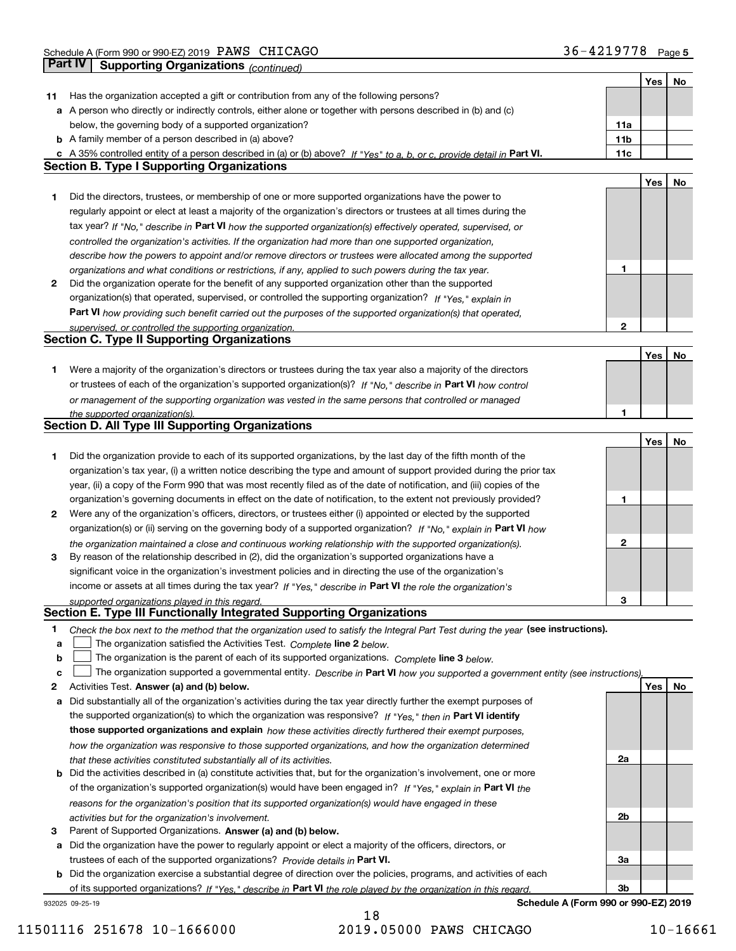|    |                                                                                                                                   |                 | Yes | No |
|----|-----------------------------------------------------------------------------------------------------------------------------------|-----------------|-----|----|
| 11 | Has the organization accepted a gift or contribution from any of the following persons?                                           |                 |     |    |
|    | a A person who directly or indirectly controls, either alone or together with persons described in (b) and (c)                    |                 |     |    |
|    | below, the governing body of a supported organization?                                                                            | 11a             |     |    |
|    | <b>b</b> A family member of a person described in (a) above?                                                                      | 11 <sub>b</sub> |     |    |
|    | c A 35% controlled entity of a person described in (a) or (b) above? If "Yes" to a, b, or c, provide detail in Part VI.           | 11c             |     |    |
|    | <b>Section B. Type I Supporting Organizations</b>                                                                                 |                 |     |    |
|    |                                                                                                                                   |                 | Yes | No |
| 1  | Did the directors, trustees, or membership of one or more supported organizations have the power to                               |                 |     |    |
|    | regularly appoint or elect at least a majority of the organization's directors or trustees at all times during the                |                 |     |    |
|    | tax year? If "No," describe in Part VI how the supported organization(s) effectively operated, supervised, or                     |                 |     |    |
|    | controlled the organization's activities. If the organization had more than one supported organization,                           |                 |     |    |
|    | describe how the powers to appoint and/or remove directors or trustees were allocated among the supported                         |                 |     |    |
|    | organizations and what conditions or restrictions, if any, applied to such powers during the tax year.                            | 1               |     |    |
| 2  | Did the organization operate for the benefit of any supported organization other than the supported                               |                 |     |    |
|    | organization(s) that operated, supervised, or controlled the supporting organization? If "Yes," explain in                        |                 |     |    |
|    | Part VI how providing such benefit carried out the purposes of the supported organization(s) that operated,                       |                 |     |    |
|    | supervised, or controlled the supporting organization.                                                                            | 2               |     |    |
|    | <b>Section C. Type II Supporting Organizations</b>                                                                                |                 |     |    |
|    |                                                                                                                                   |                 | Yes | No |
| 1  | Were a majority of the organization's directors or trustees during the tax year also a majority of the directors                  |                 |     |    |
|    | or trustees of each of the organization's supported organization(s)? If "No," describe in Part VI how control                     |                 |     |    |
|    | or management of the supporting organization was vested in the same persons that controlled or managed                            |                 |     |    |
|    | the supported organization(s).                                                                                                    | 1               |     |    |
|    | Section D. All Type III Supporting Organizations                                                                                  |                 |     |    |
|    |                                                                                                                                   |                 | Yes | No |
| 1  | Did the organization provide to each of its supported organizations, by the last day of the fifth month of the                    |                 |     |    |
|    | organization's tax year, (i) a written notice describing the type and amount of support provided during the prior tax             |                 |     |    |
|    | year, (ii) a copy of the Form 990 that was most recently filed as of the date of notification, and (iii) copies of the            |                 |     |    |
|    | organization's governing documents in effect on the date of notification, to the extent not previously provided?                  | 1               |     |    |
| 2  | Were any of the organization's officers, directors, or trustees either (i) appointed or elected by the supported                  |                 |     |    |
|    | organization(s) or (ii) serving on the governing body of a supported organization? If "No," explain in Part VI how                |                 |     |    |
|    | the organization maintained a close and continuous working relationship with the supported organization(s).                       | 2               |     |    |
| 3  | By reason of the relationship described in (2), did the organization's supported organizations have a                             |                 |     |    |
|    | significant voice in the organization's investment policies and in directing the use of the organization's                        |                 |     |    |
|    | income or assets at all times during the tax year? If "Yes," describe in Part VI the role the organization's                      |                 |     |    |
|    | supported organizations played in this regard.                                                                                    | з               |     |    |
|    | Section E. Type III Functionally Integrated Supporting Organizations                                                              |                 |     |    |
| 1  | Check the box next to the method that the organization used to satisfy the Integral Part Test during the year (see instructions). |                 |     |    |
| a  | The organization satisfied the Activities Test. Complete line 2 below.                                                            |                 |     |    |
| b  | The organization is the parent of each of its supported organizations. Complete line 3 below.                                     |                 |     |    |
| c  | The organization supported a governmental entity. Describe in Part VI how you supported a government entity (see instructions),   |                 |     |    |
| 2  | Activities Test. Answer (a) and (b) below.                                                                                        |                 | Yes | No |
| a  | Did substantially all of the organization's activities during the tax year directly further the exempt purposes of                |                 |     |    |
|    | the supported organization(s) to which the organization was responsive? If "Yes." then in Part VI identify                        |                 |     |    |
|    | those supported organizations and explain how these activities directly furthered their exempt purposes,                          |                 |     |    |
|    | how the organization was responsive to those supported organizations, and how the organization determined                         |                 |     |    |
|    | that these activities constituted substantially all of its activities.                                                            | 2a              |     |    |
|    | <b>b</b> Did the activities described in (a) constitute activities that, but for the organization's involvement, one or more      |                 |     |    |
|    | of the organization's supported organization(s) would have been engaged in? If "Yes," explain in Part VI the                      |                 |     |    |
|    | reasons for the organization's position that its supported organization(s) would have engaged in these                            |                 |     |    |
|    | activities but for the organization's involvement.                                                                                | 2b              |     |    |
| з  | Parent of Supported Organizations. Answer (a) and (b) below.                                                                      |                 |     |    |
| а  | Did the organization have the power to regularly appoint or elect a majority of the officers, directors, or                       |                 |     |    |
|    | trustees of each of the supported organizations? Provide details in Part VI.                                                      | За              |     |    |
|    | <b>b</b> Did the organization exercise a substantial degree of direction over the policies, programs, and activities of each      |                 |     |    |
|    | of its supported organizations? If "Yes," describe in Part VI the role played by the organization in this regard                  | 3b              |     |    |
|    | Schedule A (Form 990 or 990-EZ) 2019<br>932025 09-25-19                                                                           |                 |     |    |

11501116 251678 10-1666000 2019.05000 PAWS CHICAGO 10-16661

18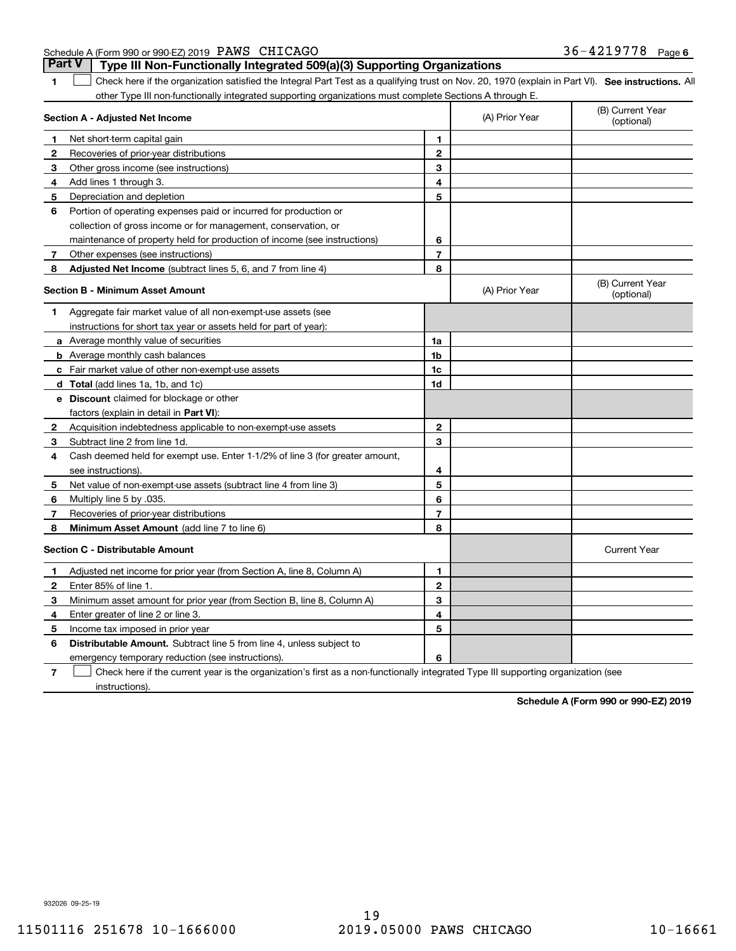| Schedule A (Form 990 or 990-EZ) 2019 PAWS CHICAGO |                                                                                       | $36 - 4219778$ Page 6 |  |
|---------------------------------------------------|---------------------------------------------------------------------------------------|-----------------------|--|
|                                                   | <b>Part V</b> Type III Non-Functionally Integrated 509(a)(3) Supporting Organizations |                       |  |

| 1              | Check here if the organization satisfied the Integral Part Test as a qualifying trust on Nov. 20, 1970 (explain in Part VI). See instructions. All |                |                |                                |
|----------------|----------------------------------------------------------------------------------------------------------------------------------------------------|----------------|----------------|--------------------------------|
|                | other Type III non-functionally integrated supporting organizations must complete Sections A through E.                                            |                |                |                                |
|                | Section A - Adjusted Net Income                                                                                                                    |                | (A) Prior Year | (B) Current Year<br>(optional) |
| 1              | Net short-term capital gain                                                                                                                        | 1              |                |                                |
| 2              | Recoveries of prior-year distributions                                                                                                             | $\mathbf{2}$   |                |                                |
| З              | Other gross income (see instructions)                                                                                                              | 3              |                |                                |
| 4              | Add lines 1 through 3.                                                                                                                             | 4              |                |                                |
| 5              | Depreciation and depletion                                                                                                                         | 5              |                |                                |
| 6              | Portion of operating expenses paid or incurred for production or                                                                                   |                |                |                                |
|                | collection of gross income or for management, conservation, or                                                                                     |                |                |                                |
|                | maintenance of property held for production of income (see instructions)                                                                           | 6              |                |                                |
| 7              | Other expenses (see instructions)                                                                                                                  | $\overline{7}$ |                |                                |
| 8              | Adjusted Net Income (subtract lines 5, 6, and 7 from line 4)                                                                                       | 8              |                |                                |
|                | <b>Section B - Minimum Asset Amount</b>                                                                                                            |                | (A) Prior Year | (B) Current Year<br>(optional) |
| 1              | Aggregate fair market value of all non-exempt-use assets (see                                                                                      |                |                |                                |
|                | instructions for short tax year or assets held for part of year):                                                                                  |                |                |                                |
|                | a Average monthly value of securities                                                                                                              | 1a             |                |                                |
|                | <b>b</b> Average monthly cash balances                                                                                                             | 1 <sub>b</sub> |                |                                |
|                | c Fair market value of other non-exempt-use assets                                                                                                 | 1 <sub>c</sub> |                |                                |
|                | d Total (add lines 1a, 1b, and 1c)                                                                                                                 | 1d             |                |                                |
|                | e Discount claimed for blockage or other                                                                                                           |                |                |                                |
|                | factors (explain in detail in Part VI):                                                                                                            |                |                |                                |
| $\overline{2}$ | Acquisition indebtedness applicable to non-exempt-use assets                                                                                       | $\mathbf{2}$   |                |                                |
| 3              | Subtract line 2 from line 1d.                                                                                                                      | 3              |                |                                |
| 4              | Cash deemed held for exempt use. Enter 1-1/2% of line 3 (for greater amount,                                                                       |                |                |                                |
|                | see instructions)                                                                                                                                  | 4              |                |                                |
| 5              | Net value of non-exempt-use assets (subtract line 4 from line 3)                                                                                   | 5              |                |                                |
| 6              | Multiply line 5 by .035.                                                                                                                           | 6              |                |                                |
| 7              | Recoveries of prior-year distributions                                                                                                             | $\overline{7}$ |                |                                |
| 8              | Minimum Asset Amount (add line 7 to line 6)                                                                                                        | 8              |                |                                |
|                | Section C - Distributable Amount                                                                                                                   |                |                | <b>Current Year</b>            |
| 1              | Adjusted net income for prior year (from Section A, line 8, Column A)                                                                              | 1              |                |                                |
| $\overline{2}$ | Enter 85% of line 1.                                                                                                                               | $\mathbf{2}$   |                |                                |
| 3              | Minimum asset amount for prior year (from Section B, line 8, Column A)                                                                             | 3              |                |                                |
| 4              | Enter greater of line 2 or line 3.                                                                                                                 | 4              |                |                                |
| 5              | Income tax imposed in prior year                                                                                                                   | 5              |                |                                |
| 6              | <b>Distributable Amount.</b> Subtract line 5 from line 4, unless subject to                                                                        |                |                |                                |
|                | emergency temporary reduction (see instructions).                                                                                                  | 6              |                |                                |

**7** Check here if the current year is the organization's first as a non-functionally integrated Type III supporting organization (see instructions).

**Schedule A (Form 990 or 990-EZ) 2019**

932026 09-25-19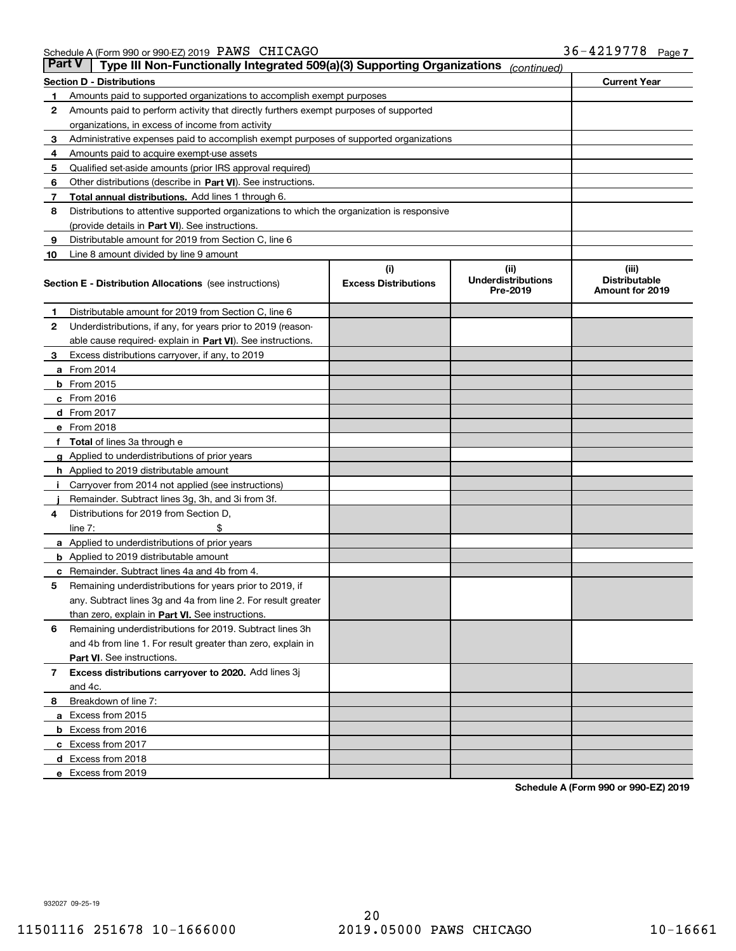| Part V | Type III Non-Functionally Integrated 509(a)(3) Supporting Organizations                    |                             | (continued)                           |                                         |
|--------|--------------------------------------------------------------------------------------------|-----------------------------|---------------------------------------|-----------------------------------------|
|        | Section D - Distributions                                                                  |                             |                                       | <b>Current Year</b>                     |
| 1      | Amounts paid to supported organizations to accomplish exempt purposes                      |                             |                                       |                                         |
| 2      | Amounts paid to perform activity that directly furthers exempt purposes of supported       |                             |                                       |                                         |
|        | organizations, in excess of income from activity                                           |                             |                                       |                                         |
| 3      | Administrative expenses paid to accomplish exempt purposes of supported organizations      |                             |                                       |                                         |
| 4      | Amounts paid to acquire exempt-use assets                                                  |                             |                                       |                                         |
| 5      | Qualified set-aside amounts (prior IRS approval required)                                  |                             |                                       |                                         |
| 6      | Other distributions (describe in Part VI). See instructions.                               |                             |                                       |                                         |
| 7      | Total annual distributions. Add lines 1 through 6.                                         |                             |                                       |                                         |
| 8      | Distributions to attentive supported organizations to which the organization is responsive |                             |                                       |                                         |
|        | (provide details in Part VI). See instructions.                                            |                             |                                       |                                         |
| 9      | Distributable amount for 2019 from Section C, line 6                                       |                             |                                       |                                         |
| 10     | Line 8 amount divided by line 9 amount                                                     |                             |                                       |                                         |
|        |                                                                                            | (i)                         | (ii)                                  | (iii)                                   |
|        | Section E - Distribution Allocations (see instructions)                                    | <b>Excess Distributions</b> | <b>Underdistributions</b><br>Pre-2019 | <b>Distributable</b><br>Amount for 2019 |
| 1      | Distributable amount for 2019 from Section C, line 6                                       |                             |                                       |                                         |
| 2      | Underdistributions, if any, for years prior to 2019 (reason-                               |                             |                                       |                                         |
|        | able cause required- explain in Part VI). See instructions.                                |                             |                                       |                                         |
| з      | Excess distributions carryover, if any, to 2019                                            |                             |                                       |                                         |
|        | <b>a</b> From 2014                                                                         |                             |                                       |                                         |
|        | <b>b</b> From $2015$                                                                       |                             |                                       |                                         |
|        | c From 2016                                                                                |                             |                                       |                                         |
|        | <b>d</b> From 2017                                                                         |                             |                                       |                                         |
|        | e From 2018                                                                                |                             |                                       |                                         |
|        | <b>Total</b> of lines 3a through e                                                         |                             |                                       |                                         |
|        | <b>g</b> Applied to underdistributions of prior years                                      |                             |                                       |                                         |
|        | <b>h</b> Applied to 2019 distributable amount                                              |                             |                                       |                                         |
|        | Carryover from 2014 not applied (see instructions)                                         |                             |                                       |                                         |
|        | Remainder. Subtract lines 3g, 3h, and 3i from 3f.                                          |                             |                                       |                                         |
| 4      | Distributions for 2019 from Section D,                                                     |                             |                                       |                                         |
|        | line $7:$                                                                                  |                             |                                       |                                         |
|        | <b>a</b> Applied to underdistributions of prior years                                      |                             |                                       |                                         |
|        | <b>b</b> Applied to 2019 distributable amount                                              |                             |                                       |                                         |
| c      | Remainder. Subtract lines 4a and 4b from 4.                                                |                             |                                       |                                         |
| 5      | Remaining underdistributions for years prior to 2019, if                                   |                             |                                       |                                         |
|        | any. Subtract lines 3g and 4a from line 2. For result greater                              |                             |                                       |                                         |
|        | than zero, explain in Part VI. See instructions.                                           |                             |                                       |                                         |
| 6      | Remaining underdistributions for 2019. Subtract lines 3h                                   |                             |                                       |                                         |
|        | and 4b from line 1. For result greater than zero, explain in                               |                             |                                       |                                         |
|        | <b>Part VI.</b> See instructions.                                                          |                             |                                       |                                         |
|        | Excess distributions carryover to 2020. Add lines 3j                                       |                             |                                       |                                         |
| 7      |                                                                                            |                             |                                       |                                         |
|        | and 4c.                                                                                    |                             |                                       |                                         |
| 8      | Breakdown of line 7:                                                                       |                             |                                       |                                         |
|        | a Excess from 2015                                                                         |                             |                                       |                                         |
|        | <b>b</b> Excess from 2016                                                                  |                             |                                       |                                         |
|        | c Excess from 2017                                                                         |                             |                                       |                                         |
|        | d Excess from 2018                                                                         |                             |                                       |                                         |
|        | e Excess from 2019                                                                         |                             |                                       |                                         |

**Schedule A (Form 990 or 990-EZ) 2019**

932027 09-25-19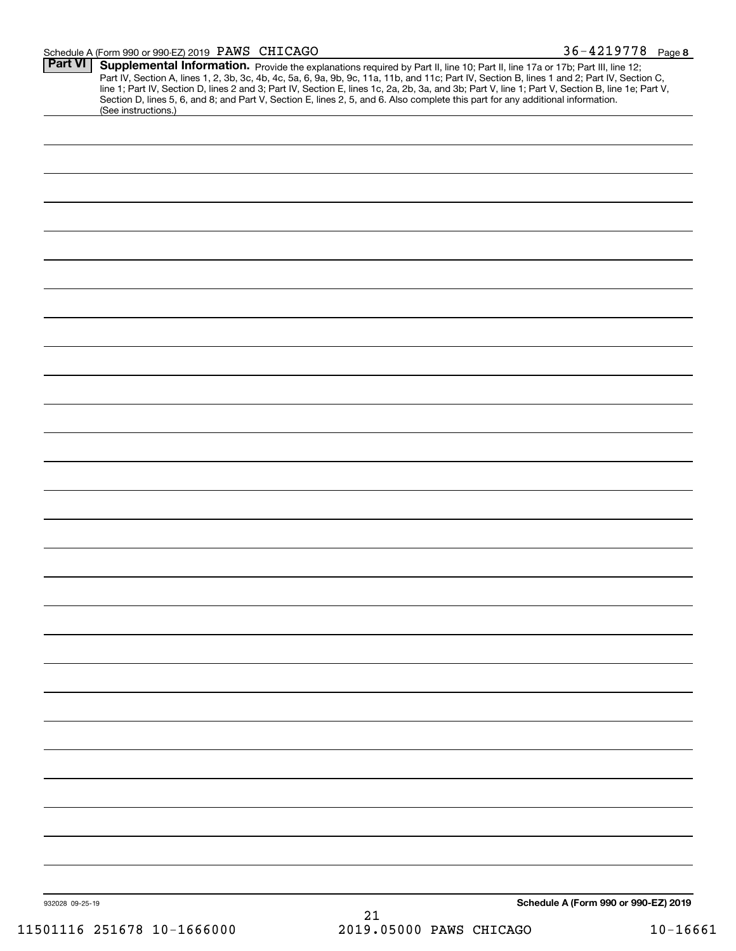#### Schedule A (Form 990 or 990-EZ) 2019 Page PAWS CHICAGO 36-4219778

| Part VI         | Supplemental Information. Provide the explanations required by Part II, line 10; Part II, line 17a or 17b; Part III, line 12;<br>Part IV, Section A, lines 1, 2, 3b, 3c, 4b, 4c, 5a, 6, 9a, 9b, 9c, 11a, 11b, and 11c; Part IV, Section B, lines 1 and 2; Part IV, Section C,<br>line 1; Part IV, Section D, lines 2 and 3; Part IV, Section E, lines 1c, 2a, 2b, 3a, and 3b; Part V, line 1; Part V, Section B, line 1e; Part V,<br>Section D, lines 5, 6, and 8; and Part V, Section E, lines 2, 5, and 6. Also complete this part for any additional information.<br>(See instructions.) |                                      |
|-----------------|---------------------------------------------------------------------------------------------------------------------------------------------------------------------------------------------------------------------------------------------------------------------------------------------------------------------------------------------------------------------------------------------------------------------------------------------------------------------------------------------------------------------------------------------------------------------------------------------|--------------------------------------|
|                 |                                                                                                                                                                                                                                                                                                                                                                                                                                                                                                                                                                                             |                                      |
|                 |                                                                                                                                                                                                                                                                                                                                                                                                                                                                                                                                                                                             |                                      |
|                 |                                                                                                                                                                                                                                                                                                                                                                                                                                                                                                                                                                                             |                                      |
|                 |                                                                                                                                                                                                                                                                                                                                                                                                                                                                                                                                                                                             |                                      |
|                 |                                                                                                                                                                                                                                                                                                                                                                                                                                                                                                                                                                                             |                                      |
|                 |                                                                                                                                                                                                                                                                                                                                                                                                                                                                                                                                                                                             |                                      |
|                 |                                                                                                                                                                                                                                                                                                                                                                                                                                                                                                                                                                                             |                                      |
|                 |                                                                                                                                                                                                                                                                                                                                                                                                                                                                                                                                                                                             |                                      |
|                 |                                                                                                                                                                                                                                                                                                                                                                                                                                                                                                                                                                                             |                                      |
|                 |                                                                                                                                                                                                                                                                                                                                                                                                                                                                                                                                                                                             |                                      |
|                 |                                                                                                                                                                                                                                                                                                                                                                                                                                                                                                                                                                                             |                                      |
|                 |                                                                                                                                                                                                                                                                                                                                                                                                                                                                                                                                                                                             |                                      |
|                 |                                                                                                                                                                                                                                                                                                                                                                                                                                                                                                                                                                                             |                                      |
|                 |                                                                                                                                                                                                                                                                                                                                                                                                                                                                                                                                                                                             |                                      |
|                 |                                                                                                                                                                                                                                                                                                                                                                                                                                                                                                                                                                                             |                                      |
|                 |                                                                                                                                                                                                                                                                                                                                                                                                                                                                                                                                                                                             |                                      |
|                 |                                                                                                                                                                                                                                                                                                                                                                                                                                                                                                                                                                                             |                                      |
|                 |                                                                                                                                                                                                                                                                                                                                                                                                                                                                                                                                                                                             |                                      |
|                 |                                                                                                                                                                                                                                                                                                                                                                                                                                                                                                                                                                                             |                                      |
|                 |                                                                                                                                                                                                                                                                                                                                                                                                                                                                                                                                                                                             |                                      |
|                 |                                                                                                                                                                                                                                                                                                                                                                                                                                                                                                                                                                                             |                                      |
|                 |                                                                                                                                                                                                                                                                                                                                                                                                                                                                                                                                                                                             |                                      |
|                 |                                                                                                                                                                                                                                                                                                                                                                                                                                                                                                                                                                                             |                                      |
|                 |                                                                                                                                                                                                                                                                                                                                                                                                                                                                                                                                                                                             |                                      |
|                 |                                                                                                                                                                                                                                                                                                                                                                                                                                                                                                                                                                                             |                                      |
|                 |                                                                                                                                                                                                                                                                                                                                                                                                                                                                                                                                                                                             |                                      |
|                 |                                                                                                                                                                                                                                                                                                                                                                                                                                                                                                                                                                                             |                                      |
|                 |                                                                                                                                                                                                                                                                                                                                                                                                                                                                                                                                                                                             |                                      |
|                 |                                                                                                                                                                                                                                                                                                                                                                                                                                                                                                                                                                                             |                                      |
|                 |                                                                                                                                                                                                                                                                                                                                                                                                                                                                                                                                                                                             |                                      |
|                 |                                                                                                                                                                                                                                                                                                                                                                                                                                                                                                                                                                                             |                                      |
|                 |                                                                                                                                                                                                                                                                                                                                                                                                                                                                                                                                                                                             |                                      |
|                 |                                                                                                                                                                                                                                                                                                                                                                                                                                                                                                                                                                                             |                                      |
|                 |                                                                                                                                                                                                                                                                                                                                                                                                                                                                                                                                                                                             |                                      |
|                 |                                                                                                                                                                                                                                                                                                                                                                                                                                                                                                                                                                                             |                                      |
| 932028 09-25-19 |                                                                                                                                                                                                                                                                                                                                                                                                                                                                                                                                                                                             | Schedule A (Form 990 or 990-EZ) 2019 |
|                 | 21                                                                                                                                                                                                                                                                                                                                                                                                                                                                                                                                                                                          |                                      |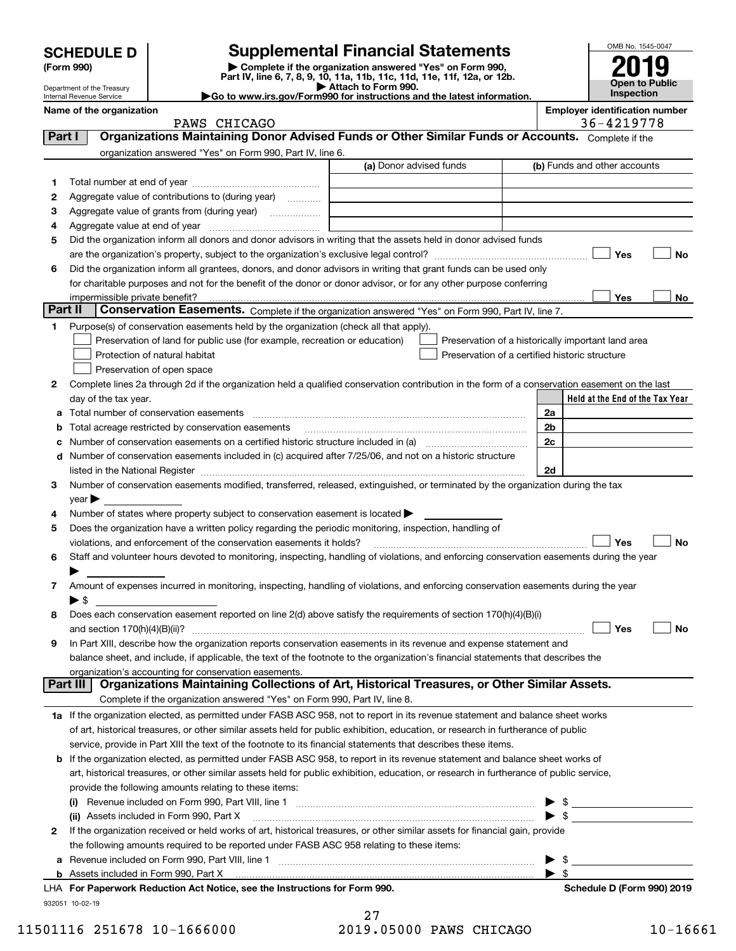| <b>SCHEDULE D</b> |  |
|-------------------|--|
|-------------------|--|

Department of the Treasury Internal Revenue Service

| (Form 990) |  |
|------------|--|
|------------|--|

## **SCHEDULE D Supplemental Financial Statements**

(Form 990)<br>
Pepartment of the Treasury<br>
Department of the Treasury<br>
Department of the Treasury<br>
Department of the Treasury<br> **Co to www.irs.gov/Form990 for instructions and the latest information.**<br> **Co to www.irs.gov/Form9** 



| Name of the organization |  |  |  |
|--------------------------|--|--|--|
|--------------------------|--|--|--|

| Name of the organization | <b>Emplover identification number</b> |
|--------------------------|---------------------------------------|
|                          |                                       |

| Organizations Maintaining Donor Advised Funds or Other Similar Funds or Accounts. Complete if the<br>Part I<br>organization answered "Yes" on Form 990, Part IV, line 6.<br>(a) Donor advised funds<br>(b) Funds and other accounts<br>1<br>Aggregate value of contributions to (during year)<br>2<br>з<br>4<br>Did the organization inform all donors and donor advisors in writing that the assets held in donor advised funds<br>5<br>Yes<br>No<br>Did the organization inform all grantees, donors, and donor advisors in writing that grant funds can be used only<br>6<br>for charitable purposes and not for the benefit of the donor or donor advisor, or for any other purpose conferring<br>Yes<br>No<br>Part II<br>Conservation Easements. Complete if the organization answered "Yes" on Form 990, Part IV, line 7.<br>Purpose(s) of conservation easements held by the organization (check all that apply).<br>1.<br>Preservation of land for public use (for example, recreation or education)<br>Preservation of a historically important land area<br>Protection of natural habitat<br>Preservation of a certified historic structure<br>Preservation of open space<br>Complete lines 2a through 2d if the organization held a qualified conservation contribution in the form of a conservation easement on the last<br>2<br>Held at the End of the Tax Year<br>day of the tax year.<br>2a<br>2b<br>Total acreage restricted by conservation easements<br>2c<br>Number of conservation easements on a certified historic structure included in (a) manufacture included in (a)<br>Number of conservation easements included in (c) acquired after 7/25/06, and not on a historic structure<br>d<br>2d<br>listed in the National Register [111] increases and the National Property of the National Register [11] increases and the National Register [11] increases and the National Register [11] increases and the National Register<br>Number of conservation easements modified, transferred, released, extinguished, or terminated by the organization during the tax<br>3<br>year<br>Number of states where property subject to conservation easement is located ><br>4<br>Does the organization have a written policy regarding the periodic monitoring, inspection, handling of<br>5<br>Yes<br>No<br>violations, and enforcement of the conservation easements it holds?<br>Staff and volunteer hours devoted to monitoring, inspecting, handling of violations, and enforcing conservation easements during the year<br>6<br>Amount of expenses incurred in monitoring, inspecting, handling of violations, and enforcing conservation easements during the year<br>7<br>$\blacktriangleright$ S<br>Does each conservation easement reported on line 2(d) above satisfy the requirements of section 170(h)(4)(B)(i)<br>8<br>Yes<br>No<br>In Part XIII, describe how the organization reports conservation easements in its revenue and expense statement and<br>9<br>balance sheet, and include, if applicable, the text of the footnote to the organization's financial statements that describes the<br>organization's accounting for conservation easements.<br>Organizations Maintaining Collections of Art, Historical Treasures, or Other Similar Assets.<br>Part III<br>Complete if the organization answered "Yes" on Form 990, Part IV, line 8.<br>1a If the organization elected, as permitted under FASB ASC 958, not to report in its revenue statement and balance sheet works<br>of art, historical treasures, or other similar assets held for public exhibition, education, or research in furtherance of public<br>service, provide in Part XIII the text of the footnote to its financial statements that describes these items.<br>b If the organization elected, as permitted under FASB ASC 958, to report in its revenue statement and balance sheet works of<br>art, historical treasures, or other similar assets held for public exhibition, education, or research in furtherance of public service,<br>provide the following amounts relating to these items:<br>$\frac{1}{2}$<br>$\sqrt{3}$<br>(ii) Assets included in Form 990, Part X<br>If the organization received or held works of art, historical treasures, or other similar assets for financial gain, provide<br>$\mathbf{2}$<br>the following amounts required to be reported under FASB ASC 958 relating to these items:<br>\$<br>а<br>\$<br>LHA For Paperwork Reduction Act Notice, see the Instructions for Form 990.<br>Schedule D (Form 990) 2019 | PAWS CHICAGO |  | 36-4219778 |
|-------------------------------------------------------------------------------------------------------------------------------------------------------------------------------------------------------------------------------------------------------------------------------------------------------------------------------------------------------------------------------------------------------------------------------------------------------------------------------------------------------------------------------------------------------------------------------------------------------------------------------------------------------------------------------------------------------------------------------------------------------------------------------------------------------------------------------------------------------------------------------------------------------------------------------------------------------------------------------------------------------------------------------------------------------------------------------------------------------------------------------------------------------------------------------------------------------------------------------------------------------------------------------------------------------------------------------------------------------------------------------------------------------------------------------------------------------------------------------------------------------------------------------------------------------------------------------------------------------------------------------------------------------------------------------------------------------------------------------------------------------------------------------------------------------------------------------------------------------------------------------------------------------------------------------------------------------------------------------------------------------------------------------------------------------------------------------------------------------------------------------------------------------------------------------------------------------------------------------------------------------------------------------------------------------------------------------------------------------------------------------------------------------------------------------------------------------------------------------------------------------------------------------------------------------------------------------------------------------------------------------------------------------------------------------------------------------------------------------------------------------------------------------------------------------------------------------------------------------------------------------------------------------------------------------------------------------------------------------------------------------------------------------------------------------------------------------------------------------------------------------------------------------------------------------------------------------------------------------------------------------------------------------------------------------------------------------------------------------------------------------------------------------------------------------------------------------------------------------------------------------------------------------------------------------------------------------------------------------------------------------------------------------------------------------------------------------------------------------------------------------------------------------------------------------------------------------------------------------------------------------------------------------------------------------------------------------------------------------------------------------------------------------------------------------------------------------------------------------------------------------------------------------------------------------------------------------------------------------------------------------------------------------------------------------------------------------------------------------------------------------------------------------------------------------------------------------------------------------------------------------------------------------------------------------------------------|--------------|--|------------|
|                                                                                                                                                                                                                                                                                                                                                                                                                                                                                                                                                                                                                                                                                                                                                                                                                                                                                                                                                                                                                                                                                                                                                                                                                                                                                                                                                                                                                                                                                                                                                                                                                                                                                                                                                                                                                                                                                                                                                                                                                                                                                                                                                                                                                                                                                                                                                                                                                                                                                                                                                                                                                                                                                                                                                                                                                                                                                                                                                                                                                                                                                                                                                                                                                                                                                                                                                                                                                                                                                                                                                                                                                                                                                                                                                                                                                                                                                                                                                                                                                                                                                                                                                                                                                                                                                                                                                                                                                                                                                                                                                                         |              |  |            |
|                                                                                                                                                                                                                                                                                                                                                                                                                                                                                                                                                                                                                                                                                                                                                                                                                                                                                                                                                                                                                                                                                                                                                                                                                                                                                                                                                                                                                                                                                                                                                                                                                                                                                                                                                                                                                                                                                                                                                                                                                                                                                                                                                                                                                                                                                                                                                                                                                                                                                                                                                                                                                                                                                                                                                                                                                                                                                                                                                                                                                                                                                                                                                                                                                                                                                                                                                                                                                                                                                                                                                                                                                                                                                                                                                                                                                                                                                                                                                                                                                                                                                                                                                                                                                                                                                                                                                                                                                                                                                                                                                                         |              |  |            |
|                                                                                                                                                                                                                                                                                                                                                                                                                                                                                                                                                                                                                                                                                                                                                                                                                                                                                                                                                                                                                                                                                                                                                                                                                                                                                                                                                                                                                                                                                                                                                                                                                                                                                                                                                                                                                                                                                                                                                                                                                                                                                                                                                                                                                                                                                                                                                                                                                                                                                                                                                                                                                                                                                                                                                                                                                                                                                                                                                                                                                                                                                                                                                                                                                                                                                                                                                                                                                                                                                                                                                                                                                                                                                                                                                                                                                                                                                                                                                                                                                                                                                                                                                                                                                                                                                                                                                                                                                                                                                                                                                                         |              |  |            |
|                                                                                                                                                                                                                                                                                                                                                                                                                                                                                                                                                                                                                                                                                                                                                                                                                                                                                                                                                                                                                                                                                                                                                                                                                                                                                                                                                                                                                                                                                                                                                                                                                                                                                                                                                                                                                                                                                                                                                                                                                                                                                                                                                                                                                                                                                                                                                                                                                                                                                                                                                                                                                                                                                                                                                                                                                                                                                                                                                                                                                                                                                                                                                                                                                                                                                                                                                                                                                                                                                                                                                                                                                                                                                                                                                                                                                                                                                                                                                                                                                                                                                                                                                                                                                                                                                                                                                                                                                                                                                                                                                                         |              |  |            |
|                                                                                                                                                                                                                                                                                                                                                                                                                                                                                                                                                                                                                                                                                                                                                                                                                                                                                                                                                                                                                                                                                                                                                                                                                                                                                                                                                                                                                                                                                                                                                                                                                                                                                                                                                                                                                                                                                                                                                                                                                                                                                                                                                                                                                                                                                                                                                                                                                                                                                                                                                                                                                                                                                                                                                                                                                                                                                                                                                                                                                                                                                                                                                                                                                                                                                                                                                                                                                                                                                                                                                                                                                                                                                                                                                                                                                                                                                                                                                                                                                                                                                                                                                                                                                                                                                                                                                                                                                                                                                                                                                                         |              |  |            |
|                                                                                                                                                                                                                                                                                                                                                                                                                                                                                                                                                                                                                                                                                                                                                                                                                                                                                                                                                                                                                                                                                                                                                                                                                                                                                                                                                                                                                                                                                                                                                                                                                                                                                                                                                                                                                                                                                                                                                                                                                                                                                                                                                                                                                                                                                                                                                                                                                                                                                                                                                                                                                                                                                                                                                                                                                                                                                                                                                                                                                                                                                                                                                                                                                                                                                                                                                                                                                                                                                                                                                                                                                                                                                                                                                                                                                                                                                                                                                                                                                                                                                                                                                                                                                                                                                                                                                                                                                                                                                                                                                                         |              |  |            |
|                                                                                                                                                                                                                                                                                                                                                                                                                                                                                                                                                                                                                                                                                                                                                                                                                                                                                                                                                                                                                                                                                                                                                                                                                                                                                                                                                                                                                                                                                                                                                                                                                                                                                                                                                                                                                                                                                                                                                                                                                                                                                                                                                                                                                                                                                                                                                                                                                                                                                                                                                                                                                                                                                                                                                                                                                                                                                                                                                                                                                                                                                                                                                                                                                                                                                                                                                                                                                                                                                                                                                                                                                                                                                                                                                                                                                                                                                                                                                                                                                                                                                                                                                                                                                                                                                                                                                                                                                                                                                                                                                                         |              |  |            |
|                                                                                                                                                                                                                                                                                                                                                                                                                                                                                                                                                                                                                                                                                                                                                                                                                                                                                                                                                                                                                                                                                                                                                                                                                                                                                                                                                                                                                                                                                                                                                                                                                                                                                                                                                                                                                                                                                                                                                                                                                                                                                                                                                                                                                                                                                                                                                                                                                                                                                                                                                                                                                                                                                                                                                                                                                                                                                                                                                                                                                                                                                                                                                                                                                                                                                                                                                                                                                                                                                                                                                                                                                                                                                                                                                                                                                                                                                                                                                                                                                                                                                                                                                                                                                                                                                                                                                                                                                                                                                                                                                                         |              |  |            |
|                                                                                                                                                                                                                                                                                                                                                                                                                                                                                                                                                                                                                                                                                                                                                                                                                                                                                                                                                                                                                                                                                                                                                                                                                                                                                                                                                                                                                                                                                                                                                                                                                                                                                                                                                                                                                                                                                                                                                                                                                                                                                                                                                                                                                                                                                                                                                                                                                                                                                                                                                                                                                                                                                                                                                                                                                                                                                                                                                                                                                                                                                                                                                                                                                                                                                                                                                                                                                                                                                                                                                                                                                                                                                                                                                                                                                                                                                                                                                                                                                                                                                                                                                                                                                                                                                                                                                                                                                                                                                                                                                                         |              |  |            |
|                                                                                                                                                                                                                                                                                                                                                                                                                                                                                                                                                                                                                                                                                                                                                                                                                                                                                                                                                                                                                                                                                                                                                                                                                                                                                                                                                                                                                                                                                                                                                                                                                                                                                                                                                                                                                                                                                                                                                                                                                                                                                                                                                                                                                                                                                                                                                                                                                                                                                                                                                                                                                                                                                                                                                                                                                                                                                                                                                                                                                                                                                                                                                                                                                                                                                                                                                                                                                                                                                                                                                                                                                                                                                                                                                                                                                                                                                                                                                                                                                                                                                                                                                                                                                                                                                                                                                                                                                                                                                                                                                                         |              |  |            |
|                                                                                                                                                                                                                                                                                                                                                                                                                                                                                                                                                                                                                                                                                                                                                                                                                                                                                                                                                                                                                                                                                                                                                                                                                                                                                                                                                                                                                                                                                                                                                                                                                                                                                                                                                                                                                                                                                                                                                                                                                                                                                                                                                                                                                                                                                                                                                                                                                                                                                                                                                                                                                                                                                                                                                                                                                                                                                                                                                                                                                                                                                                                                                                                                                                                                                                                                                                                                                                                                                                                                                                                                                                                                                                                                                                                                                                                                                                                                                                                                                                                                                                                                                                                                                                                                                                                                                                                                                                                                                                                                                                         |              |  |            |
|                                                                                                                                                                                                                                                                                                                                                                                                                                                                                                                                                                                                                                                                                                                                                                                                                                                                                                                                                                                                                                                                                                                                                                                                                                                                                                                                                                                                                                                                                                                                                                                                                                                                                                                                                                                                                                                                                                                                                                                                                                                                                                                                                                                                                                                                                                                                                                                                                                                                                                                                                                                                                                                                                                                                                                                                                                                                                                                                                                                                                                                                                                                                                                                                                                                                                                                                                                                                                                                                                                                                                                                                                                                                                                                                                                                                                                                                                                                                                                                                                                                                                                                                                                                                                                                                                                                                                                                                                                                                                                                                                                         |              |  |            |
|                                                                                                                                                                                                                                                                                                                                                                                                                                                                                                                                                                                                                                                                                                                                                                                                                                                                                                                                                                                                                                                                                                                                                                                                                                                                                                                                                                                                                                                                                                                                                                                                                                                                                                                                                                                                                                                                                                                                                                                                                                                                                                                                                                                                                                                                                                                                                                                                                                                                                                                                                                                                                                                                                                                                                                                                                                                                                                                                                                                                                                                                                                                                                                                                                                                                                                                                                                                                                                                                                                                                                                                                                                                                                                                                                                                                                                                                                                                                                                                                                                                                                                                                                                                                                                                                                                                                                                                                                                                                                                                                                                         |              |  |            |
|                                                                                                                                                                                                                                                                                                                                                                                                                                                                                                                                                                                                                                                                                                                                                                                                                                                                                                                                                                                                                                                                                                                                                                                                                                                                                                                                                                                                                                                                                                                                                                                                                                                                                                                                                                                                                                                                                                                                                                                                                                                                                                                                                                                                                                                                                                                                                                                                                                                                                                                                                                                                                                                                                                                                                                                                                                                                                                                                                                                                                                                                                                                                                                                                                                                                                                                                                                                                                                                                                                                                                                                                                                                                                                                                                                                                                                                                                                                                                                                                                                                                                                                                                                                                                                                                                                                                                                                                                                                                                                                                                                         |              |  |            |
|                                                                                                                                                                                                                                                                                                                                                                                                                                                                                                                                                                                                                                                                                                                                                                                                                                                                                                                                                                                                                                                                                                                                                                                                                                                                                                                                                                                                                                                                                                                                                                                                                                                                                                                                                                                                                                                                                                                                                                                                                                                                                                                                                                                                                                                                                                                                                                                                                                                                                                                                                                                                                                                                                                                                                                                                                                                                                                                                                                                                                                                                                                                                                                                                                                                                                                                                                                                                                                                                                                                                                                                                                                                                                                                                                                                                                                                                                                                                                                                                                                                                                                                                                                                                                                                                                                                                                                                                                                                                                                                                                                         |              |  |            |
|                                                                                                                                                                                                                                                                                                                                                                                                                                                                                                                                                                                                                                                                                                                                                                                                                                                                                                                                                                                                                                                                                                                                                                                                                                                                                                                                                                                                                                                                                                                                                                                                                                                                                                                                                                                                                                                                                                                                                                                                                                                                                                                                                                                                                                                                                                                                                                                                                                                                                                                                                                                                                                                                                                                                                                                                                                                                                                                                                                                                                                                                                                                                                                                                                                                                                                                                                                                                                                                                                                                                                                                                                                                                                                                                                                                                                                                                                                                                                                                                                                                                                                                                                                                                                                                                                                                                                                                                                                                                                                                                                                         |              |  |            |
|                                                                                                                                                                                                                                                                                                                                                                                                                                                                                                                                                                                                                                                                                                                                                                                                                                                                                                                                                                                                                                                                                                                                                                                                                                                                                                                                                                                                                                                                                                                                                                                                                                                                                                                                                                                                                                                                                                                                                                                                                                                                                                                                                                                                                                                                                                                                                                                                                                                                                                                                                                                                                                                                                                                                                                                                                                                                                                                                                                                                                                                                                                                                                                                                                                                                                                                                                                                                                                                                                                                                                                                                                                                                                                                                                                                                                                                                                                                                                                                                                                                                                                                                                                                                                                                                                                                                                                                                                                                                                                                                                                         |              |  |            |
|                                                                                                                                                                                                                                                                                                                                                                                                                                                                                                                                                                                                                                                                                                                                                                                                                                                                                                                                                                                                                                                                                                                                                                                                                                                                                                                                                                                                                                                                                                                                                                                                                                                                                                                                                                                                                                                                                                                                                                                                                                                                                                                                                                                                                                                                                                                                                                                                                                                                                                                                                                                                                                                                                                                                                                                                                                                                                                                                                                                                                                                                                                                                                                                                                                                                                                                                                                                                                                                                                                                                                                                                                                                                                                                                                                                                                                                                                                                                                                                                                                                                                                                                                                                                                                                                                                                                                                                                                                                                                                                                                                         |              |  |            |
|                                                                                                                                                                                                                                                                                                                                                                                                                                                                                                                                                                                                                                                                                                                                                                                                                                                                                                                                                                                                                                                                                                                                                                                                                                                                                                                                                                                                                                                                                                                                                                                                                                                                                                                                                                                                                                                                                                                                                                                                                                                                                                                                                                                                                                                                                                                                                                                                                                                                                                                                                                                                                                                                                                                                                                                                                                                                                                                                                                                                                                                                                                                                                                                                                                                                                                                                                                                                                                                                                                                                                                                                                                                                                                                                                                                                                                                                                                                                                                                                                                                                                                                                                                                                                                                                                                                                                                                                                                                                                                                                                                         |              |  |            |
|                                                                                                                                                                                                                                                                                                                                                                                                                                                                                                                                                                                                                                                                                                                                                                                                                                                                                                                                                                                                                                                                                                                                                                                                                                                                                                                                                                                                                                                                                                                                                                                                                                                                                                                                                                                                                                                                                                                                                                                                                                                                                                                                                                                                                                                                                                                                                                                                                                                                                                                                                                                                                                                                                                                                                                                                                                                                                                                                                                                                                                                                                                                                                                                                                                                                                                                                                                                                                                                                                                                                                                                                                                                                                                                                                                                                                                                                                                                                                                                                                                                                                                                                                                                                                                                                                                                                                                                                                                                                                                                                                                         |              |  |            |
|                                                                                                                                                                                                                                                                                                                                                                                                                                                                                                                                                                                                                                                                                                                                                                                                                                                                                                                                                                                                                                                                                                                                                                                                                                                                                                                                                                                                                                                                                                                                                                                                                                                                                                                                                                                                                                                                                                                                                                                                                                                                                                                                                                                                                                                                                                                                                                                                                                                                                                                                                                                                                                                                                                                                                                                                                                                                                                                                                                                                                                                                                                                                                                                                                                                                                                                                                                                                                                                                                                                                                                                                                                                                                                                                                                                                                                                                                                                                                                                                                                                                                                                                                                                                                                                                                                                                                                                                                                                                                                                                                                         |              |  |            |
|                                                                                                                                                                                                                                                                                                                                                                                                                                                                                                                                                                                                                                                                                                                                                                                                                                                                                                                                                                                                                                                                                                                                                                                                                                                                                                                                                                                                                                                                                                                                                                                                                                                                                                                                                                                                                                                                                                                                                                                                                                                                                                                                                                                                                                                                                                                                                                                                                                                                                                                                                                                                                                                                                                                                                                                                                                                                                                                                                                                                                                                                                                                                                                                                                                                                                                                                                                                                                                                                                                                                                                                                                                                                                                                                                                                                                                                                                                                                                                                                                                                                                                                                                                                                                                                                                                                                                                                                                                                                                                                                                                         |              |  |            |
|                                                                                                                                                                                                                                                                                                                                                                                                                                                                                                                                                                                                                                                                                                                                                                                                                                                                                                                                                                                                                                                                                                                                                                                                                                                                                                                                                                                                                                                                                                                                                                                                                                                                                                                                                                                                                                                                                                                                                                                                                                                                                                                                                                                                                                                                                                                                                                                                                                                                                                                                                                                                                                                                                                                                                                                                                                                                                                                                                                                                                                                                                                                                                                                                                                                                                                                                                                                                                                                                                                                                                                                                                                                                                                                                                                                                                                                                                                                                                                                                                                                                                                                                                                                                                                                                                                                                                                                                                                                                                                                                                                         |              |  |            |
|                                                                                                                                                                                                                                                                                                                                                                                                                                                                                                                                                                                                                                                                                                                                                                                                                                                                                                                                                                                                                                                                                                                                                                                                                                                                                                                                                                                                                                                                                                                                                                                                                                                                                                                                                                                                                                                                                                                                                                                                                                                                                                                                                                                                                                                                                                                                                                                                                                                                                                                                                                                                                                                                                                                                                                                                                                                                                                                                                                                                                                                                                                                                                                                                                                                                                                                                                                                                                                                                                                                                                                                                                                                                                                                                                                                                                                                                                                                                                                                                                                                                                                                                                                                                                                                                                                                                                                                                                                                                                                                                                                         |              |  |            |
|                                                                                                                                                                                                                                                                                                                                                                                                                                                                                                                                                                                                                                                                                                                                                                                                                                                                                                                                                                                                                                                                                                                                                                                                                                                                                                                                                                                                                                                                                                                                                                                                                                                                                                                                                                                                                                                                                                                                                                                                                                                                                                                                                                                                                                                                                                                                                                                                                                                                                                                                                                                                                                                                                                                                                                                                                                                                                                                                                                                                                                                                                                                                                                                                                                                                                                                                                                                                                                                                                                                                                                                                                                                                                                                                                                                                                                                                                                                                                                                                                                                                                                                                                                                                                                                                                                                                                                                                                                                                                                                                                                         |              |  |            |
|                                                                                                                                                                                                                                                                                                                                                                                                                                                                                                                                                                                                                                                                                                                                                                                                                                                                                                                                                                                                                                                                                                                                                                                                                                                                                                                                                                                                                                                                                                                                                                                                                                                                                                                                                                                                                                                                                                                                                                                                                                                                                                                                                                                                                                                                                                                                                                                                                                                                                                                                                                                                                                                                                                                                                                                                                                                                                                                                                                                                                                                                                                                                                                                                                                                                                                                                                                                                                                                                                                                                                                                                                                                                                                                                                                                                                                                                                                                                                                                                                                                                                                                                                                                                                                                                                                                                                                                                                                                                                                                                                                         |              |  |            |
|                                                                                                                                                                                                                                                                                                                                                                                                                                                                                                                                                                                                                                                                                                                                                                                                                                                                                                                                                                                                                                                                                                                                                                                                                                                                                                                                                                                                                                                                                                                                                                                                                                                                                                                                                                                                                                                                                                                                                                                                                                                                                                                                                                                                                                                                                                                                                                                                                                                                                                                                                                                                                                                                                                                                                                                                                                                                                                                                                                                                                                                                                                                                                                                                                                                                                                                                                                                                                                                                                                                                                                                                                                                                                                                                                                                                                                                                                                                                                                                                                                                                                                                                                                                                                                                                                                                                                                                                                                                                                                                                                                         |              |  |            |
|                                                                                                                                                                                                                                                                                                                                                                                                                                                                                                                                                                                                                                                                                                                                                                                                                                                                                                                                                                                                                                                                                                                                                                                                                                                                                                                                                                                                                                                                                                                                                                                                                                                                                                                                                                                                                                                                                                                                                                                                                                                                                                                                                                                                                                                                                                                                                                                                                                                                                                                                                                                                                                                                                                                                                                                                                                                                                                                                                                                                                                                                                                                                                                                                                                                                                                                                                                                                                                                                                                                                                                                                                                                                                                                                                                                                                                                                                                                                                                                                                                                                                                                                                                                                                                                                                                                                                                                                                                                                                                                                                                         |              |  |            |
|                                                                                                                                                                                                                                                                                                                                                                                                                                                                                                                                                                                                                                                                                                                                                                                                                                                                                                                                                                                                                                                                                                                                                                                                                                                                                                                                                                                                                                                                                                                                                                                                                                                                                                                                                                                                                                                                                                                                                                                                                                                                                                                                                                                                                                                                                                                                                                                                                                                                                                                                                                                                                                                                                                                                                                                                                                                                                                                                                                                                                                                                                                                                                                                                                                                                                                                                                                                                                                                                                                                                                                                                                                                                                                                                                                                                                                                                                                                                                                                                                                                                                                                                                                                                                                                                                                                                                                                                                                                                                                                                                                         |              |  |            |
|                                                                                                                                                                                                                                                                                                                                                                                                                                                                                                                                                                                                                                                                                                                                                                                                                                                                                                                                                                                                                                                                                                                                                                                                                                                                                                                                                                                                                                                                                                                                                                                                                                                                                                                                                                                                                                                                                                                                                                                                                                                                                                                                                                                                                                                                                                                                                                                                                                                                                                                                                                                                                                                                                                                                                                                                                                                                                                                                                                                                                                                                                                                                                                                                                                                                                                                                                                                                                                                                                                                                                                                                                                                                                                                                                                                                                                                                                                                                                                                                                                                                                                                                                                                                                                                                                                                                                                                                                                                                                                                                                                         |              |  |            |
|                                                                                                                                                                                                                                                                                                                                                                                                                                                                                                                                                                                                                                                                                                                                                                                                                                                                                                                                                                                                                                                                                                                                                                                                                                                                                                                                                                                                                                                                                                                                                                                                                                                                                                                                                                                                                                                                                                                                                                                                                                                                                                                                                                                                                                                                                                                                                                                                                                                                                                                                                                                                                                                                                                                                                                                                                                                                                                                                                                                                                                                                                                                                                                                                                                                                                                                                                                                                                                                                                                                                                                                                                                                                                                                                                                                                                                                                                                                                                                                                                                                                                                                                                                                                                                                                                                                                                                                                                                                                                                                                                                         |              |  |            |
|                                                                                                                                                                                                                                                                                                                                                                                                                                                                                                                                                                                                                                                                                                                                                                                                                                                                                                                                                                                                                                                                                                                                                                                                                                                                                                                                                                                                                                                                                                                                                                                                                                                                                                                                                                                                                                                                                                                                                                                                                                                                                                                                                                                                                                                                                                                                                                                                                                                                                                                                                                                                                                                                                                                                                                                                                                                                                                                                                                                                                                                                                                                                                                                                                                                                                                                                                                                                                                                                                                                                                                                                                                                                                                                                                                                                                                                                                                                                                                                                                                                                                                                                                                                                                                                                                                                                                                                                                                                                                                                                                                         |              |  |            |
|                                                                                                                                                                                                                                                                                                                                                                                                                                                                                                                                                                                                                                                                                                                                                                                                                                                                                                                                                                                                                                                                                                                                                                                                                                                                                                                                                                                                                                                                                                                                                                                                                                                                                                                                                                                                                                                                                                                                                                                                                                                                                                                                                                                                                                                                                                                                                                                                                                                                                                                                                                                                                                                                                                                                                                                                                                                                                                                                                                                                                                                                                                                                                                                                                                                                                                                                                                                                                                                                                                                                                                                                                                                                                                                                                                                                                                                                                                                                                                                                                                                                                                                                                                                                                                                                                                                                                                                                                                                                                                                                                                         |              |  |            |
|                                                                                                                                                                                                                                                                                                                                                                                                                                                                                                                                                                                                                                                                                                                                                                                                                                                                                                                                                                                                                                                                                                                                                                                                                                                                                                                                                                                                                                                                                                                                                                                                                                                                                                                                                                                                                                                                                                                                                                                                                                                                                                                                                                                                                                                                                                                                                                                                                                                                                                                                                                                                                                                                                                                                                                                                                                                                                                                                                                                                                                                                                                                                                                                                                                                                                                                                                                                                                                                                                                                                                                                                                                                                                                                                                                                                                                                                                                                                                                                                                                                                                                                                                                                                                                                                                                                                                                                                                                                                                                                                                                         |              |  |            |
|                                                                                                                                                                                                                                                                                                                                                                                                                                                                                                                                                                                                                                                                                                                                                                                                                                                                                                                                                                                                                                                                                                                                                                                                                                                                                                                                                                                                                                                                                                                                                                                                                                                                                                                                                                                                                                                                                                                                                                                                                                                                                                                                                                                                                                                                                                                                                                                                                                                                                                                                                                                                                                                                                                                                                                                                                                                                                                                                                                                                                                                                                                                                                                                                                                                                                                                                                                                                                                                                                                                                                                                                                                                                                                                                                                                                                                                                                                                                                                                                                                                                                                                                                                                                                                                                                                                                                                                                                                                                                                                                                                         |              |  |            |
|                                                                                                                                                                                                                                                                                                                                                                                                                                                                                                                                                                                                                                                                                                                                                                                                                                                                                                                                                                                                                                                                                                                                                                                                                                                                                                                                                                                                                                                                                                                                                                                                                                                                                                                                                                                                                                                                                                                                                                                                                                                                                                                                                                                                                                                                                                                                                                                                                                                                                                                                                                                                                                                                                                                                                                                                                                                                                                                                                                                                                                                                                                                                                                                                                                                                                                                                                                                                                                                                                                                                                                                                                                                                                                                                                                                                                                                                                                                                                                                                                                                                                                                                                                                                                                                                                                                                                                                                                                                                                                                                                                         |              |  |            |
|                                                                                                                                                                                                                                                                                                                                                                                                                                                                                                                                                                                                                                                                                                                                                                                                                                                                                                                                                                                                                                                                                                                                                                                                                                                                                                                                                                                                                                                                                                                                                                                                                                                                                                                                                                                                                                                                                                                                                                                                                                                                                                                                                                                                                                                                                                                                                                                                                                                                                                                                                                                                                                                                                                                                                                                                                                                                                                                                                                                                                                                                                                                                                                                                                                                                                                                                                                                                                                                                                                                                                                                                                                                                                                                                                                                                                                                                                                                                                                                                                                                                                                                                                                                                                                                                                                                                                                                                                                                                                                                                                                         |              |  |            |
|                                                                                                                                                                                                                                                                                                                                                                                                                                                                                                                                                                                                                                                                                                                                                                                                                                                                                                                                                                                                                                                                                                                                                                                                                                                                                                                                                                                                                                                                                                                                                                                                                                                                                                                                                                                                                                                                                                                                                                                                                                                                                                                                                                                                                                                                                                                                                                                                                                                                                                                                                                                                                                                                                                                                                                                                                                                                                                                                                                                                                                                                                                                                                                                                                                                                                                                                                                                                                                                                                                                                                                                                                                                                                                                                                                                                                                                                                                                                                                                                                                                                                                                                                                                                                                                                                                                                                                                                                                                                                                                                                                         |              |  |            |
|                                                                                                                                                                                                                                                                                                                                                                                                                                                                                                                                                                                                                                                                                                                                                                                                                                                                                                                                                                                                                                                                                                                                                                                                                                                                                                                                                                                                                                                                                                                                                                                                                                                                                                                                                                                                                                                                                                                                                                                                                                                                                                                                                                                                                                                                                                                                                                                                                                                                                                                                                                                                                                                                                                                                                                                                                                                                                                                                                                                                                                                                                                                                                                                                                                                                                                                                                                                                                                                                                                                                                                                                                                                                                                                                                                                                                                                                                                                                                                                                                                                                                                                                                                                                                                                                                                                                                                                                                                                                                                                                                                         |              |  |            |
|                                                                                                                                                                                                                                                                                                                                                                                                                                                                                                                                                                                                                                                                                                                                                                                                                                                                                                                                                                                                                                                                                                                                                                                                                                                                                                                                                                                                                                                                                                                                                                                                                                                                                                                                                                                                                                                                                                                                                                                                                                                                                                                                                                                                                                                                                                                                                                                                                                                                                                                                                                                                                                                                                                                                                                                                                                                                                                                                                                                                                                                                                                                                                                                                                                                                                                                                                                                                                                                                                                                                                                                                                                                                                                                                                                                                                                                                                                                                                                                                                                                                                                                                                                                                                                                                                                                                                                                                                                                                                                                                                                         |              |  |            |
|                                                                                                                                                                                                                                                                                                                                                                                                                                                                                                                                                                                                                                                                                                                                                                                                                                                                                                                                                                                                                                                                                                                                                                                                                                                                                                                                                                                                                                                                                                                                                                                                                                                                                                                                                                                                                                                                                                                                                                                                                                                                                                                                                                                                                                                                                                                                                                                                                                                                                                                                                                                                                                                                                                                                                                                                                                                                                                                                                                                                                                                                                                                                                                                                                                                                                                                                                                                                                                                                                                                                                                                                                                                                                                                                                                                                                                                                                                                                                                                                                                                                                                                                                                                                                                                                                                                                                                                                                                                                                                                                                                         |              |  |            |
|                                                                                                                                                                                                                                                                                                                                                                                                                                                                                                                                                                                                                                                                                                                                                                                                                                                                                                                                                                                                                                                                                                                                                                                                                                                                                                                                                                                                                                                                                                                                                                                                                                                                                                                                                                                                                                                                                                                                                                                                                                                                                                                                                                                                                                                                                                                                                                                                                                                                                                                                                                                                                                                                                                                                                                                                                                                                                                                                                                                                                                                                                                                                                                                                                                                                                                                                                                                                                                                                                                                                                                                                                                                                                                                                                                                                                                                                                                                                                                                                                                                                                                                                                                                                                                                                                                                                                                                                                                                                                                                                                                         |              |  |            |
|                                                                                                                                                                                                                                                                                                                                                                                                                                                                                                                                                                                                                                                                                                                                                                                                                                                                                                                                                                                                                                                                                                                                                                                                                                                                                                                                                                                                                                                                                                                                                                                                                                                                                                                                                                                                                                                                                                                                                                                                                                                                                                                                                                                                                                                                                                                                                                                                                                                                                                                                                                                                                                                                                                                                                                                                                                                                                                                                                                                                                                                                                                                                                                                                                                                                                                                                                                                                                                                                                                                                                                                                                                                                                                                                                                                                                                                                                                                                                                                                                                                                                                                                                                                                                                                                                                                                                                                                                                                                                                                                                                         |              |  |            |
|                                                                                                                                                                                                                                                                                                                                                                                                                                                                                                                                                                                                                                                                                                                                                                                                                                                                                                                                                                                                                                                                                                                                                                                                                                                                                                                                                                                                                                                                                                                                                                                                                                                                                                                                                                                                                                                                                                                                                                                                                                                                                                                                                                                                                                                                                                                                                                                                                                                                                                                                                                                                                                                                                                                                                                                                                                                                                                                                                                                                                                                                                                                                                                                                                                                                                                                                                                                                                                                                                                                                                                                                                                                                                                                                                                                                                                                                                                                                                                                                                                                                                                                                                                                                                                                                                                                                                                                                                                                                                                                                                                         |              |  |            |
|                                                                                                                                                                                                                                                                                                                                                                                                                                                                                                                                                                                                                                                                                                                                                                                                                                                                                                                                                                                                                                                                                                                                                                                                                                                                                                                                                                                                                                                                                                                                                                                                                                                                                                                                                                                                                                                                                                                                                                                                                                                                                                                                                                                                                                                                                                                                                                                                                                                                                                                                                                                                                                                                                                                                                                                                                                                                                                                                                                                                                                                                                                                                                                                                                                                                                                                                                                                                                                                                                                                                                                                                                                                                                                                                                                                                                                                                                                                                                                                                                                                                                                                                                                                                                                                                                                                                                                                                                                                                                                                                                                         |              |  |            |
|                                                                                                                                                                                                                                                                                                                                                                                                                                                                                                                                                                                                                                                                                                                                                                                                                                                                                                                                                                                                                                                                                                                                                                                                                                                                                                                                                                                                                                                                                                                                                                                                                                                                                                                                                                                                                                                                                                                                                                                                                                                                                                                                                                                                                                                                                                                                                                                                                                                                                                                                                                                                                                                                                                                                                                                                                                                                                                                                                                                                                                                                                                                                                                                                                                                                                                                                                                                                                                                                                                                                                                                                                                                                                                                                                                                                                                                                                                                                                                                                                                                                                                                                                                                                                                                                                                                                                                                                                                                                                                                                                                         |              |  |            |
|                                                                                                                                                                                                                                                                                                                                                                                                                                                                                                                                                                                                                                                                                                                                                                                                                                                                                                                                                                                                                                                                                                                                                                                                                                                                                                                                                                                                                                                                                                                                                                                                                                                                                                                                                                                                                                                                                                                                                                                                                                                                                                                                                                                                                                                                                                                                                                                                                                                                                                                                                                                                                                                                                                                                                                                                                                                                                                                                                                                                                                                                                                                                                                                                                                                                                                                                                                                                                                                                                                                                                                                                                                                                                                                                                                                                                                                                                                                                                                                                                                                                                                                                                                                                                                                                                                                                                                                                                                                                                                                                                                         |              |  |            |
|                                                                                                                                                                                                                                                                                                                                                                                                                                                                                                                                                                                                                                                                                                                                                                                                                                                                                                                                                                                                                                                                                                                                                                                                                                                                                                                                                                                                                                                                                                                                                                                                                                                                                                                                                                                                                                                                                                                                                                                                                                                                                                                                                                                                                                                                                                                                                                                                                                                                                                                                                                                                                                                                                                                                                                                                                                                                                                                                                                                                                                                                                                                                                                                                                                                                                                                                                                                                                                                                                                                                                                                                                                                                                                                                                                                                                                                                                                                                                                                                                                                                                                                                                                                                                                                                                                                                                                                                                                                                                                                                                                         |              |  |            |
|                                                                                                                                                                                                                                                                                                                                                                                                                                                                                                                                                                                                                                                                                                                                                                                                                                                                                                                                                                                                                                                                                                                                                                                                                                                                                                                                                                                                                                                                                                                                                                                                                                                                                                                                                                                                                                                                                                                                                                                                                                                                                                                                                                                                                                                                                                                                                                                                                                                                                                                                                                                                                                                                                                                                                                                                                                                                                                                                                                                                                                                                                                                                                                                                                                                                                                                                                                                                                                                                                                                                                                                                                                                                                                                                                                                                                                                                                                                                                                                                                                                                                                                                                                                                                                                                                                                                                                                                                                                                                                                                                                         |              |  |            |
|                                                                                                                                                                                                                                                                                                                                                                                                                                                                                                                                                                                                                                                                                                                                                                                                                                                                                                                                                                                                                                                                                                                                                                                                                                                                                                                                                                                                                                                                                                                                                                                                                                                                                                                                                                                                                                                                                                                                                                                                                                                                                                                                                                                                                                                                                                                                                                                                                                                                                                                                                                                                                                                                                                                                                                                                                                                                                                                                                                                                                                                                                                                                                                                                                                                                                                                                                                                                                                                                                                                                                                                                                                                                                                                                                                                                                                                                                                                                                                                                                                                                                                                                                                                                                                                                                                                                                                                                                                                                                                                                                                         |              |  |            |
|                                                                                                                                                                                                                                                                                                                                                                                                                                                                                                                                                                                                                                                                                                                                                                                                                                                                                                                                                                                                                                                                                                                                                                                                                                                                                                                                                                                                                                                                                                                                                                                                                                                                                                                                                                                                                                                                                                                                                                                                                                                                                                                                                                                                                                                                                                                                                                                                                                                                                                                                                                                                                                                                                                                                                                                                                                                                                                                                                                                                                                                                                                                                                                                                                                                                                                                                                                                                                                                                                                                                                                                                                                                                                                                                                                                                                                                                                                                                                                                                                                                                                                                                                                                                                                                                                                                                                                                                                                                                                                                                                                         |              |  |            |
|                                                                                                                                                                                                                                                                                                                                                                                                                                                                                                                                                                                                                                                                                                                                                                                                                                                                                                                                                                                                                                                                                                                                                                                                                                                                                                                                                                                                                                                                                                                                                                                                                                                                                                                                                                                                                                                                                                                                                                                                                                                                                                                                                                                                                                                                                                                                                                                                                                                                                                                                                                                                                                                                                                                                                                                                                                                                                                                                                                                                                                                                                                                                                                                                                                                                                                                                                                                                                                                                                                                                                                                                                                                                                                                                                                                                                                                                                                                                                                                                                                                                                                                                                                                                                                                                                                                                                                                                                                                                                                                                                                         |              |  |            |
|                                                                                                                                                                                                                                                                                                                                                                                                                                                                                                                                                                                                                                                                                                                                                                                                                                                                                                                                                                                                                                                                                                                                                                                                                                                                                                                                                                                                                                                                                                                                                                                                                                                                                                                                                                                                                                                                                                                                                                                                                                                                                                                                                                                                                                                                                                                                                                                                                                                                                                                                                                                                                                                                                                                                                                                                                                                                                                                                                                                                                                                                                                                                                                                                                                                                                                                                                                                                                                                                                                                                                                                                                                                                                                                                                                                                                                                                                                                                                                                                                                                                                                                                                                                                                                                                                                                                                                                                                                                                                                                                                                         |              |  |            |
|                                                                                                                                                                                                                                                                                                                                                                                                                                                                                                                                                                                                                                                                                                                                                                                                                                                                                                                                                                                                                                                                                                                                                                                                                                                                                                                                                                                                                                                                                                                                                                                                                                                                                                                                                                                                                                                                                                                                                                                                                                                                                                                                                                                                                                                                                                                                                                                                                                                                                                                                                                                                                                                                                                                                                                                                                                                                                                                                                                                                                                                                                                                                                                                                                                                                                                                                                                                                                                                                                                                                                                                                                                                                                                                                                                                                                                                                                                                                                                                                                                                                                                                                                                                                                                                                                                                                                                                                                                                                                                                                                                         |              |  |            |

932051 10-02-19

27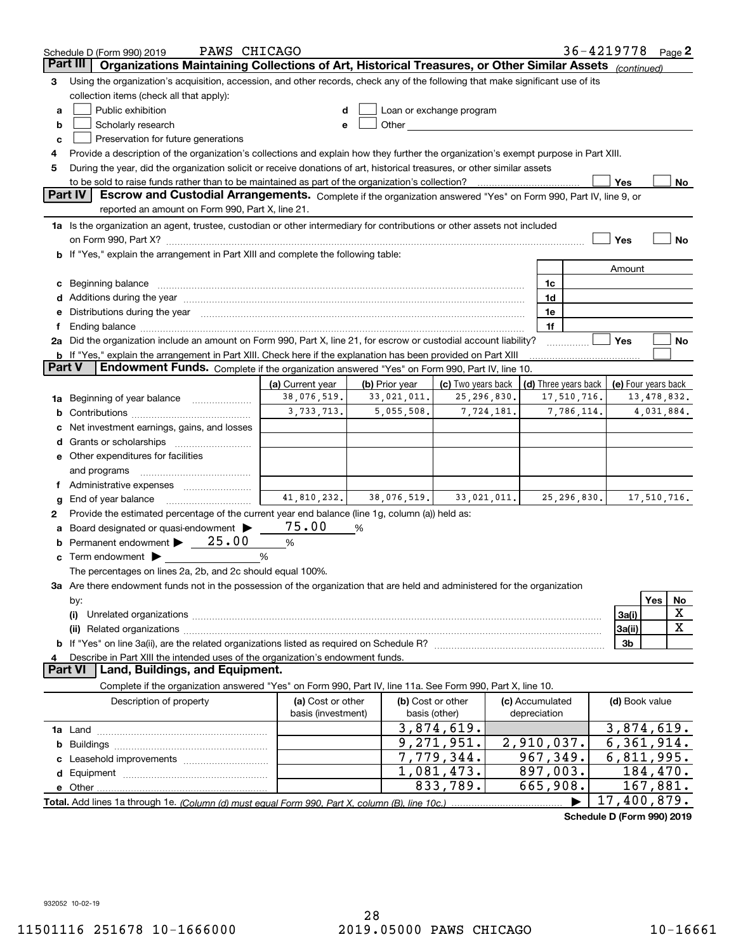|        | PAWS CHICAGO<br>Schedule D (Form 990) 2019                                                                                                                                                                                                  |                                         |                |                                                                                                                                                                                                                                |                                 | 36-4219778 Page 2    |                     |             |             |
|--------|---------------------------------------------------------------------------------------------------------------------------------------------------------------------------------------------------------------------------------------------|-----------------------------------------|----------------|--------------------------------------------------------------------------------------------------------------------------------------------------------------------------------------------------------------------------------|---------------------------------|----------------------|---------------------|-------------|-------------|
|        | Part III<br>Organizations Maintaining Collections of Art, Historical Treasures, or Other Similar Assets (continued)                                                                                                                         |                                         |                |                                                                                                                                                                                                                                |                                 |                      |                     |             |             |
| з      | Using the organization's acquisition, accession, and other records, check any of the following that make significant use of its                                                                                                             |                                         |                |                                                                                                                                                                                                                                |                                 |                      |                     |             |             |
|        | collection items (check all that apply):                                                                                                                                                                                                    |                                         |                |                                                                                                                                                                                                                                |                                 |                      |                     |             |             |
| a      | Public exhibition                                                                                                                                                                                                                           |                                         |                | Loan or exchange program                                                                                                                                                                                                       |                                 |                      |                     |             |             |
| b      | Scholarly research                                                                                                                                                                                                                          | е                                       |                | Other and the control of the control of the control of the control of the control of the control of the control of the control of the control of the control of the control of the control of the control of the control of th |                                 |                      |                     |             |             |
| c      | Preservation for future generations                                                                                                                                                                                                         |                                         |                |                                                                                                                                                                                                                                |                                 |                      |                     |             |             |
| 4      | Provide a description of the organization's collections and explain how they further the organization's exempt purpose in Part XIII.                                                                                                        |                                         |                |                                                                                                                                                                                                                                |                                 |                      |                     |             |             |
| 5      | During the year, did the organization solicit or receive donations of art, historical treasures, or other similar assets                                                                                                                    |                                         |                |                                                                                                                                                                                                                                |                                 |                      |                     |             |             |
|        | to be sold to raise funds rather than to be maintained as part of the organization's collection?                                                                                                                                            |                                         |                |                                                                                                                                                                                                                                |                                 |                      | Yes                 |             | No          |
|        | <b>Part IV</b><br>Escrow and Custodial Arrangements. Complete if the organization answered "Yes" on Form 990, Part IV, line 9, or                                                                                                           |                                         |                |                                                                                                                                                                                                                                |                                 |                      |                     |             |             |
|        | reported an amount on Form 990, Part X, line 21.                                                                                                                                                                                            |                                         |                |                                                                                                                                                                                                                                |                                 |                      |                     |             |             |
|        | 1a Is the organization an agent, trustee, custodian or other intermediary for contributions or other assets not included                                                                                                                    |                                         |                |                                                                                                                                                                                                                                |                                 |                      |                     |             |             |
|        |                                                                                                                                                                                                                                             |                                         |                |                                                                                                                                                                                                                                |                                 |                      | Yes                 |             | No          |
|        | b If "Yes," explain the arrangement in Part XIII and complete the following table:                                                                                                                                                          |                                         |                |                                                                                                                                                                                                                                |                                 |                      |                     |             |             |
|        |                                                                                                                                                                                                                                             |                                         |                |                                                                                                                                                                                                                                |                                 |                      | Amount              |             |             |
| c      |                                                                                                                                                                                                                                             |                                         |                |                                                                                                                                                                                                                                | 1c                              |                      |                     |             |             |
|        |                                                                                                                                                                                                                                             |                                         |                |                                                                                                                                                                                                                                | 1d                              |                      |                     |             |             |
| е      | Distributions during the year manufactured and an account of the state of the state of the state of the state o                                                                                                                             |                                         |                |                                                                                                                                                                                                                                | 1e                              |                      |                     |             |             |
| Ť.     | Ending balance manufacture contracts and the contracts of the contracts of the contracts of the contracts of the contracts of the contracts of the contracts of the contracts of the contracts of the contracts of the contrac              |                                         |                |                                                                                                                                                                                                                                | 1f                              |                      | Yes                 |             | No          |
|        | 2a Did the organization include an amount on Form 990, Part X, line 21, for escrow or custodial account liability?<br><b>b</b> If "Yes," explain the arrangement in Part XIII. Check here if the explanation has been provided on Part XIII |                                         |                |                                                                                                                                                                                                                                |                                 |                      |                     |             |             |
| Part V | Endowment Funds. Complete if the organization answered "Yes" on Form 990, Part IV, line 10.                                                                                                                                                 |                                         |                |                                                                                                                                                                                                                                |                                 |                      |                     |             |             |
|        |                                                                                                                                                                                                                                             | (a) Current year                        | (b) Prior year | (c) Two years back                                                                                                                                                                                                             |                                 | (d) Three years back | (e) Four years back |             |             |
| 1a     | Beginning of year balance                                                                                                                                                                                                                   | 38,076,519.                             | 33,021,011.    | 25,296,830.                                                                                                                                                                                                                    |                                 | 17,510,716.          |                     | 13,478,832. |             |
| b      |                                                                                                                                                                                                                                             | 3,733,713.                              | 5,055,508.     | 7,724,181.                                                                                                                                                                                                                     |                                 | 7,786,114.           |                     | 4,031,884.  |             |
|        | Net investment earnings, gains, and losses                                                                                                                                                                                                  |                                         |                |                                                                                                                                                                                                                                |                                 |                      |                     |             |             |
| d      |                                                                                                                                                                                                                                             |                                         |                |                                                                                                                                                                                                                                |                                 |                      |                     |             |             |
|        | e Other expenditures for facilities                                                                                                                                                                                                         |                                         |                |                                                                                                                                                                                                                                |                                 |                      |                     |             |             |
|        | and programs                                                                                                                                                                                                                                |                                         |                |                                                                                                                                                                                                                                |                                 |                      |                     |             |             |
|        |                                                                                                                                                                                                                                             |                                         |                |                                                                                                                                                                                                                                |                                 |                      |                     |             |             |
| g      | End of year balance                                                                                                                                                                                                                         | 41,810,232.                             | 38,076,519.    | 33,021,011.                                                                                                                                                                                                                    |                                 | 25, 296, 830.        |                     | 17,510,716. |             |
| 2      | Provide the estimated percentage of the current year end balance (line 1g, column (a)) held as:                                                                                                                                             |                                         |                |                                                                                                                                                                                                                                |                                 |                      |                     |             |             |
| а      | Board designated or quasi-endowment >                                                                                                                                                                                                       | 75.00                                   | %              |                                                                                                                                                                                                                                |                                 |                      |                     |             |             |
|        | Permanent endowment $\blacktriangleright$ $\underline{\hspace{1em}}$ 25.00                                                                                                                                                                  | $\%$                                    |                |                                                                                                                                                                                                                                |                                 |                      |                     |             |             |
| c      | Term endowment $\blacktriangleright$                                                                                                                                                                                                        | %                                       |                |                                                                                                                                                                                                                                |                                 |                      |                     |             |             |
|        | The percentages on lines 2a, 2b, and 2c should equal 100%.                                                                                                                                                                                  |                                         |                |                                                                                                                                                                                                                                |                                 |                      |                     |             |             |
|        | 3a Are there endowment funds not in the possession of the organization that are held and administered for the organization                                                                                                                  |                                         |                |                                                                                                                                                                                                                                |                                 |                      |                     |             |             |
|        | by:                                                                                                                                                                                                                                         |                                         |                |                                                                                                                                                                                                                                |                                 |                      |                     | Yes         | No          |
|        | (i)                                                                                                                                                                                                                                         |                                         |                |                                                                                                                                                                                                                                |                                 |                      | 3a(i)               |             | X           |
|        |                                                                                                                                                                                                                                             |                                         |                |                                                                                                                                                                                                                                |                                 |                      | 3a(ii)              |             | $\mathbf X$ |
|        |                                                                                                                                                                                                                                             |                                         |                |                                                                                                                                                                                                                                |                                 |                      | 3b                  |             |             |
| 4      | Describe in Part XIII the intended uses of the organization's endowment funds.                                                                                                                                                              |                                         |                |                                                                                                                                                                                                                                |                                 |                      |                     |             |             |
|        | Land, Buildings, and Equipment.<br>Part VI                                                                                                                                                                                                  |                                         |                |                                                                                                                                                                                                                                |                                 |                      |                     |             |             |
|        | Complete if the organization answered "Yes" on Form 990, Part IV, line 11a. See Form 990, Part X, line 10.                                                                                                                                  |                                         |                |                                                                                                                                                                                                                                |                                 |                      |                     |             |             |
|        | Description of property                                                                                                                                                                                                                     | (a) Cost or other<br>basis (investment) |                | (b) Cost or other<br>basis (other)                                                                                                                                                                                             | (c) Accumulated<br>depreciation |                      | (d) Book value      |             |             |
|        |                                                                                                                                                                                                                                             |                                         |                | 3,874,619.                                                                                                                                                                                                                     |                                 |                      | 3,874,619.          |             |             |
|        |                                                                                                                                                                                                                                             |                                         |                | 9,271,951.                                                                                                                                                                                                                     | 2,910,037.                      |                      | 6,361,914.          |             |             |
| b      |                                                                                                                                                                                                                                             |                                         |                | 7,779,344.                                                                                                                                                                                                                     | 967,349.                        |                      | 6,811,995.          |             |             |
|        |                                                                                                                                                                                                                                             |                                         |                | 1,081,473.                                                                                                                                                                                                                     | 897,003.                        |                      |                     | 184,470.    |             |
|        |                                                                                                                                                                                                                                             |                                         |                | 833,789.                                                                                                                                                                                                                       | 665,908.                        |                      |                     | 167,881.    |             |
|        |                                                                                                                                                                                                                                             |                                         |                |                                                                                                                                                                                                                                |                                 |                      | 17,400,879.         |             |             |
|        |                                                                                                                                                                                                                                             |                                         |                |                                                                                                                                                                                                                                |                                 |                      |                     |             |             |

**Schedule D (Form 990) 2019**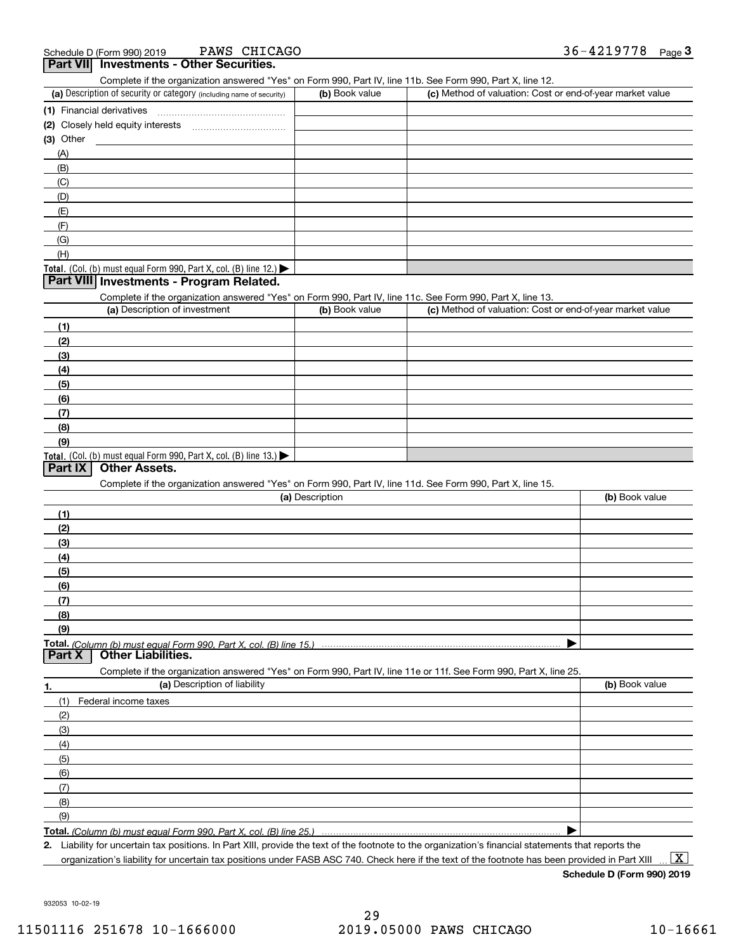| PAWS CHICAGO<br>Schedule D (Form 990) 2019                                                                                                        |                 |                                                           | 36-4219778<br>$_{\text{Page}}$ 3 |
|---------------------------------------------------------------------------------------------------------------------------------------------------|-----------------|-----------------------------------------------------------|----------------------------------|
| Part VII Investments - Other Securities.                                                                                                          |                 |                                                           |                                  |
| Complete if the organization answered "Yes" on Form 990, Part IV, line 11b. See Form 990, Part X, line 12.                                        |                 |                                                           |                                  |
| (a) Description of security or category (including name of security)                                                                              | (b) Book value  | (c) Method of valuation: Cost or end-of-year market value |                                  |
|                                                                                                                                                   |                 |                                                           |                                  |
|                                                                                                                                                   |                 |                                                           |                                  |
| (3) Other                                                                                                                                         |                 |                                                           |                                  |
| (A)                                                                                                                                               |                 |                                                           |                                  |
| (B)                                                                                                                                               |                 |                                                           |                                  |
| (C)                                                                                                                                               |                 |                                                           |                                  |
| (D)                                                                                                                                               |                 |                                                           |                                  |
| (E)<br>(F)                                                                                                                                        |                 |                                                           |                                  |
| (G)                                                                                                                                               |                 |                                                           |                                  |
| (H)                                                                                                                                               |                 |                                                           |                                  |
| Total. (Col. (b) must equal Form 990, Part X, col. (B) line 12.)                                                                                  |                 |                                                           |                                  |
| Part VIII Investments - Program Related.                                                                                                          |                 |                                                           |                                  |
| Complete if the organization answered "Yes" on Form 990, Part IV, line 11c. See Form 990, Part X, line 13.                                        |                 |                                                           |                                  |
| (a) Description of investment                                                                                                                     | (b) Book value  | (c) Method of valuation: Cost or end-of-year market value |                                  |
| (1)                                                                                                                                               |                 |                                                           |                                  |
| (2)                                                                                                                                               |                 |                                                           |                                  |
| (3)                                                                                                                                               |                 |                                                           |                                  |
| (4)                                                                                                                                               |                 |                                                           |                                  |
| (5)                                                                                                                                               |                 |                                                           |                                  |
| (6)                                                                                                                                               |                 |                                                           |                                  |
| (7)                                                                                                                                               |                 |                                                           |                                  |
| (8)                                                                                                                                               |                 |                                                           |                                  |
| (9)                                                                                                                                               |                 |                                                           |                                  |
| Total. (Col. (b) must equal Form 990, Part X, col. (B) line 13.)                                                                                  |                 |                                                           |                                  |
| <b>Other Assets.</b><br>Part IX                                                                                                                   |                 |                                                           |                                  |
| Complete if the organization answered "Yes" on Form 990, Part IV, line 11d. See Form 990, Part X, line 15.                                        |                 |                                                           |                                  |
|                                                                                                                                                   | (a) Description |                                                           | (b) Book value                   |
| (1)                                                                                                                                               |                 |                                                           |                                  |
| (2)                                                                                                                                               |                 |                                                           |                                  |
| (3)                                                                                                                                               |                 |                                                           |                                  |
| (4)                                                                                                                                               |                 |                                                           |                                  |
| (5)                                                                                                                                               |                 |                                                           |                                  |
| (6)                                                                                                                                               |                 |                                                           |                                  |
| (7)                                                                                                                                               |                 |                                                           |                                  |
| (8)                                                                                                                                               |                 |                                                           |                                  |
| (9)                                                                                                                                               |                 |                                                           |                                  |
| Total. (Column (b) must equal Form 990. Part X. col. (B) line 15.)<br><b>Other Liabilities.</b><br>Part X                                         |                 |                                                           |                                  |
|                                                                                                                                                   |                 |                                                           |                                  |
| Complete if the organization answered "Yes" on Form 990, Part IV, line 11e or 11f. See Form 990, Part X, line 25.<br>(a) Description of liability |                 |                                                           | (b) Book value                   |
| 1.                                                                                                                                                |                 |                                                           |                                  |
| (1)<br>Federal income taxes                                                                                                                       |                 |                                                           |                                  |
| (2)                                                                                                                                               |                 |                                                           |                                  |
| (3)                                                                                                                                               |                 |                                                           |                                  |
| (4)                                                                                                                                               |                 |                                                           |                                  |
| (5)                                                                                                                                               |                 |                                                           |                                  |
| (6)                                                                                                                                               |                 |                                                           |                                  |
| (7)                                                                                                                                               |                 |                                                           |                                  |
| (8)                                                                                                                                               |                 |                                                           |                                  |
| (9)                                                                                                                                               |                 |                                                           |                                  |
| Total. (Column (b) must equal Form 990. Part X, col. (B) line 25.)                                                                                |                 |                                                           |                                  |

**2.** Liability for uncertain tax positions. In Part XIII, provide the text of the footnote to the organization's financial statements that reports the organization's liability for uncertain tax positions under FASB ASC 740. Check here if the text of the footnote has been provided in Part XIII

**Schedule D (Form 990) 2019**

932053 10-02-19

 $\boxed{\text{X}}$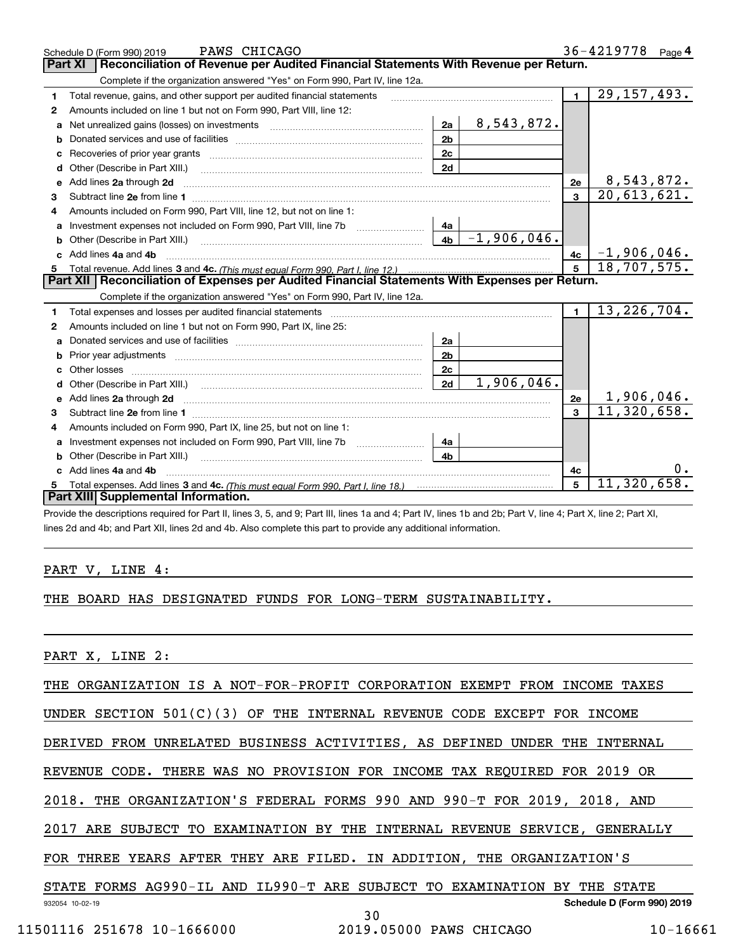|    | PAWS CHICAGO<br>Schedule D (Form 990) 2019                                                                                                                                                                                          |                |               |              | 36-4219778 Page 4           |
|----|-------------------------------------------------------------------------------------------------------------------------------------------------------------------------------------------------------------------------------------|----------------|---------------|--------------|-----------------------------|
|    | Reconciliation of Revenue per Audited Financial Statements With Revenue per Return.<br><b>Part XI</b>                                                                                                                               |                |               |              |                             |
|    | Complete if the organization answered "Yes" on Form 990, Part IV, line 12a.                                                                                                                                                         |                |               |              |                             |
| 1  | Total revenue, gains, and other support per audited financial statements                                                                                                                                                            |                |               | $\mathbf 1$  | 29, 157, 493.               |
| 2  | Amounts included on line 1 but not on Form 990, Part VIII, line 12:                                                                                                                                                                 |                |               |              |                             |
| a  | Net unrealized gains (losses) on investments [11] matter contracts and the unrealized gains (losses) on investments                                                                                                                 | 2a             | 8,543,872.    |              |                             |
| b  |                                                                                                                                                                                                                                     | 2 <sub>b</sub> |               |              |                             |
| c  | Recoveries of prior year grants [11] Recoveries of prior year grants [11] Recoveries of prior year grants                                                                                                                           | 2c             |               |              |                             |
| d  | Other (Describe in Part XIII.)                                                                                                                                                                                                      | 2d             |               |              |                             |
|    | e Add lines 2a through 2d                                                                                                                                                                                                           |                |               | 2e           | 8,543,872.                  |
| 3  |                                                                                                                                                                                                                                     |                |               | $\mathbf{a}$ | 20,613,621.                 |
| 4  | Amounts included on Form 990, Part VIII, line 12, but not on line 1:                                                                                                                                                                |                |               |              |                             |
|    | Investment expenses not included on Form 990, Part VIII, line 7b [100] [100] [100] [100] [100] [100] [100] [10                                                                                                                      | 4a             |               |              |                             |
| b  | Other (Describe in Part XIII.) <b>Construction Contract Construction</b> Chemistry Chemistry Chemistry Chemistry Chemistry                                                                                                          | 4 <sub>b</sub> | $-1,906,046.$ |              |                             |
| C. | Add lines 4a and 4b                                                                                                                                                                                                                 |                |               | 4c           | $-1,906,046.$               |
|    |                                                                                                                                                                                                                                     |                |               | 5            | 18,707,575.                 |
| 5  |                                                                                                                                                                                                                                     |                |               |              |                             |
|    | Part XII   Reconciliation of Expenses per Audited Financial Statements With Expenses per Return.                                                                                                                                    |                |               |              |                             |
|    | Complete if the organization answered "Yes" on Form 990, Part IV, line 12a.                                                                                                                                                         |                |               |              |                             |
| 1  | Total expenses and losses per audited financial statements [11, 11] matter controlled and statements [11] matter controlled and the statements [11] matter controlled and the statements and the statements and statements and      |                |               | $\mathbf{1}$ | 13,226,704.                 |
| 2  | Amounts included on line 1 but not on Form 990, Part IX, line 25:                                                                                                                                                                   |                |               |              |                             |
| a  |                                                                                                                                                                                                                                     | 2a             |               |              |                             |
| b  |                                                                                                                                                                                                                                     | 2 <sub>b</sub> |               |              |                             |
| c  |                                                                                                                                                                                                                                     | 2с             |               |              |                             |
| d  |                                                                                                                                                                                                                                     | 2d             | 1,906,046.    |              |                             |
| е  | Add lines 2a through 2d <b>contained a contained a contained a contained a</b> contained a contact the set of the set of the set of the set of the set of the set of the set of the set of the set of the set of the set of the set |                |               | 2e           | 1,906,046.                  |
| 3  |                                                                                                                                                                                                                                     |                |               | $\mathbf{a}$ | $\overline{11}$ , 320, 658. |
| 4  | Amounts included on Form 990, Part IX, line 25, but not on line 1:                                                                                                                                                                  |                |               |              |                             |
| a  | Investment expenses not included on Form 990, Part VIII, line 7b [100] [100] [100] [100] [100] [100] [100] [10                                                                                                                      | 4a             |               |              |                             |
| b  | Other (Describe in Part XIII.)                                                                                                                                                                                                      | 4h.            |               |              |                             |
| c. | Add lines 4a and 4b                                                                                                                                                                                                                 |                |               | 4c           |                             |
|    | Part XIII Supplemental Information.                                                                                                                                                                                                 |                |               | 5            | 11,320,658.                 |

Provide the descriptions required for Part II, lines 3, 5, and 9; Part III, lines 1a and 4; Part IV, lines 1b and 2b; Part V, line 4; Part X, line 2; Part XI, lines 2d and 4b; and Part XII, lines 2d and 4b. Also complete this part to provide any additional information.

### PART V, LINE 4:

#### THE BOARD HAS DESIGNATED FUNDS FOR LONG-TERM SUSTAINABILITY.

PART X, LINE 2:

THE ORGANIZATION IS A NOT-FOR-PROFIT CORPORATION EXEMPT FROM INCOME TAXES

UNDER SECTION 501(C)(3) OF THE INTERNAL REVENUE CODE EXCEPT FOR INCOME

DERIVED FROM UNRELATED BUSINESS ACTIVITIES, AS DEFINED UNDER THE INTERNAL

REVENUE CODE. THERE WAS NO PROVISION FOR INCOME TAX REQUIRED FOR 2019 OR

2018. THE ORGANIZATION'S FEDERAL FORMS 990 AND 990-T FOR 2019, 2018, AND

2017 ARE SUBJECT TO EXAMINATION BY THE INTERNAL REVENUE SERVICE, GENERALLY

FOR THREE YEARS AFTER THEY ARE FILED. IN ADDITION, THE ORGANIZATION'S

**Schedule D (Form 990) 2019** STATE FORMS AG990-IL AND IL990-T ARE SUBJECT TO EXAMINATION BY THE STATE

30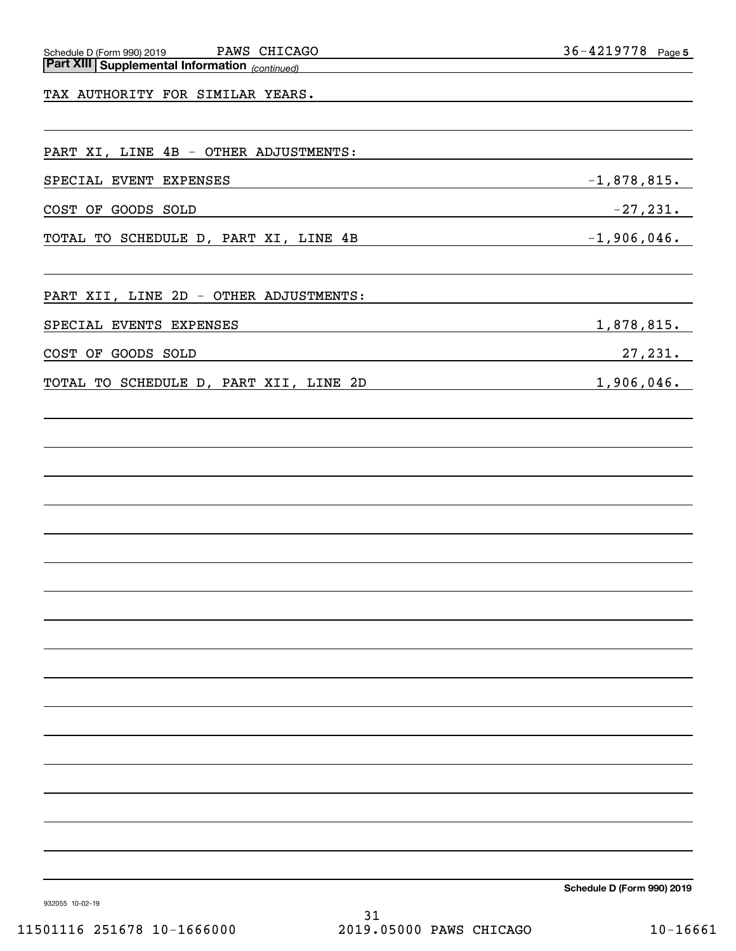| Part XIII Supplemental Information (continued)<br>The Multiple Supplemental Information (continued) |
|-----------------------------------------------------------------------------------------------------|
| TAX AUTHORITY FOR SIMILAR YEARS.                                                                    |
|                                                                                                     |
| PART XI, LINE 4B - OTHER ADJUSTMENTS:                                                               |
| SPECIAL EVENT EXPENSES                                                                              |
| COST OF GOODS SOLD                                                                                  |
| TOTAL TO SCHEDULE D, PART XI, LINE 4B                                                               |
|                                                                                                     |
| PART XII, LINE 2D - OTHER ADJUSTMENTS:                                                              |
| SPECIAL EVENTS EXPENSES                                                                             |
| COST OF GOODS SOLD                                                                                  |
| TOTAL TO SCHEDULE D, PART XII, LINE 2D                                                              |
|                                                                                                     |
|                                                                                                     |
|                                                                                                     |

 $-1,878,815.$ 

 $-1,906,046.$ 

 $1,878,815.$ 

 $1,906,046.$ 

 $27,231.$ 

 $-27,231.$ 

**Schedule D (Form 990) 2019**

932055 10-02-19

31 11501116 251678 10-1666000 2019.05000 PAWS CHICAGO 10-16661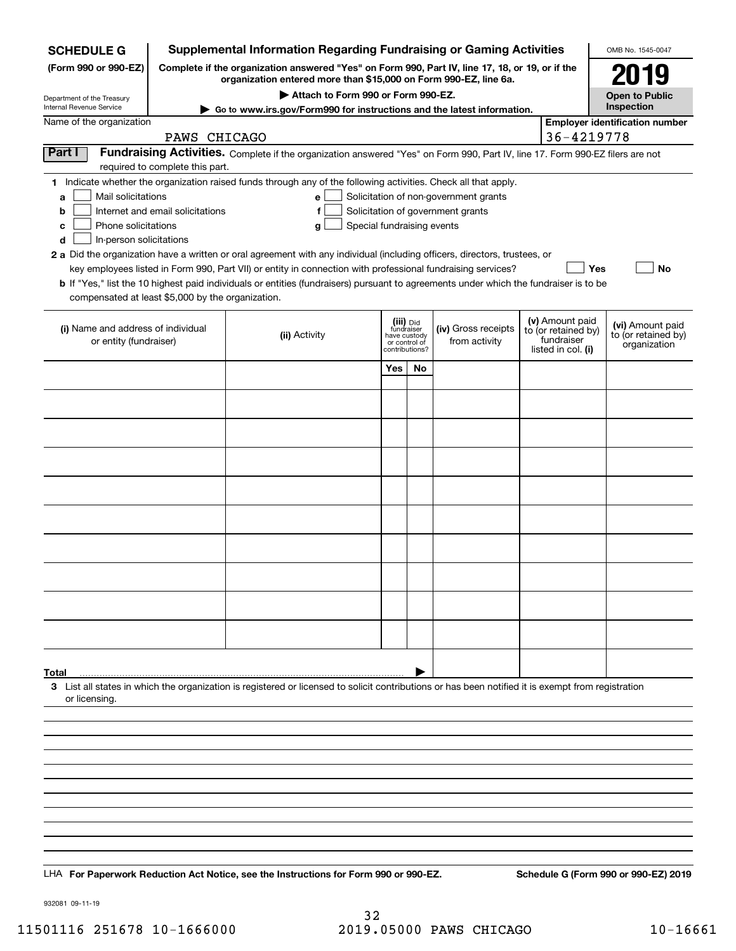| <b>SCHEDULE G</b>                                                                        |                                                                                                                                                                     | <b>Supplemental Information Regarding Fundraising or Gaming Activities</b>                                                                                                                                                                                                                                                                                                                                                             |                                                           |               |                                                                            |  |                                                                            | OMB No. 1545-0047                                       |
|------------------------------------------------------------------------------------------|---------------------------------------------------------------------------------------------------------------------------------------------------------------------|----------------------------------------------------------------------------------------------------------------------------------------------------------------------------------------------------------------------------------------------------------------------------------------------------------------------------------------------------------------------------------------------------------------------------------------|-----------------------------------------------------------|---------------|----------------------------------------------------------------------------|--|----------------------------------------------------------------------------|---------------------------------------------------------|
| (Form 990 or 990-EZ)                                                                     | Complete if the organization answered "Yes" on Form 990, Part IV, line 17, 18, or 19, or if the<br>organization entered more than \$15,000 on Form 990-EZ, line 6a. |                                                                                                                                                                                                                                                                                                                                                                                                                                        |                                                           |               |                                                                            |  |                                                                            |                                                         |
| Department of the Treasury<br>Internal Revenue Service                                   |                                                                                                                                                                     | Attach to Form 990 or Form 990-EZ.                                                                                                                                                                                                                                                                                                                                                                                                     |                                                           |               |                                                                            |  |                                                                            | <b>Open to Public</b><br>Inspection                     |
| Name of the organization                                                                 | PAWS CHICAGO                                                                                                                                                        | ► Go to www.irs.gov/Form990 for instructions and the latest information.                                                                                                                                                                                                                                                                                                                                                               |                                                           |               |                                                                            |  | 36-4219778                                                                 | <b>Employer identification number</b>                   |
| Part I                                                                                   |                                                                                                                                                                     | Fundraising Activities. Complete if the organization answered "Yes" on Form 990, Part IV, line 17. Form 990-EZ filers are not                                                                                                                                                                                                                                                                                                          |                                                           |               |                                                                            |  |                                                                            |                                                         |
|                                                                                          | required to complete this part.                                                                                                                                     | 1 Indicate whether the organization raised funds through any of the following activities. Check all that apply.                                                                                                                                                                                                                                                                                                                        |                                                           |               |                                                                            |  |                                                                            |                                                         |
| Mail solicitations<br>a<br>b<br>Phone solicitations<br>c<br>In-person solicitations<br>d | Internet and email solicitations                                                                                                                                    | е<br>f<br>Special fundraising events<br>g<br>2 a Did the organization have a written or oral agreement with any individual (including officers, directors, trustees, or<br>key employees listed in Form 990, Part VII) or entity in connection with professional fundraising services?<br><b>b</b> If "Yes," list the 10 highest paid individuals or entities (fundraisers) pursuant to agreements under which the fundraiser is to be |                                                           |               | Solicitation of non-government grants<br>Solicitation of government grants |  | Yes                                                                        | No                                                      |
| compensated at least \$5,000 by the organization.                                        |                                                                                                                                                                     |                                                                                                                                                                                                                                                                                                                                                                                                                                        |                                                           |               |                                                                            |  |                                                                            |                                                         |
| (i) Name and address of individual<br>or entity (fundraiser)                             |                                                                                                                                                                     | (ii) Activity                                                                                                                                                                                                                                                                                                                                                                                                                          | (iii) Did<br>fundraiser<br>have custody<br>contributions? | or control of | (iv) Gross receipts<br>from activity                                       |  | (v) Amount paid<br>to (or retained by)<br>fundraiser<br>listed in col. (i) | (vi) Amount paid<br>to (or retained by)<br>organization |
|                                                                                          |                                                                                                                                                                     |                                                                                                                                                                                                                                                                                                                                                                                                                                        | Yes                                                       | No            |                                                                            |  |                                                                            |                                                         |
|                                                                                          |                                                                                                                                                                     |                                                                                                                                                                                                                                                                                                                                                                                                                                        |                                                           |               |                                                                            |  |                                                                            |                                                         |
|                                                                                          |                                                                                                                                                                     |                                                                                                                                                                                                                                                                                                                                                                                                                                        |                                                           |               |                                                                            |  |                                                                            |                                                         |
|                                                                                          |                                                                                                                                                                     |                                                                                                                                                                                                                                                                                                                                                                                                                                        |                                                           |               |                                                                            |  |                                                                            |                                                         |
|                                                                                          |                                                                                                                                                                     |                                                                                                                                                                                                                                                                                                                                                                                                                                        |                                                           |               |                                                                            |  |                                                                            |                                                         |
|                                                                                          |                                                                                                                                                                     |                                                                                                                                                                                                                                                                                                                                                                                                                                        |                                                           |               |                                                                            |  |                                                                            |                                                         |
|                                                                                          |                                                                                                                                                                     |                                                                                                                                                                                                                                                                                                                                                                                                                                        |                                                           |               |                                                                            |  |                                                                            |                                                         |
|                                                                                          |                                                                                                                                                                     |                                                                                                                                                                                                                                                                                                                                                                                                                                        |                                                           |               |                                                                            |  |                                                                            |                                                         |
|                                                                                          |                                                                                                                                                                     |                                                                                                                                                                                                                                                                                                                                                                                                                                        |                                                           |               |                                                                            |  |                                                                            |                                                         |
|                                                                                          |                                                                                                                                                                     |                                                                                                                                                                                                                                                                                                                                                                                                                                        |                                                           |               |                                                                            |  |                                                                            |                                                         |
|                                                                                          |                                                                                                                                                                     |                                                                                                                                                                                                                                                                                                                                                                                                                                        |                                                           |               |                                                                            |  |                                                                            |                                                         |
| Total<br>or licensing.                                                                   |                                                                                                                                                                     | 3 List all states in which the organization is registered or licensed to solicit contributions or has been notified it is exempt from registration                                                                                                                                                                                                                                                                                     |                                                           |               |                                                                            |  |                                                                            |                                                         |
|                                                                                          |                                                                                                                                                                     |                                                                                                                                                                                                                                                                                                                                                                                                                                        |                                                           |               |                                                                            |  |                                                                            |                                                         |
|                                                                                          |                                                                                                                                                                     |                                                                                                                                                                                                                                                                                                                                                                                                                                        |                                                           |               |                                                                            |  |                                                                            |                                                         |
|                                                                                          |                                                                                                                                                                     |                                                                                                                                                                                                                                                                                                                                                                                                                                        |                                                           |               |                                                                            |  |                                                                            |                                                         |
|                                                                                          |                                                                                                                                                                     |                                                                                                                                                                                                                                                                                                                                                                                                                                        |                                                           |               |                                                                            |  |                                                                            |                                                         |
|                                                                                          |                                                                                                                                                                     |                                                                                                                                                                                                                                                                                                                                                                                                                                        |                                                           |               |                                                                            |  |                                                                            |                                                         |
|                                                                                          |                                                                                                                                                                     |                                                                                                                                                                                                                                                                                                                                                                                                                                        |                                                           |               |                                                                            |  |                                                                            |                                                         |
|                                                                                          |                                                                                                                                                                     |                                                                                                                                                                                                                                                                                                                                                                                                                                        |                                                           |               |                                                                            |  |                                                                            |                                                         |
|                                                                                          |                                                                                                                                                                     | LHA For Paperwork Reduction Act Notice, see the Instructions for Form 990 or 990-EZ.                                                                                                                                                                                                                                                                                                                                                   |                                                           |               |                                                                            |  |                                                                            | Schedule G (Form 990 or 990-EZ) 2019                    |

932081 09-11-19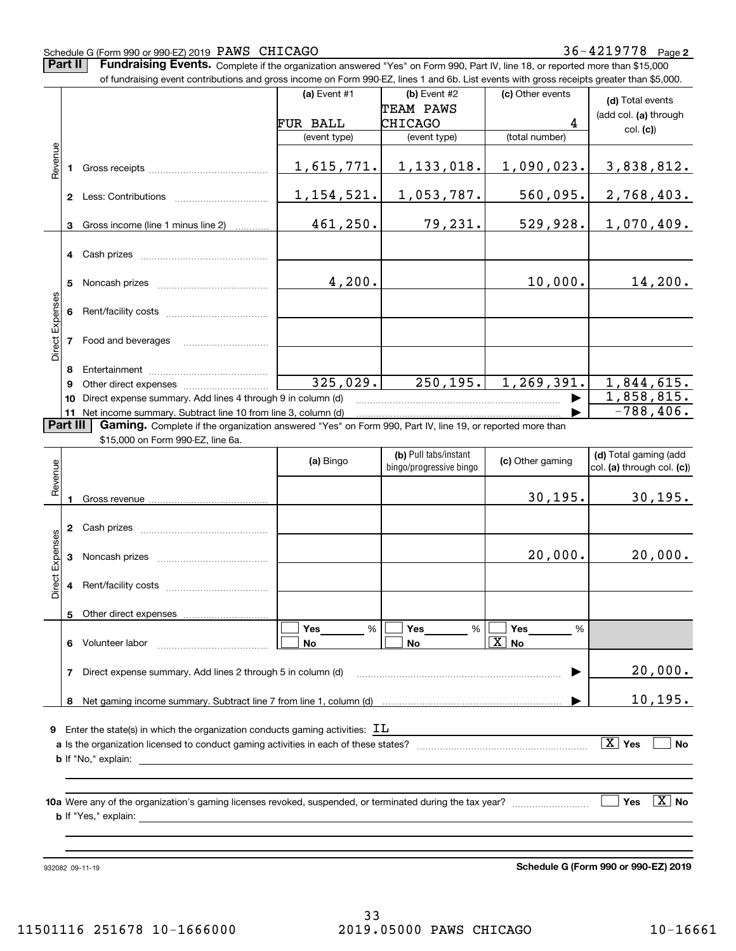#### Schedule G (Form 990 or 990-EZ) 2019 Page PAWS CHICAGO 36-4219778

**Part II** | Fundraising Events. Complete if the organization answered "Yes" on Form 990, Part IV, line 18, or reported more than \$15,000

|                 |                 | of fundraising event contributions and gross income on Form 990-EZ, lines 1 and 6b. List events with gross receipts greater than \$5,000. |              |                                                  |                       |                              |
|-----------------|-----------------|-------------------------------------------------------------------------------------------------------------------------------------------|--------------|--------------------------------------------------|-----------------------|------------------------------|
|                 |                 |                                                                                                                                           | (a) Event #1 | (b) Event #2                                     | (c) Other events      | (d) Total events             |
|                 |                 |                                                                                                                                           |              | TEAM PAWS                                        |                       | (add col. (a) through        |
|                 |                 |                                                                                                                                           | FUR BALL     | <b>CHICAGO</b>                                   | 4                     | col. (c)                     |
|                 |                 |                                                                                                                                           | (event type) | (event type)                                     | (total number)        |                              |
| Revenue         |                 |                                                                                                                                           |              |                                                  |                       |                              |
|                 |                 |                                                                                                                                           | 1,615,771.   | 1,133,018.                                       | 1,090,023.            | 3,838,812.                   |
|                 |                 |                                                                                                                                           |              |                                                  |                       |                              |
|                 |                 |                                                                                                                                           | 1,154,521.   | 1,053,787.                                       | 560,095.              | 2,768,403.                   |
|                 |                 |                                                                                                                                           |              |                                                  |                       |                              |
|                 |                 | 3 Gross income (line 1 minus line 2)                                                                                                      | 461, 250.    | 79,231.                                          | 529,928.              | 1,070,409.                   |
|                 |                 |                                                                                                                                           |              |                                                  |                       |                              |
|                 |                 |                                                                                                                                           |              |                                                  |                       |                              |
|                 |                 |                                                                                                                                           |              |                                                  |                       |                              |
|                 | 5               |                                                                                                                                           | 4,200.       |                                                  | 10,000.               | 14,200.                      |
|                 |                 |                                                                                                                                           |              |                                                  |                       |                              |
|                 | 6.              |                                                                                                                                           |              |                                                  |                       |                              |
| Direct Expenses |                 |                                                                                                                                           |              |                                                  |                       |                              |
|                 |                 | 7 Food and beverages                                                                                                                      |              |                                                  |                       |                              |
|                 |                 |                                                                                                                                           |              |                                                  |                       |                              |
|                 | 8               |                                                                                                                                           |              |                                                  |                       |                              |
|                 | 9               |                                                                                                                                           | 325,029.     | 250, 195.                                        | 1, 269, 391.          | 1,844,615.                   |
|                 | 10              | Direct expense summary. Add lines 4 through 9 in column (d)                                                                               |              |                                                  |                       | 1,858,815.                   |
|                 |                 | 11 Net income summary. Subtract line 10 from line 3, column (d)                                                                           |              |                                                  |                       | $-788, 406.$                 |
|                 | <b>Part III</b> | Gaming. Complete if the organization answered "Yes" on Form 990, Part IV, line 19, or reported more than                                  |              |                                                  |                       |                              |
|                 |                 | \$15,000 on Form 990-EZ, line 6a.                                                                                                         |              |                                                  |                       |                              |
|                 |                 |                                                                                                                                           | (a) Bingo    | (b) Pull tabs/instant<br>bingo/progressive bingo | (c) Other gaming      | (d) Total gaming (add        |
| Revenue         |                 |                                                                                                                                           |              |                                                  |                       | col. (a) through col. (c))   |
|                 |                 |                                                                                                                                           |              |                                                  |                       |                              |
|                 |                 |                                                                                                                                           |              |                                                  | 30, 195.              | 30, 195.                     |
|                 |                 |                                                                                                                                           |              |                                                  |                       |                              |
|                 |                 |                                                                                                                                           |              |                                                  |                       |                              |
| Direct Expenses |                 |                                                                                                                                           |              |                                                  | 20,000.               | 20,000.                      |
|                 | 3               |                                                                                                                                           |              |                                                  |                       |                              |
|                 |                 |                                                                                                                                           |              |                                                  |                       |                              |
|                 |                 |                                                                                                                                           |              |                                                  |                       |                              |
|                 |                 | 5 Other direct expenses                                                                                                                   |              |                                                  |                       |                              |
|                 |                 |                                                                                                                                           | Yes<br>%     | Yes<br>%                                         | Yes<br>%              |                              |
|                 |                 | 6 Volunteer labor                                                                                                                         | No           | No                                               | $\boxed{\text{X}}$ No |                              |
|                 |                 |                                                                                                                                           |              |                                                  |                       |                              |
|                 | 7               | Direct expense summary. Add lines 2 through 5 in column (d)                                                                               |              |                                                  |                       | 20,000.                      |
|                 |                 |                                                                                                                                           |              |                                                  |                       |                              |
|                 |                 |                                                                                                                                           |              |                                                  |                       | 10, 195.                     |
|                 |                 |                                                                                                                                           |              |                                                  |                       |                              |
|                 |                 | <b>9</b> Enter the state(s) in which the organization conducts gaming activities: $\mathbf{I}\mathbf{L}$                                  |              |                                                  |                       |                              |
|                 |                 |                                                                                                                                           |              |                                                  |                       | $\overline{X}$ Yes<br>No     |
|                 |                 |                                                                                                                                           |              |                                                  |                       |                              |
|                 |                 |                                                                                                                                           |              |                                                  |                       |                              |
|                 |                 |                                                                                                                                           |              |                                                  |                       |                              |
|                 |                 |                                                                                                                                           |              |                                                  |                       | $\boxed{\text{X}}$ No<br>Yes |
|                 |                 |                                                                                                                                           |              |                                                  |                       |                              |
|                 |                 |                                                                                                                                           |              |                                                  |                       |                              |
|                 |                 |                                                                                                                                           |              |                                                  |                       |                              |

932082 09-11-19

**Schedule G (Form 990 or 990-EZ) 2019**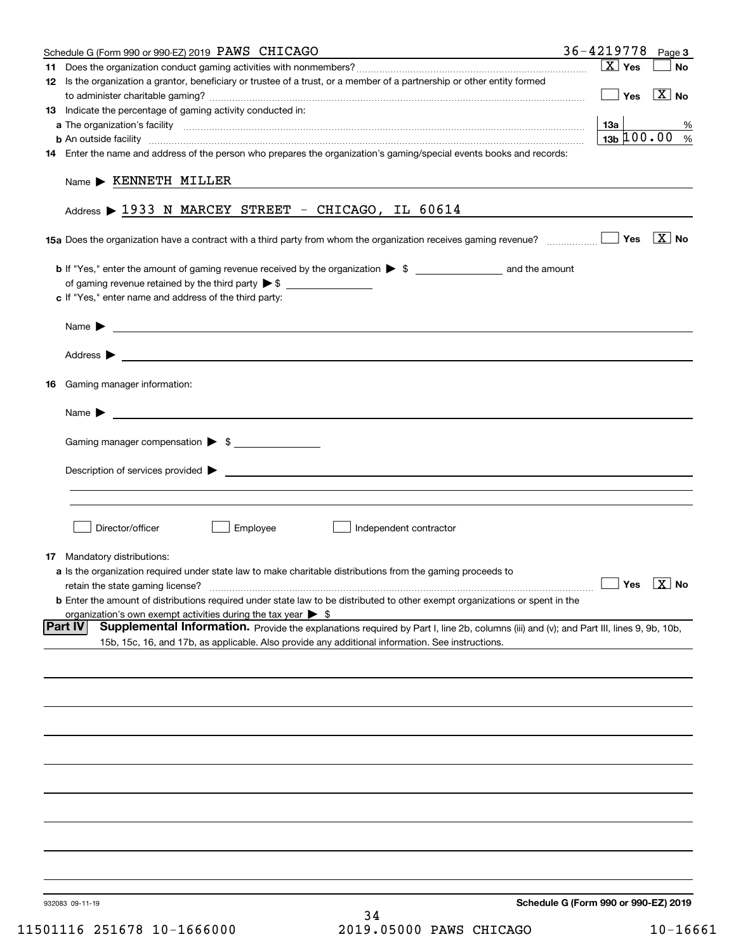|    | Schedule G (Form 990 or 990-EZ) 2019 PAWS CHICAGO                                                                                                                                                                                         | $36 - 4219778$ Page 3                              |                            |
|----|-------------------------------------------------------------------------------------------------------------------------------------------------------------------------------------------------------------------------------------------|----------------------------------------------------|----------------------------|
|    |                                                                                                                                                                                                                                           | $X$ Yes                                            | <b>No</b>                  |
|    | 12 Is the organization a grantor, beneficiary or trustee of a trust, or a member of a partnership or other entity formed                                                                                                                  |                                                    |                            |
|    |                                                                                                                                                                                                                                           | $\mathbf{1}$                                       | $Yes$ $\overline{X}$ No    |
|    | 13 Indicate the percentage of gaming activity conducted in:                                                                                                                                                                               |                                                    |                            |
|    |                                                                                                                                                                                                                                           | 13а                                                | %                          |
|    | <b>b</b> An outside facility <i>machine and an accordination of the content of the content of the content of the content of the content of the content of the content of the content of the content of the content of the content of </i> | $13b \, 100.00$ %                                  |                            |
|    | 14 Enter the name and address of the person who prepares the organization's gaming/special events books and records:                                                                                                                      |                                                    |                            |
|    |                                                                                                                                                                                                                                           |                                                    |                            |
|    | $Name$ $\triangleright$ KENNETH MILLER                                                                                                                                                                                                    |                                                    |                            |
|    |                                                                                                                                                                                                                                           |                                                    |                            |
|    | Address > 1933 N MARCEY STREET - CHICAGO, IL 60614                                                                                                                                                                                        |                                                    |                            |
|    |                                                                                                                                                                                                                                           |                                                    |                            |
|    | <b>15a</b> Does the organization have a contract with a third party from whom the organization receives gaming revenue? $\ldots$                                                                                                          |                                                    | $\overline{\mathbf{X}}$ No |
|    |                                                                                                                                                                                                                                           |                                                    |                            |
|    |                                                                                                                                                                                                                                           |                                                    |                            |
|    |                                                                                                                                                                                                                                           |                                                    |                            |
|    | c If "Yes," enter name and address of the third party:                                                                                                                                                                                    |                                                    |                            |
|    |                                                                                                                                                                                                                                           |                                                    |                            |
|    |                                                                                                                                                                                                                                           |                                                    |                            |
|    |                                                                                                                                                                                                                                           |                                                    |                            |
|    |                                                                                                                                                                                                                                           |                                                    |                            |
|    |                                                                                                                                                                                                                                           |                                                    |                            |
| 16 | Gaming manager information:                                                                                                                                                                                                               |                                                    |                            |
|    |                                                                                                                                                                                                                                           |                                                    |                            |
|    | <u> 1989 - Johann Stoff, amerikansk politiker (</u> † 1908)<br>Name $\blacktriangleright$                                                                                                                                                 |                                                    |                            |
|    |                                                                                                                                                                                                                                           |                                                    |                            |
|    | Gaming manager compensation > \$                                                                                                                                                                                                          |                                                    |                            |
|    |                                                                                                                                                                                                                                           |                                                    |                            |
|    |                                                                                                                                                                                                                                           |                                                    |                            |
|    |                                                                                                                                                                                                                                           |                                                    |                            |
|    |                                                                                                                                                                                                                                           |                                                    |                            |
|    |                                                                                                                                                                                                                                           |                                                    |                            |
|    | Director/officer<br>Employee<br>$\Box$ Independent contractor                                                                                                                                                                             |                                                    |                            |
|    |                                                                                                                                                                                                                                           |                                                    |                            |
|    | 17 Mandatory distributions:                                                                                                                                                                                                               |                                                    |                            |
|    | a Is the organization required under state law to make charitable distributions from the gaming proceeds to                                                                                                                               |                                                    |                            |
|    | retain the state gaming license?                                                                                                                                                                                                          | $\boxed{\phantom{1}}$ Yes $\boxed{\phantom{1}}$ No |                            |
|    | <b>b</b> Enter the amount of distributions required under state law to be distributed to other exempt organizations or spent in the                                                                                                       |                                                    |                            |
|    | organization's own exempt activities during the tax year $\triangleright$ \$                                                                                                                                                              |                                                    |                            |
|    | Part IV<br>Supplemental Information. Provide the explanations required by Part I, line 2b, columns (iii) and (v); and Part III, lines 9, 9b, 10b,                                                                                         |                                                    |                            |
|    | 15b, 15c, 16, and 17b, as applicable. Also provide any additional information. See instructions.                                                                                                                                          |                                                    |                            |
|    |                                                                                                                                                                                                                                           |                                                    |                            |
|    |                                                                                                                                                                                                                                           |                                                    |                            |
|    |                                                                                                                                                                                                                                           |                                                    |                            |
|    |                                                                                                                                                                                                                                           |                                                    |                            |
|    |                                                                                                                                                                                                                                           |                                                    |                            |
|    |                                                                                                                                                                                                                                           |                                                    |                            |
|    |                                                                                                                                                                                                                                           |                                                    |                            |
|    |                                                                                                                                                                                                                                           |                                                    |                            |
|    |                                                                                                                                                                                                                                           |                                                    |                            |
|    |                                                                                                                                                                                                                                           |                                                    |                            |
|    |                                                                                                                                                                                                                                           |                                                    |                            |
|    |                                                                                                                                                                                                                                           |                                                    |                            |
|    |                                                                                                                                                                                                                                           |                                                    |                            |
|    |                                                                                                                                                                                                                                           |                                                    |                            |
|    |                                                                                                                                                                                                                                           |                                                    |                            |
|    |                                                                                                                                                                                                                                           |                                                    |                            |
|    |                                                                                                                                                                                                                                           |                                                    |                            |
|    |                                                                                                                                                                                                                                           |                                                    |                            |
|    | 932083 09-11-19                                                                                                                                                                                                                           | Schedule G (Form 990 or 990-EZ) 2019               |                            |
|    | 34                                                                                                                                                                                                                                        |                                                    |                            |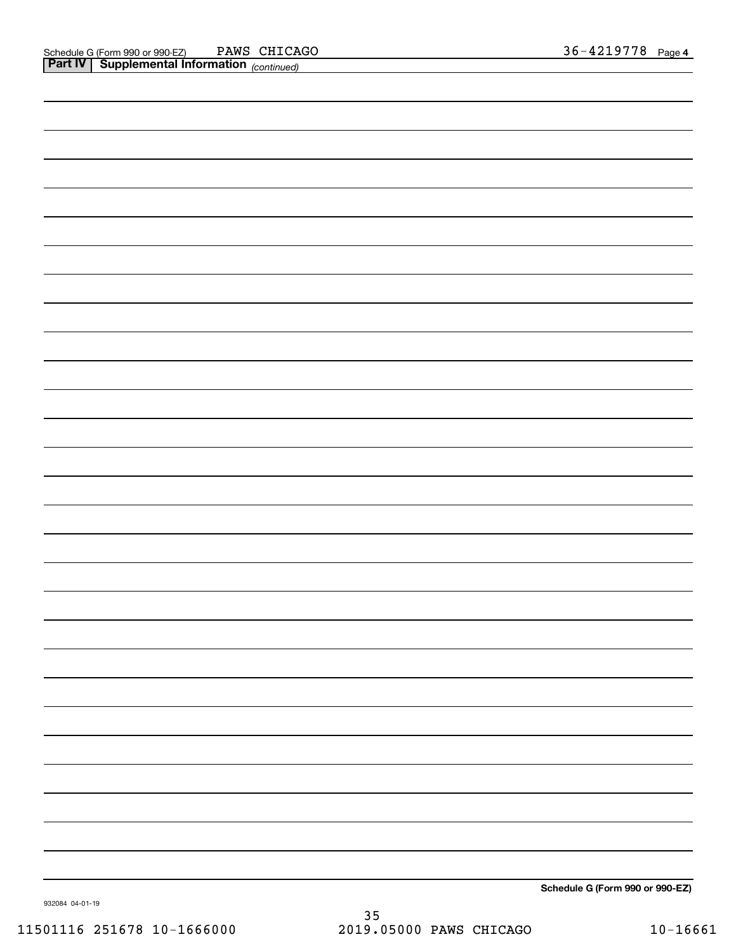| <b>Part IV   Supplemental Information</b> (continued) |                                 |
|-------------------------------------------------------|---------------------------------|
|                                                       |                                 |
|                                                       |                                 |
|                                                       |                                 |
|                                                       |                                 |
|                                                       |                                 |
|                                                       |                                 |
|                                                       |                                 |
|                                                       |                                 |
|                                                       |                                 |
|                                                       |                                 |
|                                                       |                                 |
|                                                       |                                 |
|                                                       |                                 |
|                                                       |                                 |
|                                                       |                                 |
|                                                       |                                 |
|                                                       |                                 |
|                                                       |                                 |
|                                                       |                                 |
|                                                       |                                 |
|                                                       |                                 |
|                                                       |                                 |
|                                                       |                                 |
|                                                       |                                 |
|                                                       |                                 |
|                                                       |                                 |
|                                                       |                                 |
|                                                       |                                 |
|                                                       |                                 |
|                                                       |                                 |
|                                                       |                                 |
|                                                       |                                 |
|                                                       |                                 |
|                                                       |                                 |
|                                                       |                                 |
|                                                       |                                 |
|                                                       |                                 |
|                                                       |                                 |
|                                                       |                                 |
|                                                       |                                 |
|                                                       |                                 |
|                                                       |                                 |
|                                                       |                                 |
|                                                       |                                 |
|                                                       |                                 |
|                                                       | Schedule G (Form 990 or 990-EZ) |
|                                                       |                                 |

932084 04-01-19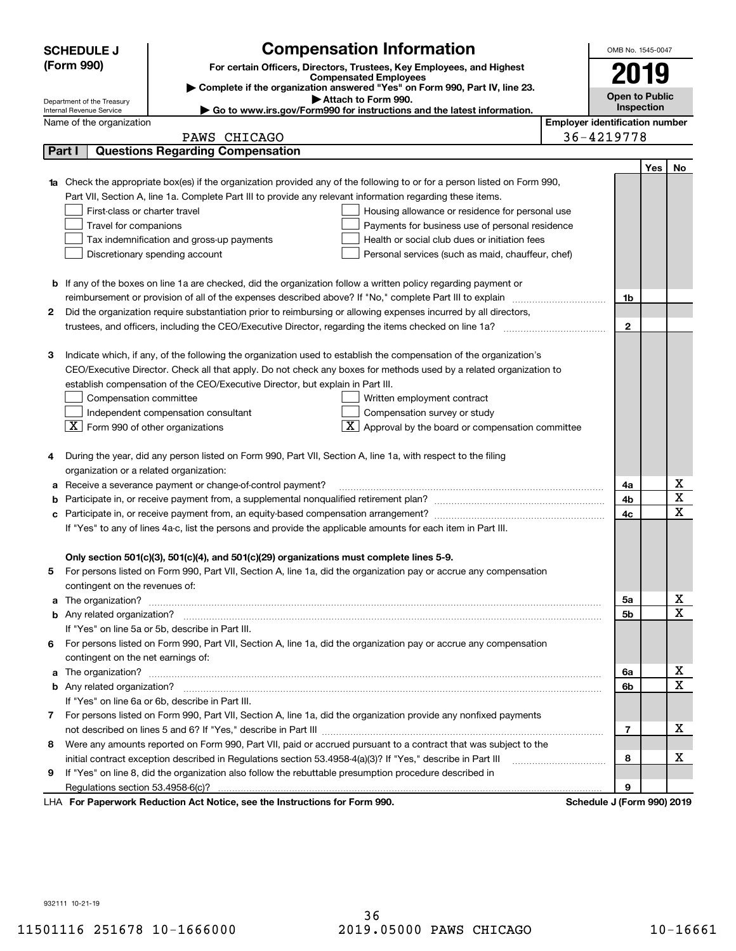|   | <b>SCHEDULE J</b>                                                                                                      | <b>Compensation Information</b>                                                                                             |                                       | OMB No. 1545-0047          |     |    |
|---|------------------------------------------------------------------------------------------------------------------------|-----------------------------------------------------------------------------------------------------------------------------|---------------------------------------|----------------------------|-----|----|
|   | (Form 990)                                                                                                             | For certain Officers, Directors, Trustees, Key Employees, and Highest                                                       |                                       |                            |     |    |
|   |                                                                                                                        | <b>Compensated Employees</b>                                                                                                |                                       | 2019                       |     |    |
|   |                                                                                                                        | Complete if the organization answered "Yes" on Form 990, Part IV, line 23.<br>Attach to Form 990.                           |                                       | <b>Open to Public</b>      |     |    |
|   | Department of the Treasury<br>Internal Revenue Service                                                                 | Go to www.irs.gov/Form990 for instructions and the latest information.                                                      |                                       | Inspection                 |     |    |
|   | Name of the organization                                                                                               |                                                                                                                             | <b>Employer identification number</b> |                            |     |    |
|   | PAWS CHICAGO                                                                                                           |                                                                                                                             |                                       | 36-4219778                 |     |    |
|   | <b>Questions Regarding Compensation</b><br>Part I                                                                      |                                                                                                                             |                                       |                            |     |    |
|   |                                                                                                                        |                                                                                                                             |                                       |                            | Yes | No |
|   |                                                                                                                        | Check the appropriate box(es) if the organization provided any of the following to or for a person listed on Form 990,      |                                       |                            |     |    |
|   | Part VII, Section A, line 1a. Complete Part III to provide any relevant information regarding these items.             |                                                                                                                             |                                       |                            |     |    |
|   | First-class or charter travel                                                                                          | Housing allowance or residence for personal use                                                                             |                                       |                            |     |    |
|   | Travel for companions                                                                                                  | Payments for business use of personal residence                                                                             |                                       |                            |     |    |
|   | Tax indemnification and gross-up payments                                                                              | Health or social club dues or initiation fees                                                                               |                                       |                            |     |    |
|   | Discretionary spending account                                                                                         | Personal services (such as maid, chauffeur, chef)                                                                           |                                       |                            |     |    |
|   |                                                                                                                        |                                                                                                                             |                                       |                            |     |    |
|   | <b>b</b> If any of the boxes on line 1a are checked, did the organization follow a written policy regarding payment or |                                                                                                                             |                                       |                            |     |    |
|   | reimbursement or provision of all of the expenses described above? If "No," complete Part III to explain               |                                                                                                                             |                                       | 1b                         |     |    |
| 2 |                                                                                                                        | Did the organization require substantiation prior to reimbursing or allowing expenses incurred by all directors,            |                                       |                            |     |    |
|   |                                                                                                                        |                                                                                                                             |                                       | $\mathbf{2}$               |     |    |
|   |                                                                                                                        |                                                                                                                             |                                       |                            |     |    |
| 3 |                                                                                                                        | Indicate which, if any, of the following the organization used to establish the compensation of the organization's          |                                       |                            |     |    |
|   |                                                                                                                        | CEO/Executive Director. Check all that apply. Do not check any boxes for methods used by a related organization to          |                                       |                            |     |    |
|   | establish compensation of the CEO/Executive Director, but explain in Part III.                                         |                                                                                                                             |                                       |                            |     |    |
|   | Compensation committee                                                                                                 | Written employment contract                                                                                                 |                                       |                            |     |    |
|   | Independent compensation consultant                                                                                    | Compensation survey or study                                                                                                |                                       |                            |     |    |
|   | $\boxed{\textbf{X}}$ Form 990 of other organizations                                                                   | $\boxed{\text{X}}$ Approval by the board or compensation committee                                                          |                                       |                            |     |    |
|   | During the year, did any person listed on Form 990, Part VII, Section A, line 1a, with respect to the filing           |                                                                                                                             |                                       |                            |     |    |
| 4 | organization or a related organization:                                                                                |                                                                                                                             |                                       |                            |     |    |
| а | Receive a severance payment or change-of-control payment?                                                              |                                                                                                                             |                                       | 4a                         |     | х  |
| b |                                                                                                                        |                                                                                                                             |                                       | 4b                         |     | X  |
| с |                                                                                                                        |                                                                                                                             |                                       | 4c                         |     | X  |
|   | If "Yes" to any of lines 4a-c, list the persons and provide the applicable amounts for each item in Part III.          |                                                                                                                             |                                       |                            |     |    |
|   |                                                                                                                        |                                                                                                                             |                                       |                            |     |    |
|   | Only section 501(c)(3), 501(c)(4), and 501(c)(29) organizations must complete lines 5-9.                               |                                                                                                                             |                                       |                            |     |    |
|   |                                                                                                                        | For persons listed on Form 990, Part VII, Section A, line 1a, did the organization pay or accrue any compensation           |                                       |                            |     |    |
|   | contingent on the revenues of:                                                                                         |                                                                                                                             |                                       |                            |     |    |
| a |                                                                                                                        | The organization? <b>With the organization</b> ? <b>With the organization with the organization? With the organization?</b> |                                       | 5а                         |     | X  |
|   |                                                                                                                        |                                                                                                                             |                                       | 5b                         |     | X  |
|   | If "Yes" on line 5a or 5b, describe in Part III.                                                                       |                                                                                                                             |                                       |                            |     |    |
|   |                                                                                                                        | 6 For persons listed on Form 990, Part VII, Section A, line 1a, did the organization pay or accrue any compensation         |                                       |                            |     |    |
|   | contingent on the net earnings of:                                                                                     |                                                                                                                             |                                       |                            |     |    |
| a |                                                                                                                        |                                                                                                                             |                                       | 6а                         |     | x  |
|   |                                                                                                                        |                                                                                                                             |                                       | 6b                         |     | X  |
|   | If "Yes" on line 6a or 6b, describe in Part III.                                                                       |                                                                                                                             |                                       |                            |     |    |
|   |                                                                                                                        | 7 For persons listed on Form 990, Part VII, Section A, line 1a, did the organization provide any nonfixed payments          |                                       |                            |     |    |
|   |                                                                                                                        |                                                                                                                             |                                       | 7                          |     | x  |
|   |                                                                                                                        | 8 Were any amounts reported on Form 990, Part VII, paid or accrued pursuant to a contract that was subject to the           |                                       |                            |     |    |
|   | initial contract exception described in Regulations section 53.4958-4(a)(3)? If "Yes," describe in Part III            |                                                                                                                             |                                       | 8                          |     | х  |
| 9 | If "Yes" on line 8, did the organization also follow the rebuttable presumption procedure described in                 |                                                                                                                             |                                       |                            |     |    |
|   | Regulations section 53.4958-6(c)?                                                                                      |                                                                                                                             |                                       | 9                          |     |    |
|   | LHA For Paperwork Reduction Act Notice, see the Instructions for Form 990.                                             |                                                                                                                             |                                       | Schedule J (Form 990) 2019 |     |    |

932111 10-21-19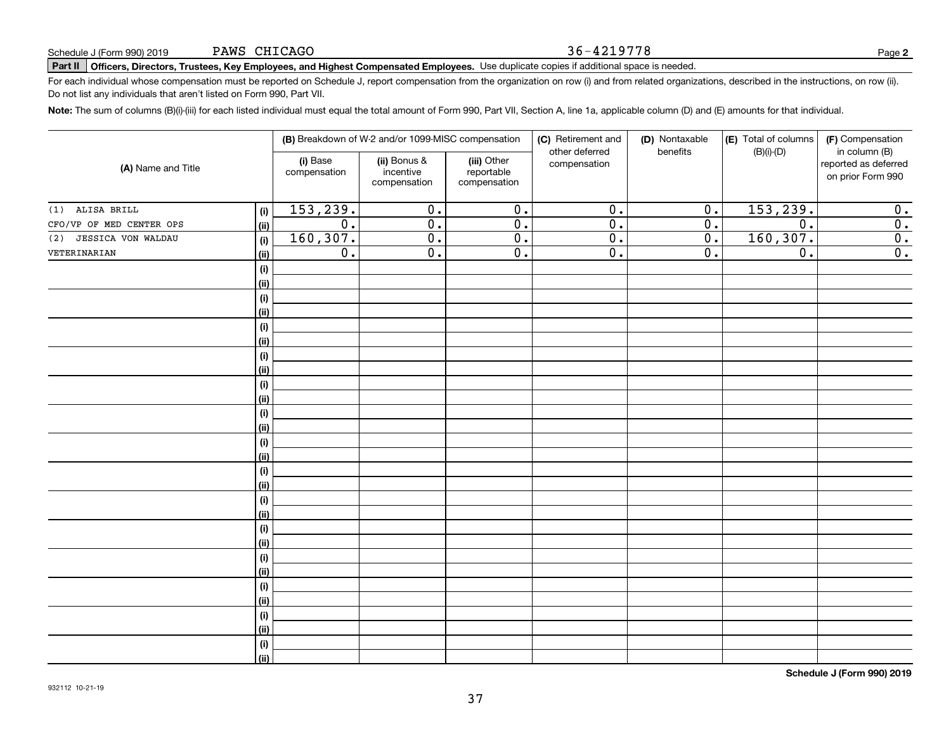# **Part II Officers, Directors, Trustees, Key Employees, and Highest Compensated Employees.**  Schedule J (Form 990) 2019 Page Use duplicate copies if additional space is needed.

For each individual whose compensation must be reported on Schedule J, report compensation from the organization on row (i) and from related organizations, described in the instructions, on row (ii). Do not list any individuals that aren't listed on Form 990, Part VII.

**Note:**  The sum of columns (B)(i)-(iii) for each listed individual must equal the total amount of Form 990, Part VII, Section A, line 1a, applicable column (D) and (E) amounts for that individual.

| (A) Name and Title       |                    |                          | (B) Breakdown of W-2 and/or 1099-MISC compensation |                                           | (C) Retirement and<br>other deferred | (D) Nontaxable<br>benefits | (E) Total of columns<br>$(B)(i)-(D)$ | (F) Compensation<br>in column (B)         |
|--------------------------|--------------------|--------------------------|----------------------------------------------------|-------------------------------------------|--------------------------------------|----------------------------|--------------------------------------|-------------------------------------------|
|                          |                    | (i) Base<br>compensation | (ii) Bonus &<br>incentive<br>compensation          | (iii) Other<br>reportable<br>compensation | compensation                         |                            |                                      | reported as deferred<br>on prior Form 990 |
| $(1)$ ALISA BRILL        | $(\sf{i})$         | 153,239.                 | 0.                                                 | 0.                                        | $\overline{0}$ .                     | $\mathbf 0$ .              | 153,239.                             | 0.                                        |
| CFO/VP OF MED CENTER OPS | (ii)               | $\overline{0}$ .         | $\overline{0}$ .                                   | $\overline{0}$ .                          | $\overline{0}$ .                     | 0.                         | $\overline{0}$ .                     | 0.                                        |
| (2) JESSICA VON WALDAU   | (i)                | 160, 307.                | $\overline{0}$ .                                   | $\overline{0}$ .                          | $\overline{0}$ .                     | 0.                         | 160,307.                             | 0.                                        |
| VETERINARIAN             | (ii)               | $\overline{0}$ .         | $\overline{0}$ .                                   | $\overline{0}$ .                          | $\overline{0}$ .                     | 0.                         | 0.                                   | 0.                                        |
|                          | $(\sf{i})$         |                          |                                                    |                                           |                                      |                            |                                      |                                           |
|                          | (ii)               |                          |                                                    |                                           |                                      |                            |                                      |                                           |
|                          | $(\sf{i})$         |                          |                                                    |                                           |                                      |                            |                                      |                                           |
|                          | (ii)               |                          |                                                    |                                           |                                      |                            |                                      |                                           |
|                          | $(\sf{i})$         |                          |                                                    |                                           |                                      |                            |                                      |                                           |
|                          | (ii)               |                          |                                                    |                                           |                                      |                            |                                      |                                           |
|                          | $(\sf{i})$         |                          |                                                    |                                           |                                      |                            |                                      |                                           |
|                          | (ii)               |                          |                                                    |                                           |                                      |                            |                                      |                                           |
|                          | $(\sf{i})$         |                          |                                                    |                                           |                                      |                            |                                      |                                           |
|                          | (ii)               |                          |                                                    |                                           |                                      |                            |                                      |                                           |
|                          | $(\sf{i})$         |                          |                                                    |                                           |                                      |                            |                                      |                                           |
|                          | (ii)               |                          |                                                    |                                           |                                      |                            |                                      |                                           |
|                          | $(\sf{i})$         |                          |                                                    |                                           |                                      |                            |                                      |                                           |
|                          | (ii)               |                          |                                                    |                                           |                                      |                            |                                      |                                           |
|                          | $(\sf{i})$         |                          |                                                    |                                           |                                      |                            |                                      |                                           |
|                          | (ii)               |                          |                                                    |                                           |                                      |                            |                                      |                                           |
|                          | $(\sf{i})$<br>(ii) |                          |                                                    |                                           |                                      |                            |                                      |                                           |
|                          | $(\sf{i})$         |                          |                                                    |                                           |                                      |                            |                                      |                                           |
|                          | (ii)               |                          |                                                    |                                           |                                      |                            |                                      |                                           |
|                          | $(\sf{i})$         |                          |                                                    |                                           |                                      |                            |                                      |                                           |
|                          | (ii)               |                          |                                                    |                                           |                                      |                            |                                      |                                           |
|                          | $(\sf{i})$         |                          |                                                    |                                           |                                      |                            |                                      |                                           |
|                          | (ii)               |                          |                                                    |                                           |                                      |                            |                                      |                                           |
|                          | $(\sf{i})$         |                          |                                                    |                                           |                                      |                            |                                      |                                           |
|                          | (ii)               |                          |                                                    |                                           |                                      |                            |                                      |                                           |
|                          | $(\sf{i})$         |                          |                                                    |                                           |                                      |                            |                                      |                                           |
|                          | (ii)               |                          |                                                    |                                           |                                      |                            |                                      |                                           |
|                          |                    |                          |                                                    |                                           |                                      |                            |                                      |                                           |

**Schedule J (Form 990) 2019**

36-4219778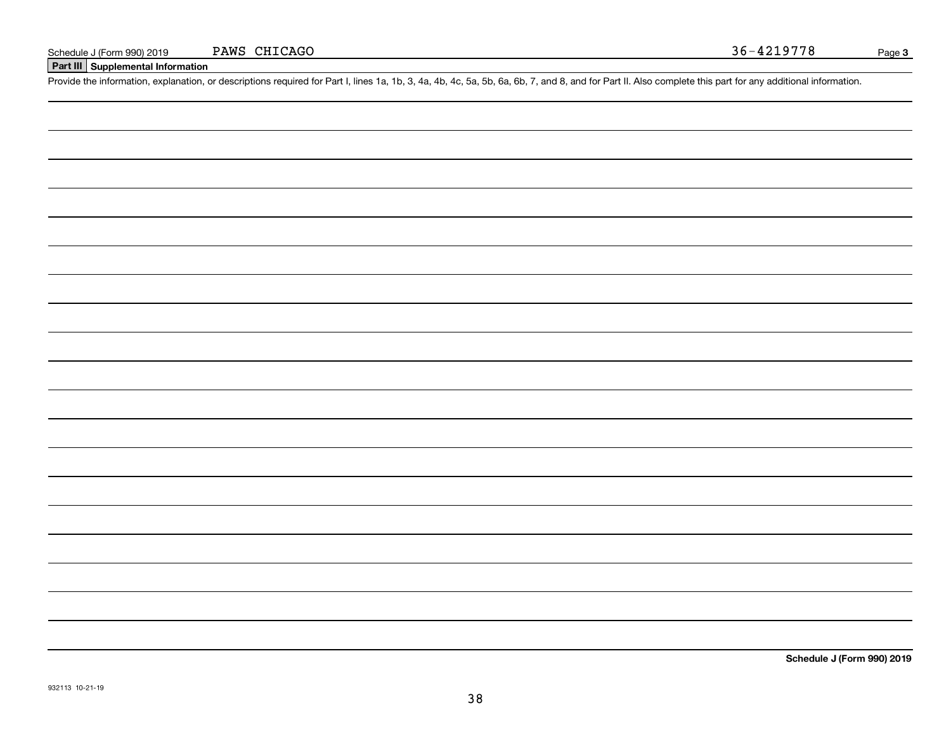#### **Part III Supplemental Information**

Schedule J (Form 990) 2019 PAWS CHICAGO<br>Part III Supplemental Information<br>Provide the information, explanation, or descriptions required for Part I, lines 1a, 1b, 3, 4a, 4b, 4c, 5a, 5b, 6a, 6b, 7, and 8, and for Part II. A

**Schedule J (Form 990) 2019**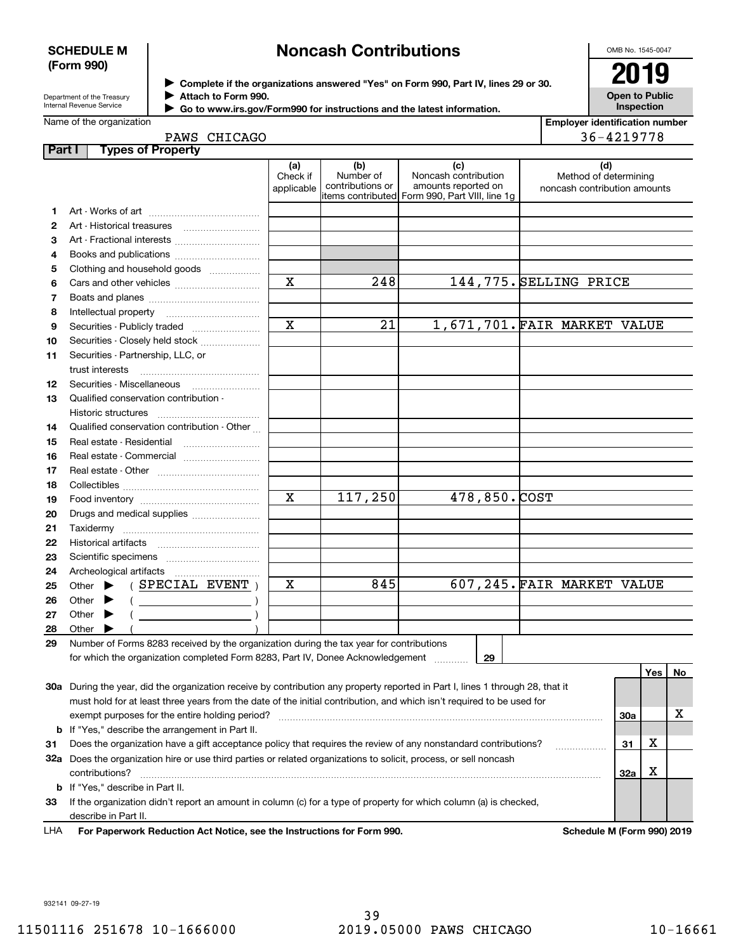#### **SCHEDULE M (Form 990)**

# **Noncash Contributions**

OMB No. 1545-0047

Department of the Treasury Internal Revenue Service

**Complete if the organizations answered "Yes" on Form 990, Part IV, lines 29 or 30.** <sup>J</sup>**2019 Attach to Form 990.** J

**Open to Public Inspection**

| Internal Revenue Service | Go to www.irs.gov/Form990 for instructions and the latest information. |
|--------------------------|------------------------------------------------------------------------|
| Name of the organization |                                                                        |

**Employer identification number** 36-4219778

|        | PAWS CHICAGO                                                                                                                                                                                                                                                                                                                                                                                                                                                                                                                                                                                                      |                               |                                      |                                                                                                                |                                                       | 36-4219778 |            |    |
|--------|-------------------------------------------------------------------------------------------------------------------------------------------------------------------------------------------------------------------------------------------------------------------------------------------------------------------------------------------------------------------------------------------------------------------------------------------------------------------------------------------------------------------------------------------------------------------------------------------------------------------|-------------------------------|--------------------------------------|----------------------------------------------------------------------------------------------------------------|-------------------------------------------------------|------------|------------|----|
| Part I | <b>Types of Property</b>                                                                                                                                                                                                                                                                                                                                                                                                                                                                                                                                                                                          |                               |                                      |                                                                                                                |                                                       |            |            |    |
|        |                                                                                                                                                                                                                                                                                                                                                                                                                                                                                                                                                                                                                   | (a)<br>Check if<br>applicable | (b)<br>Number of<br>contributions or | (c)<br>Noncash contribution<br>amounts reported on<br>items contributed Form 990, Part VIII, line 1g           | Method of determining<br>noncash contribution amounts | (d)        |            |    |
| 1      |                                                                                                                                                                                                                                                                                                                                                                                                                                                                                                                                                                                                                   |                               |                                      |                                                                                                                |                                                       |            |            |    |
| 2      |                                                                                                                                                                                                                                                                                                                                                                                                                                                                                                                                                                                                                   |                               |                                      |                                                                                                                |                                                       |            |            |    |
| 3      | Art - Fractional interests                                                                                                                                                                                                                                                                                                                                                                                                                                                                                                                                                                                        |                               |                                      |                                                                                                                |                                                       |            |            |    |
| 4      | Books and publications                                                                                                                                                                                                                                                                                                                                                                                                                                                                                                                                                                                            |                               |                                      |                                                                                                                |                                                       |            |            |    |
| 5      | Clothing and household goods                                                                                                                                                                                                                                                                                                                                                                                                                                                                                                                                                                                      |                               |                                      |                                                                                                                |                                                       |            |            |    |
| 6      |                                                                                                                                                                                                                                                                                                                                                                                                                                                                                                                                                                                                                   | $\mathbf x$                   | 248                                  | 144,775. SELLING PRICE                                                                                         |                                                       |            |            |    |
| 7      |                                                                                                                                                                                                                                                                                                                                                                                                                                                                                                                                                                                                                   |                               |                                      |                                                                                                                |                                                       |            |            |    |
| 8      |                                                                                                                                                                                                                                                                                                                                                                                                                                                                                                                                                                                                                   |                               |                                      |                                                                                                                |                                                       |            |            |    |
| 9      | Securities - Publicly traded                                                                                                                                                                                                                                                                                                                                                                                                                                                                                                                                                                                      | $\mathbf x$                   | 21                                   | 1,671,701. FAIR MARKET VALUE                                                                                   |                                                       |            |            |    |
| 10     | Securities - Closely held stock                                                                                                                                                                                                                                                                                                                                                                                                                                                                                                                                                                                   |                               |                                      |                                                                                                                |                                                       |            |            |    |
| 11     | Securities - Partnership, LLC, or                                                                                                                                                                                                                                                                                                                                                                                                                                                                                                                                                                                 |                               |                                      |                                                                                                                |                                                       |            |            |    |
|        | trust interests                                                                                                                                                                                                                                                                                                                                                                                                                                                                                                                                                                                                   |                               |                                      |                                                                                                                |                                                       |            |            |    |
| 12     |                                                                                                                                                                                                                                                                                                                                                                                                                                                                                                                                                                                                                   |                               |                                      |                                                                                                                |                                                       |            |            |    |
| 13     | Qualified conservation contribution -                                                                                                                                                                                                                                                                                                                                                                                                                                                                                                                                                                             |                               |                                      |                                                                                                                |                                                       |            |            |    |
|        | Historic structures                                                                                                                                                                                                                                                                                                                                                                                                                                                                                                                                                                                               |                               |                                      |                                                                                                                |                                                       |            |            |    |
| 14     | Qualified conservation contribution - Other                                                                                                                                                                                                                                                                                                                                                                                                                                                                                                                                                                       |                               |                                      |                                                                                                                |                                                       |            |            |    |
| 15     |                                                                                                                                                                                                                                                                                                                                                                                                                                                                                                                                                                                                                   |                               |                                      |                                                                                                                |                                                       |            |            |    |
| 16     | Real estate - Commercial                                                                                                                                                                                                                                                                                                                                                                                                                                                                                                                                                                                          |                               |                                      |                                                                                                                |                                                       |            |            |    |
| 17     |                                                                                                                                                                                                                                                                                                                                                                                                                                                                                                                                                                                                                   |                               |                                      |                                                                                                                |                                                       |            |            |    |
| 18     |                                                                                                                                                                                                                                                                                                                                                                                                                                                                                                                                                                                                                   |                               |                                      |                                                                                                                |                                                       |            |            |    |
| 19     |                                                                                                                                                                                                                                                                                                                                                                                                                                                                                                                                                                                                                   | $\mathbf x$                   | 117,250                              | 478,850.COST                                                                                                   |                                                       |            |            |    |
| 20     | Drugs and medical supplies                                                                                                                                                                                                                                                                                                                                                                                                                                                                                                                                                                                        |                               |                                      |                                                                                                                |                                                       |            |            |    |
| 21     |                                                                                                                                                                                                                                                                                                                                                                                                                                                                                                                                                                                                                   |                               |                                      |                                                                                                                |                                                       |            |            |    |
| 22     |                                                                                                                                                                                                                                                                                                                                                                                                                                                                                                                                                                                                                   |                               |                                      |                                                                                                                |                                                       |            |            |    |
| 23     |                                                                                                                                                                                                                                                                                                                                                                                                                                                                                                                                                                                                                   |                               |                                      |                                                                                                                |                                                       |            |            |    |
| 24     | Archeological artifacts                                                                                                                                                                                                                                                                                                                                                                                                                                                                                                                                                                                           |                               |                                      |                                                                                                                |                                                       |            |            |    |
| 25     | $($ SPECIAL EVENT $)$<br>Other $\blacktriangleright$                                                                                                                                                                                                                                                                                                                                                                                                                                                                                                                                                              | х                             | 845                                  | 607,245. FAIR MARKET VALUE                                                                                     |                                                       |            |            |    |
| 26     | Other $\blacktriangleright$<br>$\left(\begin{array}{ccc} \begin{array}{ccc} \end{array} & \begin{array}{ccc} \end{array} & \begin{array}{ccc} \end{array} & \begin{array}{ccc} \end{array} & \begin{array}{ccc} \end{array} & \begin{array}{ccc} \end{array} & \begin{array}{ccc} \end{array} & \begin{array}{ccc} \end{array} & \begin{array}{ccc} \end{array} & \begin{array}{ccc} \end{array} & \begin{array}{ccc} \end{array} & \begin{array}{ccc} \end{array} & \begin{array}{ccc} \end{array} & \begin{array}{ccc} \end{array} & \begin{array}{ccc} \end{array} & \begin{array}{ccc} \end{array} & \begin{$ |                               |                                      |                                                                                                                |                                                       |            |            |    |
| 27     | Other                                                                                                                                                                                                                                                                                                                                                                                                                                                                                                                                                                                                             |                               |                                      |                                                                                                                |                                                       |            |            |    |
| 28     | Other                                                                                                                                                                                                                                                                                                                                                                                                                                                                                                                                                                                                             |                               |                                      |                                                                                                                |                                                       |            |            |    |
| 29     | Number of Forms 8283 received by the organization during the tax year for contributions                                                                                                                                                                                                                                                                                                                                                                                                                                                                                                                           |                               |                                      |                                                                                                                |                                                       |            |            |    |
|        | for which the organization completed Form 8283, Part IV, Donee Acknowledgement                                                                                                                                                                                                                                                                                                                                                                                                                                                                                                                                    |                               |                                      | 29                                                                                                             |                                                       |            |            |    |
|        |                                                                                                                                                                                                                                                                                                                                                                                                                                                                                                                                                                                                                   |                               |                                      |                                                                                                                |                                                       |            | $ Y_{es} $ | No |
|        | 30a During the year, did the organization receive by contribution any property reported in Part I, lines 1 through 28, that it                                                                                                                                                                                                                                                                                                                                                                                                                                                                                    |                               |                                      |                                                                                                                |                                                       |            |            |    |
|        | must hold for at least three years from the date of the initial contribution, and which isn't required to be used for                                                                                                                                                                                                                                                                                                                                                                                                                                                                                             |                               |                                      |                                                                                                                |                                                       |            |            |    |
|        | exempt purposes for the entire holding period?                                                                                                                                                                                                                                                                                                                                                                                                                                                                                                                                                                    |                               |                                      |                                                                                                                |                                                       | 30a        |            | х  |
| b      | If "Yes," describe the arrangement in Part II.                                                                                                                                                                                                                                                                                                                                                                                                                                                                                                                                                                    |                               |                                      |                                                                                                                |                                                       |            |            |    |
| 31     | Does the organization have a gift acceptance policy that requires the review of any nonstandard contributions?                                                                                                                                                                                                                                                                                                                                                                                                                                                                                                    |                               |                                      |                                                                                                                |                                                       | 31         | х          |    |
|        | 32a Does the organization hire or use third parties or related organizations to solicit, process, or sell noncash<br>contributions?                                                                                                                                                                                                                                                                                                                                                                                                                                                                               |                               |                                      |                                                                                                                |                                                       | 32a        | х          |    |
|        | <b>b</b> If "Yes," describe in Part II.                                                                                                                                                                                                                                                                                                                                                                                                                                                                                                                                                                           |                               |                                      |                                                                                                                |                                                       |            |            |    |
|        |                                                                                                                                                                                                                                                                                                                                                                                                                                                                                                                                                                                                                   |                               |                                      | $d/dp$ <sup>'</sup> $t$ report on amount in ealumn (a) far a tupe of preparty far which ealumn (a) is obselved |                                                       |            |            |    |

932141 09-27-19

**For Paperwork Reduction Act Notice, see the Instructions for Form 990. Schedule M (Form 990) 2019** LHA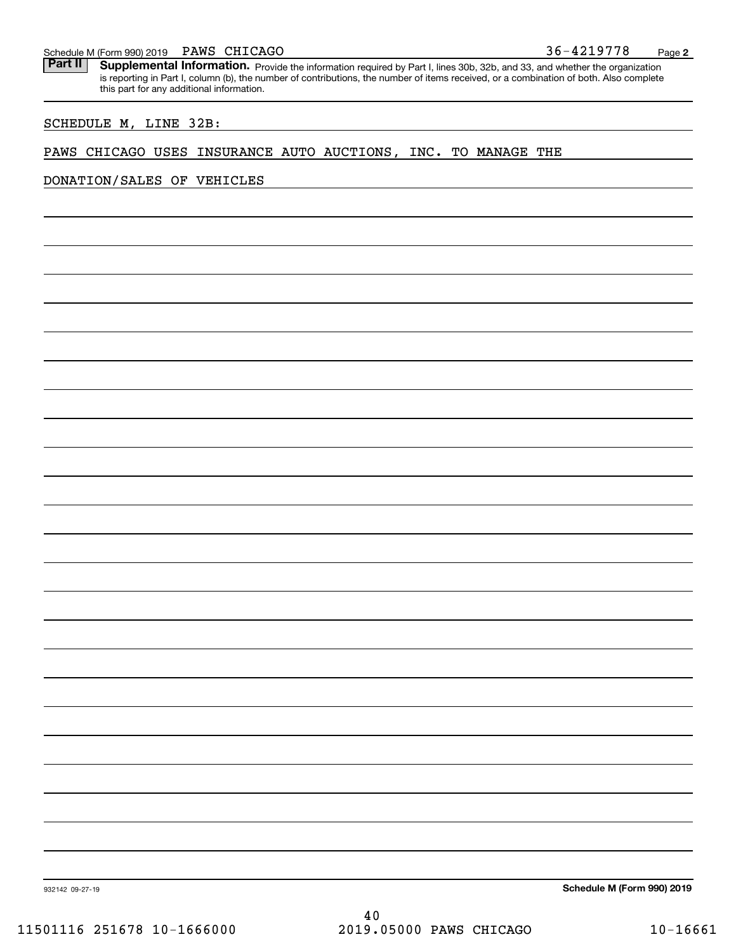#### PAWS CHICAGO

Schedule M (Form 990) 2019 PAWS CHICAGO<br>**Part II** Supplemental Information. Provide the information required by Part I. lines 30b. 32b. and 33. and whether the organ Part II | Supplemental Information. Provide the information required by Part I, lines 30b, 32b, and 33, and whether the organization is reporting in Part I, column (b), the number of contributions, the number of items received, or a combination of both. Also complete this part for any additional information.

#### SCHEDULE M, LINE 32B:

#### PAWS CHICAGO USES INSURANCE AUTO AUCTIONS, INC. TO MANAGE THE

### DONATION/SALES OF VEHICLES

**Schedule M (Form 990) 2019**

932142 09-27-19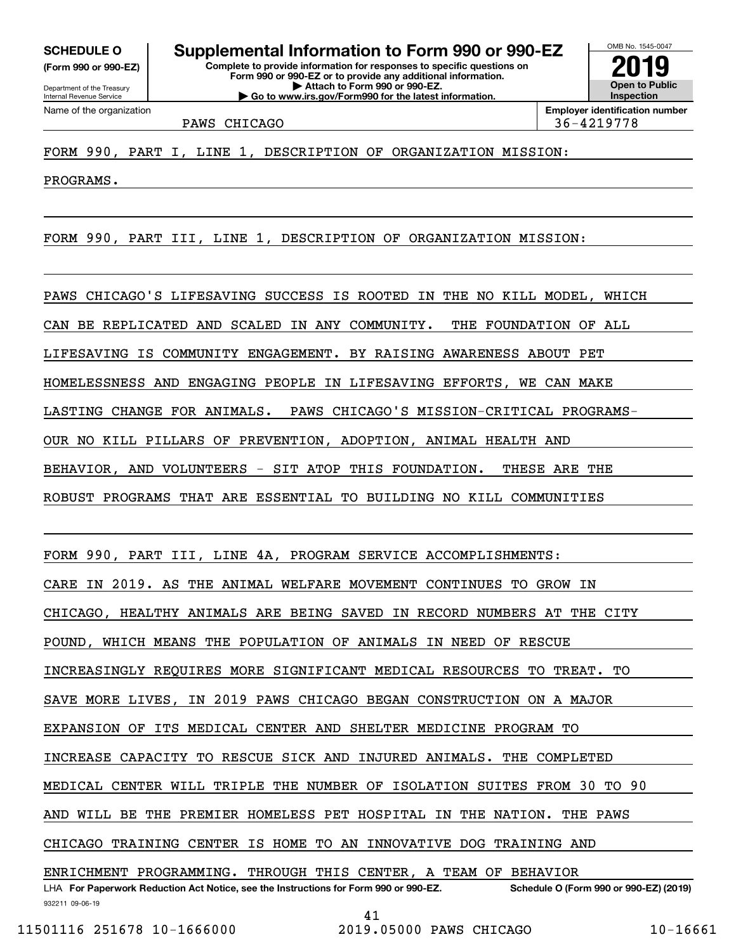**(Form 990 or 990-EZ)**

Department of the Treasury Internal Revenue Service Name of the organization

**Complete to provide information for responses to specific questions on Form 990 or 990-EZ or to provide any additional information. | Attach to Form 990 or 990-EZ. | Go to www.irs.gov/Form990 for the latest information. SCHEDULE O Supplemental Information to Form 990 or 990-EZ**



PAWS CHICAGO 36-4219778

PROGRAMS.

FORM 990, PART III, LINE 1, DESCRIPTION OF ORGANIZATION MISSION:

PAWS CHICAGO'S LIFESAVING SUCCESS IS ROOTED IN THE NO KILL MODEL, WHICH CAN BE REPLICATED AND SCALED IN ANY COMMUNITY. THE FOUNDATION OF ALL LIFESAVING IS COMMUNITY ENGAGEMENT. BY RAISING AWARENESS ABOUT PET HOMELESSNESS AND ENGAGING PEOPLE IN LIFESAVING EFFORTS, WE CAN MAKE LASTING CHANGE FOR ANIMALS. PAWS CHICAGO'S MISSION-CRITICAL PROGRAMS-OUR NO KILL PILLARS OF PREVENTION, ADOPTION, ANIMAL HEALTH AND BEHAVIOR, AND VOLUNTEERS - SIT ATOP THIS FOUNDATION. THESE ARE THE ROBUST PROGRAMS THAT ARE ESSENTIAL TO BUILDING NO KILL COMMUNITIES

FORM 990, PART III, LINE 4A, PROGRAM SERVICE ACCOMPLISHMENTS: CARE IN 2019. AS THE ANIMAL WELFARE MOVEMENT CONTINUES TO GROW IN CHICAGO, HEALTHY ANIMALS ARE BEING SAVED IN RECORD NUMBERS AT THE CITY POUND, WHICH MEANS THE POPULATION OF ANIMALS IN NEED OF RESCUE INCREASINGLY REQUIRES MORE SIGNIFICANT MEDICAL RESOURCES TO TREAT. TO SAVE MORE LIVES, IN 2019 PAWS CHICAGO BEGAN CONSTRUCTION ON A MAJOR EXPANSION OF ITS MEDICAL CENTER AND SHELTER MEDICINE PROGRAM TO INCREASE CAPACITY TO RESCUE SICK AND INJURED ANIMALS. THE COMPLETED MEDICAL CENTER WILL TRIPLE THE NUMBER OF ISOLATION SUITES FROM 30 TO 90 AND WILL BE THE PREMIER HOMELESS PET HOSPITAL IN THE NATION. THE PAWS CHICAGO TRAINING CENTER IS HOME TO AN INNOVATIVE DOG TRAINING AND ENRICHMENT PROGRAMMING. THROUGH THIS CENTER, A TEAM OF BEHAVIOR

932211 09-06-19 LHA For Paperwork Reduction Act Notice, see the Instructions for Form 990 or 990-EZ. Schedule O (Form 990 or 990-EZ) (2019) 41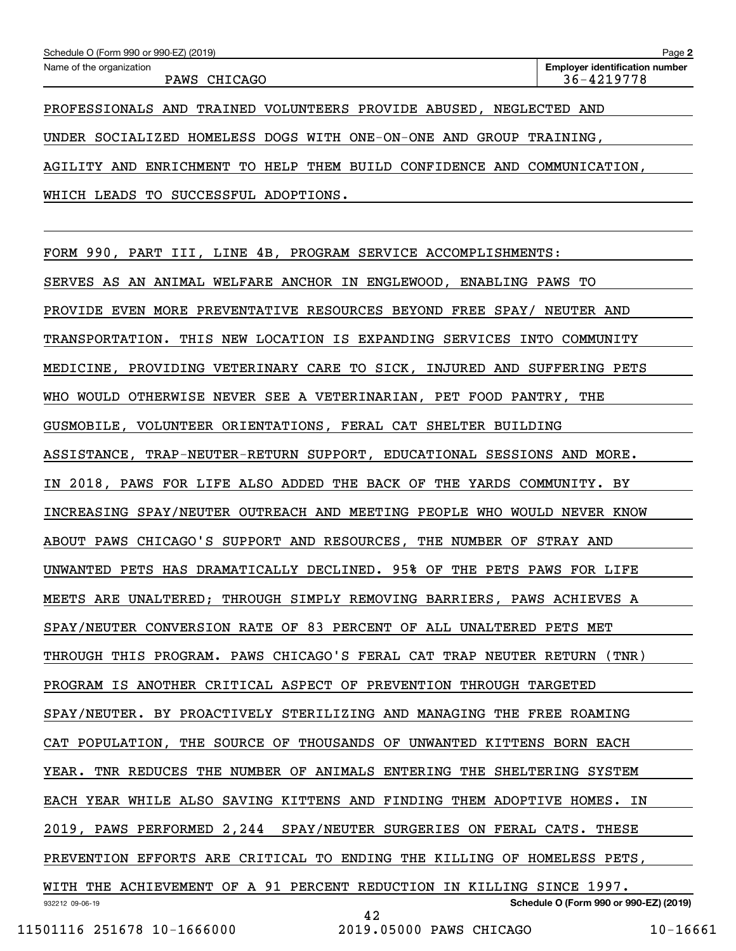| Schedule O (Form 990 or 990-EZ) (2019)                                 | Page 2                                              |
|------------------------------------------------------------------------|-----------------------------------------------------|
| Name of the organization<br>PAWS CHICAGO                               | <b>Employer identification number</b><br>36-4219778 |
| PROFESSIONALS AND TRAINED VOLUNTEERS PROVIDE ABUSED,                   | NEGLECTED AND                                       |
| UNDER SOCIALIZED HOMELESS DOGS WITH ONE-ON-ONE AND GROUP TRAINING,     |                                                     |
| AGILITY AND ENRICHMENT TO HELP THEM BUILD CONFIDENCE AND COMMUNICATION |                                                     |

WHICH LEADS TO SUCCESSFUL ADOPTIONS.

FORM 990, PART III, LINE 4B, PROGRAM SERVICE ACCOMPLISHMENTS:

932212 09-06-19 **Schedule O (Form 990 or 990-EZ) (2019)** SERVES AS AN ANIMAL WELFARE ANCHOR IN ENGLEWOOD, ENABLING PAWS TO PROVIDE EVEN MORE PREVENTATIVE RESOURCES BEYOND FREE SPAY/ NEUTER AND TRANSPORTATION. THIS NEW LOCATION IS EXPANDING SERVICES INTO COMMUNITY MEDICINE, PROVIDING VETERINARY CARE TO SICK, INJURED AND SUFFERING PETS WHO WOULD OTHERWISE NEVER SEE A VETERINARIAN, PET FOOD PANTRY, THE GUSMOBILE, VOLUNTEER ORIENTATIONS, FERAL CAT SHELTER BUILDING ASSISTANCE, TRAP-NEUTER-RETURN SUPPORT, EDUCATIONAL SESSIONS AND MORE. IN 2018, PAWS FOR LIFE ALSO ADDED THE BACK OF THE YARDS COMMUNITY. BY INCREASING SPAY/NEUTER OUTREACH AND MEETING PEOPLE WHO WOULD NEVER KNOW ABOUT PAWS CHICAGO'S SUPPORT AND RESOURCES, THE NUMBER OF STRAY AND UNWANTED PETS HAS DRAMATICALLY DECLINED. 95% OF THE PETS PAWS FOR LIFE MEETS ARE UNALTERED; THROUGH SIMPLY REMOVING BARRIERS, PAWS ACHIEVES A SPAY/NEUTER CONVERSION RATE OF 83 PERCENT OF ALL UNALTERED PETS MET THROUGH THIS PROGRAM. PAWS CHICAGO'S FERAL CAT TRAP NEUTER RETURN (TNR) PROGRAM IS ANOTHER CRITICAL ASPECT OF PREVENTION THROUGH TARGETED SPAY/NEUTER. BY PROACTIVELY STERILIZING AND MANAGING THE FREE ROAMING CAT POPULATION, THE SOURCE OF THOUSANDS OF UNWANTED KITTENS BORN EACH YEAR. TNR REDUCES THE NUMBER OF ANIMALS ENTERING THE SHELTERING SYSTEM EACH YEAR WHILE ALSO SAVING KITTENS AND FINDING THEM ADOPTIVE HOMES. IN 2019, PAWS PERFORMED 2,244 SPAY/NEUTER SURGERIES ON FERAL CATS. THESE PREVENTION EFFORTS ARE CRITICAL TO ENDING THE KILLING OF HOMELESS PETS, WITH THE ACHIEVEMENT OF A 91 PERCENT REDUCTION IN KILLING SINCE 1997. 42

11501116 251678 10-1666000 2019.05000 PAWS CHICAGO 10-16661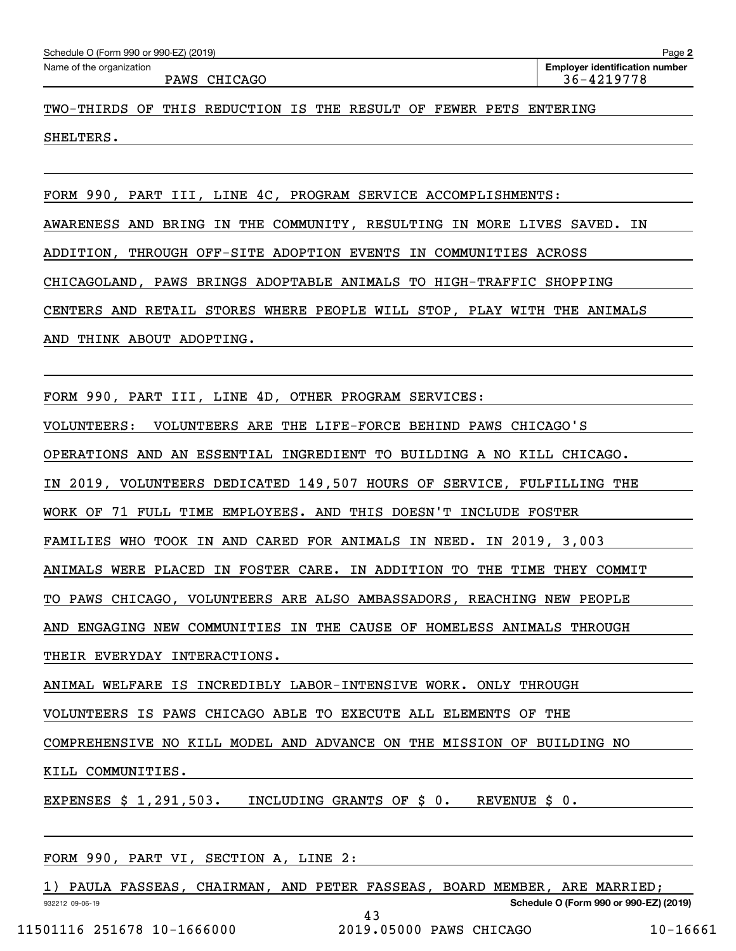| Schedule O (Form 990 or 990-EZ) (2019) |  |  |
|----------------------------------------|--|--|
|----------------------------------------|--|--|

**2**Echedule O (Form 990 or 990-EZ) (2019)<br>Name of the organization **number** Name of the organization **page Name of the organization number** PAWS CHICAGO 2002 20036-1219778

TWO-THIRDS OF THIS REDUCTION IS THE RESULT OF FEWER PETS ENTERING SHELTERS.

FORM 990, PART III, LINE 4C, PROGRAM SERVICE ACCOMPLISHMENTS: AWARENESS AND BRING IN THE COMMUNITY, RESULTING IN MORE LIVES SAVED. IN ADDITION, THROUGH OFF-SITE ADOPTION EVENTS IN COMMUNITIES ACROSS CHICAGOLAND, PAWS BRINGS ADOPTABLE ANIMALS TO HIGH-TRAFFIC SHOPPING CENTERS AND RETAIL STORES WHERE PEOPLE WILL STOP, PLAY WITH THE ANIMALS AND THINK ABOUT ADOPTING.

FORM 990, PART III, LINE 4D, OTHER PROGRAM SERVICES:

VOLUNTEERS: VOLUNTEERS ARE THE LIFE-FORCE BEHIND PAWS CHICAGO'S

OPERATIONS AND AN ESSENTIAL INGREDIENT TO BUILDING A NO KILL CHICAGO.

IN 2019, VOLUNTEERS DEDICATED 149,507 HOURS OF SERVICE, FULFILLING THE

WORK OF 71 FULL TIME EMPLOYEES. AND THIS DOESN'T INCLUDE FOSTER

FAMILIES WHO TOOK IN AND CARED FOR ANIMALS IN NEED. IN 2019, 3,003

ANIMALS WERE PLACED IN FOSTER CARE. IN ADDITION TO THE TIME THEY COMMIT

TO PAWS CHICAGO, VOLUNTEERS ARE ALSO AMBASSADORS, REACHING NEW PEOPLE

AND ENGAGING NEW COMMUNITIES IN THE CAUSE OF HOMELESS ANIMALS THROUGH

THEIR EVERYDAY INTERACTIONS.

ANIMAL WELFARE IS INCREDIBLY LABOR-INTENSIVE WORK. ONLY THROUGH

VOLUNTEERS IS PAWS CHICAGO ABLE TO EXECUTE ALL ELEMENTS OF THE

COMPREHENSIVE NO KILL MODEL AND ADVANCE ON THE MISSION OF BUILDING NO

KILL COMMUNITIES.

EXPENSES \$ 1,291,503. INCLUDING GRANTS OF \$ 0. REVENUE \$ 0.

FORM 990, PART VI, SECTION A, LINE 2:

932212 09-06-19 **Schedule O (Form 990 or 990-EZ) (2019)** 1) PAULA FASSEAS, CHAIRMAN, AND PETER FASSEAS, BOARD MEMBER, ARE MARRIED; 43

11501116 251678 10-1666000 2019.05000 PAWS CHICAGO 10-16661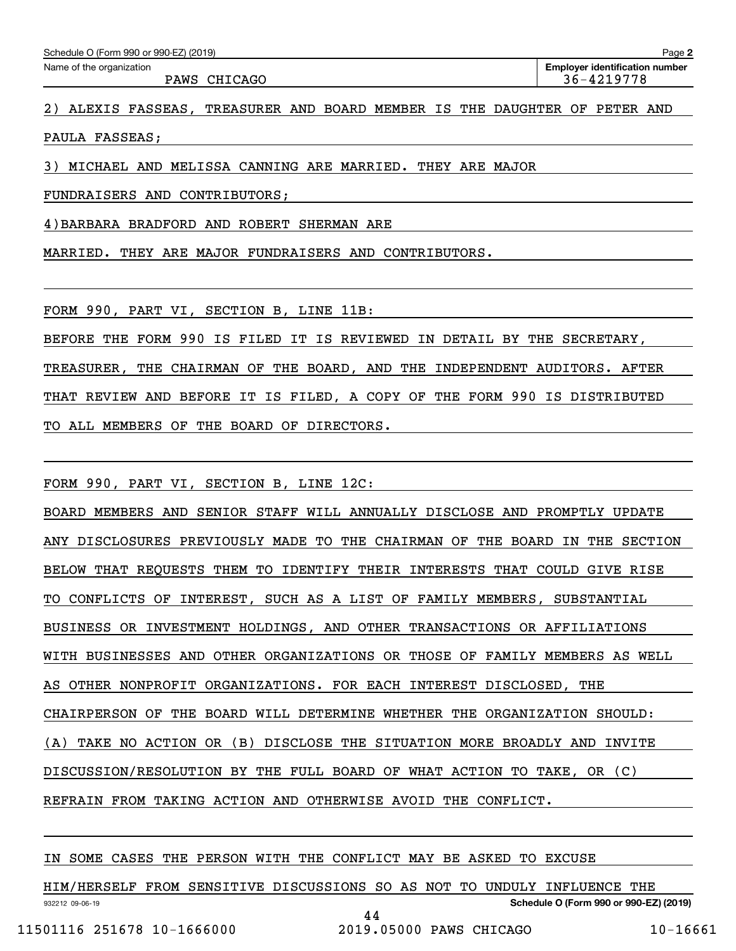PAWS CHICAGO 36-4219778

2) ALEXIS FASSEAS, TREASURER AND BOARD MEMBER IS THE DAUGHTER OF PETER AND

PAULA FASSEAS;

3) MICHAEL AND MELISSA CANNING ARE MARRIED. THEY ARE MAJOR

FUNDRAISERS AND CONTRIBUTORS;

4)BARBARA BRADFORD AND ROBERT SHERMAN ARE

MARRIED. THEY ARE MAJOR FUNDRAISERS AND CONTRIBUTORS.

FORM 990, PART VI, SECTION B, LINE 11B:

BEFORE THE FORM 990 IS FILED IT IS REVIEWED IN DETAIL BY THE SECRETARY, TREASURER, THE CHAIRMAN OF THE BOARD, AND THE INDEPENDENT AUDITORS. AFTER THAT REVIEW AND BEFORE IT IS FILED, A COPY OF THE FORM 990 IS DISTRIBUTED TO ALL MEMBERS OF THE BOARD OF DIRECTORS.

FORM 990, PART VI, SECTION B, LINE 12C:

BOARD MEMBERS AND SENIOR STAFF WILL ANNUALLY DISCLOSE AND PROMPTLY UPDATE ANY DISCLOSURES PREVIOUSLY MADE TO THE CHAIRMAN OF THE BOARD IN THE SECTION BELOW THAT REQUESTS THEM TO IDENTIFY THEIR INTERESTS THAT COULD GIVE RISE TO CONFLICTS OF INTEREST, SUCH AS A LIST OF FAMILY MEMBERS, SUBSTANTIAL BUSINESS OR INVESTMENT HOLDINGS, AND OTHER TRANSACTIONS OR AFFILIATIONS WITH BUSINESSES AND OTHER ORGANIZATIONS OR THOSE OF FAMILY MEMBERS AS WELL AS OTHER NONPROFIT ORGANIZATIONS. FOR EACH INTEREST DISCLOSED, THE CHAIRPERSON OF THE BOARD WILL DETERMINE WHETHER THE ORGANIZATION SHOULD: (A) TAKE NO ACTION OR (B) DISCLOSE THE SITUATION MORE BROADLY AND INVITE DISCUSSION/RESOLUTION BY THE FULL BOARD OF WHAT ACTION TO TAKE, OR (C) REFRAIN FROM TAKING ACTION AND OTHERWISE AVOID THE CONFLICT.

IN SOME CASES THE PERSON WITH THE CONFLICT MAY BE ASKED TO EXCUSE

932212 09-06-19 **Schedule O (Form 990 or 990-EZ) (2019)** HIM/HERSELF FROM SENSITIVE DISCUSSIONS SO AS NOT TO UNDULY INFLUENCE THE 44